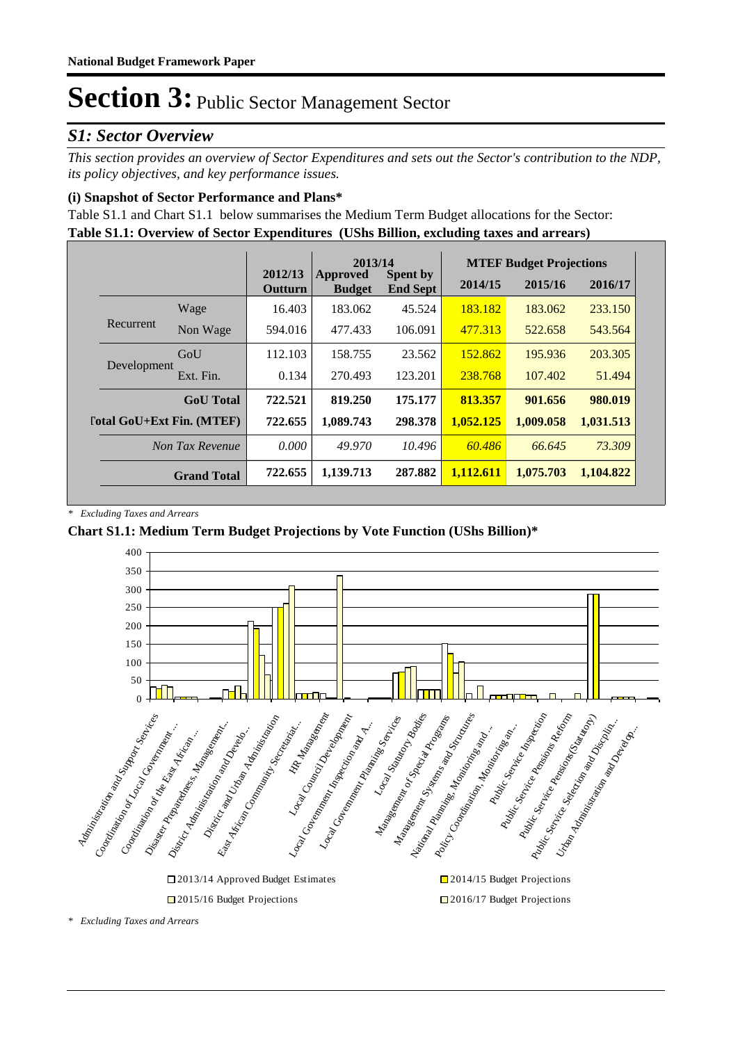#### *S1: Sector Overview*

*This section provides an overview of Sector Expenditures and sets out the Sector's contribution to the NDP, its policy objectives, and key performance issues.* 

#### **(i) Snapshot of Sector Performance and Plans\***

**Table S1.1: Overview of Sector Expenditures (UShs Billion, excluding taxes and arrears)** Table S1.1 and Chart S1.1 below summarises the Medium Term Budget allocations for the Sector:

|                    |                                  |                  |                    | 2013/14                   |                                    |           | <b>MTEF Budget Projections</b> |           |
|--------------------|----------------------------------|------------------|--------------------|---------------------------|------------------------------------|-----------|--------------------------------|-----------|
|                    |                                  |                  | 2012/13<br>Outturn | Approved<br><b>Budget</b> | <b>Spent by</b><br><b>End Sept</b> | 2014/15   | 2015/16                        | 2016/17   |
|                    |                                  | Wage             | 16.403             | 183.062                   | 45.524                             | 183.182   | 183.062                        | 233.150   |
|                    | Recurrent                        | Non Wage         | 594.016            | 477.433                   | 106.091                            | 477.313   | 522.658                        | 543.564   |
|                    | Development                      | GoU              | 112.103            | 158.755                   | 23.562                             | 152.862   | 195.936                        | 203.305   |
|                    |                                  | Ext. Fin.        | 0.134              | 270.493                   | 123.201                            | 238.768   | 107.402                        | 51.494    |
|                    |                                  | <b>GoU</b> Total | 722.521            | 819.250                   | 175.177                            | 813.357   | 901.656                        | 980.019   |
|                    | <b>Total GoU+Ext Fin. (MTEF)</b> |                  | 722.655            | 1.089.743                 | 298.378                            | 1,052,125 | 1,009.058                      | 1,031.513 |
|                    |                                  | Non Tax Revenue  | 0.000              | 49.970                    | 10.496                             | 60.486    | 66.645                         | 73.309    |
| <b>Grand Total</b> |                                  | 722.655          | 1,139.713          | 287.882                   | 1.112.611                          | 1,075.703 | 1,104.822                      |           |

*\* Excluding Taxes and Arrears*

#### **Chart S1.1: Medium Term Budget Projections by Vote Function (UShs Billion)\***



*<sup>\*</sup> Excluding Taxes and Arrears*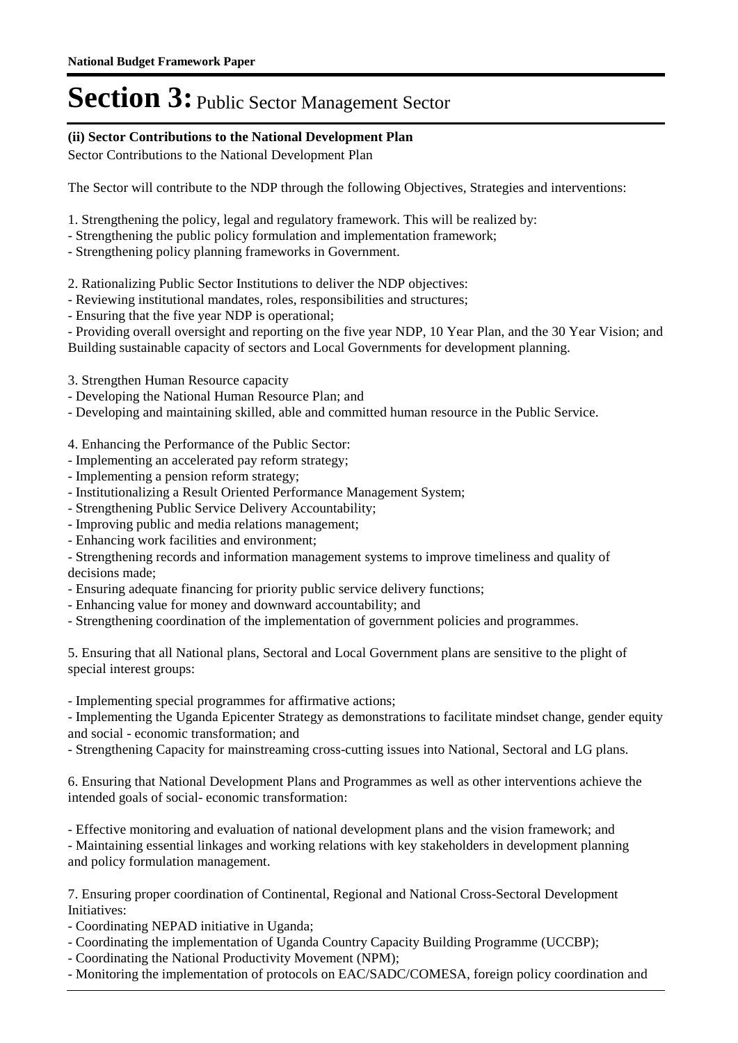#### **(ii) Sector Contributions to the National Development Plan**

Sector Contributions to the National Development Plan

The Sector will contribute to the NDP through the following Objectives, Strategies and interventions:

- 1. Strengthening the policy, legal and regulatory framework. This will be realized by:
- Strengthening the public policy formulation and implementation framework;
- Strengthening policy planning frameworks in Government.
- 2. Rationalizing Public Sector Institutions to deliver the NDP objectives:
- Reviewing institutional mandates, roles, responsibilities and structures;
- Ensuring that the five year NDP is operational;

- Providing overall oversight and reporting on the five year NDP, 10 Year Plan, and the 30 Year Vision; and Building sustainable capacity of sectors and Local Governments for development planning.

- 3. Strengthen Human Resource capacity
- Developing the National Human Resource Plan; and
- Developing and maintaining skilled, able and committed human resource in the Public Service.
- 4. Enhancing the Performance of the Public Sector:
- Implementing an accelerated pay reform strategy;
- Implementing a pension reform strategy;
- Institutionalizing a Result Oriented Performance Management System;
- Strengthening Public Service Delivery Accountability;
- Improving public and media relations management;
- Enhancing work facilities and environment;

- Strengthening records and information management systems to improve timeliness and quality of decisions made;

- Ensuring adequate financing for priority public service delivery functions;
- Enhancing value for money and downward accountability; and
- Strengthening coordination of the implementation of government policies and programmes.

5. Ensuring that all National plans, Sectoral and Local Government plans are sensitive to the plight of special interest groups:

- Implementing special programmes for affirmative actions;

- Implementing the Uganda Epicenter Strategy as demonstrations to facilitate mindset change, gender equity and social - economic transformation; and

- Strengthening Capacity for mainstreaming cross-cutting issues into National, Sectoral and LG plans.

6. Ensuring that National Development Plans and Programmes as well as other interventions achieve the intended goals of social- economic transformation:

- Effective monitoring and evaluation of national development plans and the vision framework; and - Maintaining essential linkages and working relations with key stakeholders in development planning and policy formulation management.

7. Ensuring proper coordination of Continental, Regional and National Cross-Sectoral Development Initiatives:

- Coordinating NEPAD initiative in Uganda;
- Coordinating the implementation of Uganda Country Capacity Building Programme (UCCBP);
- Coordinating the National Productivity Movement (NPM);
- Monitoring the implementation of protocols on EAC/SADC/COMESA, foreign policy coordination and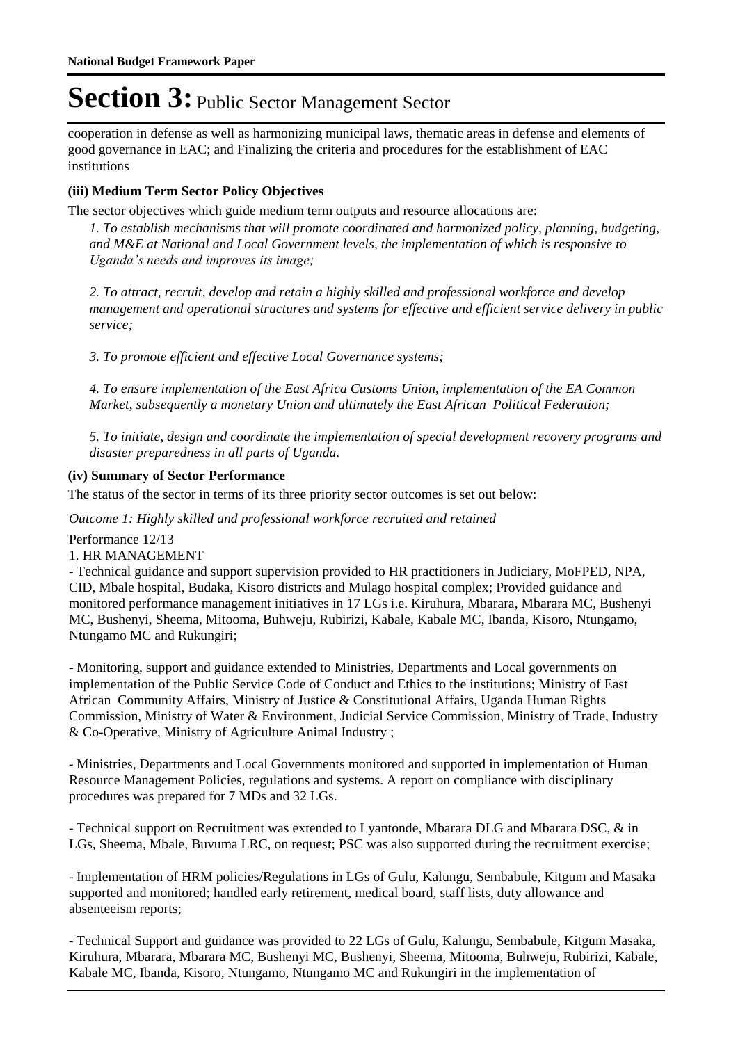cooperation in defense as well as harmonizing municipal laws, thematic areas in defense and elements of good governance in EAC; and Finalizing the criteria and procedures for the establishment of EAC institutions

#### **(iii) Medium Term Sector Policy Objectives**

The sector objectives which guide medium term outputs and resource allocations are:

*1. To establish mechanisms that will promote coordinated and harmonized policy, planning, budgeting, and M&E at National and Local Government levels, the implementation of which is responsive to Uganda's needs and improves its image;*

*2. To attract, recruit, develop and retain a highly skilled and professional workforce and develop management and operational structures and systems for effective and efficient service delivery in public service;*

*3. To promote efficient and effective Local Governance systems;*

*4. To ensure implementation of the East Africa Customs Union, implementation of the EA Common Market, subsequently a monetary Union and ultimately the East African Political Federation;*

*5. To initiate, design and coordinate the implementation of special development recovery programs and disaster preparedness in all parts of Uganda.*

#### **(iv) Summary of Sector Performance**

The status of the sector in terms of its three priority sector outcomes is set out below:

Outcome 1: Highly skilled and professional workforce recruited and retained

Performance 12/13

1. HR MANAGEMENT

- Technical guidance and support supervision provided to HR practitioners in Judiciary, MoFPED, NPA, CID, Mbale hospital, Budaka, Kisoro districts and Mulago hospital complex; Provided guidance and monitored performance management initiatives in 17 LGs i.e. Kiruhura, Mbarara, Mbarara MC, Bushenyi MC, Bushenyi, Sheema, Mitooma, Buhweju, Rubirizi, Kabale, Kabale MC, Ibanda, Kisoro, Ntungamo, Ntungamo MC and Rukungiri;

- Monitoring, support and guidance extended to Ministries, Departments and Local governments on implementation of the Public Service Code of Conduct and Ethics to the institutions; Ministry of East African Community Affairs, Ministry of Justice & Constitutional Affairs, Uganda Human Rights Commission, Ministry of Water & Environment, Judicial Service Commission, Ministry of Trade, Industry & Co-Operative, Ministry of Agriculture Animal Industry ;

- Ministries, Departments and Local Governments monitored and supported in implementation of Human Resource Management Policies, regulations and systems. A report on compliance with disciplinary procedures was prepared for 7 MDs and 32 LGs.

- Technical support on Recruitment was extended to Lyantonde, Mbarara DLG and Mbarara DSC, & in LGs, Sheema, Mbale, Buvuma LRC, on request; PSC was also supported during the recruitment exercise;

- Implementation of HRM policies/Regulations in LGs of Gulu, Kalungu, Sembabule, Kitgum and Masaka supported and monitored; handled early retirement, medical board, staff lists, duty allowance and absenteeism reports;

- Technical Support and guidance was provided to 22 LGs of Gulu, Kalungu, Sembabule, Kitgum Masaka, Kiruhura, Mbarara, Mbarara MC, Bushenyi MC, Bushenyi, Sheema, Mitooma, Buhweju, Rubirizi, Kabale, Kabale MC, Ibanda, Kisoro, Ntungamo, Ntungamo MC and Rukungiri in the implementation of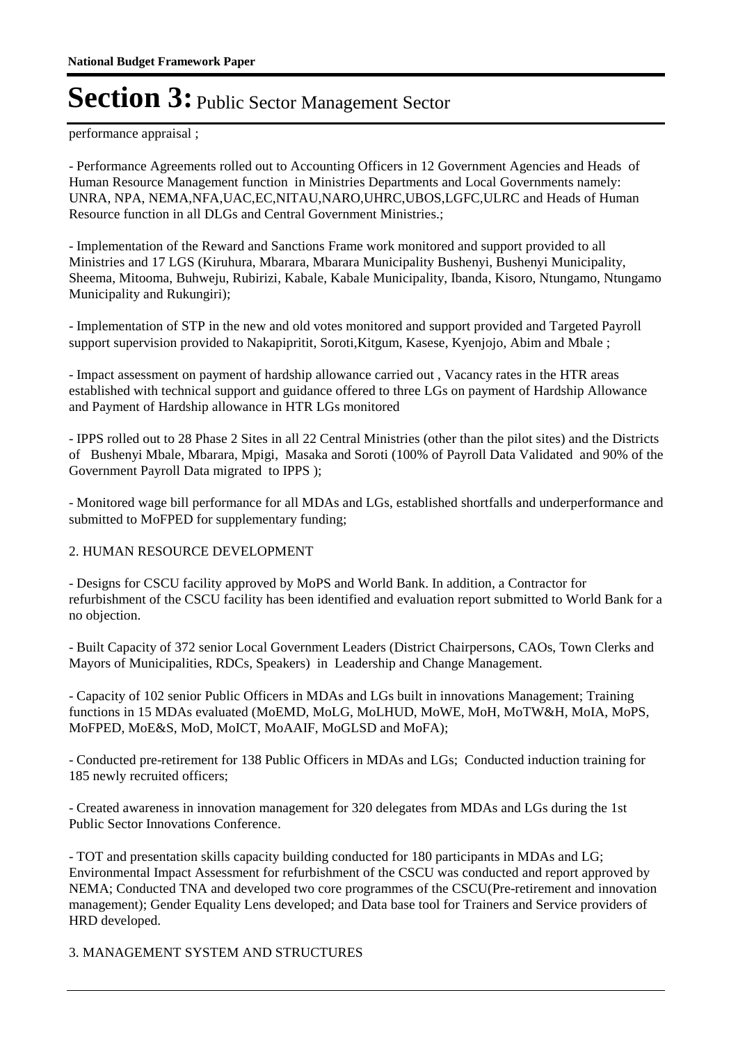performance appraisal ;

- Performance Agreements rolled out to Accounting Officers in 12 Government Agencies and Heads of Human Resource Management function in Ministries Departments and Local Governments namely: UNRA, NPA, NEMA,NFA,UAC,EC,NITAU,NARO,UHRC,UBOS,LGFC,ULRC and Heads of Human Resource function in all DLGs and Central Government Ministries.;

- Implementation of the Reward and Sanctions Frame work monitored and support provided to all Ministries and 17 LGS (Kiruhura, Mbarara, Mbarara Municipality Bushenyi, Bushenyi Municipality, Sheema, Mitooma, Buhweju, Rubirizi, Kabale, Kabale Municipality, Ibanda, Kisoro, Ntungamo, Ntungamo Municipality and Rukungiri);

- Implementation of STP in the new and old votes monitored and support provided and Targeted Payroll support supervision provided to Nakapipritit, Soroti,Kitgum, Kasese, Kyenjojo, Abim and Mbale ;

- Impact assessment on payment of hardship allowance carried out , Vacancy rates in the HTR areas established with technical support and guidance offered to three LGs on payment of Hardship Allowance and Payment of Hardship allowance in HTR LGs monitored

- IPPS rolled out to 28 Phase 2 Sites in all 22 Central Ministries (other than the pilot sites) and the Districts of Bushenyi Mbale, Mbarara, Mpigi, Masaka and Soroti (100% of Payroll Data Validated and 90% of the Government Payroll Data migrated to IPPS );

- Monitored wage bill performance for all MDAs and LGs, established shortfalls and underperformance and submitted to MoFPED for supplementary funding;

#### 2. HUMAN RESOURCE DEVELOPMENT

- Designs for CSCU facility approved by MoPS and World Bank. In addition, a Contractor for refurbishment of the CSCU facility has been identified and evaluation report submitted to World Bank for a no objection.

- Built Capacity of 372 senior Local Government Leaders (District Chairpersons, CAOs, Town Clerks and Mayors of Municipalities, RDCs, Speakers) in Leadership and Change Management.

- Capacity of 102 senior Public Officers in MDAs and LGs built in innovations Management; Training functions in 15 MDAs evaluated (MoEMD, MoLG, MoLHUD, MoWE, MoH, MoTW&H, MoIA, MoPS, MoFPED, MoE&S, MoD, MoICT, MoAAIF, MoGLSD and MoFA);

- Conducted pre-retirement for 138 Public Officers in MDAs and LGs; Conducted induction training for 185 newly recruited officers;

- Created awareness in innovation management for 320 delegates from MDAs and LGs during the 1st Public Sector Innovations Conference.

- TOT and presentation skills capacity building conducted for 180 participants in MDAs and LG; Environmental Impact Assessment for refurbishment of the CSCU was conducted and report approved by NEMA; Conducted TNA and developed two core programmes of the CSCU(Pre-retirement and innovation management); Gender Equality Lens developed; and Data base tool for Trainers and Service providers of HRD developed.

#### 3. MANAGEMENT SYSTEM AND STRUCTURES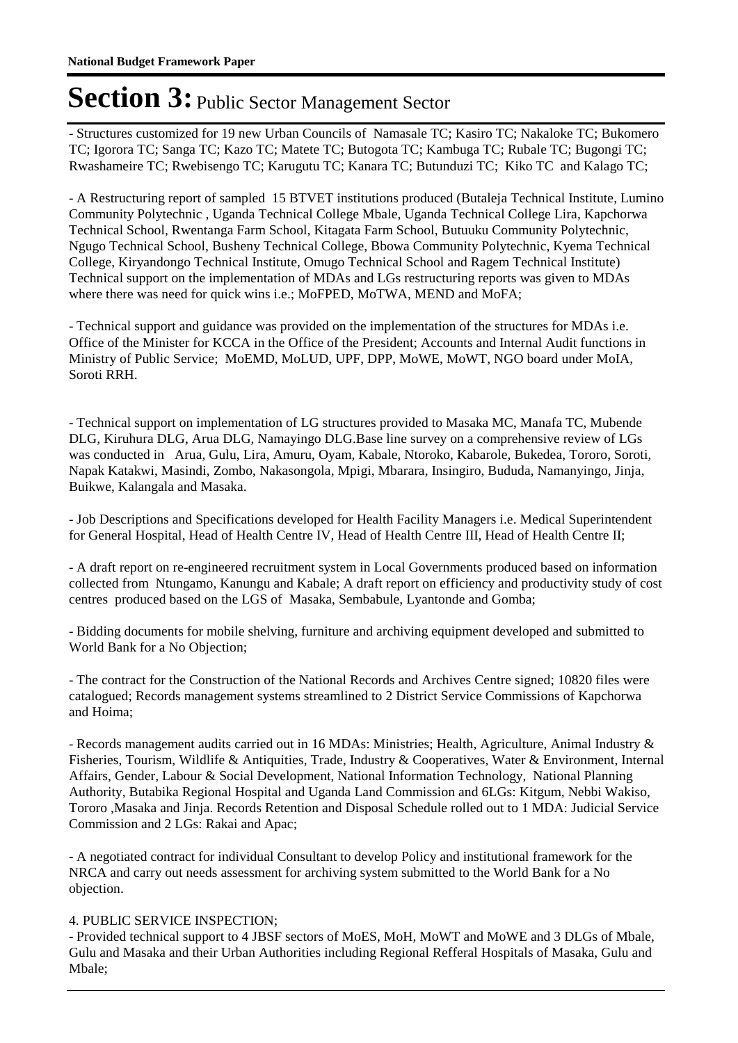- Structures customized for 19 new Urban Councils of Namasale TC; Kasiro TC; Nakaloke TC; Bukomero TC; Igorora TC; Sanga TC; Kazo TC; Matete TC; Butogota TC; Kambuga TC; Rubale TC; Bugongi TC; Rwashameire TC; Rwebisengo TC; Karugutu TC; Kanara TC; Butunduzi TC; Kiko TC and Kalago TC;

- A Restructuring report of sampled 15 BTVET institutions produced (Butaleja Technical Institute, Lumino Community Polytechnic , Uganda Technical College Mbale, Uganda Technical College Lira, Kapchorwa Technical School, Rwentanga Farm School, Kitagata Farm School, Butuuku Community Polytechnic, Ngugo Technical School, Busheny Technical College, Bbowa Community Polytechnic, Kyema Technical College, Kiryandongo Technical Institute, Omugo Technical School and Ragem Technical Institute) Technical support on the implementation of MDAs and LGs restructuring reports was given to MDAs where there was need for quick wins i.e.; MoFPED, MoTWA, MEND and MoFA;

- Technical support and guidance was provided on the implementation of the structures for MDAs i.e. Office of the Minister for KCCA in the Office of the President; Accounts and Internal Audit functions in Ministry of Public Service; MoEMD, MoLUD, UPF, DPP, MoWE, MoWT, NGO board under MoIA, Soroti RRH.

- Technical support on implementation of LG structures provided to Masaka MC, Manafa TC, Mubende DLG, Kiruhura DLG, Arua DLG, Namayingo DLG.Base line survey on a comprehensive review of LGs was conducted in Arua, Gulu, Lira, Amuru, Oyam, Kabale, Ntoroko, Kabarole, Bukedea, Tororo, Soroti, Napak Katakwi, Masindi, Zombo, Nakasongola, Mpigi, Mbarara, Insingiro, Bududa, Namanyingo, Jinja, Buikwe, Kalangala and Masaka.

- Job Descriptions and Specifications developed for Health Facility Managers i.e. Medical Superintendent for General Hospital, Head of Health Centre IV, Head of Health Centre III, Head of Health Centre II;

- A draft report on re-engineered recruitment system in Local Governments produced based on information collected from Ntungamo, Kanungu and Kabale; A draft report on efficiency and productivity study of cost centres produced based on the LGS of Masaka, Sembabule, Lyantonde and Gomba;

- Bidding documents for mobile shelving, furniture and archiving equipment developed and submitted to World Bank for a No Objection;

- The contract for the Construction of the National Records and Archives Centre signed; 10820 files were catalogued; Records management systems streamlined to 2 District Service Commissions of Kapchorwa and Hoima;

- Records management audits carried out in 16 MDAs: Ministries; Health, Agriculture, Animal Industry & Fisheries, Tourism, Wildlife & Antiquities, Trade, Industry & Cooperatives, Water & Environment, Internal Affairs, Gender, Labour & Social Development, National Information Technology, National Planning Authority, Butabika Regional Hospital and Uganda Land Commission and 6LGs: Kitgum, Nebbi Wakiso, Tororo ,Masaka and Jinja. Records Retention and Disposal Schedule rolled out to 1 MDA: Judicial Service Commission and 2 LGs: Rakai and Apac;

- A negotiated contract for individual Consultant to develop Policy and institutional framework for the NRCA and carry out needs assessment for archiving system submitted to the World Bank for a No objection.

#### 4. PUBLIC SERVICE INSPECTION;

- Provided technical support to 4 JBSF sectors of MoES, MoH, MoWT and MoWE and 3 DLGs of Mbale, Gulu and Masaka and their Urban Authorities including Regional Refferal Hospitals of Masaka, Gulu and Mbale;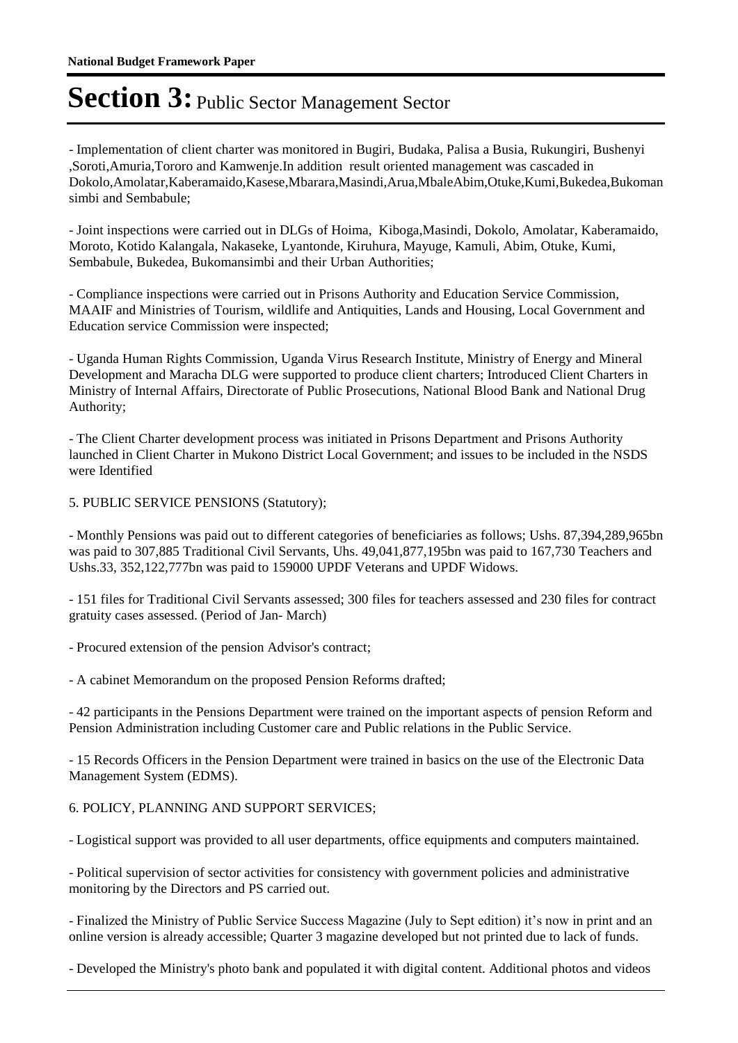- Implementation of client charter was monitored in Bugiri, Budaka, Palisa a Busia, Rukungiri, Bushenyi ,Soroti,Amuria,Tororo and Kamwenje.In addition result oriented management was cascaded in Dokolo,Amolatar,Kaberamaido,Kasese,Mbarara,Masindi,Arua,MbaleAbim,Otuke,Kumi,Bukedea,Bukoman simbi and Sembabule;

- Joint inspections were carried out in DLGs of Hoima, Kiboga,Masindi, Dokolo, Amolatar, Kaberamaido, Moroto, Kotido Kalangala, Nakaseke, Lyantonde, Kiruhura, Mayuge, Kamuli, Abim, Otuke, Kumi, Sembabule, Bukedea, Bukomansimbi and their Urban Authorities;

- Compliance inspections were carried out in Prisons Authority and Education Service Commission, MAAIF and Ministries of Tourism, wildlife and Antiquities, Lands and Housing, Local Government and Education service Commission were inspected;

- Uganda Human Rights Commission, Uganda Virus Research Institute, Ministry of Energy and Mineral Development and Maracha DLG were supported to produce client charters; Introduced Client Charters in Ministry of Internal Affairs, Directorate of Public Prosecutions, National Blood Bank and National Drug Authority;

- The Client Charter development process was initiated in Prisons Department and Prisons Authority launched in Client Charter in Mukono District Local Government; and issues to be included in the NSDS were Identified

5. PUBLIC SERVICE PENSIONS (Statutory);

- Monthly Pensions was paid out to different categories of beneficiaries as follows; Ushs. 87,394,289,965bn was paid to 307,885 Traditional Civil Servants, Uhs. 49,041,877,195bn was paid to 167,730 Teachers and Ushs.33, 352,122,777bn was paid to 159000 UPDF Veterans and UPDF Widows.

- 151 files for Traditional Civil Servants assessed; 300 files for teachers assessed and 230 files for contract gratuity cases assessed. (Period of Jan- March)

- Procured extension of the pension Advisor's contract;

- A cabinet Memorandum on the proposed Pension Reforms drafted;

- 42 participants in the Pensions Department were trained on the important aspects of pension Reform and Pension Administration including Customer care and Public relations in the Public Service.

- 15 Records Officers in the Pension Department were trained in basics on the use of the Electronic Data Management System (EDMS).

#### 6. POLICY, PLANNING AND SUPPORT SERVICES;

- Logistical support was provided to all user departments, office equipments and computers maintained.

- Political supervision of sector activities for consistency with government policies and administrative monitoring by the Directors and PS carried out.

- Finalized the Ministry of Public Service Success Magazine (July to Sept edition) it's now in print and an online version is already accessible; Quarter 3 magazine developed but not printed due to lack of funds.

- Developed the Ministry's photo bank and populated it with digital content. Additional photos and videos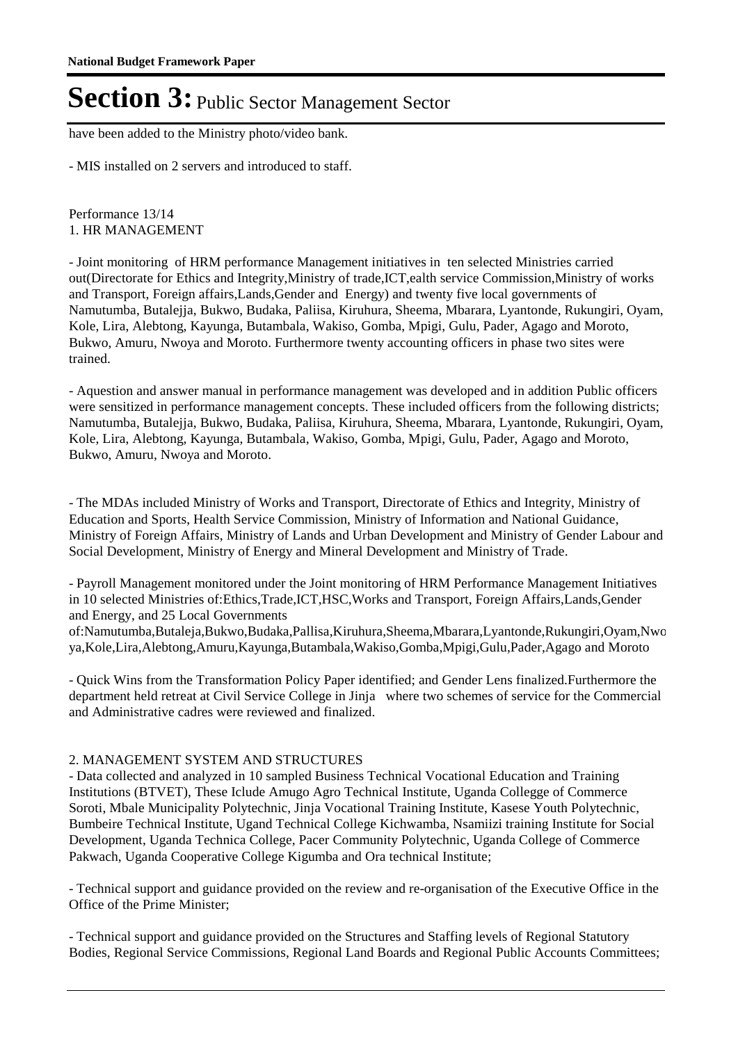have been added to the Ministry photo/video bank.

- MIS installed on 2 servers and introduced to staff.

Performance 13/14 1. HR MANAGEMENT

- Joint monitoring of HRM performance Management initiatives in ten selected Ministries carried out(Directorate for Ethics and Integrity,Ministry of trade,ICT,ealth service Commission,Ministry of works and Transport, Foreign affairs,Lands,Gender and Energy) and twenty five local governments of Namutumba, Butalejja, Bukwo, Budaka, Paliisa, Kiruhura, Sheema, Mbarara, Lyantonde, Rukungiri, Oyam, Kole, Lira, Alebtong, Kayunga, Butambala, Wakiso, Gomba, Mpigi, Gulu, Pader, Agago and Moroto, Bukwo, Amuru, Nwoya and Moroto. Furthermore twenty accounting officers in phase two sites were trained.

- Aquestion and answer manual in performance management was developed and in addition Public officers were sensitized in performance management concepts. These included officers from the following districts; Namutumba, Butalejja, Bukwo, Budaka, Paliisa, Kiruhura, Sheema, Mbarara, Lyantonde, Rukungiri, Oyam, Kole, Lira, Alebtong, Kayunga, Butambala, Wakiso, Gomba, Mpigi, Gulu, Pader, Agago and Moroto, Bukwo, Amuru, Nwoya and Moroto.

- The MDAs included Ministry of Works and Transport, Directorate of Ethics and Integrity, Ministry of Education and Sports, Health Service Commission, Ministry of Information and National Guidance, Ministry of Foreign Affairs, Ministry of Lands and Urban Development and Ministry of Gender Labour and Social Development, Ministry of Energy and Mineral Development and Ministry of Trade.

- Payroll Management monitored under the Joint monitoring of HRM Performance Management Initiatives in 10 selected Ministries of:Ethics,Trade,ICT,HSC,Works and Transport, Foreign Affairs,Lands,Gender and Energy, and 25 Local Governments

of:Namutumba,Butaleja,Bukwo,Budaka,Pallisa,Kiruhura,Sheema,Mbarara,Lyantonde,Rukungiri,Oyam,Nwo ya,Kole,Lira,Alebtong,Amuru,Kayunga,Butambala,Wakiso,Gomba,Mpigi,Gulu,Pader,Agago and Moroto

- Quick Wins from the Transformation Policy Paper identified; and Gender Lens finalized.Furthermore the department held retreat at Civil Service College in Jinja where two schemes of service for the Commercial and Administrative cadres were reviewed and finalized.

#### 2. MANAGEMENT SYSTEM AND STRUCTURES

- Data collected and analyzed in 10 sampled Business Technical Vocational Education and Training Institutions (BTVET), These Iclude Amugo Agro Technical Institute, Uganda Collegge of Commerce Soroti, Mbale Municipality Polytechnic, Jinja Vocational Training Institute, Kasese Youth Polytechnic, Bumbeire Technical Institute, Ugand Technical College Kichwamba, Nsamiizi training Institute for Social Development, Uganda Technica College, Pacer Community Polytechnic, Uganda College of Commerce Pakwach, Uganda Cooperative College Kigumba and Ora technical Institute;

- Technical support and guidance provided on the review and re-organisation of the Executive Office in the Office of the Prime Minister;

- Technical support and guidance provided on the Structures and Staffing levels of Regional Statutory Bodies, Regional Service Commissions, Regional Land Boards and Regional Public Accounts Committees;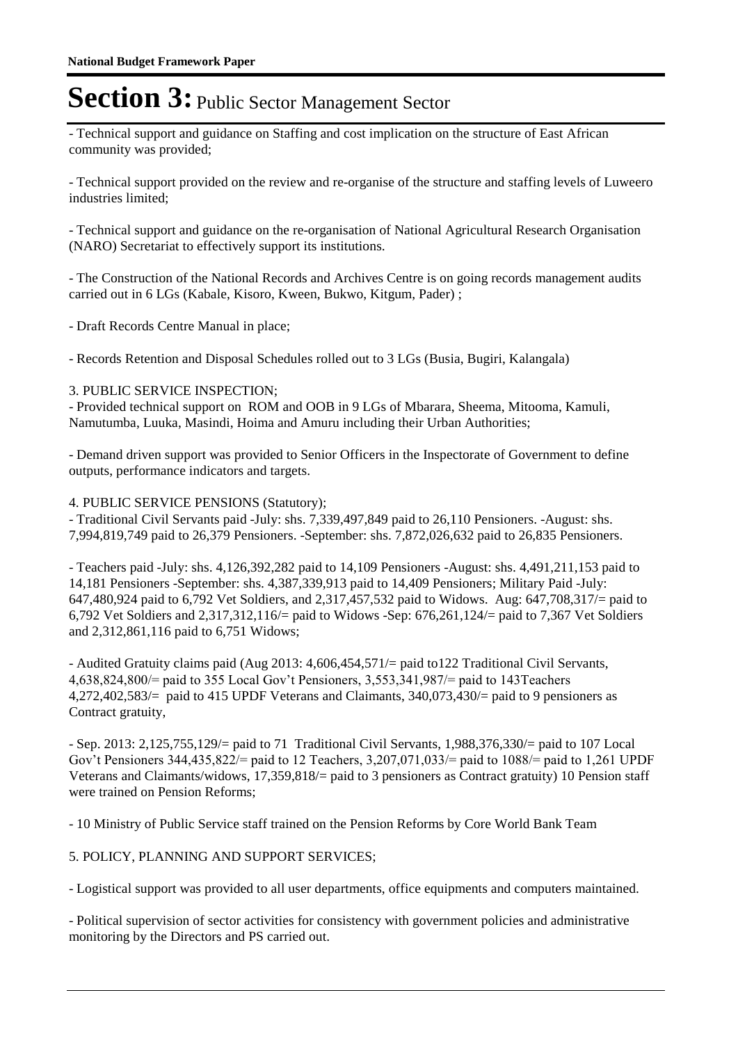- Technical support and guidance on Staffing and cost implication on the structure of East African community was provided;

- Technical support provided on the review and re-organise of the structure and staffing levels of Luweero industries limited;

- Technical support and guidance on the re-organisation of National Agricultural Research Organisation (NARO) Secretariat to effectively support its institutions.

- The Construction of the National Records and Archives Centre is on going records management audits carried out in 6 LGs (Kabale, Kisoro, Kween, Bukwo, Kitgum, Pader) ;

- Draft Records Centre Manual in place;

- Records Retention and Disposal Schedules rolled out to 3 LGs (Busia, Bugiri, Kalangala)

#### 3. PUBLIC SERVICE INSPECTION;

- Provided technical support on ROM and OOB in 9 LGs of Mbarara, Sheema, Mitooma, Kamuli, Namutumba, Luuka, Masindi, Hoima and Amuru including their Urban Authorities;

- Demand driven support was provided to Senior Officers in the Inspectorate of Government to define outputs, performance indicators and targets.

#### 4. PUBLIC SERVICE PENSIONS (Statutory);

- Traditional Civil Servants paid -July: shs. 7,339,497,849 paid to 26,110 Pensioners. -August: shs. 7,994,819,749 paid to 26,379 Pensioners. -September: shs. 7,872,026,632 paid to 26,835 Pensioners.

- Teachers paid -July: shs. 4,126,392,282 paid to 14,109 Pensioners -August: shs. 4,491,211,153 paid to 14,181 Pensioners -September: shs. 4,387,339,913 paid to 14,409 Pensioners; Military Paid -July: 647,480,924 paid to 6,792 Vet Soldiers, and 2,317,457,532 paid to Widows. Aug: 647,708,317/= paid to 6,792 Vet Soldiers and 2,317,312,116/= paid to Widows -Sep: 676,261,124/= paid to 7,367 Vet Soldiers and 2,312,861,116 paid to 6,751 Widows;

- Audited Gratuity claims paid (Aug 2013: 4,606,454,571/= paid to122 Traditional Civil Servants, 4,638,824,800/= paid to 355 Local Gov't Pensioners, 3,553,341,987/= paid to 143Teachers 4,272,402,583/= paid to 415 UPDF Veterans and Claimants, 340,073,430/= paid to 9 pensioners as Contract gratuity,

- Sep. 2013: 2,125,755,129/= paid to 71 Traditional Civil Servants, 1,988,376,330/= paid to 107 Local Gov't Pensioners 344,435,822/= paid to 12 Teachers, 3,207,071,033/= paid to 1088/= paid to 1,261 UPDF Veterans and Claimants/widows, 17,359,818/= paid to 3 pensioners as Contract gratuity) 10 Pension staff were trained on Pension Reforms;

- 10 Ministry of Public Service staff trained on the Pension Reforms by Core World Bank Team

#### 5. POLICY, PLANNING AND SUPPORT SERVICES;

- Logistical support was provided to all user departments, office equipments and computers maintained.

- Political supervision of sector activities for consistency with government policies and administrative monitoring by the Directors and PS carried out.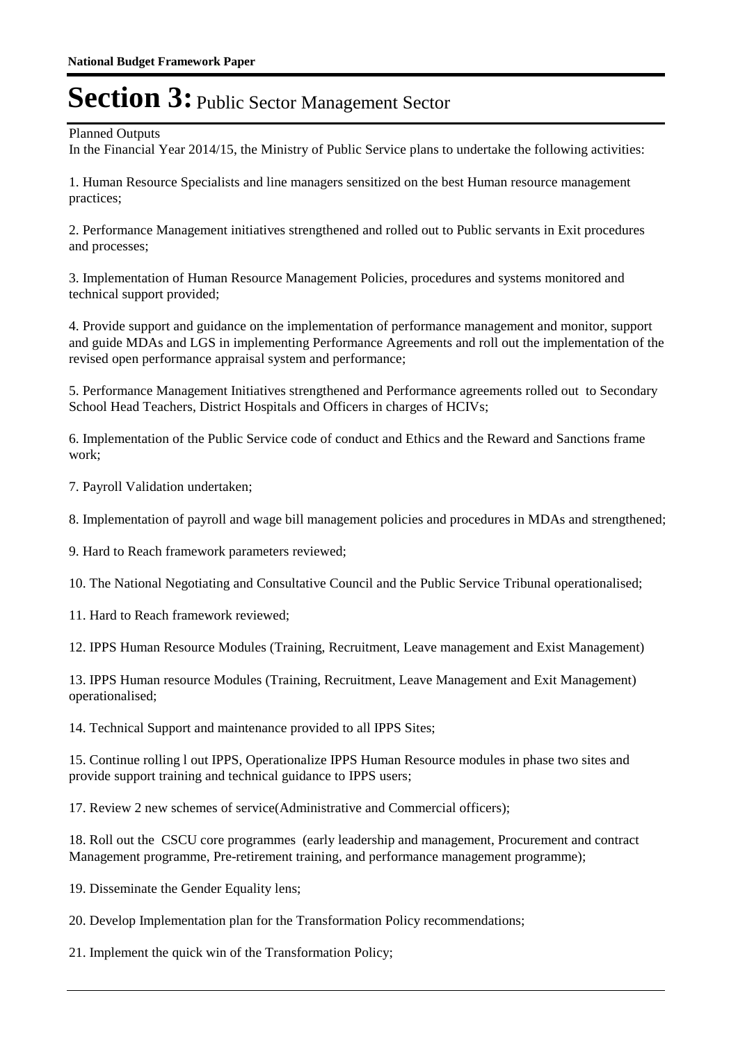Planned Outputs

In the Financial Year 2014/15, the Ministry of Public Service plans to undertake the following activities:

1. Human Resource Specialists and line managers sensitized on the best Human resource management practices;

2. Performance Management initiatives strengthened and rolled out to Public servants in Exit procedures and processes;

3. Implementation of Human Resource Management Policies, procedures and systems monitored and technical support provided;

4. Provide support and guidance on the implementation of performance management and monitor, support and guide MDAs and LGS in implementing Performance Agreements and roll out the implementation of the revised open performance appraisal system and performance;

5. Performance Management Initiatives strengthened and Performance agreements rolled out to Secondary School Head Teachers, District Hospitals and Officers in charges of HCIVs;

6. Implementation of the Public Service code of conduct and Ethics and the Reward and Sanctions frame work;

7. Payroll Validation undertaken;

8. Implementation of payroll and wage bill management policies and procedures in MDAs and strengthened;

9. Hard to Reach framework parameters reviewed;

10. The National Negotiating and Consultative Council and the Public Service Tribunal operationalised;

11. Hard to Reach framework reviewed;

12. IPPS Human Resource Modules (Training, Recruitment, Leave management and Exist Management)

13. IPPS Human resource Modules (Training, Recruitment, Leave Management and Exit Management) operationalised;

14. Technical Support and maintenance provided to all IPPS Sites;

15. Continue rolling l out IPPS, Operationalize IPPS Human Resource modules in phase two sites and provide support training and technical guidance to IPPS users;

17. Review 2 new schemes of service(Administrative and Commercial officers);

18. Roll out the CSCU core programmes (early leadership and management, Procurement and contract Management programme, Pre-retirement training, and performance management programme);

19. Disseminate the Gender Equality lens;

20. Develop Implementation plan for the Transformation Policy recommendations;

21. Implement the quick win of the Transformation Policy;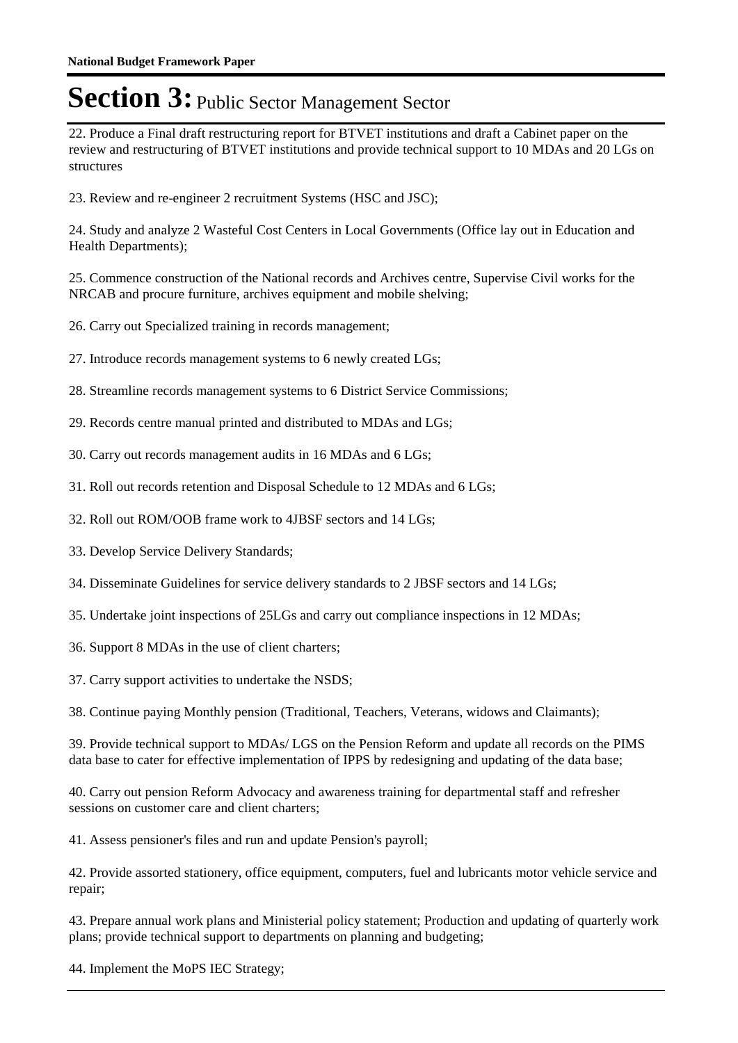22. Produce a Final draft restructuring report for BTVET institutions and draft a Cabinet paper on the review and restructuring of BTVET institutions and provide technical support to 10 MDAs and 20 LGs on structures

23. Review and re-engineer 2 recruitment Systems (HSC and JSC);

24. Study and analyze 2 Wasteful Cost Centers in Local Governments (Office lay out in Education and Health Departments);

25. Commence construction of the National records and Archives centre, Supervise Civil works for the NRCAB and procure furniture, archives equipment and mobile shelving;

- 26. Carry out Specialized training in records management;
- 27. Introduce records management systems to 6 newly created LGs;
- 28. Streamline records management systems to 6 District Service Commissions;
- 29. Records centre manual printed and distributed to MDAs and LGs;
- 30. Carry out records management audits in 16 MDAs and 6 LGs;
- 31. Roll out records retention and Disposal Schedule to 12 MDAs and 6 LGs;
- 32. Roll out ROM/OOB frame work to 4JBSF sectors and 14 LGs;
- 33. Develop Service Delivery Standards;
- 34. Disseminate Guidelines for service delivery standards to 2 JBSF sectors and 14 LGs;
- 35. Undertake joint inspections of 25LGs and carry out compliance inspections in 12 MDAs;
- 36. Support 8 MDAs in the use of client charters;

37. Carry support activities to undertake the NSDS;

38. Continue paying Monthly pension (Traditional, Teachers, Veterans, widows and Claimants);

39. Provide technical support to MDAs/ LGS on the Pension Reform and update all records on the PIMS data base to cater for effective implementation of IPPS by redesigning and updating of the data base;

40. Carry out pension Reform Advocacy and awareness training for departmental staff and refresher sessions on customer care and client charters;

41. Assess pensioner's files and run and update Pension's payroll;

42. Provide assorted stationery, office equipment, computers, fuel and lubricants motor vehicle service and repair;

43. Prepare annual work plans and Ministerial policy statement; Production and updating of quarterly work plans; provide technical support to departments on planning and budgeting;

44. Implement the MoPS IEC Strategy;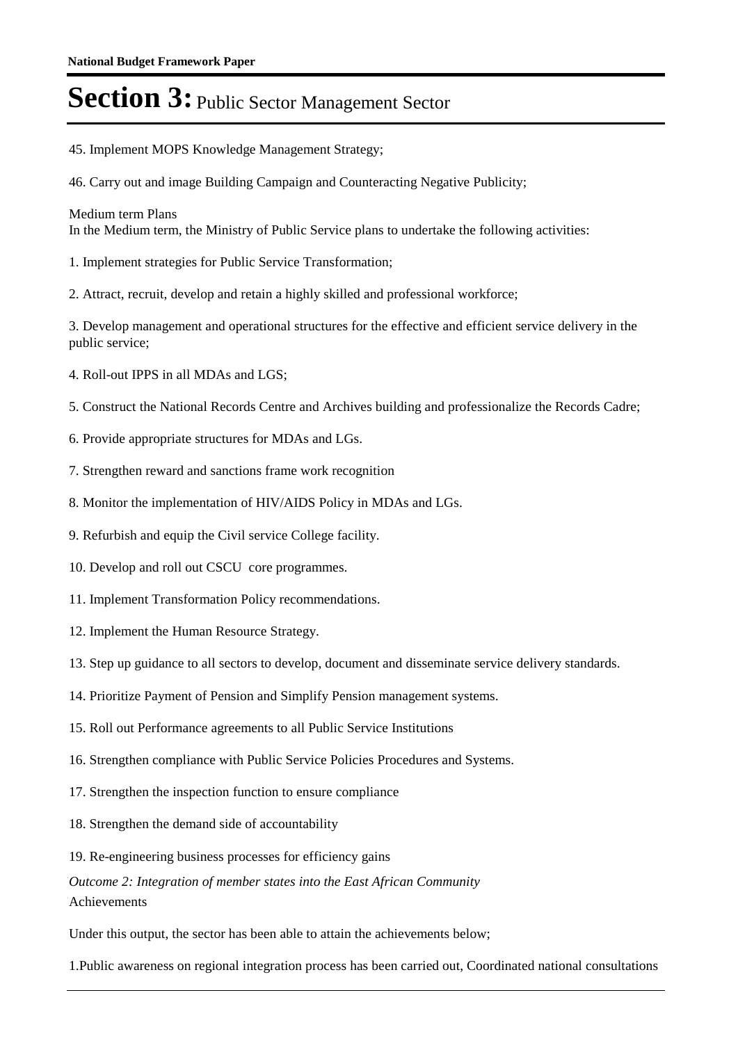- 45. Implement MOPS Knowledge Management Strategy;
- 46. Carry out and image Building Campaign and Counteracting Negative Publicity;

#### Medium term Plans

In the Medium term, the Ministry of Public Service plans to undertake the following activities:

- 1. Implement strategies for Public Service Transformation;
- 2. Attract, recruit, develop and retain a highly skilled and professional workforce;

3. Develop management and operational structures for the effective and efficient service delivery in the public service;

- 4. Roll-out IPPS in all MDAs and LGS;
- 5. Construct the National Records Centre and Archives building and professionalize the Records Cadre;
- 6. Provide appropriate structures for MDAs and LGs.
- 7. Strengthen reward and sanctions frame work recognition
- 8. Monitor the implementation of HIV/AIDS Policy in MDAs and LGs.
- 9. Refurbish and equip the Civil service College facility.
- 10. Develop and roll out CSCU core programmes.
- 11. Implement Transformation Policy recommendations.
- 12. Implement the Human Resource Strategy.
- 13. Step up guidance to all sectors to develop, document and disseminate service delivery standards.
- 14. Prioritize Payment of Pension and Simplify Pension management systems.
- 15. Roll out Performance agreements to all Public Service Institutions
- 16. Strengthen compliance with Public Service Policies Procedures and Systems.
- 17. Strengthen the inspection function to ensure compliance
- 18. Strengthen the demand side of accountability
- 19. Re-engineering business processes for efficiency gains

Outcome 2: Integration of member states into the East African Community Achievements

Under this output, the sector has been able to attain the achievements below;

1. Public awareness on regional integration process has been carried out, Coordinated national consultations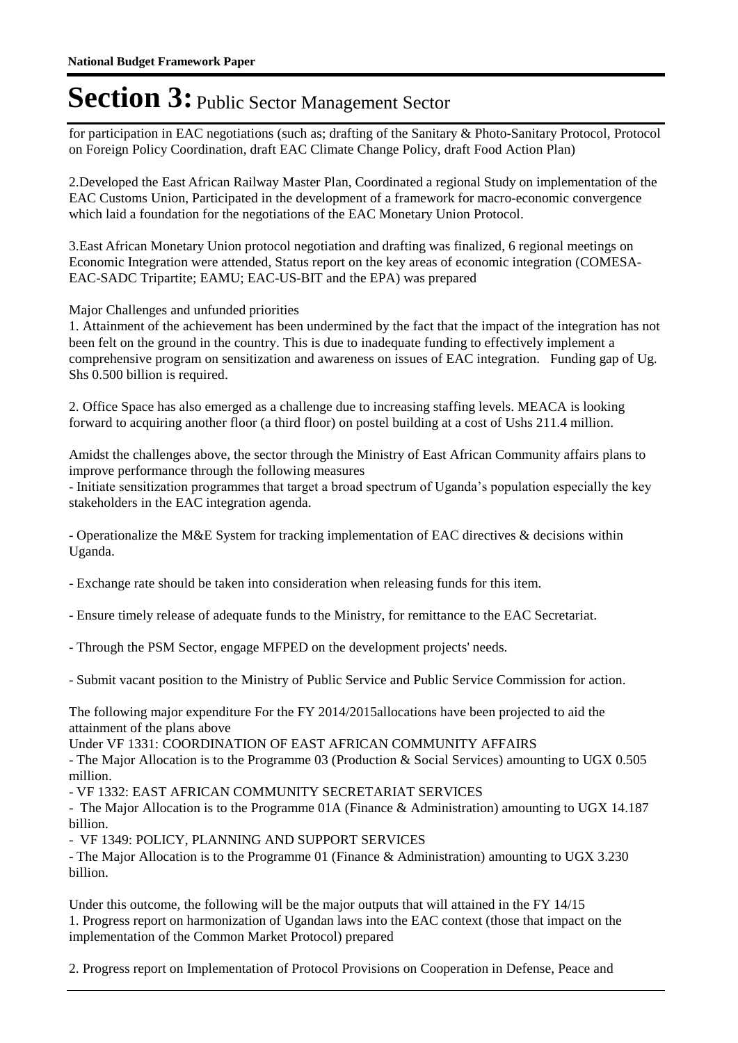for participation in EAC negotiations (such as; drafting of the Sanitary & Photo-Sanitary Protocol, Protocol on Foreign Policy Coordination, draft EAC Climate Change Policy, draft Food Action Plan)

2. Developed the East African Railway Master Plan, Coordinated a regional Study on implementation of the EAC Customs Union, Participated in the development of a framework for macro-economic convergence which laid a foundation for the negotiations of the EAC Monetary Union Protocol.

3. East African Monetary Union protocol negotiation and drafting was finalized, 6 regional meetings on Economic Integration were attended, Status report on the key areas of economic integration (COMESA-EAC-SADC Tripartite; EAMU; EAC-US-BIT and the EPA) was prepared

Major Challenges and unfunded priorities

1. Attainment of the achievement has been undermined by the fact that the impact of the integration has not been felt on the ground in the country. This is due to inadequate funding to effectively implement a comprehensive program on sensitization and awareness on issues of EAC integration. Funding gap of Ug. Shs 0.500 billion is required.

2. Office Space has also emerged as a challenge due to increasing staffing levels. MEACA is looking forward to acquiring another floor (a third floor) on postel building at a cost of Ushs 211.4 million.

Amidst the challenges above, the sector through the Ministry of East African Community affairs plans to improve performance through the following measures

- Initiate sensitization programmes that target a broad spectrum of Uganda's population especially the key stakeholders in the EAC integration agenda.

- Operationalize the M&E System for tracking implementation of EAC directives & decisions within Uganda.

- Exchange rate should be taken into consideration when releasing funds for this item.

- Ensure timely release of adequate funds to the Ministry, for remittance to the EAC Secretariat.

- Through the PSM Sector, engage MFPED on the development projects' needs.

- Submit vacant position to the Ministry of Public Service and Public Service Commission for action.

The following major expenditure For the FY 2014/2015allocations have been projected to aid the attainment of the plans above

Under VF 1331: COORDINATION OF EAST AFRICAN COMMUNITY AFFAIRS

- The Major Allocation is to the Programme 03 (Production & Social Services) amounting to UGX 0.505 million.

- VF 1332: EAST AFRICAN COMMUNITY SECRETARIAT SERVICES

- The Major Allocation is to the Programme 01A (Finance & Administration) amounting to UGX 14.187 billion.

- VF 1349: POLICY, PLANNING AND SUPPORT SERVICES

- The Major Allocation is to the Programme 01 (Finance & Administration) amounting to UGX 3.230 billion.

Under this outcome, the following will be the major outputs that will attained in the FY 14/15 1. Progress report on harmonization of Ugandan laws into the EAC context (those that impact on the implementation of the Common Market Protocol) prepared

2. Progress report on Implementation of Protocol Provisions on Cooperation in Defense, Peace and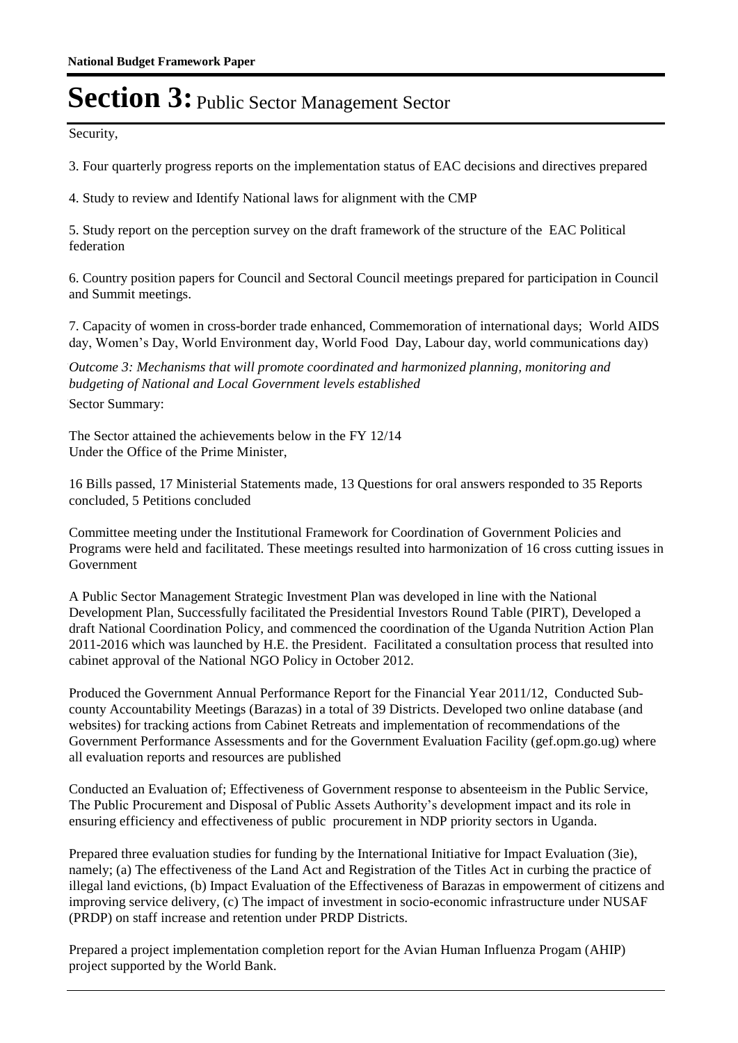Security,

3. Four quarterly progress reports on the implementation status of EAC decisions and directives prepared

4. Study to review and Identify National laws for alignment with the CMP

5. Study report on the perception survey on the draft framework of the structure of the EAC Political federation

6. Country position papers for Council and Sectoral Council meetings prepared for participation in Council and Summit meetings.

7. Capacity of women in cross-border trade enhanced, Commemoration of international days; World AIDS day, Women's Day, World Environment day, World Food Day, Labour day, world communications day)

Outcome 3: Mechanisms that will promote coordinated and harmonized planning, monitoring and *budgeting of National and Local Government levels established* Sector Summary:

The Sector attained the achievements below in the FY 12/14 Under the Office of the Prime Minister,

16 Bills passed, 17 Ministerial Statements made, 13 Questions for oral answers responded to 35 Reports concluded, 5 Petitions concluded

Committee meeting under the Institutional Framework for Coordination of Government Policies and Programs were held and facilitated. These meetings resulted into harmonization of 16 cross cutting issues in Government

A Public Sector Management Strategic Investment Plan was developed in line with the National Development Plan, Successfully facilitated the Presidential Investors Round Table (PIRT), Developed a draft National Coordination Policy, and commenced the coordination of the Uganda Nutrition Action Plan 2011-2016 which was launched by H.E. the President. Facilitated a consultation process that resulted into cabinet approval of the National NGO Policy in October 2012.

Produced the Government Annual Performance Report for the Financial Year 2011/12, Conducted Subcounty Accountability Meetings (Barazas) in a total of 39 Districts. Developed two online database (and websites) for tracking actions from Cabinet Retreats and implementation of recommendations of the Government Performance Assessments and for the Government Evaluation Facility (gef.opm.go.ug) where all evaluation reports and resources are published

Conducted an Evaluation of; Effectiveness of Government response to absenteeism in the Public Service, The Public Procurement and Disposal of Public Assets Authority's development impact and its role in ensuring efficiency and effectiveness of public procurement in NDP priority sectors in Uganda.

Prepared three evaluation studies for funding by the International Initiative for Impact Evaluation (3ie), namely; (a) The effectiveness of the Land Act and Registration of the Titles Act in curbing the practice of illegal land evictions, (b) Impact Evaluation of the Effectiveness of Barazas in empowerment of citizens and improving service delivery, (c) The impact of investment in socio-economic infrastructure under NUSAF (PRDP) on staff increase and retention under PRDP Districts.

Prepared a project implementation completion report for the Avian Human Influenza Progam (AHIP) project supported by the World Bank.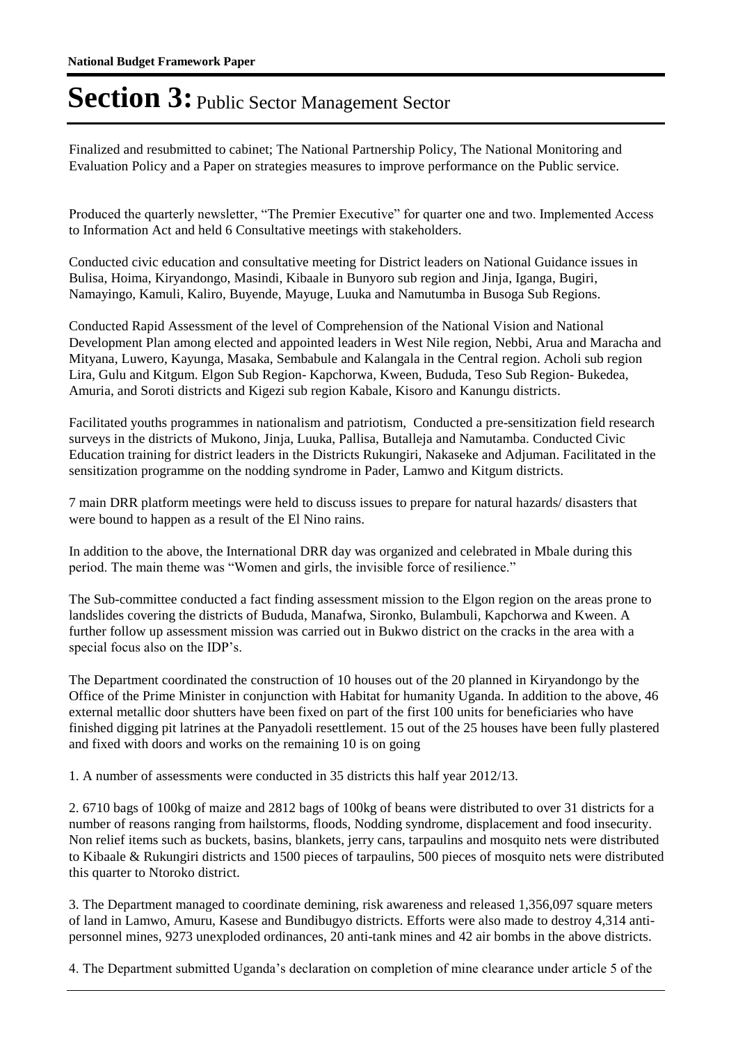Finalized and resubmitted to cabinet; The National Partnership Policy, The National Monitoring and Evaluation Policy and a Paper on strategies measures to improve performance on the Public service.

Produced the quarterly newsletter, "The Premier Executive" for quarter one and two. Implemented Access to Information Act and held 6 Consultative meetings with stakeholders.

Conducted civic education and consultative meeting for District leaders on National Guidance issues in Bulisa, Hoima, Kiryandongo, Masindi, Kibaale in Bunyoro sub region and Jinja, Iganga, Bugiri, Namayingo, Kamuli, Kaliro, Buyende, Mayuge, Luuka and Namutumba in Busoga Sub Regions.

Conducted Rapid Assessment of the level of Comprehension of the National Vision and National Development Plan among elected and appointed leaders in West Nile region, Nebbi, Arua and Maracha and Mityana, Luwero, Kayunga, Masaka, Sembabule and Kalangala in the Central region. Acholi sub region Lira, Gulu and Kitgum. Elgon Sub Region- Kapchorwa, Kween, Bududa, Teso Sub Region- Bukedea, Amuria, and Soroti districts and Kigezi sub region Kabale, Kisoro and Kanungu districts.

Facilitated youths programmes in nationalism and patriotism, Conducted a pre-sensitization field research surveys in the districts of Mukono, Jinja, Luuka, Pallisa, Butalleja and Namutamba. Conducted Civic Education training for district leaders in the Districts Rukungiri, Nakaseke and Adjuman. Facilitated in the sensitization programme on the nodding syndrome in Pader, Lamwo and Kitgum districts.

7 main DRR platform meetings were held to discuss issues to prepare for natural hazards/ disasters that were bound to happen as a result of the El Nino rains.

In addition to the above, the International DRR day was organized and celebrated in Mbale during this period. The main theme was "Women and girls, the invisible force of resilience."

The Sub-committee conducted a fact finding assessment mission to the Elgon region on the areas prone to landslides covering the districts of Bududa, Manafwa, Sironko, Bulambuli, Kapchorwa and Kween. A further follow up assessment mission was carried out in Bukwo district on the cracks in the area with a special focus also on the IDP's.

The Department coordinated the construction of 10 houses out of the 20 planned in Kiryandongo by the Office of the Prime Minister in conjunction with Habitat for humanity Uganda. In addition to the above, 46 external metallic door shutters have been fixed on part of the first 100 units for beneficiaries who have finished digging pit latrines at the Panyadoli resettlement. 15 out of the 25 houses have been fully plastered and fixed with doors and works on the remaining 10 is on going

1. A number of assessments were conducted in 35 districts this half year 2012/13.

2. 6710 bags of 100kg of maize and 2812 bags of 100kg of beans were distributed to over 31 districts for a number of reasons ranging from hailstorms, floods, Nodding syndrome, displacement and food insecurity. Non relief items such as buckets, basins, blankets, jerry cans, tarpaulins and mosquito nets were distributed to Kibaale & Rukungiri districts and 1500 pieces of tarpaulins, 500 pieces of mosquito nets were distributed this quarter to Ntoroko district.

3. The Department managed to coordinate demining, risk awareness and released 1,356,097 square meters of land in Lamwo, Amuru, Kasese and Bundibugyo districts. Efforts were also made to destroy 4,314 antipersonnel mines, 9273 unexploded ordinances, 20 anti-tank mines and 42 air bombs in the above districts.

4. The Department submitted Uganda's declaration on completion of mine clearance under article 5 of the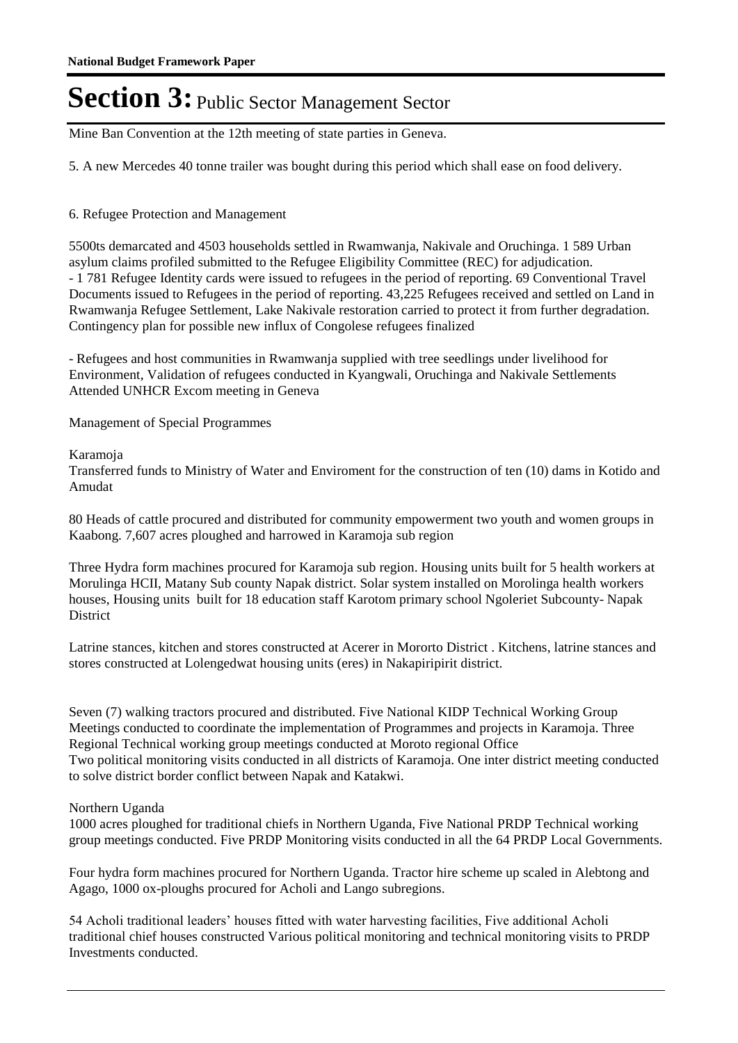Mine Ban Convention at the 12th meeting of state parties in Geneva.

5. A new Mercedes 40 tonne trailer was bought during this period which shall ease on food delivery.

#### 6. Refugee Protection and Management

5500ts demarcated and 4503 households settled in Rwamwanja, Nakivale and Oruchinga. 1 589 Urban asylum claims profiled submitted to the Refugee Eligibility Committee (REC) for adjudication. - 1 781 Refugee Identity cards were issued to refugees in the period of reporting. 69 Conventional Travel Documents issued to Refugees in the period of reporting. 43,225 Refugees received and settled on Land in Rwamwanja Refugee Settlement, Lake Nakivale restoration carried to protect it from further degradation. Contingency plan for possible new influx of Congolese refugees finalized

- Refugees and host communities in Rwamwanja supplied with tree seedlings under livelihood for Environment, Validation of refugees conducted in Kyangwali, Oruchinga and Nakivale Settlements Attended UNHCR Excom meeting in Geneva

Management of Special Programmes

Karamoja

Transferred funds to Ministry of Water and Enviroment for the construction of ten (10) dams in Kotido and Amudat

80 Heads of cattle procured and distributed for community empowerment two youth and women groups in Kaabong. 7,607 acres ploughed and harrowed in Karamoja sub region

Three Hydra form machines procured for Karamoja sub region. Housing units built for 5 health workers at Morulinga HCII, Matany Sub county Napak district. Solar system installed on Morolinga health workers houses, Housing units built for 18 education staff Karotom primary school Ngoleriet Subcounty- Napak District

Latrine stances, kitchen and stores constructed at Acerer in Mororto District . Kitchens, latrine stances and stores constructed at Lolengedwat housing units (eres) in Nakapiripirit district.

Seven (7) walking tractors procured and distributed. Five National KIDP Technical Working Group Meetings conducted to coordinate the implementation of Programmes and projects in Karamoja. Three Regional Technical working group meetings conducted at Moroto regional Office Two political monitoring visits conducted in all districts of Karamoja. One inter district meeting conducted to solve district border conflict between Napak and Katakwi.

#### Northern Uganda

1000 acres ploughed for traditional chiefs in Northern Uganda, Five National PRDP Technical working group meetings conducted. Five PRDP Monitoring visits conducted in all the 64 PRDP Local Governments.

Four hydra form machines procured for Northern Uganda. Tractor hire scheme up scaled in Alebtong and Agago, 1000 ox-ploughs procured for Acholi and Lango subregions.

54 Acholi traditional leaders' houses fitted with water harvesting facilities, Five additional Acholi traditional chief houses constructed Various political monitoring and technical monitoring visits to PRDP Investments conducted.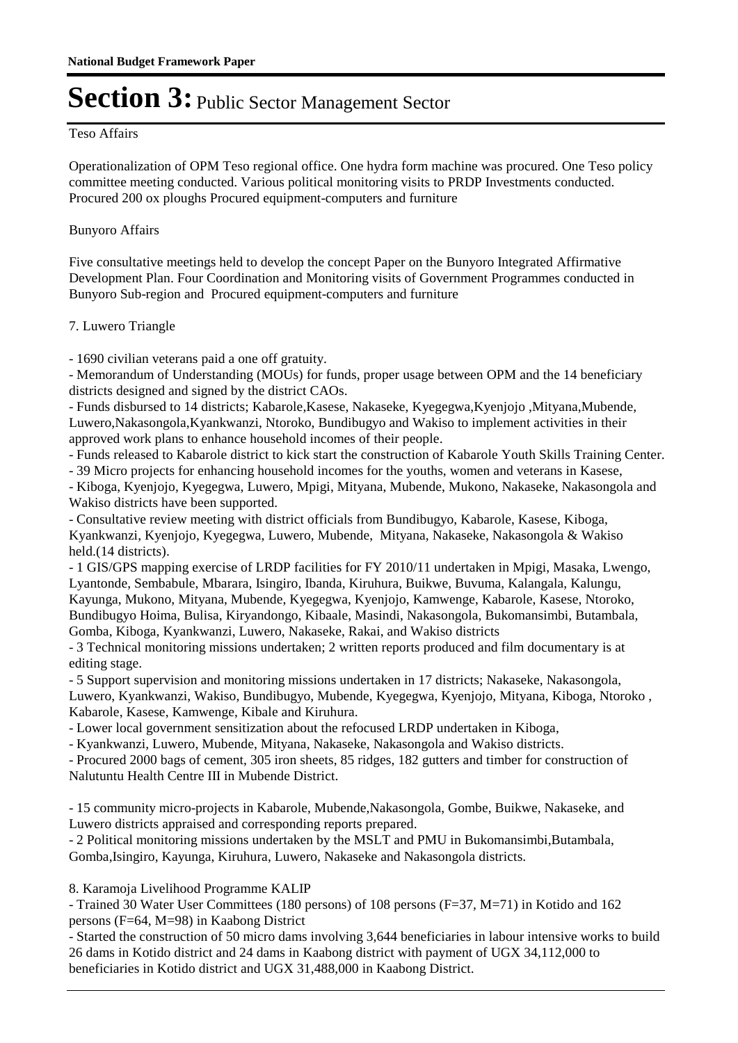#### Teso Affairs

Operationalization of OPM Teso regional office. One hydra form machine was procured. One Teso policy committee meeting conducted. Various political monitoring visits to PRDP Investments conducted. Procured 200 ox ploughs Procured equipment-computers and furniture

#### Bunyoro Affairs

Five consultative meetings held to develop the concept Paper on the Bunyoro Integrated Affirmative Development Plan. Four Coordination and Monitoring visits of Government Programmes conducted in Bunyoro Sub-region and Procured equipment-computers and furniture

#### 7. Luwero Triangle

- 1690 civilian veterans paid a one off gratuity.

- Memorandum of Understanding (MOUs) for funds, proper usage between OPM and the 14 beneficiary districts designed and signed by the district CAOs.

- Funds disbursed to 14 districts; Kabarole,Kasese, Nakaseke, Kyegegwa,Kyenjojo ,Mityana,Mubende, Luwero,Nakasongola,Kyankwanzi, Ntoroko, Bundibugyo and Wakiso to implement activities in their approved work plans to enhance household incomes of their people.

- Funds released to Kabarole district to kick start the construction of Kabarole Youth Skills Training Center.

- 39 Micro projects for enhancing household incomes for the youths, women and veterans in Kasese,

- Kiboga, Kyenjojo, Kyegegwa, Luwero, Mpigi, Mityana, Mubende, Mukono, Nakaseke, Nakasongola and Wakiso districts have been supported.

- Consultative review meeting with district officials from Bundibugyo, Kabarole, Kasese, Kiboga, Kyankwanzi, Kyenjojo, Kyegegwa, Luwero, Mubende, Mityana, Nakaseke, Nakasongola & Wakiso held.(14 districts).

- 1 GIS/GPS mapping exercise of LRDP facilities for FY 2010/11 undertaken in Mpigi, Masaka, Lwengo, Lyantonde, Sembabule, Mbarara, Isingiro, Ibanda, Kiruhura, Buikwe, Buvuma, Kalangala, Kalungu, Kayunga, Mukono, Mityana, Mubende, Kyegegwa, Kyenjojo, Kamwenge, Kabarole, Kasese, Ntoroko, Bundibugyo Hoima, Bulisa, Kiryandongo, Kibaale, Masindi, Nakasongola, Bukomansimbi, Butambala, Gomba, Kiboga, Kyankwanzi, Luwero, Nakaseke, Rakai, and Wakiso districts

- 3 Technical monitoring missions undertaken; 2 written reports produced and film documentary is at editing stage.

- 5 Support supervision and monitoring missions undertaken in 17 districts; Nakaseke, Nakasongola, Luwero, Kyankwanzi, Wakiso, Bundibugyo, Mubende, Kyegegwa, Kyenjojo, Mityana, Kiboga, Ntoroko , Kabarole, Kasese, Kamwenge, Kibale and Kiruhura.

- Lower local government sensitization about the refocused LRDP undertaken in Kiboga,

- Kyankwanzi, Luwero, Mubende, Mityana, Nakaseke, Nakasongola and Wakiso districts.

- Procured 2000 bags of cement, 305 iron sheets, 85 ridges, 182 gutters and timber for construction of Nalutuntu Health Centre III in Mubende District.

- 15 community micro-projects in Kabarole, Mubende,Nakasongola, Gombe, Buikwe, Nakaseke, and Luwero districts appraised and corresponding reports prepared.

- 2 Political monitoring missions undertaken by the MSLT and PMU in Bukomansimbi,Butambala, Gomba,Isingiro, Kayunga, Kiruhura, Luwero, Nakaseke and Nakasongola districts.

8. Karamoja Livelihood Programme KALIP

- Trained 30 Water User Committees (180 persons) of 108 persons (F=37, M=71) in Kotido and 162 persons (F=64, M=98) in Kaabong District

- Started the construction of 50 micro dams involving 3,644 beneficiaries in labour intensive works to build 26 dams in Kotido district and 24 dams in Kaabong district with payment of UGX 34,112,000 to beneficiaries in Kotido district and UGX 31,488,000 in Kaabong District.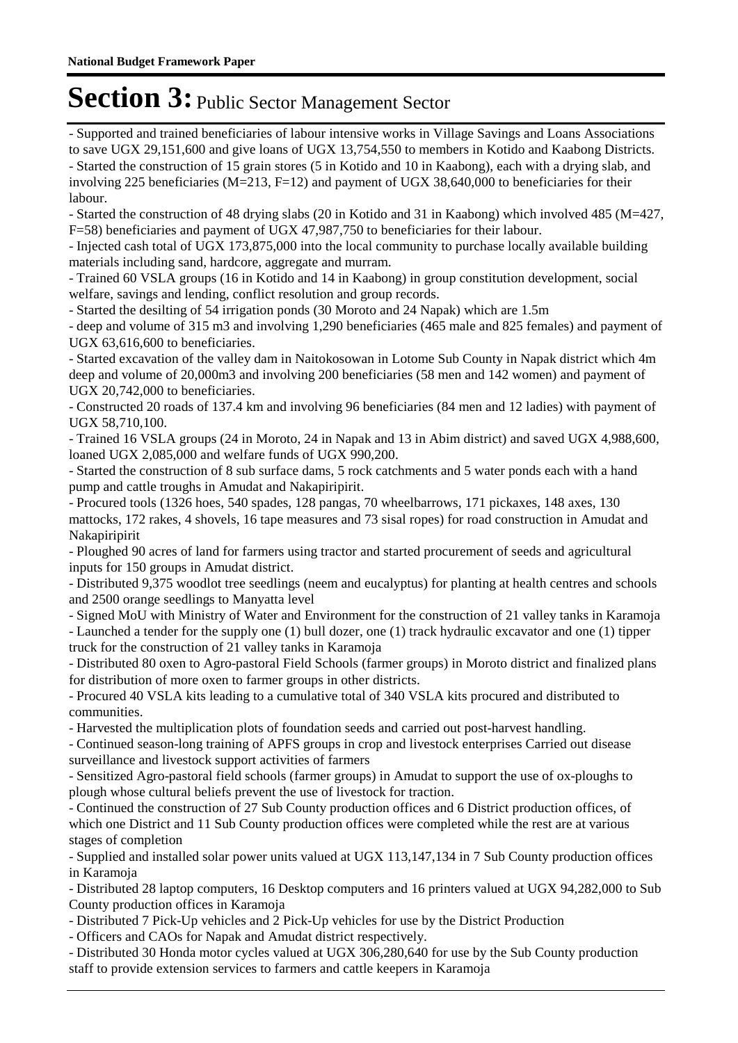- Supported and trained beneficiaries of labour intensive works in Village Savings and Loans Associations to save UGX 29,151,600 and give loans of UGX 13,754,550 to members in Kotido and Kaabong Districts. - Started the construction of 15 grain stores (5 in Kotido and 10 in Kaabong), each with a drying slab, and involving 225 beneficiaries (M=213, F=12) and payment of UGX 38,640,000 to beneficiaries for their labour.

- Started the construction of 48 drying slabs (20 in Kotido and 31 in Kaabong) which involved 485 (M=427, F=58) beneficiaries and payment of UGX 47,987,750 to beneficiaries for their labour.

- Injected cash total of UGX 173,875,000 into the local community to purchase locally available building materials including sand, hardcore, aggregate and murram.

- Trained 60 VSLA groups (16 in Kotido and 14 in Kaabong) in group constitution development, social welfare, savings and lending, conflict resolution and group records.

- Started the desilting of 54 irrigation ponds (30 Moroto and 24 Napak) which are 1.5m

- deep and volume of 315 m3 and involving 1,290 beneficiaries (465 male and 825 females) and payment of UGX 63,616,600 to beneficiaries.

- Started excavation of the valley dam in Naitokosowan in Lotome Sub County in Napak district which 4m deep and volume of 20,000m3 and involving 200 beneficiaries (58 men and 142 women) and payment of UGX 20,742,000 to beneficiaries.

- Constructed 20 roads of 137.4 km and involving 96 beneficiaries (84 men and 12 ladies) with payment of UGX 58,710,100.

- Trained 16 VSLA groups (24 in Moroto, 24 in Napak and 13 in Abim district) and saved UGX 4,988,600, loaned UGX 2,085,000 and welfare funds of UGX 990,200.

- Started the construction of 8 sub surface dams, 5 rock catchments and 5 water ponds each with a hand pump and cattle troughs in Amudat and Nakapiripirit.

- Procured tools (1326 hoes, 540 spades, 128 pangas, 70 wheelbarrows, 171 pickaxes, 148 axes, 130 mattocks, 172 rakes, 4 shovels, 16 tape measures and 73 sisal ropes) for road construction in Amudat and Nakapiripirit

- Ploughed 90 acres of land for farmers using tractor and started procurement of seeds and agricultural inputs for 150 groups in Amudat district.

- Distributed 9,375 woodlot tree seedlings (neem and eucalyptus) for planting at health centres and schools and 2500 orange seedlings to Manyatta level

- Signed MoU with Ministry of Water and Environment for the construction of 21 valley tanks in Karamoja

- Launched a tender for the supply one (1) bull dozer, one (1) track hydraulic excavator and one (1) tipper truck for the construction of 21 valley tanks in Karamoja

- Distributed 80 oxen to Agro-pastoral Field Schools (farmer groups) in Moroto district and finalized plans for distribution of more oxen to farmer groups in other districts.

- Procured 40 VSLA kits leading to a cumulative total of 340 VSLA kits procured and distributed to communities.

- Harvested the multiplication plots of foundation seeds and carried out post-harvest handling.

- Continued season-long training of APFS groups in crop and livestock enterprises Carried out disease surveillance and livestock support activities of farmers

- Sensitized Agro-pastoral field schools (farmer groups) in Amudat to support the use of ox-ploughs to plough whose cultural beliefs prevent the use of livestock for traction.

- Continued the construction of 27 Sub County production offices and 6 District production offices, of which one District and 11 Sub County production offices were completed while the rest are at various stages of completion

- Supplied and installed solar power units valued at UGX 113,147,134 in 7 Sub County production offices in Karamoja

- Distributed 28 laptop computers, 16 Desktop computers and 16 printers valued at UGX 94,282,000 to Sub County production offices in Karamoja

- Distributed 7 Pick-Up vehicles and 2 Pick-Up vehicles for use by the District Production

- Officers and CAOs for Napak and Amudat district respectively.

- Distributed 30 Honda motor cycles valued at UGX 306,280,640 for use by the Sub County production staff to provide extension services to farmers and cattle keepers in Karamoja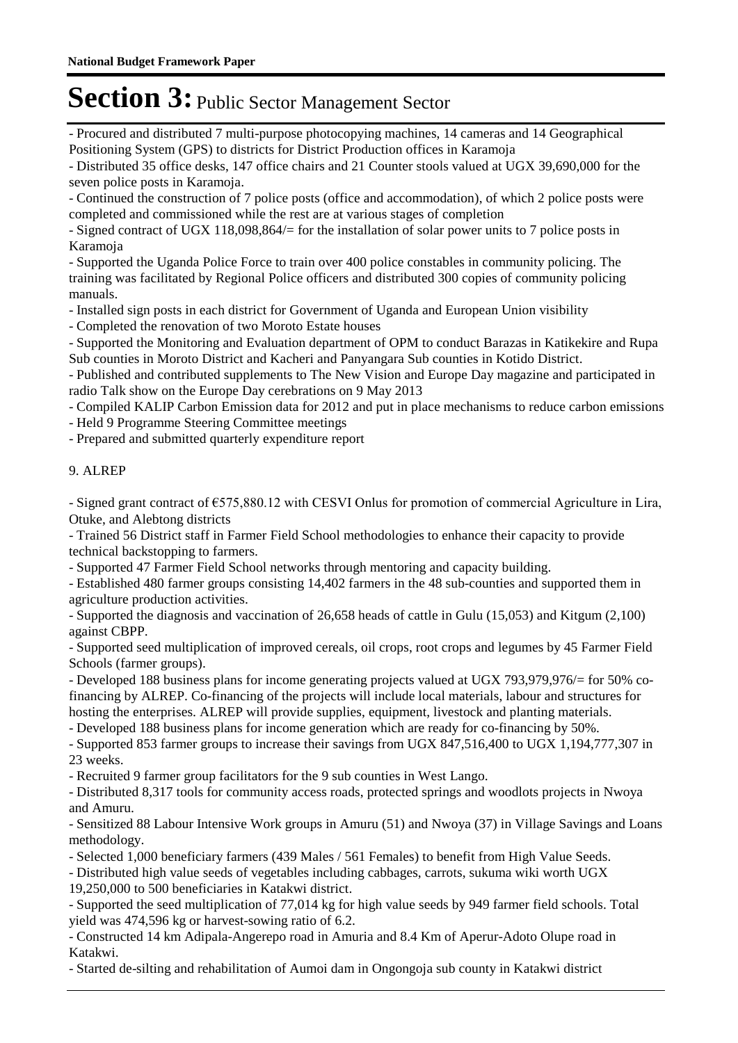- Procured and distributed 7 multi-purpose photocopying machines, 14 cameras and 14 Geographical Positioning System (GPS) to districts for District Production offices in Karamoja

- Distributed 35 office desks, 147 office chairs and 21 Counter stools valued at UGX 39,690,000 for the seven police posts in Karamoja.

- Continued the construction of 7 police posts (office and accommodation), of which 2 police posts were completed and commissioned while the rest are at various stages of completion

- Signed contract of UGX 118,098,864/= for the installation of solar power units to 7 police posts in Karamoja

- Supported the Uganda Police Force to train over 400 police constables in community policing. The training was facilitated by Regional Police officers and distributed 300 copies of community policing manuals.

- Installed sign posts in each district for Government of Uganda and European Union visibility

- Completed the renovation of two Moroto Estate houses

- Supported the Monitoring and Evaluation department of OPM to conduct Barazas in Katikekire and Rupa Sub counties in Moroto District and Kacheri and Panyangara Sub counties in Kotido District.

- Published and contributed supplements to The New Vision and Europe Day magazine and participated in radio Talk show on the Europe Day cerebrations on 9 May 2013

- Compiled KALIP Carbon Emission data for 2012 and put in place mechanisms to reduce carbon emissions

- Held 9 Programme Steering Committee meetings

- Prepared and submitted quarterly expenditure report

#### 9. ALREP

- Signed grant contract of €575,880.12 with CESVI Onlus for promotion of commercial Agriculture in Lira, Otuke, and Alebtong districts

- Trained 56 District staff in Farmer Field School methodologies to enhance their capacity to provide technical backstopping to farmers.

- Supported 47 Farmer Field School networks through mentoring and capacity building.

- Established 480 farmer groups consisting 14,402 farmers in the 48 sub-counties and supported them in agriculture production activities.

- Supported the diagnosis and vaccination of 26,658 heads of cattle in Gulu (15,053) and Kitgum (2,100) against CBPP.

- Supported seed multiplication of improved cereals, oil crops, root crops and legumes by 45 Farmer Field Schools (farmer groups).

- Developed 188 business plans for income generating projects valued at UGX 793,979,976/= for 50% cofinancing by ALREP. Co-financing of the projects will include local materials, labour and structures for hosting the enterprises. ALREP will provide supplies, equipment, livestock and planting materials.

- Developed 188 business plans for income generation which are ready for co-financing by 50%.

- Supported 853 farmer groups to increase their savings from UGX 847,516,400 to UGX 1,194,777,307 in 23 weeks.

- Recruited 9 farmer group facilitators for the 9 sub counties in West Lango.

- Distributed 8,317 tools for community access roads, protected springs and woodlots projects in Nwoya and Amuru.

- Sensitized 88 Labour Intensive Work groups in Amuru (51) and Nwoya (37) in Village Savings and Loans methodology.

- Selected 1,000 beneficiary farmers (439 Males / 561 Females) to benefit from High Value Seeds.

- Distributed high value seeds of vegetables including cabbages, carrots, sukuma wiki worth UGX

19,250,000 to 500 beneficiaries in Katakwi district.

- Supported the seed multiplication of 77,014 kg for high value seeds by 949 farmer field schools. Total yield was 474,596 kg or harvest-sowing ratio of 6.2.

- Constructed 14 km Adipala-Angerepo road in Amuria and 8.4 Km of Aperur-Adoto Olupe road in Katakwi.

- Started de-silting and rehabilitation of Aumoi dam in Ongongoja sub county in Katakwi district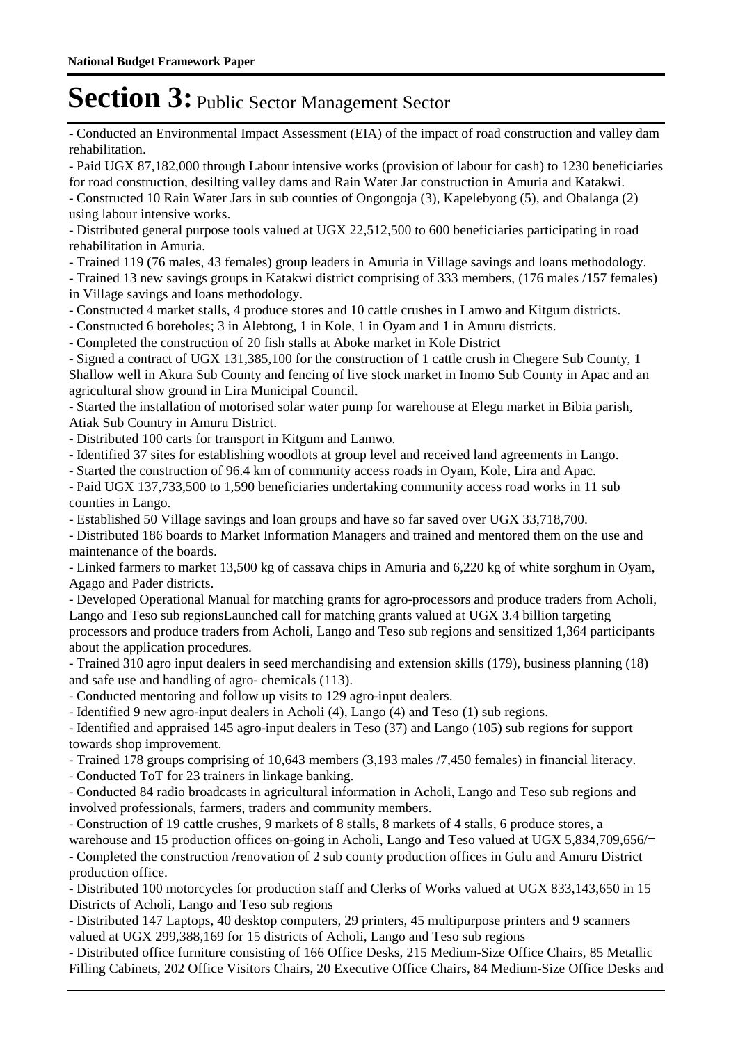- Conducted an Environmental Impact Assessment (EIA) of the impact of road construction and valley dam rehabilitation.

- Paid UGX 87,182,000 through Labour intensive works (provision of labour for cash) to 1230 beneficiaries for road construction, desilting valley dams and Rain Water Jar construction in Amuria and Katakwi. - Constructed 10 Rain Water Jars in sub counties of Ongongoja (3), Kapelebyong (5), and Obalanga (2) using labour intensive works.

- Distributed general purpose tools valued at UGX 22,512,500 to 600 beneficiaries participating in road rehabilitation in Amuria.

- Trained 119 (76 males, 43 females) group leaders in Amuria in Village savings and loans methodology.

- Trained 13 new savings groups in Katakwi district comprising of 333 members, (176 males /157 females) in Village savings and loans methodology.

- Constructed 4 market stalls, 4 produce stores and 10 cattle crushes in Lamwo and Kitgum districts.

- Constructed 6 boreholes; 3 in Alebtong, 1 in Kole, 1 in Oyam and 1 in Amuru districts.

- Completed the construction of 20 fish stalls at Aboke market in Kole District

- Signed a contract of UGX 131,385,100 for the construction of 1 cattle crush in Chegere Sub County, 1 Shallow well in Akura Sub County and fencing of live stock market in Inomo Sub County in Apac and an agricultural show ground in Lira Municipal Council.

- Started the installation of motorised solar water pump for warehouse at Elegu market in Bibia parish, Atiak Sub Country in Amuru District.

- Distributed 100 carts for transport in Kitgum and Lamwo.

- Identified 37 sites for establishing woodlots at group level and received land agreements in Lango.

- Started the construction of 96.4 km of community access roads in Oyam, Kole, Lira and Apac.

- Paid UGX 137,733,500 to 1,590 beneficiaries undertaking community access road works in 11 sub counties in Lango.

- Established 50 Village savings and loan groups and have so far saved over UGX 33,718,700.

- Distributed 186 boards to Market Information Managers and trained and mentored them on the use and maintenance of the boards.

- Linked farmers to market 13,500 kg of cassava chips in Amuria and 6,220 kg of white sorghum in Oyam, Agago and Pader districts.

- Developed Operational Manual for matching grants for agro-processors and produce traders from Acholi, Lango and Teso sub regionsLaunched call for matching grants valued at UGX 3.4 billion targeting processors and produce traders from Acholi, Lango and Teso sub regions and sensitized 1,364 participants about the application procedures.

- Trained 310 agro input dealers in seed merchandising and extension skills (179), business planning (18) and safe use and handling of agro- chemicals (113).

- Conducted mentoring and follow up visits to 129 agro-input dealers.

- Identified 9 new agro-input dealers in Acholi (4), Lango (4) and Teso (1) sub regions.

- Identified and appraised 145 agro-input dealers in Teso (37) and Lango (105) sub regions for support towards shop improvement.

- Trained 178 groups comprising of 10,643 members (3,193 males /7,450 females) in financial literacy.

- Conducted ToT for 23 trainers in linkage banking.

- Conducted 84 radio broadcasts in agricultural information in Acholi, Lango and Teso sub regions and involved professionals, farmers, traders and community members.

- Construction of 19 cattle crushes, 9 markets of 8 stalls, 8 markets of 4 stalls, 6 produce stores, a

warehouse and 15 production offices on-going in Acholi, Lango and Teso valued at UGX 5,834,709,656/= - Completed the construction /renovation of 2 sub county production offices in Gulu and Amuru District production office.

- Distributed 100 motorcycles for production staff and Clerks of Works valued at UGX 833,143,650 in 15 Districts of Acholi, Lango and Teso sub regions

- Distributed 147 Laptops, 40 desktop computers, 29 printers, 45 multipurpose printers and 9 scanners valued at UGX 299,388,169 for 15 districts of Acholi, Lango and Teso sub regions

- Distributed office furniture consisting of 166 Office Desks, 215 Medium-Size Office Chairs, 85 Metallic Filling Cabinets, 202 Office Visitors Chairs, 20 Executive Office Chairs, 84 Medium-Size Office Desks and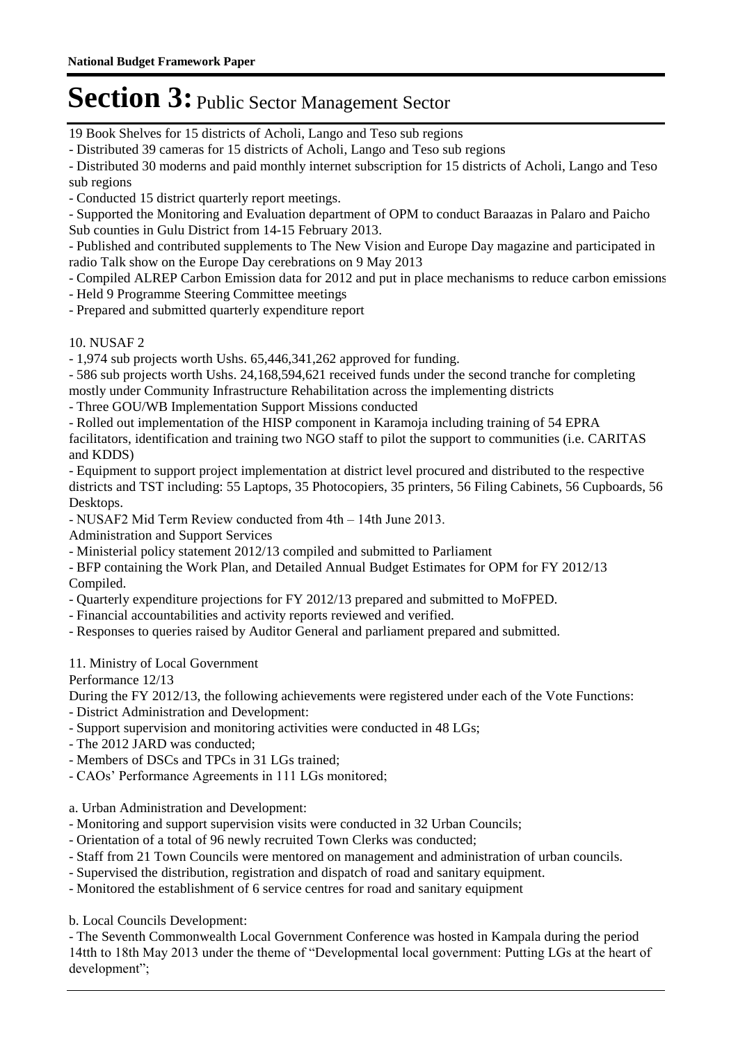19 Book Shelves for 15 districts of Acholi, Lango and Teso sub regions

- Distributed 39 cameras for 15 districts of Acholi, Lango and Teso sub regions

- Distributed 30 moderns and paid monthly internet subscription for 15 districts of Acholi, Lango and Teso sub regions

- Conducted 15 district quarterly report meetings.

- Supported the Monitoring and Evaluation department of OPM to conduct Baraazas in Palaro and Paicho Sub counties in Gulu District from 14-15 February 2013.

- Published and contributed supplements to The New Vision and Europe Day magazine and participated in radio Talk show on the Europe Day cerebrations on 9 May 2013

- Compiled ALREP Carbon Emission data for 2012 and put in place mechanisms to reduce carbon emissions
- Held 9 Programme Steering Committee meetings
- Prepared and submitted quarterly expenditure report

#### 10. NUSAF 2

- 1,974 sub projects worth Ushs. 65,446,341,262 approved for funding.

- 586 sub projects worth Ushs. 24,168,594,621 received funds under the second tranche for completing mostly under Community Infrastructure Rehabilitation across the implementing districts

- Three GOU/WB Implementation Support Missions conducted

- Rolled out implementation of the HISP component in Karamoja including training of 54 EPRA facilitators, identification and training two NGO staff to pilot the support to communities (i.e. CARITAS and KDDS)

- Equipment to support project implementation at district level procured and distributed to the respective districts and TST including: 55 Laptops, 35 Photocopiers, 35 printers, 56 Filing Cabinets, 56 Cupboards, 56 Desktops.

- NUSAF2 Mid Term Review conducted from 4th – 14th June 2013.

Administration and Support Services

- Ministerial policy statement 2012/13 compiled and submitted to Parliament

- BFP containing the Work Plan, and Detailed Annual Budget Estimates for OPM for FY 2012/13 Compiled.

- Quarterly expenditure projections for FY 2012/13 prepared and submitted to MoFPED.
- Financial accountabilities and activity reports reviewed and verified.

- Responses to queries raised by Auditor General and parliament prepared and submitted.

11. Ministry of Local Government

Performance 12/13

During the FY 2012/13, the following achievements were registered under each of the Vote Functions: - District Administration and Development:

- Support supervision and monitoring activities were conducted in 48 LGs;
- The 2012 JARD was conducted;
- Members of DSCs and TPCs in 31 LGs trained;
- CAOs' Performance Agreements in 111 LGs monitored;

a. Urban Administration and Development:

- Monitoring and support supervision visits were conducted in 32 Urban Councils;
- Orientation of a total of 96 newly recruited Town Clerks was conducted;
- Staff from 21 Town Councils were mentored on management and administration of urban councils.
- Supervised the distribution, registration and dispatch of road and sanitary equipment.
- Monitored the establishment of 6 service centres for road and sanitary equipment

b. Local Councils Development:

- The Seventh Commonwealth Local Government Conference was hosted in Kampala during the period 14tth to 18th May 2013 under the theme of "Developmental local government: Putting LGs at the heart of development";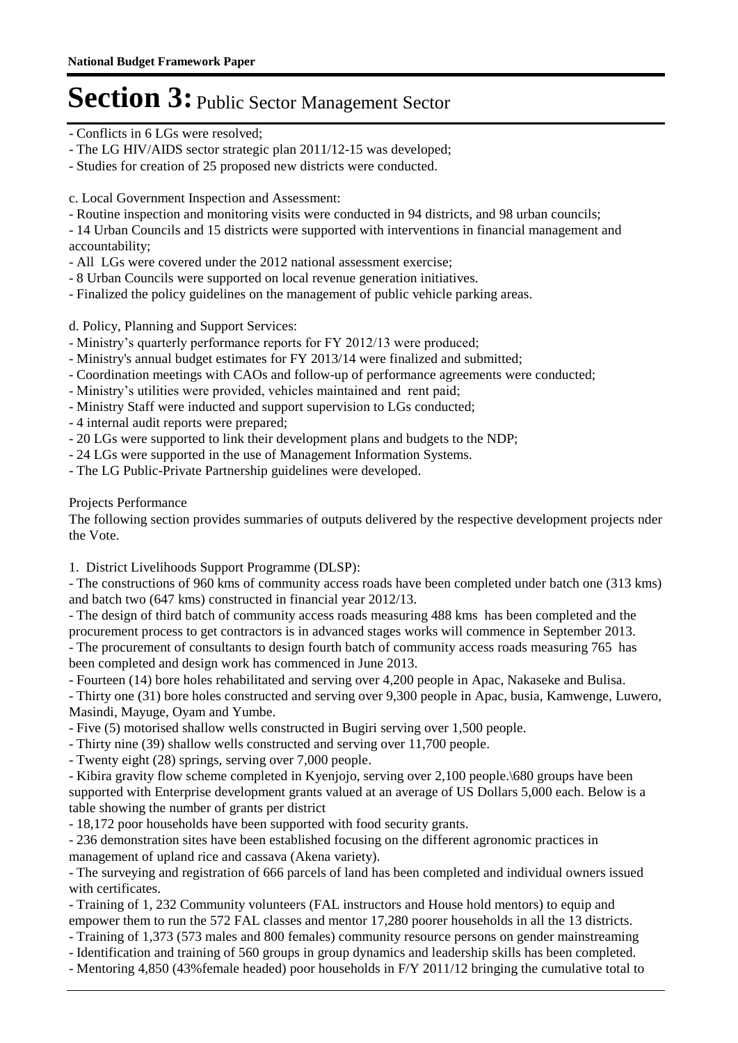- Conflicts in 6 LGs were resolved;
- The LG HIV/AIDS sector strategic plan 2011/12-15 was developed;
- Studies for creation of 25 proposed new districts were conducted.

c. Local Government Inspection and Assessment:

- Routine inspection and monitoring visits were conducted in 94 districts, and 98 urban councils;
- 14 Urban Councils and 15 districts were supported with interventions in financial management and accountability;
- All LGs were covered under the 2012 national assessment exercise;
- 8 Urban Councils were supported on local revenue generation initiatives.
- Finalized the policy guidelines on the management of public vehicle parking areas.

d. Policy, Planning and Support Services:

- Ministry's quarterly performance reports for FY 2012/13 were produced;
- Ministry's annual budget estimates for FY 2013/14 were finalized and submitted;
- Coordination meetings with CAOs and follow-up of performance agreements were conducted;
- Ministry's utilities were provided, vehicles maintained and rent paid;
- Ministry Staff were inducted and support supervision to LGs conducted;
- 4 internal audit reports were prepared;
- 20 LGs were supported to link their development plans and budgets to the NDP;
- 24 LGs were supported in the use of Management Information Systems.
- The LG Public-Private Partnership guidelines were developed.

Projects Performance

The following section provides summaries of outputs delivered by the respective development projects nder the Vote.

1. District Livelihoods Support Programme (DLSP):

- The constructions of 960 kms of community access roads have been completed under batch one (313 kms) and batch two (647 kms) constructed in financial year 2012/13.

- The design of third batch of community access roads measuring 488 kms has been completed and the procurement process to get contractors is in advanced stages works will commence in September 2013. - The procurement of consultants to design fourth batch of community access roads measuring 765 has been completed and design work has commenced in June 2013.

- Fourteen (14) bore holes rehabilitated and serving over 4,200 people in Apac, Nakaseke and Bulisa.

- Thirty one (31) bore holes constructed and serving over 9,300 people in Apac, busia, Kamwenge, Luwero, Masindi, Mayuge, Oyam and Yumbe.

- Five (5) motorised shallow wells constructed in Bugiri serving over 1,500 people.
- Thirty nine (39) shallow wells constructed and serving over 11,700 people.
- Twenty eight (28) springs, serving over 7,000 people.

- Kibira gravity flow scheme completed in Kyenjojo, serving over 2,100 people.\680 groups have been supported with Enterprise development grants valued at an average of US Dollars 5,000 each. Below is a table showing the number of grants per district

- 18,172 poor households have been supported with food security grants.

- 236 demonstration sites have been established focusing on the different agronomic practices in management of upland rice and cassava (Akena variety).

- The surveying and registration of 666 parcels of land has been completed and individual owners issued with certificates.

- Training of 1, 232 Community volunteers (FAL instructors and House hold mentors) to equip and empower them to run the 572 FAL classes and mentor 17,280 poorer households in all the 13 districts.

- Training of 1,373 (573 males and 800 females) community resource persons on gender mainstreaming

- Identification and training of 560 groups in group dynamics and leadership skills has been completed.
- Mentoring 4,850 (43%female headed) poor households in F/Y 2011/12 bringing the cumulative total to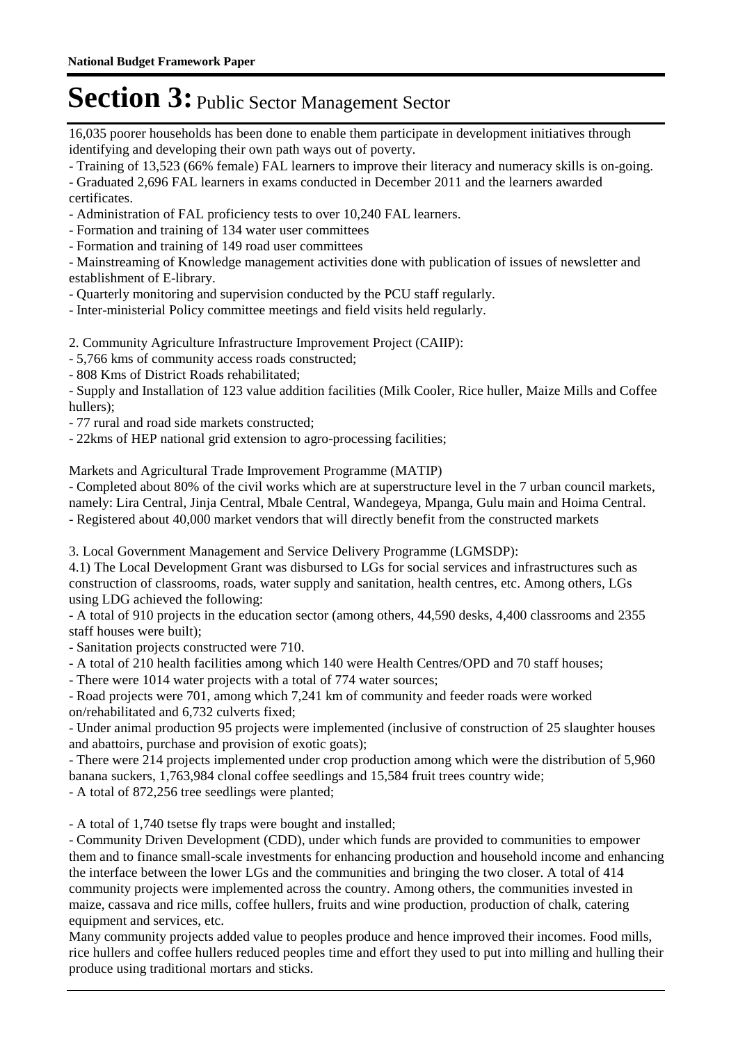16,035 poorer households has been done to enable them participate in development initiatives through identifying and developing their own path ways out of poverty.

- Training of 13,523 (66% female) FAL learners to improve their literacy and numeracy skills is on-going.

- Graduated 2,696 FAL learners in exams conducted in December 2011 and the learners awarded certificates.

- Administration of FAL proficiency tests to over 10,240 FAL learners.

- Formation and training of 134 water user committees

- Formation and training of 149 road user committees

- Mainstreaming of Knowledge management activities done with publication of issues of newsletter and establishment of E-library.

- Quarterly monitoring and supervision conducted by the PCU staff regularly.

- Inter-ministerial Policy committee meetings and field visits held regularly.

2. Community Agriculture Infrastructure Improvement Project (CAIIP):

- 5,766 kms of community access roads constructed;

- 808 Kms of District Roads rehabilitated;

- Supply and Installation of 123 value addition facilities (Milk Cooler, Rice huller, Maize Mills and Coffee hullers);

- 77 rural and road side markets constructed;

- 22kms of HEP national grid extension to agro-processing facilities;

Markets and Agricultural Trade Improvement Programme (MATIP)

- Completed about 80% of the civil works which are at superstructure level in the 7 urban council markets, namely: Lira Central, Jinja Central, Mbale Central, Wandegeya, Mpanga, Gulu main and Hoima Central. - Registered about 40,000 market vendors that will directly benefit from the constructed markets

3. Local Government Management and Service Delivery Programme (LGMSDP):

4.1) The Local Development Grant was disbursed to LGs for social services and infrastructures such as construction of classrooms, roads, water supply and sanitation, health centres, etc. Among others, LGs using LDG achieved the following:

- A total of 910 projects in the education sector (among others, 44,590 desks, 4,400 classrooms and 2355 staff houses were built);

- Sanitation projects constructed were 710.

- A total of 210 health facilities among which 140 were Health Centres/OPD and 70 staff houses;

- There were 1014 water projects with a total of 774 water sources;

- Road projects were 701, among which 7,241 km of community and feeder roads were worked on/rehabilitated and 6,732 culverts fixed;

- Under animal production 95 projects were implemented (inclusive of construction of 25 slaughter houses and abattoirs, purchase and provision of exotic goats);

- There were 214 projects implemented under crop production among which were the distribution of 5,960 banana suckers, 1,763,984 clonal coffee seedlings and 15,584 fruit trees country wide;

- A total of 872,256 tree seedlings were planted;

- A total of 1,740 tsetse fly traps were bought and installed;

- Community Driven Development (CDD), under which funds are provided to communities to empower them and to finance small-scale investments for enhancing production and household income and enhancing the interface between the lower LGs and the communities and bringing the two closer. A total of 414 community projects were implemented across the country. Among others, the communities invested in maize, cassava and rice mills, coffee hullers, fruits and wine production, production of chalk, catering equipment and services, etc.

Many community projects added value to peoples produce and hence improved their incomes. Food mills, rice hullers and coffee hullers reduced peoples time and effort they used to put into milling and hulling their produce using traditional mortars and sticks.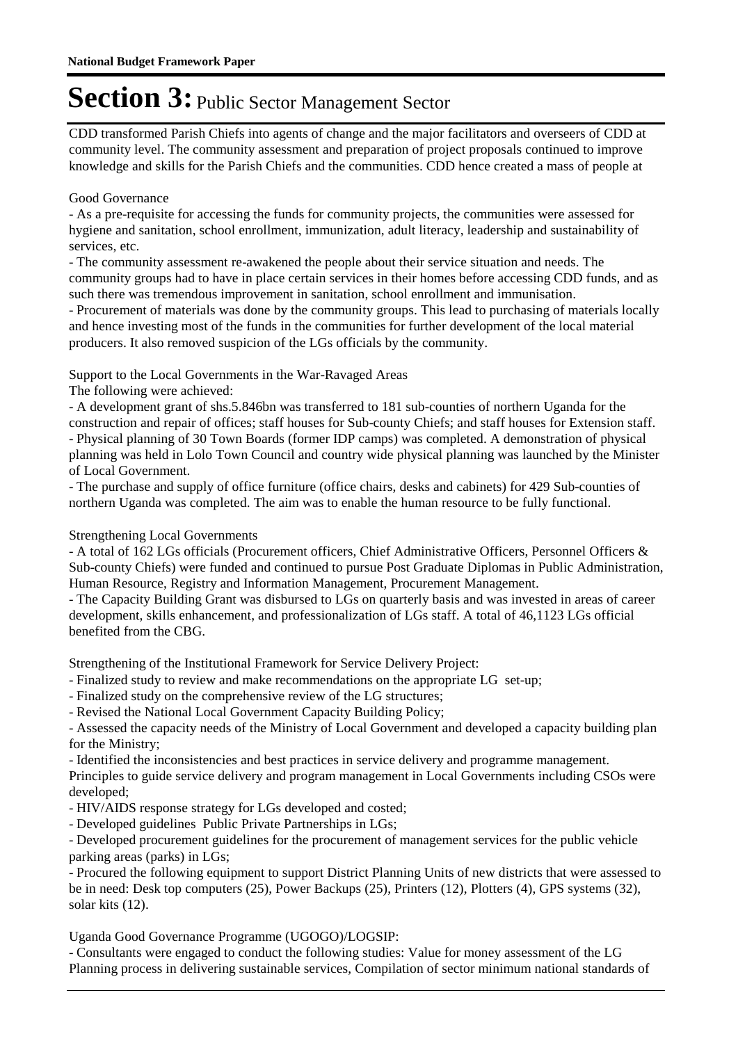CDD transformed Parish Chiefs into agents of change and the major facilitators and overseers of CDD at community level. The community assessment and preparation of project proposals continued to improve knowledge and skills for the Parish Chiefs and the communities. CDD hence created a mass of people at

#### Good Governance

- As a pre-requisite for accessing the funds for community projects, the communities were assessed for hygiene and sanitation, school enrollment, immunization, adult literacy, leadership and sustainability of services, etc.

- The community assessment re-awakened the people about their service situation and needs. The community groups had to have in place certain services in their homes before accessing CDD funds, and as such there was tremendous improvement in sanitation, school enrollment and immunisation.

- Procurement of materials was done by the community groups. This lead to purchasing of materials locally and hence investing most of the funds in the communities for further development of the local material producers. It also removed suspicion of the LGs officials by the community.

Support to the Local Governments in the War-Ravaged Areas

The following were achieved:

- A development grant of shs.5.846bn was transferred to 181 sub-counties of northern Uganda for the construction and repair of offices; staff houses for Sub-county Chiefs; and staff houses for Extension staff. - Physical planning of 30 Town Boards (former IDP camps) was completed. A demonstration of physical planning was held in Lolo Town Council and country wide physical planning was launched by the Minister of Local Government.

- The purchase and supply of office furniture (office chairs, desks and cabinets) for 429 Sub-counties of northern Uganda was completed. The aim was to enable the human resource to be fully functional.

#### Strengthening Local Governments

- A total of 162 LGs officials (Procurement officers, Chief Administrative Officers, Personnel Officers & Sub-county Chiefs) were funded and continued to pursue Post Graduate Diplomas in Public Administration, Human Resource, Registry and Information Management, Procurement Management.

- The Capacity Building Grant was disbursed to LGs on quarterly basis and was invested in areas of career development, skills enhancement, and professionalization of LGs staff. A total of 46,1123 LGs official benefited from the CBG.

Strengthening of the Institutional Framework for Service Delivery Project:

- Finalized study to review and make recommendations on the appropriate LG set-up;

- Finalized study on the comprehensive review of the LG structures;

- Revised the National Local Government Capacity Building Policy;

- Assessed the capacity needs of the Ministry of Local Government and developed a capacity building plan for the Ministry;

- Identified the inconsistencies and best practices in service delivery and programme management.

Principles to guide service delivery and program management in Local Governments including CSOs were developed;

- HIV/AIDS response strategy for LGs developed and costed;

- Developed guidelines Public Private Partnerships in LGs;

- Developed procurement guidelines for the procurement of management services for the public vehicle parking areas (parks) in LGs;

- Procured the following equipment to support District Planning Units of new districts that were assessed to be in need: Desk top computers (25), Power Backups (25), Printers (12), Plotters (4), GPS systems (32), solar kits (12).

Uganda Good Governance Programme (UGOGO)/LOGSIP:

- Consultants were engaged to conduct the following studies: Value for money assessment of the LG Planning process in delivering sustainable services, Compilation of sector minimum national standards of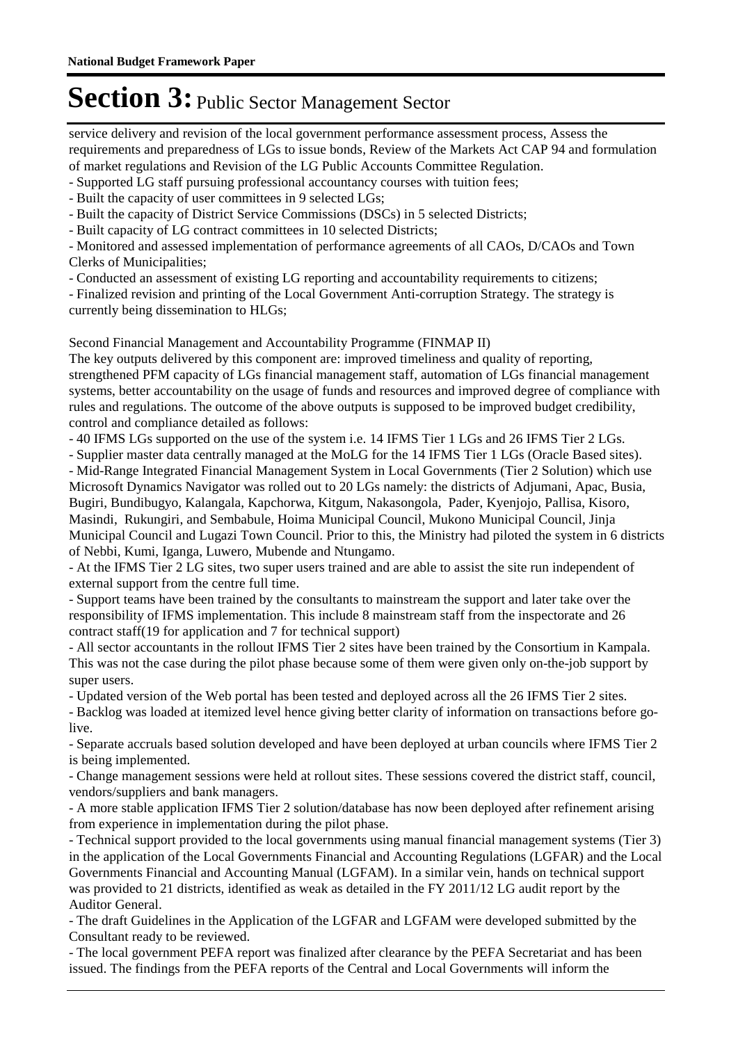service delivery and revision of the local government performance assessment process, Assess the requirements and preparedness of LGs to issue bonds, Review of the Markets Act CAP 94 and formulation of market regulations and Revision of the LG Public Accounts Committee Regulation.

- Supported LG staff pursuing professional accountancy courses with tuition fees;

- Built the capacity of user committees in 9 selected LGs;

- Built the capacity of District Service Commissions (DSCs) in 5 selected Districts;

- Built capacity of LG contract committees in 10 selected Districts;

- Monitored and assessed implementation of performance agreements of all CAOs, D/CAOs and Town Clerks of Municipalities;

- Conducted an assessment of existing LG reporting and accountability requirements to citizens;

- Finalized revision and printing of the Local Government Anti-corruption Strategy. The strategy is currently being dissemination to HLGs;

Second Financial Management and Accountability Programme (FINMAP II)

The key outputs delivered by this component are: improved timeliness and quality of reporting, strengthened PFM capacity of LGs financial management staff, automation of LGs financial management systems, better accountability on the usage of funds and resources and improved degree of compliance with rules and regulations. The outcome of the above outputs is supposed to be improved budget credibility, control and compliance detailed as follows:

- 40 IFMS LGs supported on the use of the system i.e. 14 IFMS Tier 1 LGs and 26 IFMS Tier 2 LGs.

- Supplier master data centrally managed at the MoLG for the 14 IFMS Tier 1 LGs (Oracle Based sites). - Mid-Range Integrated Financial Management System in Local Governments (Tier 2 Solution) which use

Microsoft Dynamics Navigator was rolled out to 20 LGs namely: the districts of Adjumani, Apac, Busia, Bugiri, Bundibugyo, Kalangala, Kapchorwa, Kitgum, Nakasongola, Pader, Kyenjojo, Pallisa, Kisoro, Masindi, Rukungiri, and Sembabule, Hoima Municipal Council, Mukono Municipal Council, Jinja Municipal Council and Lugazi Town Council. Prior to this, the Ministry had piloted the system in 6 districts of Nebbi, Kumi, Iganga, Luwero, Mubende and Ntungamo.

- At the IFMS Tier 2 LG sites, two super users trained and are able to assist the site run independent of external support from the centre full time.

- Support teams have been trained by the consultants to mainstream the support and later take over the responsibility of IFMS implementation. This include 8 mainstream staff from the inspectorate and 26 contract staff(19 for application and 7 for technical support)

- All sector accountants in the rollout IFMS Tier 2 sites have been trained by the Consortium in Kampala. This was not the case during the pilot phase because some of them were given only on-the-job support by super users.

- Updated version of the Web portal has been tested and deployed across all the 26 IFMS Tier 2 sites.

- Backlog was loaded at itemized level hence giving better clarity of information on transactions before golive.

- Separate accruals based solution developed and have been deployed at urban councils where IFMS Tier 2 is being implemented.

- Change management sessions were held at rollout sites. These sessions covered the district staff, council, vendors/suppliers and bank managers.

- A more stable application IFMS Tier 2 solution/database has now been deployed after refinement arising from experience in implementation during the pilot phase.

- Technical support provided to the local governments using manual financial management systems (Tier 3) in the application of the Local Governments Financial and Accounting Regulations (LGFAR) and the Local Governments Financial and Accounting Manual (LGFAM). In a similar vein, hands on technical support was provided to 21 districts, identified as weak as detailed in the FY 2011/12 LG audit report by the Auditor General.

- The draft Guidelines in the Application of the LGFAR and LGFAM were developed submitted by the Consultant ready to be reviewed.

- The local government PEFA report was finalized after clearance by the PEFA Secretariat and has been issued. The findings from the PEFA reports of the Central and Local Governments will inform the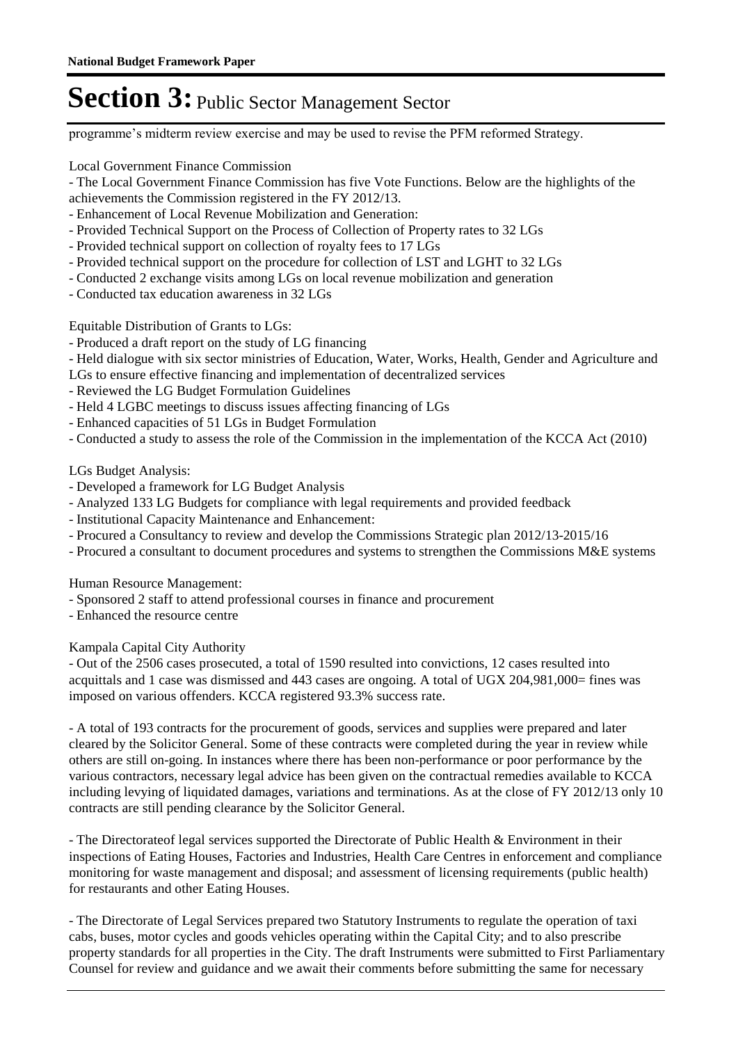programme's midterm review exercise and may be used to revise the PFM reformed Strategy.

Local Government Finance Commission

- The Local Government Finance Commission has five Vote Functions. Below are the highlights of the achievements the Commission registered in the FY 2012/13.
- Enhancement of Local Revenue Mobilization and Generation:
- Provided Technical Support on the Process of Collection of Property rates to 32 LGs
- Provided technical support on collection of royalty fees to 17 LGs
- Provided technical support on the procedure for collection of LST and LGHT to 32 LGs
- Conducted 2 exchange visits among LGs on local revenue mobilization and generation
- Conducted tax education awareness in 32 LGs

Equitable Distribution of Grants to LGs:

- Produced a draft report on the study of LG financing
- Held dialogue with six sector ministries of Education, Water, Works, Health, Gender and Agriculture and
- LGs to ensure effective financing and implementation of decentralized services
- Reviewed the LG Budget Formulation Guidelines
- Held 4 LGBC meetings to discuss issues affecting financing of LGs
- Enhanced capacities of 51 LGs in Budget Formulation
- Conducted a study to assess the role of the Commission in the implementation of the KCCA Act (2010)

LGs Budget Analysis:

- Developed a framework for LG Budget Analysis
- Analyzed 133 LG Budgets for compliance with legal requirements and provided feedback
- Institutional Capacity Maintenance and Enhancement:
- Procured a Consultancy to review and develop the Commissions Strategic plan 2012/13-2015/16
- Procured a consultant to document procedures and systems to strengthen the Commissions M&E systems

Human Resource Management:

- Sponsored 2 staff to attend professional courses in finance and procurement
- Enhanced the resource centre

Kampala Capital City Authority

- Out of the 2506 cases prosecuted, a total of 1590 resulted into convictions, 12 cases resulted into acquittals and 1 case was dismissed and 443 cases are ongoing. A total of UGX 204,981,000= fines was imposed on various offenders. KCCA registered 93.3% success rate.

- A total of 193 contracts for the procurement of goods, services and supplies were prepared and later cleared by the Solicitor General. Some of these contracts were completed during the year in review while others are still on-going. In instances where there has been non-performance or poor performance by the various contractors, necessary legal advice has been given on the contractual remedies available to KCCA including levying of liquidated damages, variations and terminations. As at the close of FY 2012/13 only 10 contracts are still pending clearance by the Solicitor General.

- The Directorateof legal services supported the Directorate of Public Health & Environment in their inspections of Eating Houses, Factories and Industries, Health Care Centres in enforcement and compliance monitoring for waste management and disposal; and assessment of licensing requirements (public health) for restaurants and other Eating Houses.

- The Directorate of Legal Services prepared two Statutory Instruments to regulate the operation of taxi cabs, buses, motor cycles and goods vehicles operating within the Capital City; and to also prescribe property standards for all properties in the City. The draft Instruments were submitted to First Parliamentary Counsel for review and guidance and we await their comments before submitting the same for necessary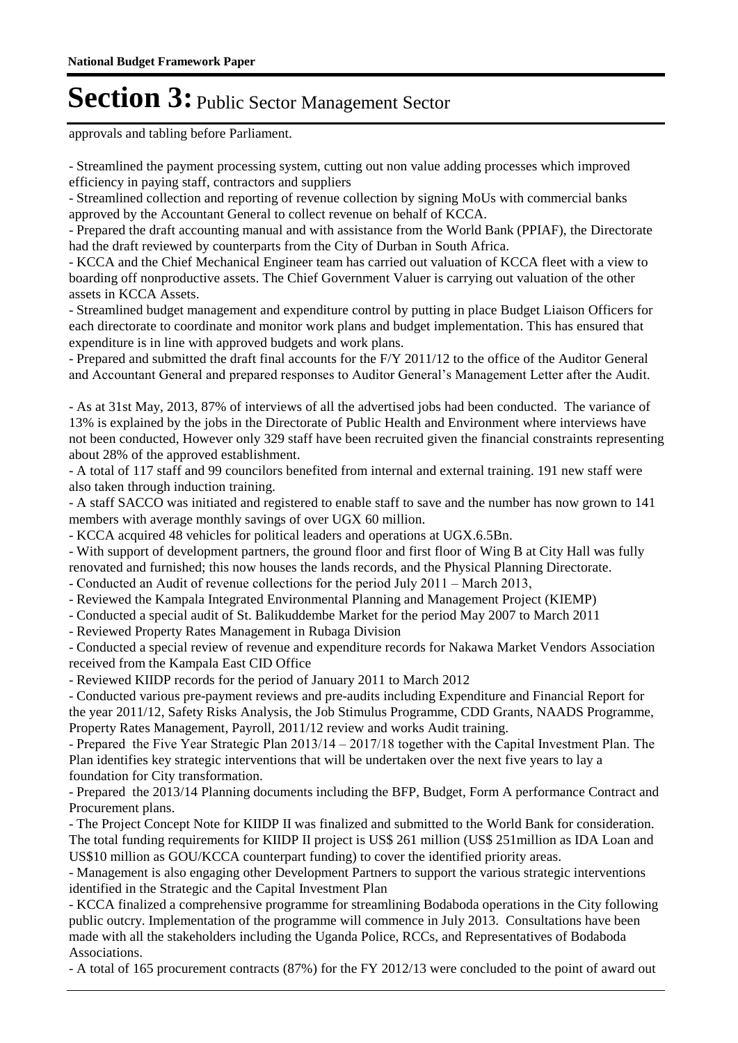approvals and tabling before Parliament.

- Streamlined the payment processing system, cutting out non value adding processes which improved efficiency in paying staff, contractors and suppliers

- Streamlined collection and reporting of revenue collection by signing MoUs with commercial banks approved by the Accountant General to collect revenue on behalf of KCCA.

- Prepared the draft accounting manual and with assistance from the World Bank (PPIAF), the Directorate had the draft reviewed by counterparts from the City of Durban in South Africa.

- KCCA and the Chief Mechanical Engineer team has carried out valuation of KCCA fleet with a view to boarding off nonproductive assets. The Chief Government Valuer is carrying out valuation of the other assets in KCCA Assets.

- Streamlined budget management and expenditure control by putting in place Budget Liaison Officers for each directorate to coordinate and monitor work plans and budget implementation. This has ensured that expenditure is in line with approved budgets and work plans.

- Prepared and submitted the draft final accounts for the F/Y 2011/12 to the office of the Auditor General and Accountant General and prepared responses to Auditor General's Management Letter after the Audit.

- As at 31st May, 2013, 87% of interviews of all the advertised jobs had been conducted. The variance of 13% is explained by the jobs in the Directorate of Public Health and Environment where interviews have not been conducted, However only 329 staff have been recruited given the financial constraints representing about 28% of the approved establishment.

- A total of 117 staff and 99 councilors benefited from internal and external training. 191 new staff were also taken through induction training.

- A staff SACCO was initiated and registered to enable staff to save and the number has now grown to 141 members with average monthly savings of over UGX 60 million.

- KCCA acquired 48 vehicles for political leaders and operations at UGX.6.5Bn.

- With support of development partners, the ground floor and first floor of Wing B at City Hall was fully renovated and furnished; this now houses the lands records, and the Physical Planning Directorate.

- Conducted an Audit of revenue collections for the period July 2011 – March 2013,

- Reviewed the Kampala Integrated Environmental Planning and Management Project (KIEMP)

- Conducted a special audit of St. Balikuddembe Market for the period May 2007 to March 2011

- Reviewed Property Rates Management in Rubaga Division

- Conducted a special review of revenue and expenditure records for Nakawa Market Vendors Association received from the Kampala East CID Office

- Reviewed KIIDP records for the period of January 2011 to March 2012

- Conducted various pre-payment reviews and pre-audits including Expenditure and Financial Report for the year 2011/12, Safety Risks Analysis, the Job Stimulus Programme, CDD Grants, NAADS Programme, Property Rates Management, Payroll, 2011/12 review and works Audit training.

- Prepared the Five Year Strategic Plan 2013/14 – 2017/18 together with the Capital Investment Plan. The Plan identifies key strategic interventions that will be undertaken over the next five years to lay a foundation for City transformation.

- Prepared the 2013/14 Planning documents including the BFP, Budget, Form A performance Contract and Procurement plans.

- The Project Concept Note for KIIDP II was finalized and submitted to the World Bank for consideration. The total funding requirements for KIIDP II project is US\$ 261 million (US\$ 251million as IDA Loan and US\$10 million as GOU/KCCA counterpart funding) to cover the identified priority areas.

- Management is also engaging other Development Partners to support the various strategic interventions identified in the Strategic and the Capital Investment Plan

- KCCA finalized a comprehensive programme for streamlining Bodaboda operations in the City following public outcry. Implementation of the programme will commence in July 2013. Consultations have been made with all the stakeholders including the Uganda Police, RCCs, and Representatives of Bodaboda Associations.

- A total of 165 procurement contracts (87%) for the FY 2012/13 were concluded to the point of award out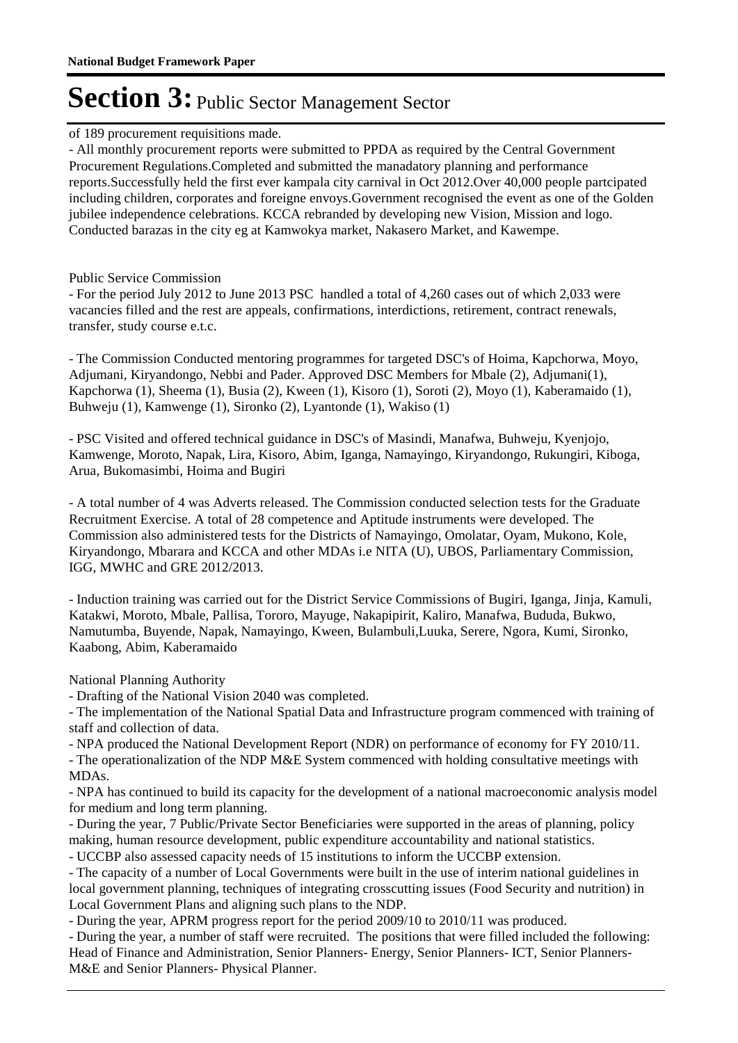#### of 189 procurement requisitions made.

- All monthly procurement reports were submitted to PPDA as required by the Central Government Procurement Regulations.Completed and submitted the manadatory planning and performance reports.Successfully held the first ever kampala city carnival in Oct 2012.Over 40,000 people partcipated including children, corporates and foreigne envoys.Government recognised the event as one of the Golden jubilee independence celebrations. KCCA rebranded by developing new Vision, Mission and logo. Conducted barazas in the city eg at Kamwokya market, Nakasero Market, and Kawempe.

#### Public Service Commission

- For the period July 2012 to June 2013 PSC handled a total of 4,260 cases out of which 2,033 were vacancies filled and the rest are appeals, confirmations, interdictions, retirement, contract renewals, transfer, study course e.t.c.

- The Commission Conducted mentoring programmes for targeted DSC's of Hoima, Kapchorwa, Moyo, Adjumani, Kiryandongo, Nebbi and Pader. Approved DSC Members for Mbale (2), Adjumani(1), Kapchorwa (1), Sheema (1), Busia (2), Kween (1), Kisoro (1), Soroti (2), Moyo (1), Kaberamaido (1), Buhweju (1), Kamwenge (1), Sironko (2), Lyantonde (1), Wakiso (1)

- PSC Visited and offered technical guidance in DSC's of Masindi, Manafwa, Buhweju, Kyenjojo, Kamwenge, Moroto, Napak, Lira, Kisoro, Abim, Iganga, Namayingo, Kiryandongo, Rukungiri, Kiboga, Arua, Bukomasimbi, Hoima and Bugiri

- A total number of 4 was Adverts released. The Commission conducted selection tests for the Graduate Recruitment Exercise. A total of 28 competence and Aptitude instruments were developed. The Commission also administered tests for the Districts of Namayingo, Omolatar, Oyam, Mukono, Kole, Kiryandongo, Mbarara and KCCA and other MDAs i.e NITA (U), UBOS, Parliamentary Commission, IGG, MWHC and GRE 2012/2013.

- Induction training was carried out for the District Service Commissions of Bugiri, Iganga, Jinja, Kamuli, Katakwi, Moroto, Mbale, Pallisa, Tororo, Mayuge, Nakapipirit, Kaliro, Manafwa, Bududa, Bukwo, Namutumba, Buyende, Napak, Namayingo, Kween, Bulambuli,Luuka, Serere, Ngora, Kumi, Sironko, Kaabong, Abim, Kaberamaido

National Planning Authority

- Drafting of the National Vision 2040 was completed.

- The implementation of the National Spatial Data and Infrastructure program commenced with training of staff and collection of data.

- NPA produced the National Development Report (NDR) on performance of economy for FY 2010/11. - The operationalization of the NDP M&E System commenced with holding consultative meetings with MDAs.

- NPA has continued to build its capacity for the development of a national macroeconomic analysis model for medium and long term planning.

- During the year, 7 Public/Private Sector Beneficiaries were supported in the areas of planning, policy making, human resource development, public expenditure accountability and national statistics.

- UCCBP also assessed capacity needs of 15 institutions to inform the UCCBP extension.

- The capacity of a number of Local Governments were built in the use of interim national guidelines in local government planning, techniques of integrating crosscutting issues (Food Security and nutrition) in Local Government Plans and aligning such plans to the NDP.

- During the year, APRM progress report for the period 2009/10 to 2010/11 was produced.

- During the year, a number of staff were recruited. The positions that were filled included the following: Head of Finance and Administration, Senior Planners- Energy, Senior Planners- ICT, Senior Planners-M&E and Senior Planners- Physical Planner.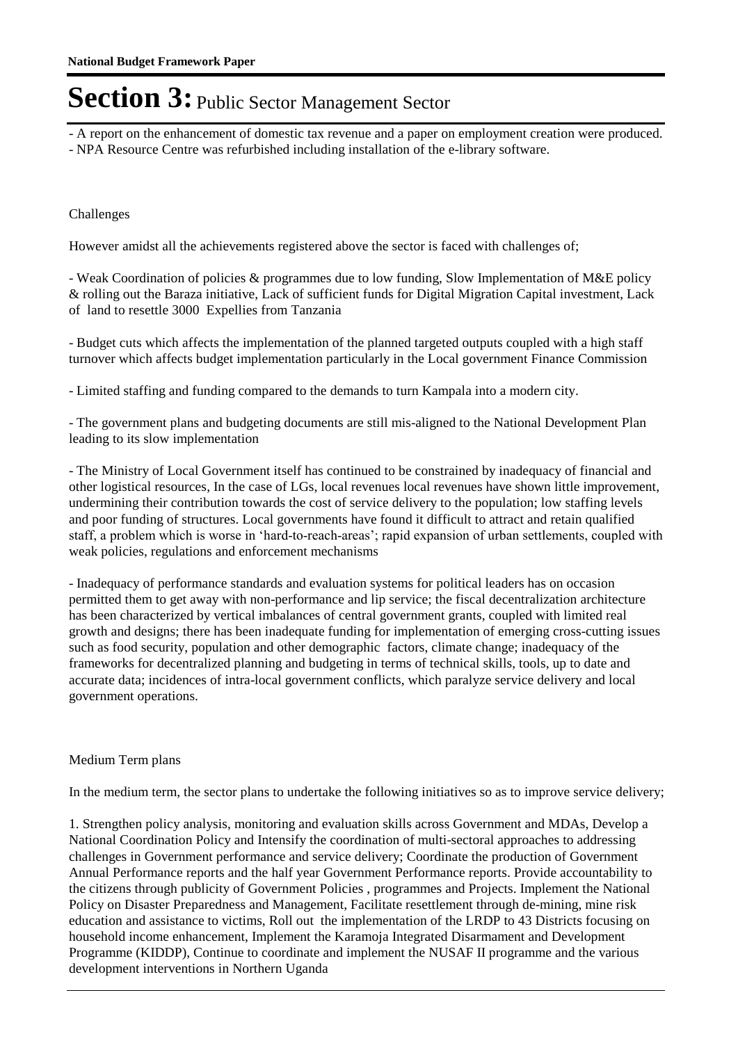- A report on the enhancement of domestic tax revenue and a paper on employment creation were produced.

- NPA Resource Centre was refurbished including installation of the e-library software.

#### Challenges

However amidst all the achievements registered above the sector is faced with challenges of;

- Weak Coordination of policies & programmes due to low funding, Slow Implementation of M&E policy & rolling out the Baraza initiative, Lack of sufficient funds for Digital Migration Capital investment, Lack of land to resettle 3000 Expellies from Tanzania

- Budget cuts which affects the implementation of the planned targeted outputs coupled with a high staff turnover which affects budget implementation particularly in the Local government Finance Commission

- Limited staffing and funding compared to the demands to turn Kampala into a modern city.

- The government plans and budgeting documents are still mis-aligned to the National Development Plan leading to its slow implementation

- The Ministry of Local Government itself has continued to be constrained by inadequacy of financial and other logistical resources, In the case of LGs, local revenues local revenues have shown little improvement, undermining their contribution towards the cost of service delivery to the population; low staffing levels and poor funding of structures. Local governments have found it difficult to attract and retain qualified staff, a problem which is worse in 'hard-to-reach-areas'; rapid expansion of urban settlements, coupled with weak policies, regulations and enforcement mechanisms

- Inadequacy of performance standards and evaluation systems for political leaders has on occasion permitted them to get away with non-performance and lip service; the fiscal decentralization architecture has been characterized by vertical imbalances of central government grants, coupled with limited real growth and designs; there has been inadequate funding for implementation of emerging cross-cutting issues such as food security, population and other demographic factors, climate change; inadequacy of the frameworks for decentralized planning and budgeting in terms of technical skills, tools, up to date and accurate data; incidences of intra-local government conflicts, which paralyze service delivery and local government operations.

#### Medium Term plans

In the medium term, the sector plans to undertake the following initiatives so as to improve service delivery;

1. Strengthen policy analysis, monitoring and evaluation skills across Government and MDAs, Develop a National Coordination Policy and Intensify the coordination of multi-sectoral approaches to addressing challenges in Government performance and service delivery; Coordinate the production of Government Annual Performance reports and the half year Government Performance reports. Provide accountability to the citizens through publicity of Government Policies , programmes and Projects. Implement the National Policy on Disaster Preparedness and Management, Facilitate resettlement through de-mining, mine risk education and assistance to victims, Roll out the implementation of the LRDP to 43 Districts focusing on household income enhancement, Implement the Karamoja Integrated Disarmament and Development Programme (KIDDP), Continue to coordinate and implement the NUSAF II programme and the various development interventions in Northern Uganda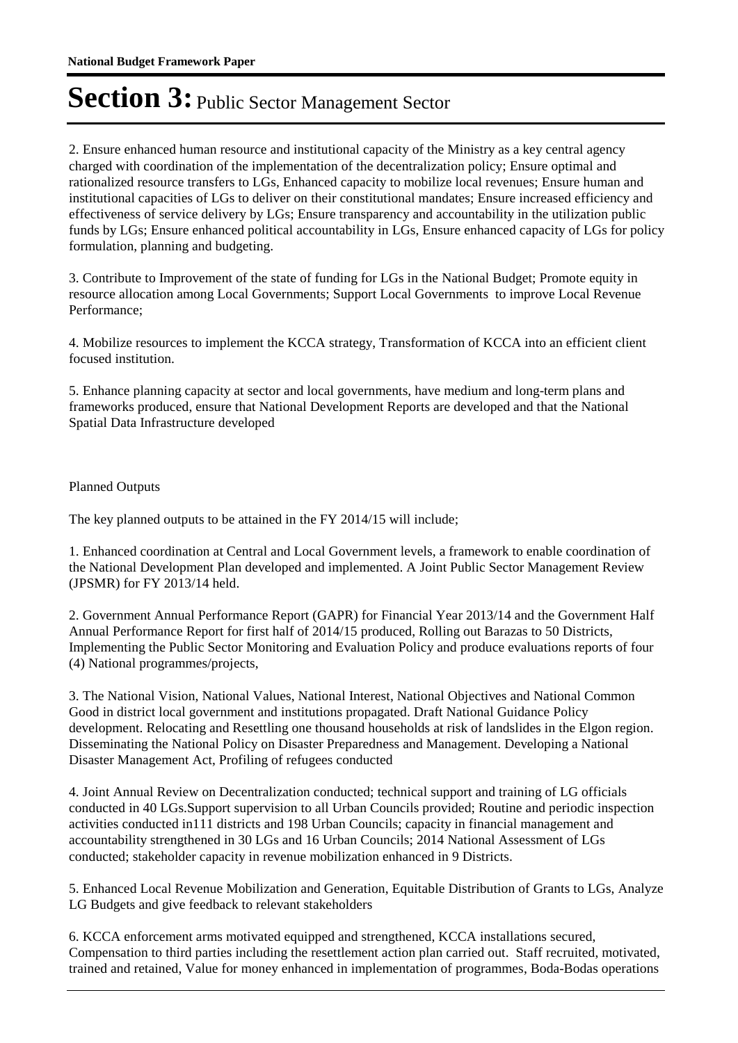2. Ensure enhanced human resource and institutional capacity of the Ministry as a key central agency charged with coordination of the implementation of the decentralization policy; Ensure optimal and rationalized resource transfers to LGs, Enhanced capacity to mobilize local revenues; Ensure human and institutional capacities of LGs to deliver on their constitutional mandates; Ensure increased efficiency and effectiveness of service delivery by LGs; Ensure transparency and accountability in the utilization public funds by LGs; Ensure enhanced political accountability in LGs, Ensure enhanced capacity of LGs for policy formulation, planning and budgeting.

3. Contribute to Improvement of the state of funding for LGs in the National Budget; Promote equity in resource allocation among Local Governments; Support Local Governments to improve Local Revenue Performance;

4. Mobilize resources to implement the KCCA strategy, Transformation of KCCA into an efficient client focused institution.

5. Enhance planning capacity at sector and local governments, have medium and long-term plans and frameworks produced, ensure that National Development Reports are developed and that the National Spatial Data Infrastructure developed

Planned Outputs

The key planned outputs to be attained in the FY 2014/15 will include;

1. Enhanced coordination at Central and Local Government levels, a framework to enable coordination of the National Development Plan developed and implemented. A Joint Public Sector Management Review (JPSMR) for FY 2013/14 held.

2. Government Annual Performance Report (GAPR) for Financial Year 2013/14 and the Government Half Annual Performance Report for first half of 2014/15 produced, Rolling out Barazas to 50 Districts, Implementing the Public Sector Monitoring and Evaluation Policy and produce evaluations reports of four (4) National programmes/projects,

3. The National Vision, National Values, National Interest, National Objectives and National Common Good in district local government and institutions propagated. Draft National Guidance Policy development. Relocating and Resettling one thousand households at risk of landslides in the Elgon region. Disseminating the National Policy on Disaster Preparedness and Management. Developing a National Disaster Management Act, Profiling of refugees conducted

4. Joint Annual Review on Decentralization conducted; technical support and training of LG officials conducted in 40 LGs.Support supervision to all Urban Councils provided; Routine and periodic inspection activities conducted in111 districts and 198 Urban Councils; capacity in financial management and accountability strengthened in 30 LGs and 16 Urban Councils; 2014 National Assessment of LGs conducted; stakeholder capacity in revenue mobilization enhanced in 9 Districts.

5. Enhanced Local Revenue Mobilization and Generation, Equitable Distribution of Grants to LGs, Analyze LG Budgets and give feedback to relevant stakeholders

6. KCCA enforcement arms motivated equipped and strengthened, KCCA installations secured, Compensation to third parties including the resettlement action plan carried out. Staff recruited, motivated, trained and retained, Value for money enhanced in implementation of programmes, Boda-Bodas operations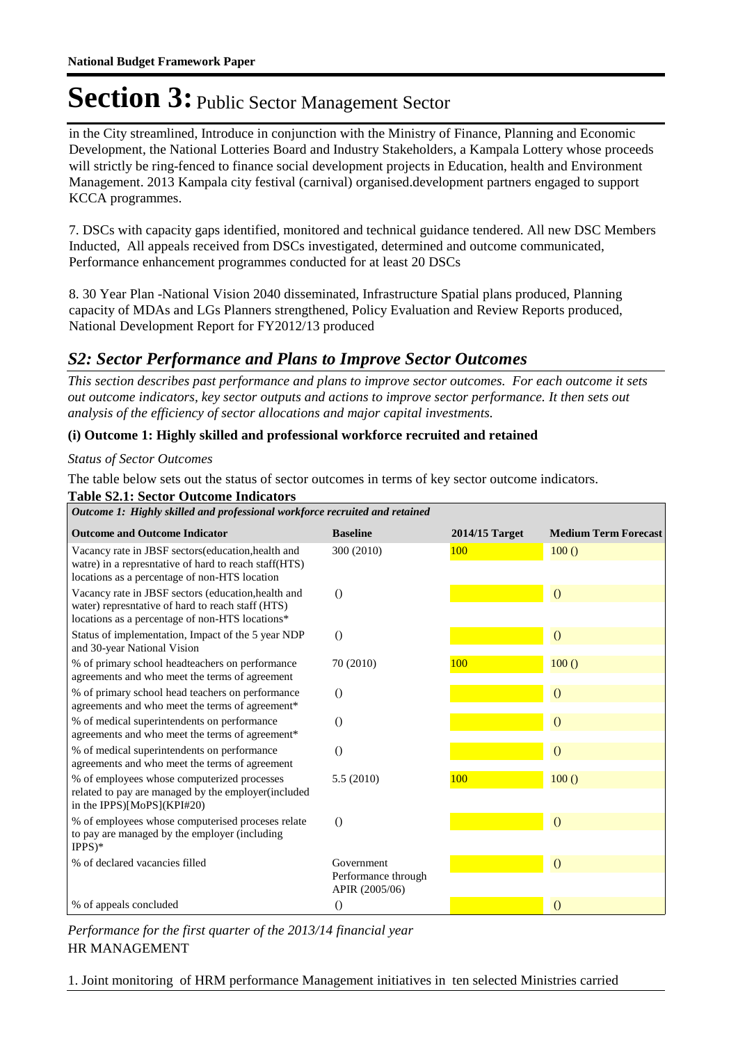in the City streamlined, Introduce in conjunction with the Ministry of Finance, Planning and Economic Development, the National Lotteries Board and Industry Stakeholders, a Kampala Lottery whose proceeds will strictly be ring-fenced to finance social development projects in Education, health and Environment Management. 2013 Kampala city festival (carnival) organised.development partners engaged to support KCCA programmes.

7. DSCs with capacity gaps identified, monitored and technical guidance tendered. All new DSC Members Inducted, All appeals received from DSCs investigated, determined and outcome communicated, Performance enhancement programmes conducted for at least 20 DSCs

8. 30 Year Plan -National Vision 2040 disseminated, Infrastructure Spatial plans produced, Planning capacity of MDAs and LGs Planners strengthened, Policy Evaluation and Review Reports produced, National Development Report for FY2012/13 produced

#### *S2: Sector Performance and Plans to Improve Sector Outcomes*

*This section describes past performance and plans to improve sector outcomes. For each outcome it sets out outcome indicators, key sector outputs and actions to improve sector performance. It then sets out analysis of the efficiency of sector allocations and major capital investments.*

#### **(i) Outcome 1: Highly skilled and professional workforce recruited and retained**

#### *Status of Sector Outcomes*

The table below sets out the status of sector outcomes in terms of key sector outcome indicators.

| <b>Table S2.1: Sector Outcome Indicators</b> |  |  |  |  |
|----------------------------------------------|--|--|--|--|
|                                              |  |  |  |  |

| Outcome 1: Highly skilled and professional workforce recruited and retained                                                                                   |                                                     |                |                             |  |  |
|---------------------------------------------------------------------------------------------------------------------------------------------------------------|-----------------------------------------------------|----------------|-----------------------------|--|--|
| <b>Outcome and Outcome Indicator</b>                                                                                                                          | <b>Baseline</b>                                     | 2014/15 Target | <b>Medium Term Forecast</b> |  |  |
| Vacancy rate in JBSF sectors (education, health and<br>watre) in a represitative of hard to reach staff(HTS)<br>locations as a percentage of non-HTS location | 300 (2010)                                          | 100            | 100()                       |  |  |
| Vacancy rate in JBSF sectors (education, health and<br>water) represntative of hard to reach staff (HTS)<br>locations as a percentage of non-HTS locations*   | $\Omega$                                            |                | $\overline{O}$              |  |  |
| Status of implementation, Impact of the 5 year NDP<br>and 30-year National Vision                                                                             | $\theta$                                            |                | $\overline{O}$              |  |  |
| % of primary school headteachers on performance<br>agreements and who meet the terms of agreement                                                             | 70 (2010)                                           | 100            | 100()                       |  |  |
| % of primary school head teachers on performance<br>agreements and who meet the terms of agreement*                                                           | $\Omega$                                            |                | $\theta$                    |  |  |
| % of medical superintendents on performance<br>agreements and who meet the terms of agreement*                                                                | $\Omega$                                            |                | $\overline{O}$              |  |  |
| % of medical superintendents on performance<br>agreements and who meet the terms of agreement                                                                 | $\Omega$                                            |                | $\overline{O}$              |  |  |
| % of employees whose computerized processes<br>related to pay are managed by the employer(included<br>in the IPPS)[MoPS](KPI#20)                              | 5.5(2010)                                           | 100            | 100()                       |  |  |
| % of employees whose computerised proceses relate<br>to pay are managed by the employer (including<br>$IPPS)*$                                                | $\theta$                                            |                | $\overline{O}$              |  |  |
| % of declared vacancies filled                                                                                                                                | Government<br>Performance through<br>APIR (2005/06) |                | $\overline{O}$              |  |  |
| % of appeals concluded                                                                                                                                        | $\Omega$                                            |                | $\overline{O}$              |  |  |

HR MANAGEMENT *Performance for the first quarter of the 2013/14 financial year*

1. Joint monitoring of HRM performance Management initiatives in ten selected Ministries carried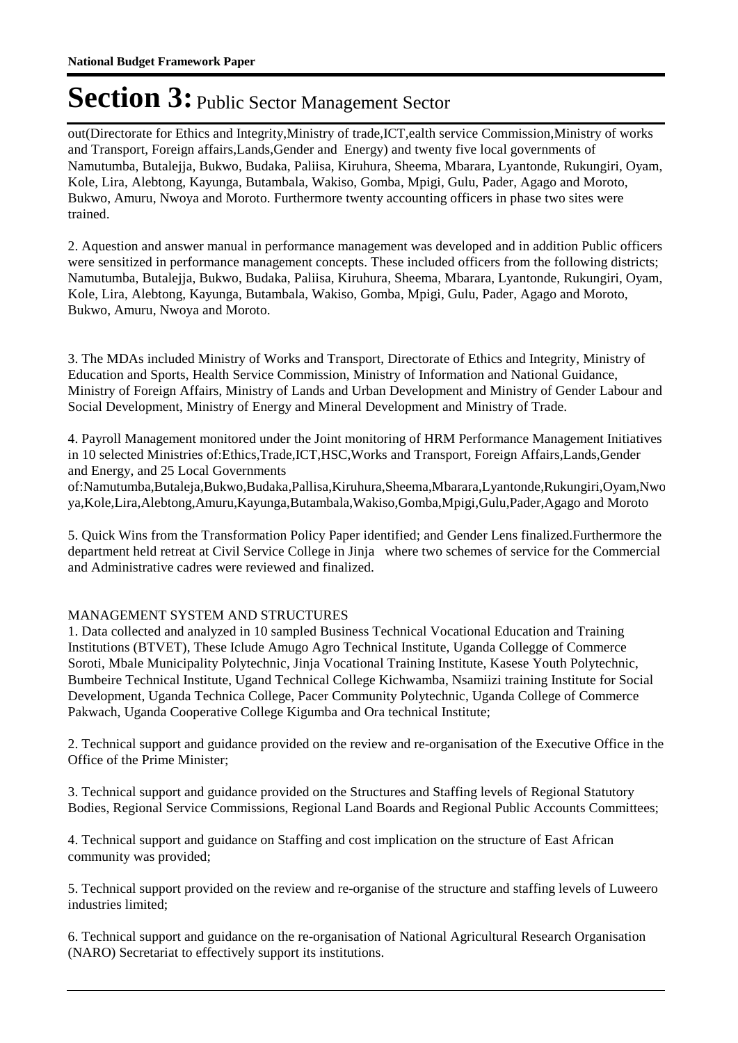out(Directorate for Ethics and Integrity,Ministry of trade,ICT,ealth service Commission,Ministry of works and Transport, Foreign affairs,Lands,Gender and Energy) and twenty five local governments of Namutumba, Butalejja, Bukwo, Budaka, Paliisa, Kiruhura, Sheema, Mbarara, Lyantonde, Rukungiri, Oyam, Kole, Lira, Alebtong, Kayunga, Butambala, Wakiso, Gomba, Mpigi, Gulu, Pader, Agago and Moroto, Bukwo, Amuru, Nwoya and Moroto. Furthermore twenty accounting officers in phase two sites were trained.

2. Aquestion and answer manual in performance management was developed and in addition Public officers were sensitized in performance management concepts. These included officers from the following districts; Namutumba, Butalejja, Bukwo, Budaka, Paliisa, Kiruhura, Sheema, Mbarara, Lyantonde, Rukungiri, Oyam, Kole, Lira, Alebtong, Kayunga, Butambala, Wakiso, Gomba, Mpigi, Gulu, Pader, Agago and Moroto, Bukwo, Amuru, Nwoya and Moroto.

3. The MDAs included Ministry of Works and Transport, Directorate of Ethics and Integrity, Ministry of Education and Sports, Health Service Commission, Ministry of Information and National Guidance, Ministry of Foreign Affairs, Ministry of Lands and Urban Development and Ministry of Gender Labour and Social Development, Ministry of Energy and Mineral Development and Ministry of Trade.

4. Payroll Management monitored under the Joint monitoring of HRM Performance Management Initiatives in 10 selected Ministries of:Ethics,Trade,ICT,HSC,Works and Transport, Foreign Affairs,Lands,Gender and Energy, and 25 Local Governments

of:Namutumba,Butaleja,Bukwo,Budaka,Pallisa,Kiruhura,Sheema,Mbarara,Lyantonde,Rukungiri,Oyam,Nwo ya,Kole,Lira,Alebtong,Amuru,Kayunga,Butambala,Wakiso,Gomba,Mpigi,Gulu,Pader,Agago and Moroto

5. Quick Wins from the Transformation Policy Paper identified; and Gender Lens finalized.Furthermore the department held retreat at Civil Service College in Jinja where two schemes of service for the Commercial and Administrative cadres were reviewed and finalized.

#### MANAGEMENT SYSTEM AND STRUCTURES

1. Data collected and analyzed in 10 sampled Business Technical Vocational Education and Training Institutions (BTVET), These Iclude Amugo Agro Technical Institute, Uganda Collegge of Commerce Soroti, Mbale Municipality Polytechnic, Jinja Vocational Training Institute, Kasese Youth Polytechnic, Bumbeire Technical Institute, Ugand Technical College Kichwamba, Nsamiizi training Institute for Social Development, Uganda Technica College, Pacer Community Polytechnic, Uganda College of Commerce Pakwach, Uganda Cooperative College Kigumba and Ora technical Institute;

2. Technical support and guidance provided on the review and re-organisation of the Executive Office in the Office of the Prime Minister;

3. Technical support and guidance provided on the Structures and Staffing levels of Regional Statutory Bodies, Regional Service Commissions, Regional Land Boards and Regional Public Accounts Committees;

4. Technical support and guidance on Staffing and cost implication on the structure of East African community was provided;

5. Technical support provided on the review and re-organise of the structure and staffing levels of Luweero industries limited;

6. Technical support and guidance on the re-organisation of National Agricultural Research Organisation (NARO) Secretariat to effectively support its institutions.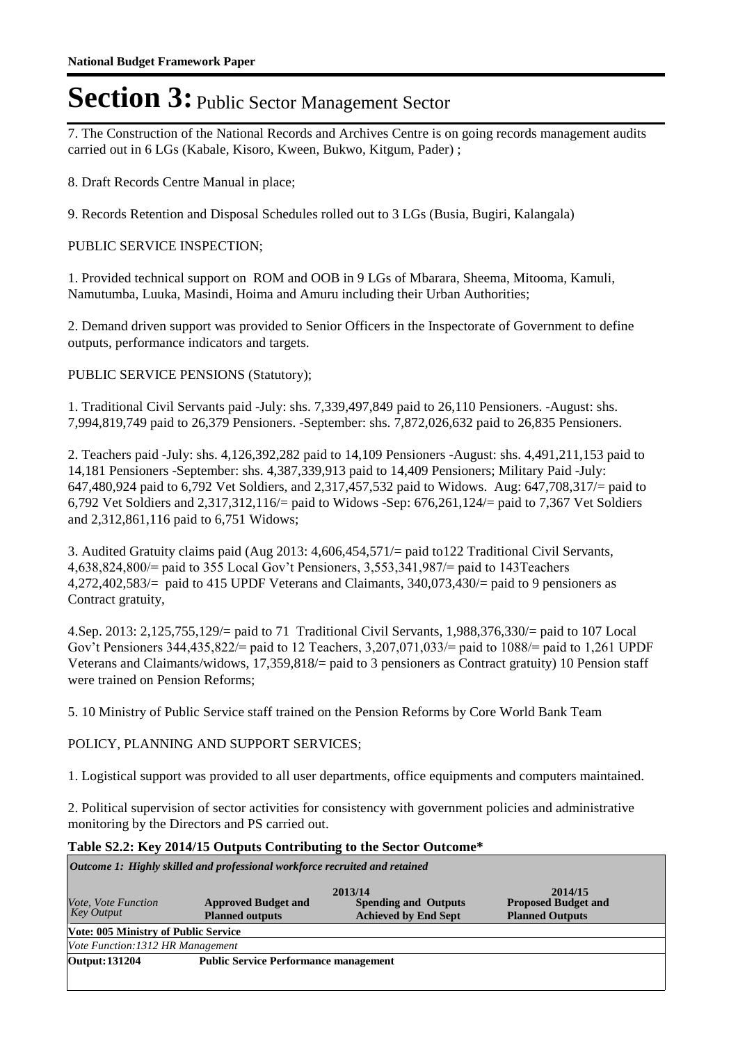7. The Construction of the National Records and Archives Centre is on going records management audits carried out in 6 LGs (Kabale, Kisoro, Kween, Bukwo, Kitgum, Pader) ;

8. Draft Records Centre Manual in place;

9. Records Retention and Disposal Schedules rolled out to 3 LGs (Busia, Bugiri, Kalangala)

#### PUBLIC SERVICE INSPECTION;

1. Provided technical support on ROM and OOB in 9 LGs of Mbarara, Sheema, Mitooma, Kamuli, Namutumba, Luuka, Masindi, Hoima and Amuru including their Urban Authorities;

2. Demand driven support was provided to Senior Officers in the Inspectorate of Government to define outputs, performance indicators and targets.

PUBLIC SERVICE PENSIONS (Statutory);

1. Traditional Civil Servants paid -July: shs. 7,339,497,849 paid to 26,110 Pensioners. -August: shs. 7,994,819,749 paid to 26,379 Pensioners. -September: shs. 7,872,026,632 paid to 26,835 Pensioners.

2. Teachers paid -July: shs. 4,126,392,282 paid to 14,109 Pensioners -August: shs. 4,491,211,153 paid to 14,181 Pensioners -September: shs. 4,387,339,913 paid to 14,409 Pensioners; Military Paid -July: 647,480,924 paid to 6,792 Vet Soldiers, and 2,317,457,532 paid to Widows. Aug: 647,708,317/= paid to 6,792 Vet Soldiers and 2,317,312,116/= paid to Widows -Sep: 676,261,124/= paid to 7,367 Vet Soldiers and 2,312,861,116 paid to 6,751 Widows;

3. Audited Gratuity claims paid (Aug 2013: 4,606,454,571/= paid to122 Traditional Civil Servants, 4,638,824,800/= paid to 355 Local Gov't Pensioners, 3,553,341,987/= paid to 143Teachers 4,272,402,583/= paid to 415 UPDF Veterans and Claimants, 340,073,430/= paid to 9 pensioners as Contract gratuity,

4.Sep. 2013: 2,125,755,129/= paid to 71 Traditional Civil Servants, 1,988,376,330/= paid to 107 Local Gov't Pensioners 344,435,822/= paid to 12 Teachers, 3,207,071,033/= paid to 1088/= paid to 1,261 UPDF Veterans and Claimants/widows, 17,359,818/= paid to 3 pensioners as Contract gratuity) 10 Pension staff were trained on Pension Reforms;

5. 10 Ministry of Public Service staff trained on the Pension Reforms by Core World Bank Team

POLICY, PLANNING AND SUPPORT SERVICES;

1. Logistical support was provided to all user departments, office equipments and computers maintained.

2. Political supervision of sector activities for consistency with government policies and administrative monitoring by the Directors and PS carried out.

#### **Table S2.2: Key 2014/15 Outputs Contributing to the Sector Outcome\***

*Outcome 1: Highly skilled and professional workforce recruited and retained*

| Vote, Vote Function<br><b>Key Output</b>    | <b>Approved Budget and</b><br><b>Planned outputs</b> | 2013/14<br><b>Spending and Outputs</b><br><b>Achieved by End Sept</b> | 2014/15<br><b>Proposed Budget and</b><br><b>Planned Outputs</b> |  |  |  |  |
|---------------------------------------------|------------------------------------------------------|-----------------------------------------------------------------------|-----------------------------------------------------------------|--|--|--|--|
| <b>Vote: 005 Ministry of Public Service</b> |                                                      |                                                                       |                                                                 |  |  |  |  |
| Vote Function: 1312 HR Management           |                                                      |                                                                       |                                                                 |  |  |  |  |
| <b>Output: 131204</b>                       | <b>Public Service Performance management</b>         |                                                                       |                                                                 |  |  |  |  |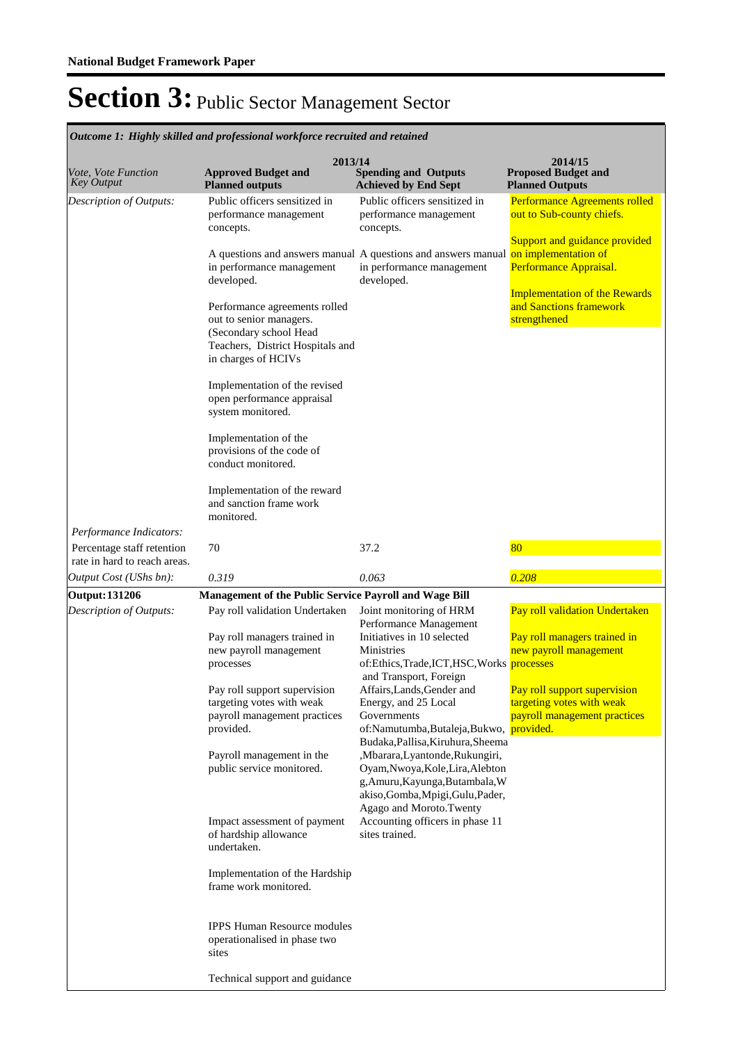| Vote, Vote Function<br><b>Key Output</b>              | 2013/14<br><b>Approved Budget and</b><br><b>Planned outputs</b>                                                                                                                                                                                                                                                                                                                                                                                                                                                               | <b>Spending and Outputs</b><br><b>Achieved by End Sept</b>                                                                                                                                                                                                                                                                                                                                                                                                                                                                                | 2014/15<br><b>Proposed Budget and</b><br><b>Planned Outputs</b>                                                                                                                                    |
|-------------------------------------------------------|-------------------------------------------------------------------------------------------------------------------------------------------------------------------------------------------------------------------------------------------------------------------------------------------------------------------------------------------------------------------------------------------------------------------------------------------------------------------------------------------------------------------------------|-------------------------------------------------------------------------------------------------------------------------------------------------------------------------------------------------------------------------------------------------------------------------------------------------------------------------------------------------------------------------------------------------------------------------------------------------------------------------------------------------------------------------------------------|----------------------------------------------------------------------------------------------------------------------------------------------------------------------------------------------------|
| Description of Outputs:                               | Public officers sensitized in<br>performance management<br>concepts.                                                                                                                                                                                                                                                                                                                                                                                                                                                          | Public officers sensitized in<br>performance management<br>concepts.                                                                                                                                                                                                                                                                                                                                                                                                                                                                      | Performance Agreements rolled<br>out to Sub-county chiefs.<br>Support and guidance provided                                                                                                        |
|                                                       | in performance management<br>developed.<br>Performance agreements rolled<br>out to senior managers.<br>(Secondary school Head<br>Teachers, District Hospitals and<br>in charges of HCIVs<br>Implementation of the revised<br>open performance appraisal<br>system monitored.<br>Implementation of the<br>provisions of the code of<br>conduct monitored.                                                                                                                                                                      | A questions and answers manual A questions and answers manual<br>in performance management<br>developed.                                                                                                                                                                                                                                                                                                                                                                                                                                  | on implementation of<br>Performance Appraisal.<br><b>Implementation of the Rewards</b><br>and Sanctions framework<br>strengthened                                                                  |
| Performance Indicators:<br>Percentage staff retention | Implementation of the reward<br>and sanction frame work<br>monitored.<br>70                                                                                                                                                                                                                                                                                                                                                                                                                                                   | 37.2                                                                                                                                                                                                                                                                                                                                                                                                                                                                                                                                      | 80                                                                                                                                                                                                 |
| rate in hard to reach areas.                          | 0.319                                                                                                                                                                                                                                                                                                                                                                                                                                                                                                                         | 0.063                                                                                                                                                                                                                                                                                                                                                                                                                                                                                                                                     | 0.208                                                                                                                                                                                              |
| Output Cost (UShs bn):<br><b>Output: 131206</b>       | Management of the Public Service Payroll and Wage Bill                                                                                                                                                                                                                                                                                                                                                                                                                                                                        |                                                                                                                                                                                                                                                                                                                                                                                                                                                                                                                                           |                                                                                                                                                                                                    |
| Description of Outputs:                               | Pay roll validation Undertaken<br>Pay roll managers trained in<br>new payroll management<br>processes<br>Pay roll support supervision<br>targeting votes with weak<br>payroll management practices<br>provided.<br>Payroll management in the<br>public service monitored.<br>Impact assessment of payment<br>of hardship allowance<br>undertaken.<br>Implementation of the Hardship<br>frame work monitored.<br><b>IPPS Human Resource modules</b><br>operationalised in phase two<br>sites<br>Technical support and guidance | Joint monitoring of HRM<br>Performance Management<br>Initiatives in 10 selected<br>Ministries<br>of:Ethics,Trade,ICT,HSC,Works processes<br>and Transport, Foreign<br>Affairs, Lands, Gender and<br>Energy, and 25 Local<br>Governments<br>of:Namutumba,Butaleja,Bukwo,<br>Budaka, Pallisa, Kiruhura, Sheema<br>,Mbarara,Lyantonde,Rukungiri,<br>Oyam, Nwoya, Kole, Lira, Alebton<br>g, Amuru, Kayunga, Butambala, W<br>akiso, Gomba, Mpigi, Gulu, Pader,<br>Agago and Moroto.Twenty<br>Accounting officers in phase 11<br>sites trained. | Pay roll validation Undertaken<br>Pay roll managers trained in<br>new payroll management<br>Pay roll support supervision<br>targeting votes with weak<br>payroll management practices<br>provided. |

*Outcome 1: Highly skilled and professional workforce recruited and retained*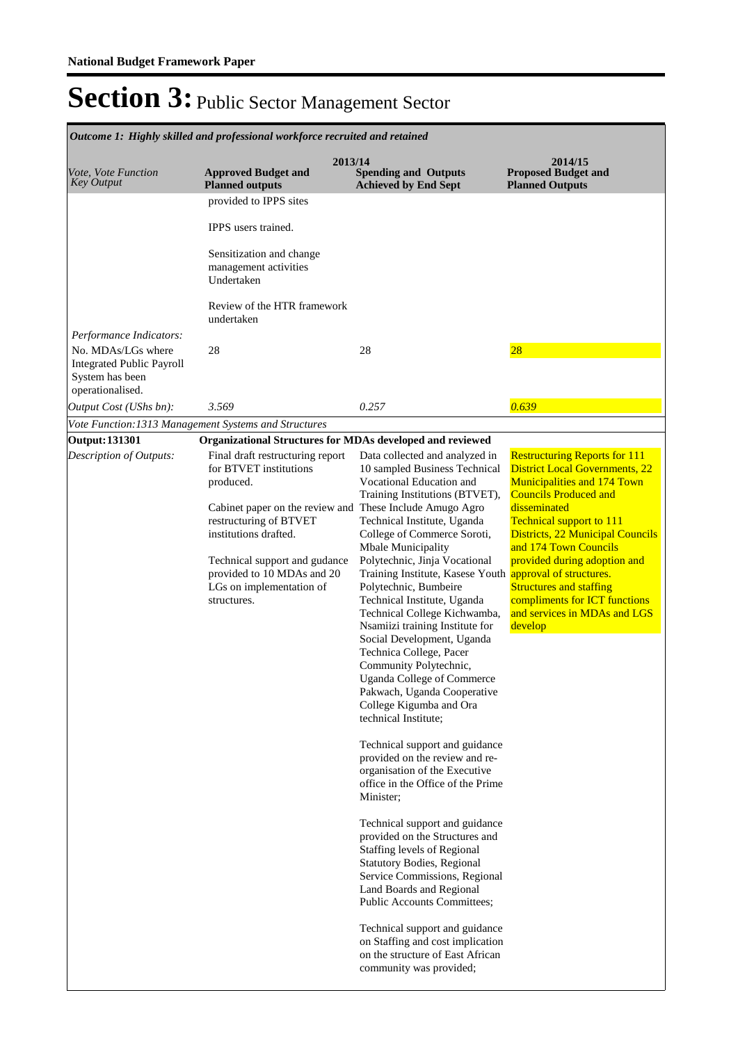| Outcome 1: Highly skilled and professional workforce recruited and retained                                                                                                                                                          |                                                                                                                                                                                                                                                                                                                                                                                                                                                                                                                                                                                                                                                                                                                                                                                                                                                                                                                                                                                                                                                                                                                                 |                                                                                                                                                                                                                                                                                                                                                                                                                                                     |  |  |  |  |  |
|--------------------------------------------------------------------------------------------------------------------------------------------------------------------------------------------------------------------------------------|---------------------------------------------------------------------------------------------------------------------------------------------------------------------------------------------------------------------------------------------------------------------------------------------------------------------------------------------------------------------------------------------------------------------------------------------------------------------------------------------------------------------------------------------------------------------------------------------------------------------------------------------------------------------------------------------------------------------------------------------------------------------------------------------------------------------------------------------------------------------------------------------------------------------------------------------------------------------------------------------------------------------------------------------------------------------------------------------------------------------------------|-----------------------------------------------------------------------------------------------------------------------------------------------------------------------------------------------------------------------------------------------------------------------------------------------------------------------------------------------------------------------------------------------------------------------------------------------------|--|--|--|--|--|
| <b>Approved Budget and</b><br><b>Planned outputs</b>                                                                                                                                                                                 | <b>Spending and Outputs</b><br><b>Achieved by End Sept</b>                                                                                                                                                                                                                                                                                                                                                                                                                                                                                                                                                                                                                                                                                                                                                                                                                                                                                                                                                                                                                                                                      | 2014/15<br><b>Proposed Budget and</b><br><b>Planned Outputs</b>                                                                                                                                                                                                                                                                                                                                                                                     |  |  |  |  |  |
| provided to IPPS sites                                                                                                                                                                                                               |                                                                                                                                                                                                                                                                                                                                                                                                                                                                                                                                                                                                                                                                                                                                                                                                                                                                                                                                                                                                                                                                                                                                 |                                                                                                                                                                                                                                                                                                                                                                                                                                                     |  |  |  |  |  |
| IPPS users trained.                                                                                                                                                                                                                  |                                                                                                                                                                                                                                                                                                                                                                                                                                                                                                                                                                                                                                                                                                                                                                                                                                                                                                                                                                                                                                                                                                                                 |                                                                                                                                                                                                                                                                                                                                                                                                                                                     |  |  |  |  |  |
| Sensitization and change<br>management activities<br>Undertaken                                                                                                                                                                      |                                                                                                                                                                                                                                                                                                                                                                                                                                                                                                                                                                                                                                                                                                                                                                                                                                                                                                                                                                                                                                                                                                                                 |                                                                                                                                                                                                                                                                                                                                                                                                                                                     |  |  |  |  |  |
| Review of the HTR framework<br>undertaken                                                                                                                                                                                            |                                                                                                                                                                                                                                                                                                                                                                                                                                                                                                                                                                                                                                                                                                                                                                                                                                                                                                                                                                                                                                                                                                                                 |                                                                                                                                                                                                                                                                                                                                                                                                                                                     |  |  |  |  |  |
|                                                                                                                                                                                                                                      |                                                                                                                                                                                                                                                                                                                                                                                                                                                                                                                                                                                                                                                                                                                                                                                                                                                                                                                                                                                                                                                                                                                                 |                                                                                                                                                                                                                                                                                                                                                                                                                                                     |  |  |  |  |  |
| 28                                                                                                                                                                                                                                   | 28                                                                                                                                                                                                                                                                                                                                                                                                                                                                                                                                                                                                                                                                                                                                                                                                                                                                                                                                                                                                                                                                                                                              | $\overline{28}$                                                                                                                                                                                                                                                                                                                                                                                                                                     |  |  |  |  |  |
| 3.569                                                                                                                                                                                                                                | 0.257                                                                                                                                                                                                                                                                                                                                                                                                                                                                                                                                                                                                                                                                                                                                                                                                                                                                                                                                                                                                                                                                                                                           | 0.639                                                                                                                                                                                                                                                                                                                                                                                                                                               |  |  |  |  |  |
| Vote Function: 1313 Management Systems and Structures                                                                                                                                                                                |                                                                                                                                                                                                                                                                                                                                                                                                                                                                                                                                                                                                                                                                                                                                                                                                                                                                                                                                                                                                                                                                                                                                 |                                                                                                                                                                                                                                                                                                                                                                                                                                                     |  |  |  |  |  |
|                                                                                                                                                                                                                                      |                                                                                                                                                                                                                                                                                                                                                                                                                                                                                                                                                                                                                                                                                                                                                                                                                                                                                                                                                                                                                                                                                                                                 |                                                                                                                                                                                                                                                                                                                                                                                                                                                     |  |  |  |  |  |
| Final draft restructuring report<br>for BTVET institutions<br>produced.<br>restructuring of BTVET<br>institutions drafted.<br>Technical support and gudance<br>provided to 10 MDAs and 20<br>LGs on implementation of<br>structures. | Data collected and analyzed in<br>10 sampled Business Technical<br>Vocational Education and<br>Training Institutions (BTVET),<br>These Include Amugo Agro<br>Technical Institute, Uganda<br>College of Commerce Soroti,<br>Mbale Municipality<br>Polytechnic, Jinja Vocational<br>Training Institute, Kasese Youth<br>Polytechnic, Bumbeire<br>Technical Institute, Uganda<br>Technical College Kichwamba,<br>Nsamiizi training Institute for<br>Social Development, Uganda<br>Technica College, Pacer<br>Community Polytechnic,<br><b>Uganda College of Commerce</b><br>Pakwach, Uganda Cooperative<br>College Kigumba and Ora<br>technical Institute;<br>Technical support and guidance<br>provided on the review and re-<br>organisation of the Executive<br>office in the Office of the Prime<br>Minister:<br>Technical support and guidance<br>provided on the Structures and<br><b>Staffing levels of Regional</b><br><b>Statutory Bodies, Regional</b><br>Service Commissions, Regional<br>Land Boards and Regional<br>Public Accounts Committees;<br>Technical support and guidance<br>on Staffing and cost implication | <b>Restructuring Reports for 111</b><br><b>District Local Governments, 22</b><br><b>Municipalities and 174 Town</b><br><b>Councils Produced and</b><br>disseminated<br><b>Technical support to 111</b><br><b>Districts, 22 Municipal Councils</b><br>and 174 Town Councils<br>provided during adoption and<br>approval of structures.<br><b>Structures and staffing</b><br>compliments for ICT functions<br>and services in MDAs and LGS<br>develop |  |  |  |  |  |
|                                                                                                                                                                                                                                      |                                                                                                                                                                                                                                                                                                                                                                                                                                                                                                                                                                                                                                                                                                                                                                                                                                                                                                                                                                                                                                                                                                                                 | 2013/14<br>Organizational Structures for MDAs developed and reviewed<br>Cabinet paper on the review and<br>on the structure of East African<br>community was provided;                                                                                                                                                                                                                                                                              |  |  |  |  |  |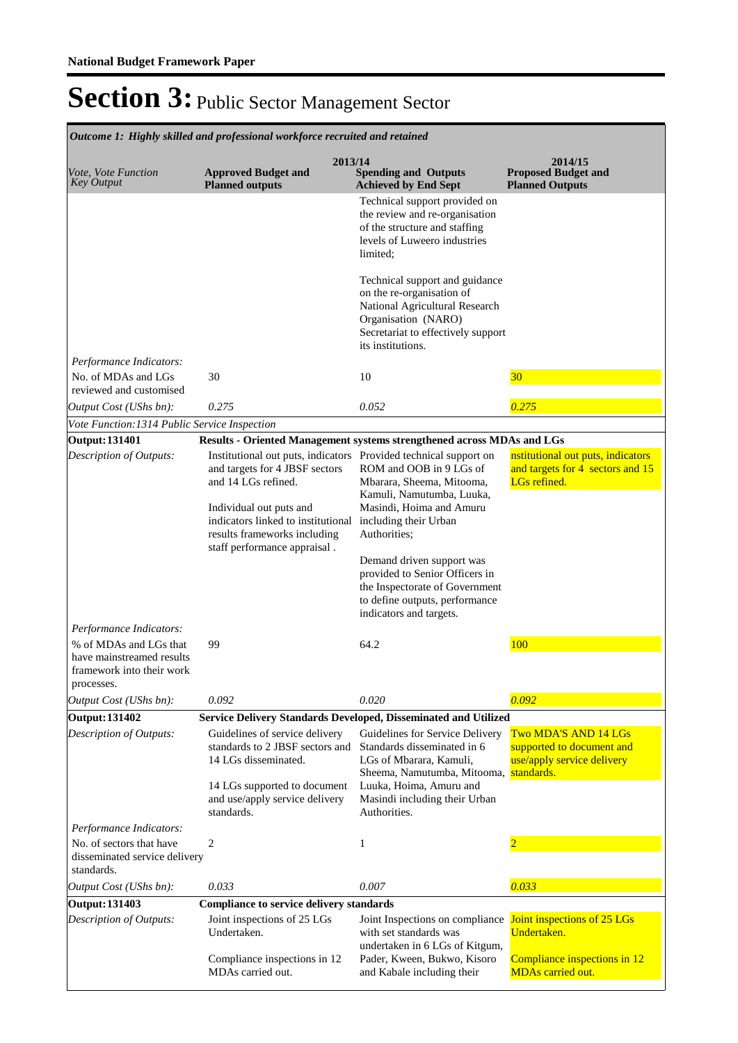|                                                                                                | Outcome 1: Highly skilled and professional workforce recruited and retained                                                   |                                                                                                                                                                                 |                                                                                               |
|------------------------------------------------------------------------------------------------|-------------------------------------------------------------------------------------------------------------------------------|---------------------------------------------------------------------------------------------------------------------------------------------------------------------------------|-----------------------------------------------------------------------------------------------|
| Vote, Vote Function<br><b>Key Output</b>                                                       | 2013/14<br><b>Approved Budget and</b><br><b>Planned outputs</b>                                                               | <b>Spending and Outputs</b><br><b>Achieved by End Sept</b>                                                                                                                      | 2014/15<br><b>Proposed Budget and</b><br><b>Planned Outputs</b>                               |
|                                                                                                |                                                                                                                               | Technical support provided on<br>the review and re-organisation<br>of the structure and staffing<br>levels of Luweero industries<br>limited;                                    |                                                                                               |
|                                                                                                |                                                                                                                               | Technical support and guidance<br>on the re-organisation of<br>National Agricultural Research<br>Organisation (NARO)<br>Secretariat to effectively support<br>its institutions. |                                                                                               |
| Performance Indicators:<br>No. of MDAs and LGs<br>reviewed and customised                      | 30                                                                                                                            | 10                                                                                                                                                                              | 30                                                                                            |
| Output Cost (UShs bn):                                                                         | 0.275                                                                                                                         | 0.052                                                                                                                                                                           | 0.275                                                                                         |
| Vote Function: 1314 Public Service Inspection                                                  |                                                                                                                               |                                                                                                                                                                                 |                                                                                               |
| <b>Output: 131401</b>                                                                          | Results - Oriented Management systems strengthened across MDAs and LGs                                                        |                                                                                                                                                                                 |                                                                                               |
| Description of Outputs:                                                                        | Institutional out puts, indicators Provided technical support on<br>and targets for 4 JBSF sectors<br>and 14 LGs refined.     | ROM and OOB in 9 LGs of<br>Mbarara, Sheema, Mitooma,<br>Kamuli, Namutumba, Luuka,                                                                                               | nstitutional out puts, indicators<br>and targets for 4 sectors and 15<br>LGs refined.         |
|                                                                                                | Individual out puts and<br>indicators linked to institutional<br>results frameworks including<br>staff performance appraisal. | Masindi, Hoima and Amuru<br>including their Urban<br>Authorities;                                                                                                               |                                                                                               |
|                                                                                                |                                                                                                                               | Demand driven support was<br>provided to Senior Officers in<br>the Inspectorate of Government<br>to define outputs, performance<br>indicators and targets.                      |                                                                                               |
| Performance Indicators:                                                                        |                                                                                                                               |                                                                                                                                                                                 |                                                                                               |
| % of MDAs and LGs that<br>have mainstreamed results<br>framework into their work<br>processes. | 99                                                                                                                            | 64.2                                                                                                                                                                            | 100                                                                                           |
| Output Cost (UShs bn):                                                                         | 0.092                                                                                                                         | 0.020                                                                                                                                                                           | 0.092                                                                                         |
| <b>Output: 131402</b>                                                                          | Service Delivery Standards Developed, Disseminated and Utilized                                                               |                                                                                                                                                                                 |                                                                                               |
| Description of Outputs:                                                                        | Guidelines of service delivery<br>standards to 2 JBSF sectors and<br>14 LGs disseminated.                                     | Guidelines for Service Delivery<br>Standards disseminated in 6<br>LGs of Mbarara, Kamuli,<br>Sheema, Namutumba, Mitooma,                                                        | Two MDA'S AND 14 LGs<br>supported to document and<br>use/apply service delivery<br>standards. |
|                                                                                                | 14 LGs supported to document<br>and use/apply service delivery<br>standards.                                                  | Luuka, Hoima, Amuru and<br>Masindi including their Urban<br>Authorities.                                                                                                        |                                                                                               |
| Performance Indicators:                                                                        |                                                                                                                               |                                                                                                                                                                                 |                                                                                               |
| No. of sectors that have<br>disseminated service delivery<br>standards.                        | 2                                                                                                                             | 1                                                                                                                                                                               |                                                                                               |
| Output Cost (UShs bn):                                                                         | 0.033                                                                                                                         | 0.007                                                                                                                                                                           | 0.033                                                                                         |
| <b>Output: 131403</b>                                                                          | <b>Compliance to service delivery standards</b>                                                                               |                                                                                                                                                                                 |                                                                                               |
| Description of Outputs:                                                                        | Joint inspections of 25 LGs<br>Undertaken.                                                                                    | Joint Inspections on compliance Joint inspections of 25 LGs<br>with set standards was<br>undertaken in 6 LGs of Kitgum,                                                         | Undertaken.                                                                                   |
|                                                                                                | Compliance inspections in 12<br>MDAs carried out.                                                                             | Pader, Kween, Bukwo, Kisoro<br>and Kabale including their                                                                                                                       | Compliance inspections in 12<br><b>MDAs carried out.</b>                                      |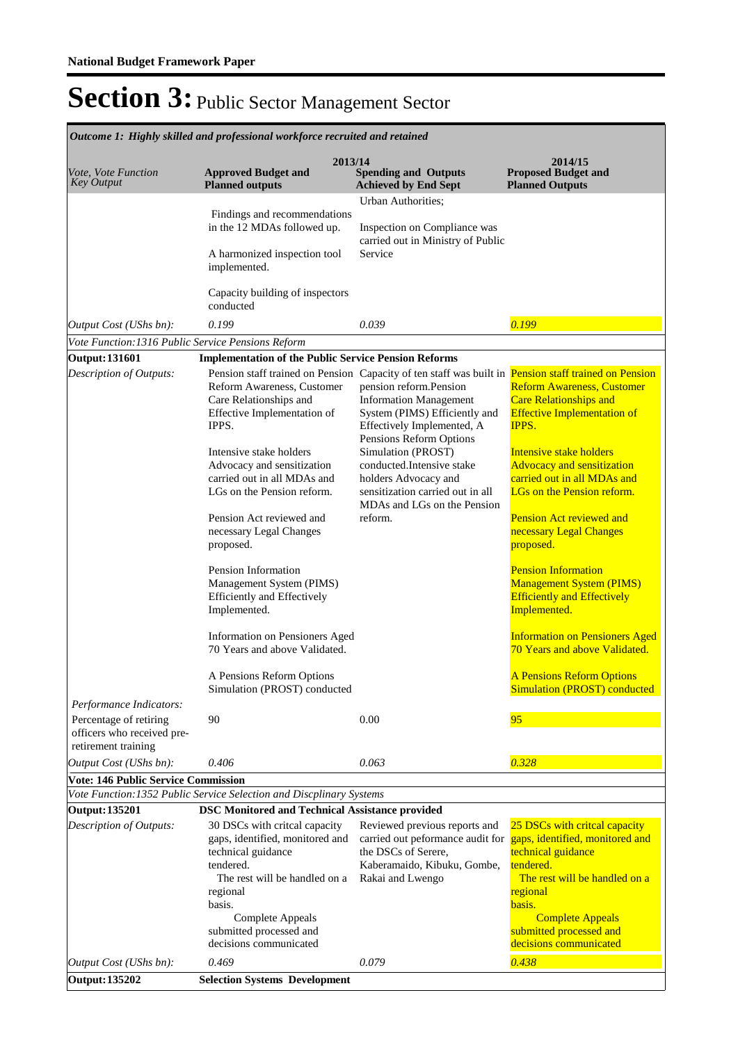|                                                                                                                                                                                                       | Outcome 1: Highly skilled and professional workforce recruited and retained                                                                                                                                                                                                                                                                                                                                                                                                                      |                                                                                                                                                                                                                                                                                                                                                                                                                    |                                                                                                                                                                                                                                                                                                                                                                                                                                                                                           |  |  |  |
|-------------------------------------------------------------------------------------------------------------------------------------------------------------------------------------------------------|--------------------------------------------------------------------------------------------------------------------------------------------------------------------------------------------------------------------------------------------------------------------------------------------------------------------------------------------------------------------------------------------------------------------------------------------------------------------------------------------------|--------------------------------------------------------------------------------------------------------------------------------------------------------------------------------------------------------------------------------------------------------------------------------------------------------------------------------------------------------------------------------------------------------------------|-------------------------------------------------------------------------------------------------------------------------------------------------------------------------------------------------------------------------------------------------------------------------------------------------------------------------------------------------------------------------------------------------------------------------------------------------------------------------------------------|--|--|--|
| Vote, Vote Function<br><b>Key Output</b>                                                                                                                                                              | 2013/14<br><b>Approved Budget and</b><br><b>Planned outputs</b>                                                                                                                                                                                                                                                                                                                                                                                                                                  | <b>Spending and Outputs</b><br><b>Achieved by End Sept</b>                                                                                                                                                                                                                                                                                                                                                         | 2014/15<br><b>Proposed Budget and</b><br><b>Planned Outputs</b>                                                                                                                                                                                                                                                                                                                                                                                                                           |  |  |  |
|                                                                                                                                                                                                       | Findings and recommendations<br>in the 12 MDAs followed up.<br>A harmonized inspection tool<br>implemented.                                                                                                                                                                                                                                                                                                                                                                                      | Urban Authorities;<br>Inspection on Compliance was<br>carried out in Ministry of Public<br>Service                                                                                                                                                                                                                                                                                                                 |                                                                                                                                                                                                                                                                                                                                                                                                                                                                                           |  |  |  |
|                                                                                                                                                                                                       | Capacity building of inspectors<br>conducted                                                                                                                                                                                                                                                                                                                                                                                                                                                     |                                                                                                                                                                                                                                                                                                                                                                                                                    |                                                                                                                                                                                                                                                                                                                                                                                                                                                                                           |  |  |  |
| Output Cost (UShs bn):                                                                                                                                                                                | 0.199                                                                                                                                                                                                                                                                                                                                                                                                                                                                                            | 0.039                                                                                                                                                                                                                                                                                                                                                                                                              | 0.199                                                                                                                                                                                                                                                                                                                                                                                                                                                                                     |  |  |  |
| Vote Function: 1316 Public Service Pensions Reform                                                                                                                                                    |                                                                                                                                                                                                                                                                                                                                                                                                                                                                                                  |                                                                                                                                                                                                                                                                                                                                                                                                                    |                                                                                                                                                                                                                                                                                                                                                                                                                                                                                           |  |  |  |
| <b>Output: 131601</b><br>Description of Outputs:                                                                                                                                                      | <b>Implementation of the Public Service Pension Reforms</b><br>Reform Awareness, Customer<br>Care Relationships and<br>Effective Implementation of<br>IPPS.<br>Intensive stake holders<br>Advocacy and sensitization<br>carried out in all MDAs and<br>LGs on the Pension reform.<br>Pension Act reviewed and<br>necessary Legal Changes<br>proposed.<br>Pension Information<br>Management System (PIMS)<br><b>Efficiently and Effectively</b><br>Implemented.<br>Information on Pensioners Aged | Pension staff trained on Pension Capacity of ten staff was built in Pension staff trained on Pension<br>pension reform.Pension<br><b>Information Management</b><br>System (PIMS) Efficiently and<br>Effectively Implemented, A<br>Pensions Reform Options<br>Simulation (PROST)<br>conducted.Intensive stake<br>holders Advocacy and<br>sensitization carried out in all<br>MDAs and LGs on the Pension<br>reform. | <b>Reform Awareness, Customer</b><br><b>Care Relationships and</b><br><b>Effective Implementation of</b><br>IPPS.<br>Intensive stake holders<br><b>Advocacy and sensitization</b><br>carried out in all MDAs and<br>LGs on the Pension reform.<br><b>Pension Act reviewed and</b><br>necessary Legal Changes<br>proposed.<br><b>Pension Information</b><br><b>Management System (PIMS)</b><br><b>Efficiently and Effectively</b><br>Implemented.<br><b>Information on Pensioners Aged</b> |  |  |  |
|                                                                                                                                                                                                       | 70 Years and above Validated.<br>A Pensions Reform Options<br>Simulation (PROST) conducted                                                                                                                                                                                                                                                                                                                                                                                                       |                                                                                                                                                                                                                                                                                                                                                                                                                    | 70 Years and above Validated.<br><b>A Pensions Reform Options</b><br><b>Simulation (PROST) conducted</b>                                                                                                                                                                                                                                                                                                                                                                                  |  |  |  |
| Performance Indicators:<br>Percentage of retiring<br>officers who received pre-<br>retirement training                                                                                                | 90                                                                                                                                                                                                                                                                                                                                                                                                                                                                                               | 0.00                                                                                                                                                                                                                                                                                                                                                                                                               | 95                                                                                                                                                                                                                                                                                                                                                                                                                                                                                        |  |  |  |
| Output Cost (UShs bn):                                                                                                                                                                                | 0.406                                                                                                                                                                                                                                                                                                                                                                                                                                                                                            | 0.063                                                                                                                                                                                                                                                                                                                                                                                                              | 0.328                                                                                                                                                                                                                                                                                                                                                                                                                                                                                     |  |  |  |
| <b>Vote: 146 Public Service Commission</b><br>Vote Function: 1352 Public Service Selection and Discplinary Systems<br><b>Output: 135201</b><br><b>DSC Monitored and Technical Assistance provided</b> |                                                                                                                                                                                                                                                                                                                                                                                                                                                                                                  |                                                                                                                                                                                                                                                                                                                                                                                                                    |                                                                                                                                                                                                                                                                                                                                                                                                                                                                                           |  |  |  |
| Description of Outputs:                                                                                                                                                                               | 30 DSCs with critcal capacity<br>gaps, identified, monitored and<br>technical guidance<br>tendered.<br>The rest will be handled on a<br>regional<br>basis.<br>Complete Appeals<br>submitted processed and<br>decisions communicated                                                                                                                                                                                                                                                              | Reviewed previous reports and<br>carried out peformance audit for<br>the DSCs of Serere,<br>Kaberamaido, Kibuku, Gombe,<br>Rakai and Lwengo                                                                                                                                                                                                                                                                        | 25 DSCs with critcal capacity<br>gaps, identified, monitored and<br>technical guidance<br>tendered.<br>The rest will be handled on a<br>regional<br>basis.<br><b>Complete Appeals</b><br>submitted processed and<br>decisions communicated                                                                                                                                                                                                                                                |  |  |  |
| Output Cost (UShs bn):<br><b>Output: 135202</b>                                                                                                                                                       | 0.469<br><b>Selection Systems Development</b>                                                                                                                                                                                                                                                                                                                                                                                                                                                    | 0.079                                                                                                                                                                                                                                                                                                                                                                                                              | 0.438                                                                                                                                                                                                                                                                                                                                                                                                                                                                                     |  |  |  |
|                                                                                                                                                                                                       |                                                                                                                                                                                                                                                                                                                                                                                                                                                                                                  |                                                                                                                                                                                                                                                                                                                                                                                                                    |                                                                                                                                                                                                                                                                                                                                                                                                                                                                                           |  |  |  |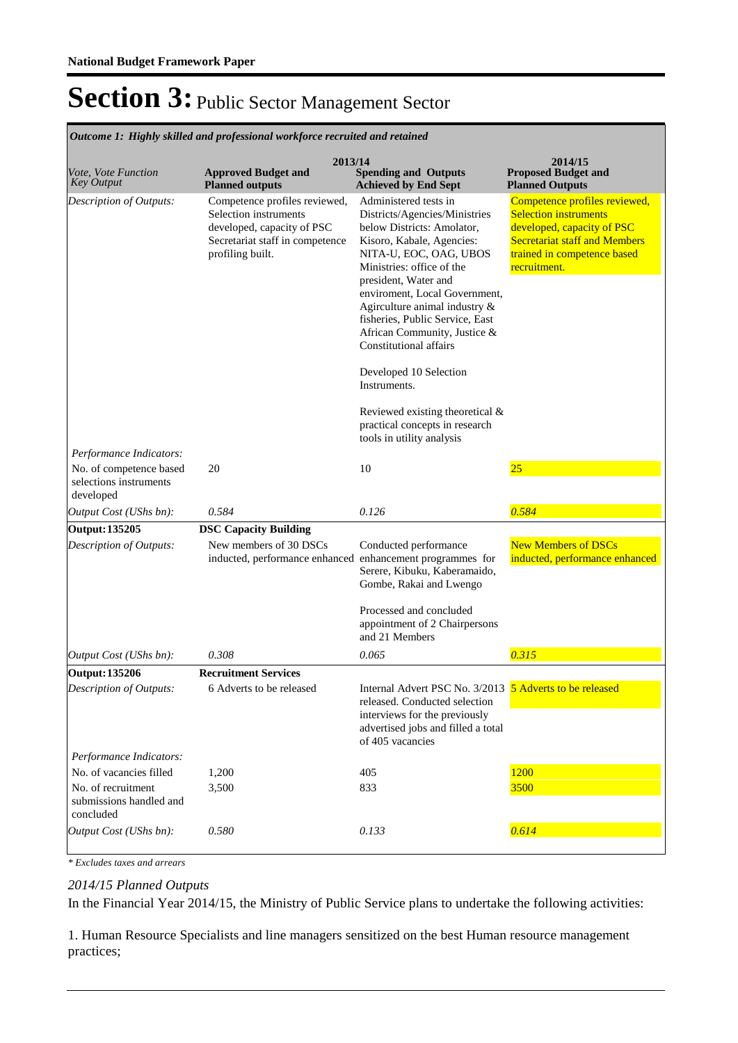**Spending and Outputs Achieved by End Sept Approved Budget and Planned outputs Proposed Budget and Planned Outputs 2013/14** *Vote, Vote Function Key Output* **2014/15** *Outcome 1: Highly skilled and professional workforce recruited and retained* Competence profiles reviewed, Selection instruments developed, capacity of PSC Secretariat staff in competence profiling built. Administered tests in Districts/Agencies/Ministries below Districts: Amolator, Kisoro, Kabale, Agencies: NITA-U, EOC, OAG, UBOS Ministries: office of the president, Water and enviroment, Local Government, Agirculture animal industry & fisheries, Public Service, East African Community, Justice & Constitutional affairs Developed 10 Selection Instruments. Reviewed existing theoretical & practical concepts in research tools in utility analysis Competence profiles reviewed, **Selection instruments** developed, capacity of PSC Secretariat staff and Members trained in competence based recruitment. *Output Cost (UShs bn): 0.584 0.126 0.584 Description of Outputs: Performance Indicators:* No. of competence based selections instruments developed 20 10 25 **Output: 135205 DSC Capacity Building** New members of 30 DSCs inducted, performance enhanced Conducted performance enhancement programmes for Serere, Kibuku, Kaberamaido, Gombe, Rakai and Lwengo Processed and concluded appointment of 2 Chairpersons and 21 Members New Members of DSCs inducted, performance enhanced *Output Cost (UShs bn): 0.308 0.065 0.315 Description of Outputs:* **Output: 135206 Recruitment Services** 6 Adverts to be released **Internal Advert PSC No. 3/2013 5 Adverts to be released** released. Conducted selection interviews for the previously advertised jobs and filled a total of 405 vacancies *Output Cost (UShs bn): 0.580 0.133 0.614 Description of Outputs: Performance Indicators:* No. of vacancies filled 1,200 405 1200 No. of recruitment submissions handled and concluded 3,500 833 3500

*\* Excludes taxes and arrears*

*2014/15 Planned Outputs*

In the Financial Year 2014/15, the Ministry of Public Service plans to undertake the following activities:

1. Human Resource Specialists and line managers sensitized on the best Human resource management practices;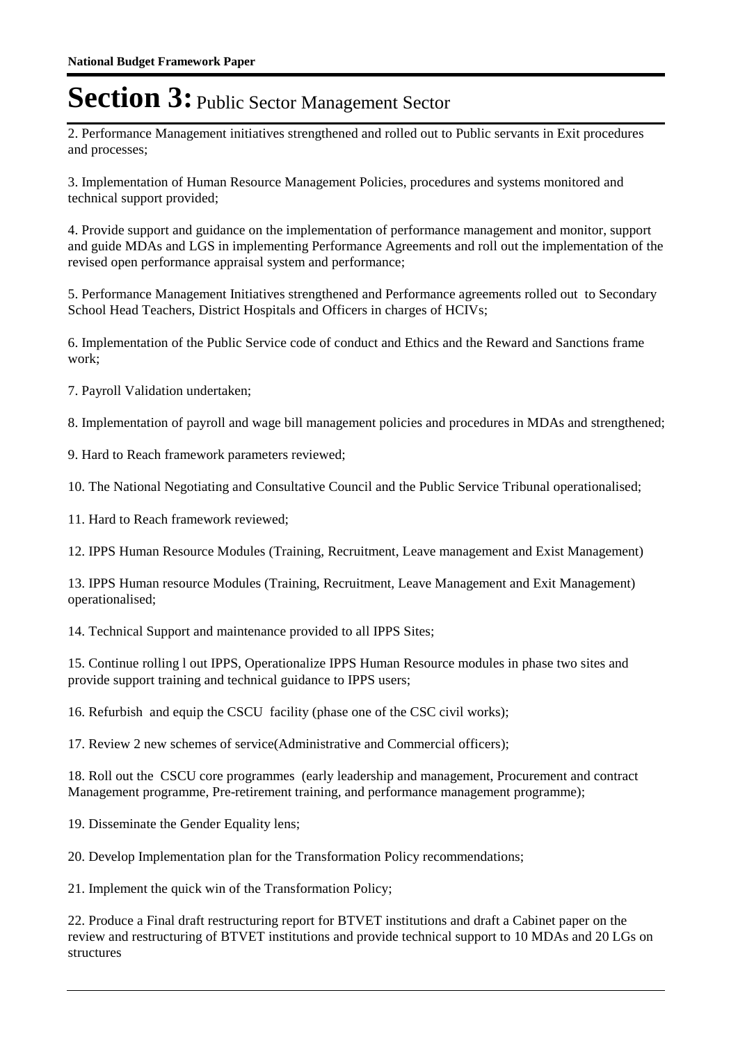2. Performance Management initiatives strengthened and rolled out to Public servants in Exit procedures and processes;

3. Implementation of Human Resource Management Policies, procedures and systems monitored and technical support provided;

4. Provide support and guidance on the implementation of performance management and monitor, support and guide MDAs and LGS in implementing Performance Agreements and roll out the implementation of the revised open performance appraisal system and performance;

5. Performance Management Initiatives strengthened and Performance agreements rolled out to Secondary School Head Teachers, District Hospitals and Officers in charges of HCIVs;

6. Implementation of the Public Service code of conduct and Ethics and the Reward and Sanctions frame work;

7. Payroll Validation undertaken;

8. Implementation of payroll and wage bill management policies and procedures in MDAs and strengthened;

9. Hard to Reach framework parameters reviewed;

10. The National Negotiating and Consultative Council and the Public Service Tribunal operationalised;

11. Hard to Reach framework reviewed;

12. IPPS Human Resource Modules (Training, Recruitment, Leave management and Exist Management)

13. IPPS Human resource Modules (Training, Recruitment, Leave Management and Exit Management) operationalised;

14. Technical Support and maintenance provided to all IPPS Sites;

15. Continue rolling l out IPPS, Operationalize IPPS Human Resource modules in phase two sites and provide support training and technical guidance to IPPS users;

16. Refurbish and equip the CSCU facility (phase one of the CSC civil works);

17. Review 2 new schemes of service(Administrative and Commercial officers);

18. Roll out the CSCU core programmes (early leadership and management, Procurement and contract Management programme, Pre-retirement training, and performance management programme);

19. Disseminate the Gender Equality lens;

20. Develop Implementation plan for the Transformation Policy recommendations;

21. Implement the quick win of the Transformation Policy;

22. Produce a Final draft restructuring report for BTVET institutions and draft a Cabinet paper on the review and restructuring of BTVET institutions and provide technical support to 10 MDAs and 20 LGs on structures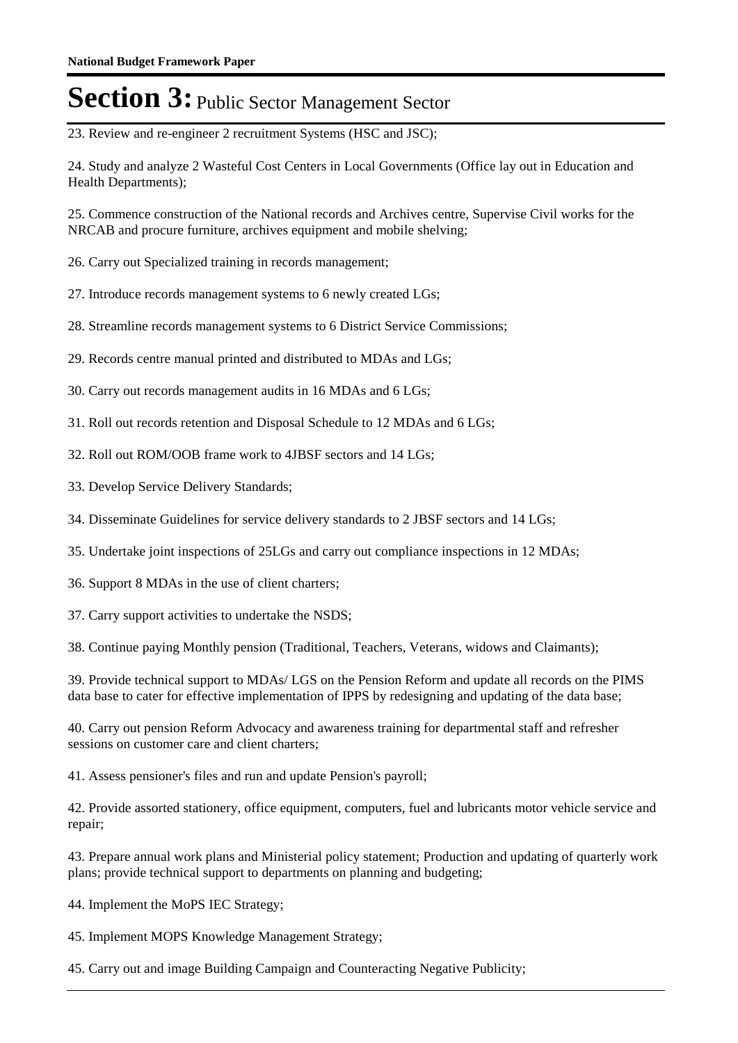23. Review and re-engineer 2 recruitment Systems (HSC and JSC);

24. Study and analyze 2 Wasteful Cost Centers in Local Governments (Office lay out in Education and Health Departments);

25. Commence construction of the National records and Archives centre, Supervise Civil works for the NRCAB and procure furniture, archives equipment and mobile shelving;

26. Carry out Specialized training in records management;

27. Introduce records management systems to 6 newly created LGs;

28. Streamline records management systems to 6 District Service Commissions;

29. Records centre manual printed and distributed to MDAs and LGs;

30. Carry out records management audits in 16 MDAs and 6 LGs;

31. Roll out records retention and Disposal Schedule to 12 MDAs and 6 LGs;

32. Roll out ROM/OOB frame work to 4JBSF sectors and 14 LGs;

33. Develop Service Delivery Standards;

34. Disseminate Guidelines for service delivery standards to 2 JBSF sectors and 14 LGs;

35. Undertake joint inspections of 25LGs and carry out compliance inspections in 12 MDAs;

36. Support 8 MDAs in the use of client charters;

37. Carry support activities to undertake the NSDS;

38. Continue paying Monthly pension (Traditional, Teachers, Veterans, widows and Claimants);

39. Provide technical support to MDAs/ LGS on the Pension Reform and update all records on the PIMS data base to cater for effective implementation of IPPS by redesigning and updating of the data base;

40. Carry out pension Reform Advocacy and awareness training for departmental staff and refresher sessions on customer care and client charters;

41. Assess pensioner's files and run and update Pension's payroll;

42. Provide assorted stationery, office equipment, computers, fuel and lubricants motor vehicle service and repair;

43. Prepare annual work plans and Ministerial policy statement; Production and updating of quarterly work plans; provide technical support to departments on planning and budgeting;

44. Implement the MoPS IEC Strategy;

45. Implement MOPS Knowledge Management Strategy;

45. Carry out and image Building Campaign and Counteracting Negative Publicity;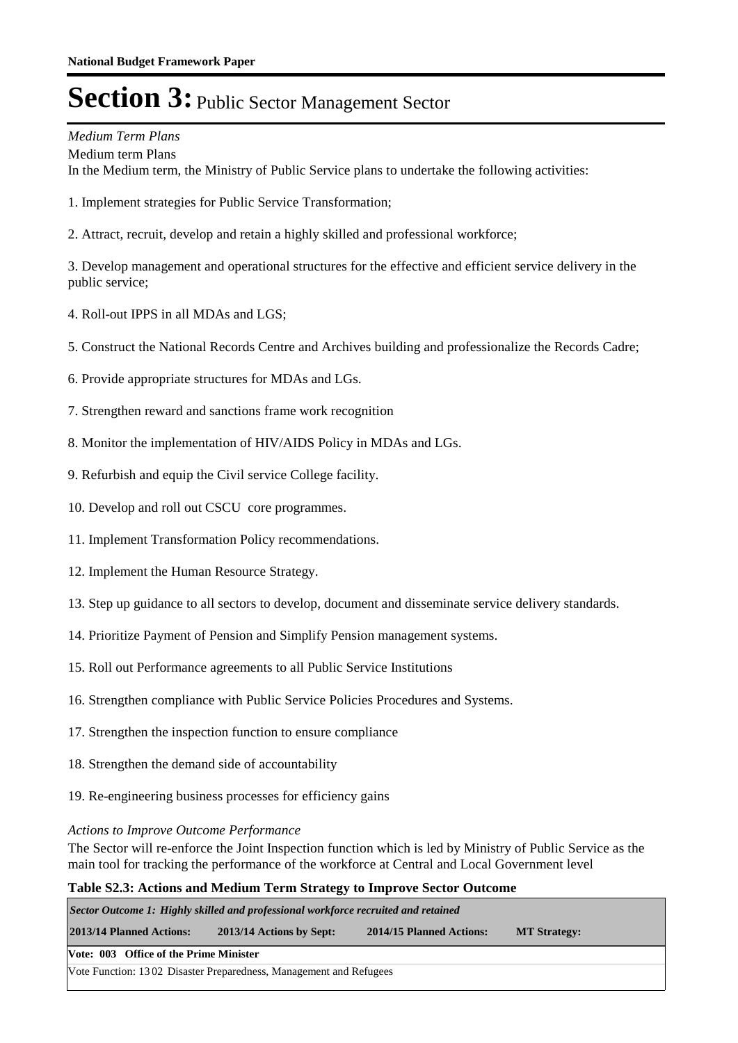### *Medium Term Plans*

Medium term Plans In the Medium term, the Ministry of Public Service plans to undertake the following activities:

- 1. Implement strategies for Public Service Transformation;
- 2. Attract, recruit, develop and retain a highly skilled and professional workforce;

3. Develop management and operational structures for the effective and efficient service delivery in the public service;

- 4. Roll-out IPPS in all MDAs and LGS;
- 5. Construct the National Records Centre and Archives building and professionalize the Records Cadre;
- 6. Provide appropriate structures for MDAs and LGs.
- 7. Strengthen reward and sanctions frame work recognition
- 8. Monitor the implementation of HIV/AIDS Policy in MDAs and LGs.
- 9. Refurbish and equip the Civil service College facility.
- 10. Develop and roll out CSCU core programmes.
- 11. Implement Transformation Policy recommendations.
- 12. Implement the Human Resource Strategy.
- 13. Step up guidance to all sectors to develop, document and disseminate service delivery standards.
- 14. Prioritize Payment of Pension and Simplify Pension management systems.
- 15. Roll out Performance agreements to all Public Service Institutions
- 16. Strengthen compliance with Public Service Policies Procedures and Systems.
- 17. Strengthen the inspection function to ensure compliance
- 18. Strengthen the demand side of accountability
- 19. Re-engineering business processes for efficiency gains

#### *Actions to Improve Outcome Performance*

The Sector will re-enforce the Joint Inspection function which is led by Ministry of Public Service as the main tool for tracking the performance of the workforce at Central and Local Government level

#### **Table S2.3: Actions and Medium Term Strategy to Improve Sector Outcome**

*Sector Outcome 1: Highly skilled and professional workforce recruited and retained*

**2013/14 Planned Actions: 2013/14 Actions by Sept: 2014/15 Planned Actions: MT Strategy:**

#### **Vote: 003 Office of the Prime Minister**

Vote Function: 13 02 Disaster Preparedness, Management and Refugees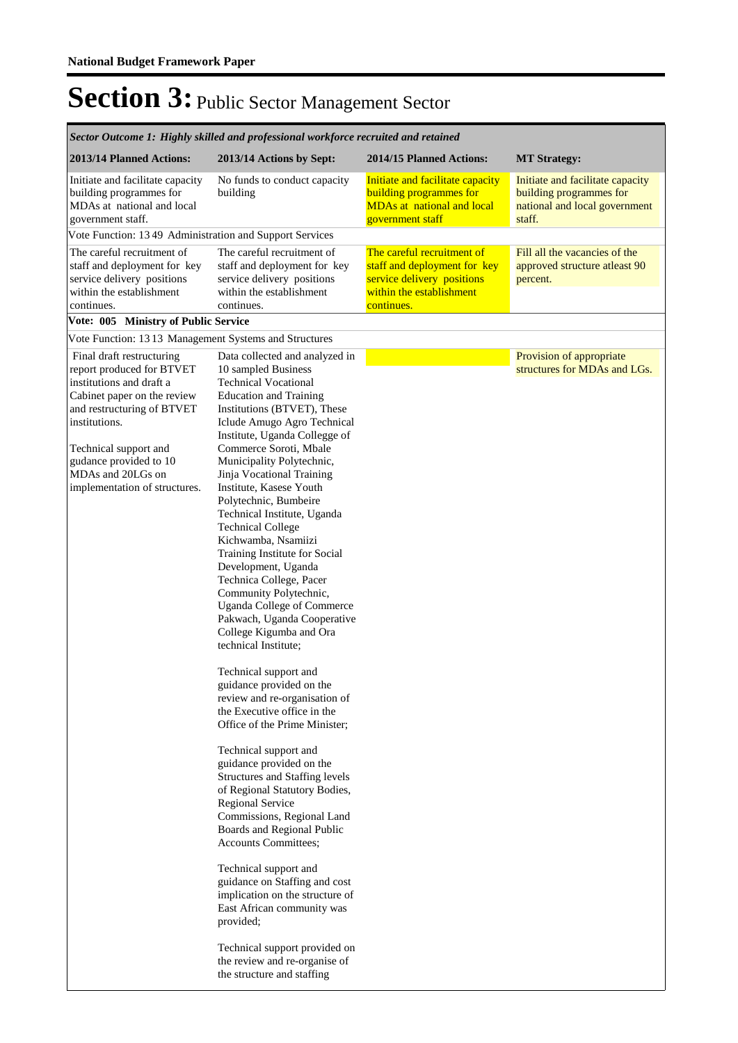| Sector Outcome 1: Highly skilled and professional workforce recruited and retained                                                                                                                                                                                        |                                                                                                                                                                                                                                                                                                                                                                                                                                                                                                                                                                                                                                                                                                                                                                                                                                                                                                                                                                                                                                                                                                                                                                                                                                                                                           |                                                                                                                                    |                                                                                                        |
|---------------------------------------------------------------------------------------------------------------------------------------------------------------------------------------------------------------------------------------------------------------------------|-------------------------------------------------------------------------------------------------------------------------------------------------------------------------------------------------------------------------------------------------------------------------------------------------------------------------------------------------------------------------------------------------------------------------------------------------------------------------------------------------------------------------------------------------------------------------------------------------------------------------------------------------------------------------------------------------------------------------------------------------------------------------------------------------------------------------------------------------------------------------------------------------------------------------------------------------------------------------------------------------------------------------------------------------------------------------------------------------------------------------------------------------------------------------------------------------------------------------------------------------------------------------------------------|------------------------------------------------------------------------------------------------------------------------------------|--------------------------------------------------------------------------------------------------------|
| 2013/14 Planned Actions:                                                                                                                                                                                                                                                  | 2013/14 Actions by Sept:                                                                                                                                                                                                                                                                                                                                                                                                                                                                                                                                                                                                                                                                                                                                                                                                                                                                                                                                                                                                                                                                                                                                                                                                                                                                  | 2014/15 Planned Actions:                                                                                                           | <b>MT Strategy:</b>                                                                                    |
| Initiate and facilitate capacity<br>building programmes for<br>MDAs at national and local<br>government staff.                                                                                                                                                            | No funds to conduct capacity<br>building                                                                                                                                                                                                                                                                                                                                                                                                                                                                                                                                                                                                                                                                                                                                                                                                                                                                                                                                                                                                                                                                                                                                                                                                                                                  | Initiate and facilitate capacity<br><b>building programmes for</b><br><b>MDAs at national and local</b><br>government staff        | Initiate and facilitate capacity<br>building programmes for<br>national and local government<br>staff. |
| Vote Function: 13 49 Administration and Support Services                                                                                                                                                                                                                  |                                                                                                                                                                                                                                                                                                                                                                                                                                                                                                                                                                                                                                                                                                                                                                                                                                                                                                                                                                                                                                                                                                                                                                                                                                                                                           |                                                                                                                                    |                                                                                                        |
| The careful recruitment of<br>staff and deployment for key<br>service delivery positions<br>within the establishment<br>continues.                                                                                                                                        | The careful recruitment of<br>staff and deployment for key<br>service delivery positions<br>within the establishment<br>continues.                                                                                                                                                                                                                                                                                                                                                                                                                                                                                                                                                                                                                                                                                                                                                                                                                                                                                                                                                                                                                                                                                                                                                        | The careful recruitment of<br>staff and deployment for key<br>service delivery positions<br>within the establishment<br>continues. | Fill all the vacancies of the<br>approved structure atleast 90<br>percent.                             |
| Vote: 005 Ministry of Public Service                                                                                                                                                                                                                                      |                                                                                                                                                                                                                                                                                                                                                                                                                                                                                                                                                                                                                                                                                                                                                                                                                                                                                                                                                                                                                                                                                                                                                                                                                                                                                           |                                                                                                                                    |                                                                                                        |
| Vote Function: 1313 Management Systems and Structures                                                                                                                                                                                                                     |                                                                                                                                                                                                                                                                                                                                                                                                                                                                                                                                                                                                                                                                                                                                                                                                                                                                                                                                                                                                                                                                                                                                                                                                                                                                                           |                                                                                                                                    |                                                                                                        |
| Final draft restructuring<br>report produced for BTVET<br>institutions and draft a<br>Cabinet paper on the review<br>and restructuring of BTVET<br>institutions.<br>Technical support and<br>gudance provided to 10<br>MDAs and 20LGs on<br>implementation of structures. | Data collected and analyzed in<br>10 sampled Business<br><b>Technical Vocational</b><br><b>Education and Training</b><br>Institutions (BTVET), These<br>Iclude Amugo Agro Technical<br>Institute, Uganda Collegge of<br>Commerce Soroti, Mbale<br>Municipality Polytechnic,<br>Jinja Vocational Training<br>Institute, Kasese Youth<br>Polytechnic, Bumbeire<br>Technical Institute, Uganda<br><b>Technical College</b><br>Kichwamba, Nsamiizi<br>Training Institute for Social<br>Development, Uganda<br>Technica College, Pacer<br>Community Polytechnic,<br><b>Uganda College of Commerce</b><br>Pakwach, Uganda Cooperative<br>College Kigumba and Ora<br>technical Institute;<br>Technical support and<br>guidance provided on the<br>review and re-organisation of<br>the Executive office in the<br>Office of the Prime Minister;<br>Technical support and<br>guidance provided on the<br>Structures and Staffing levels<br>of Regional Statutory Bodies,<br><b>Regional Service</b><br>Commissions, Regional Land<br>Boards and Regional Public<br>Accounts Committees;<br>Technical support and<br>guidance on Staffing and cost<br>implication on the structure of<br>East African community was<br>provided;<br>Technical support provided on<br>the review and re-organise of |                                                                                                                                    | Provision of appropriate<br>structures for MDAs and LGs.                                               |
|                                                                                                                                                                                                                                                                           | the structure and staffing                                                                                                                                                                                                                                                                                                                                                                                                                                                                                                                                                                                                                                                                                                                                                                                                                                                                                                                                                                                                                                                                                                                                                                                                                                                                |                                                                                                                                    |                                                                                                        |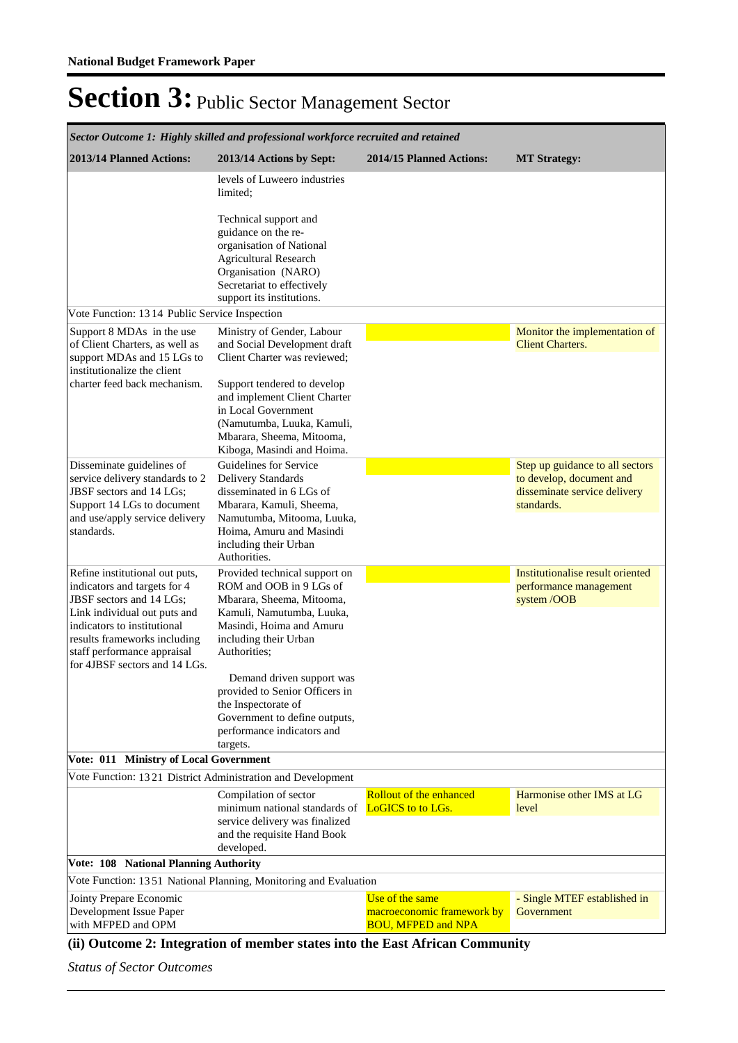| Sector Outcome 1: Highly skilled and professional workforce recruited and retained                                                                          |                                                                                                                                                                                            |                                                                            |                                                                          |
|-------------------------------------------------------------------------------------------------------------------------------------------------------------|--------------------------------------------------------------------------------------------------------------------------------------------------------------------------------------------|----------------------------------------------------------------------------|--------------------------------------------------------------------------|
| 2013/14 Planned Actions:                                                                                                                                    | 2013/14 Actions by Sept:                                                                                                                                                                   | 2014/15 Planned Actions:                                                   | <b>MT Strategy:</b>                                                      |
|                                                                                                                                                             | levels of Luweero industries<br>limited:                                                                                                                                                   |                                                                            |                                                                          |
|                                                                                                                                                             | Technical support and<br>guidance on the re-<br>organisation of National<br><b>Agricultural Research</b><br>Organisation (NARO)<br>Secretariat to effectively<br>support its institutions. |                                                                            |                                                                          |
| Vote Function: 13 14 Public Service Inspection                                                                                                              |                                                                                                                                                                                            |                                                                            |                                                                          |
| Support 8 MDAs in the use<br>of Client Charters, as well as<br>support MDAs and 15 LGs to<br>institutionalize the client                                    | Ministry of Gender, Labour<br>and Social Development draft<br>Client Charter was reviewed;                                                                                                 |                                                                            | Monitor the implementation of<br><b>Client Charters.</b>                 |
| charter feed back mechanism.                                                                                                                                | Support tendered to develop<br>and implement Client Charter<br>in Local Government<br>(Namutumba, Luuka, Kamuli,<br>Mbarara, Sheema, Mitooma,<br>Kiboga, Masindi and Hoima.                |                                                                            |                                                                          |
| Disseminate guidelines of                                                                                                                                   | Guidelines for Service                                                                                                                                                                     |                                                                            | Step up guidance to all sectors                                          |
| service delivery standards to 2<br>JBSF sectors and 14 LGs;<br>Support 14 LGs to document                                                                   | Delivery Standards<br>disseminated in 6 LGs of<br>Mbarara, Kamuli, Sheema,<br>Namutumba, Mitooma, Luuka,                                                                                   |                                                                            | to develop, document and<br>disseminate service delivery<br>standards.   |
| and use/apply service delivery<br>standards.                                                                                                                | Hoima, Amuru and Masindi<br>including their Urban<br>Authorities.                                                                                                                          |                                                                            |                                                                          |
| Refine institutional out puts,<br>indicators and targets for 4<br>JBSF sectors and 14 LGs;                                                                  | Provided technical support on<br>ROM and OOB in 9 LGs of<br>Mbarara, Sheema, Mitooma,                                                                                                      |                                                                            | Institutionalise result oriented<br>performance management<br>system/OOB |
| Link individual out puts and<br>indicators to institutional<br>results frameworks including<br>staff performance appraisal<br>for 4JBSF sectors and 14 LGs. | Kamuli, Namutumba, Luuka,<br>Masindi, Hoima and Amuru<br>including their Urban<br>Authorities;                                                                                             |                                                                            |                                                                          |
|                                                                                                                                                             | Demand driven support was<br>provided to Senior Officers in<br>the Inspectorate of<br>Government to define outputs,<br>performance indicators and<br>targets.                              |                                                                            |                                                                          |
| Vote: 011 Ministry of Local Government                                                                                                                      |                                                                                                                                                                                            |                                                                            |                                                                          |
| Vote Function: 1321 District Administration and Development                                                                                                 |                                                                                                                                                                                            |                                                                            |                                                                          |
|                                                                                                                                                             | Compilation of sector<br>minimum national standards of<br>service delivery was finalized<br>and the requisite Hand Book<br>developed.                                                      | <b>Rollout of the enhanced</b><br>LoGICS to to LGs.                        | Harmonise other IMS at LG<br>level                                       |
| Vote: 108 National Planning Authority                                                                                                                       |                                                                                                                                                                                            |                                                                            |                                                                          |
|                                                                                                                                                             | Vote Function: 1351 National Planning, Monitoring and Evaluation                                                                                                                           |                                                                            |                                                                          |
| Jointy Prepare Economic<br>Development Issue Paper<br>with MFPED and OPM                                                                                    |                                                                                                                                                                                            | Use of the same<br>macroeconomic framework by<br><b>BOU, MFPED and NPA</b> | - Single MTEF established in<br>Government                               |

### **(ii) Outcome 2: Integration of member states into the East African Community**

*Status of Sector Outcomes*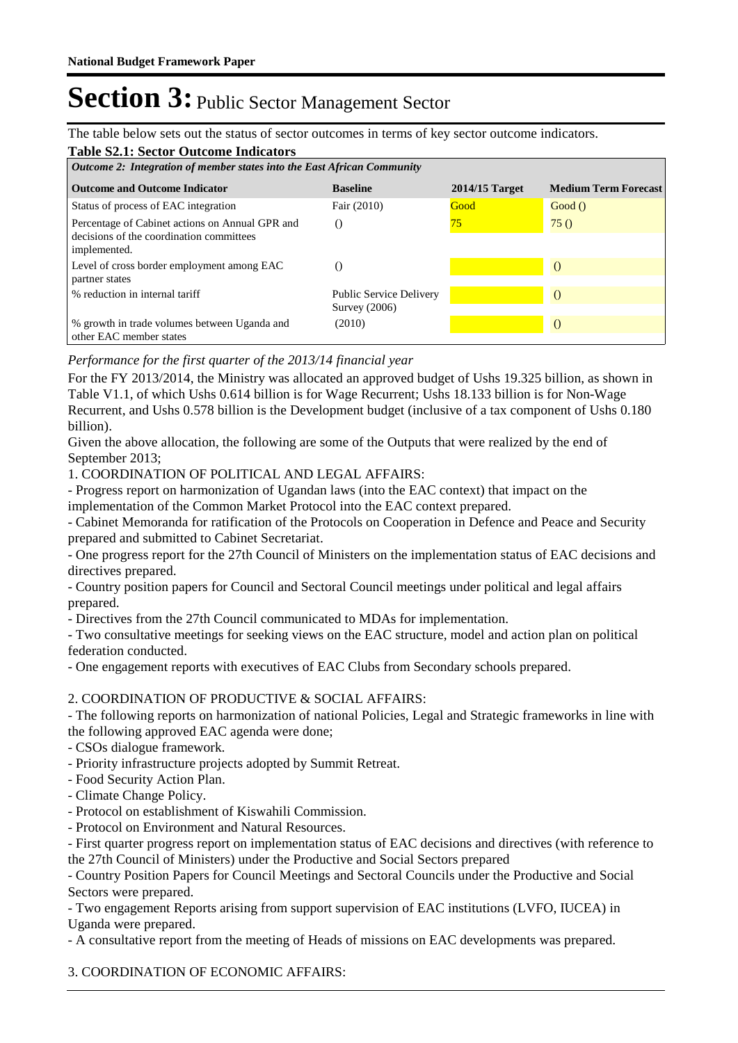The table below sets out the status of sector outcomes in terms of key sector outcome indicators.

| <b>Table S2.1: Sector Outcome Indicators</b><br>Outcome 2: Integration of member states into the East African Community |                                                   |                  |                             |  |
|-------------------------------------------------------------------------------------------------------------------------|---------------------------------------------------|------------------|-----------------------------|--|
| <b>Outcome and Outcome Indicator</b>                                                                                    | <b>Baseline</b>                                   | $2014/15$ Target | <b>Medium Term Forecast</b> |  |
| Status of process of EAC integration                                                                                    | Fair (2010)                                       | Good             | Good()                      |  |
| Percentage of Cabinet actions on Annual GPR and<br>decisions of the coordination committees<br>implemented.             |                                                   | 75               | 75()                        |  |
| Level of cross border employment among EAC<br>partner states                                                            | $\left( \right)$                                  |                  |                             |  |
| % reduction in internal tariff                                                                                          | <b>Public Service Delivery</b><br>Survey $(2006)$ |                  |                             |  |
| % growth in trade volumes between Uganda and<br>other EAC member states                                                 | (2010)                                            |                  |                             |  |

### *Performance for the first quarter of the 2013/14 financial year*

For the FY 2013/2014, the Ministry was allocated an approved budget of Ushs 19.325 billion, as shown in Table V1.1, of which Ushs 0.614 billion is for Wage Recurrent; Ushs 18.133 billion is for Non-Wage Recurrent, and Ushs 0.578 billion is the Development budget (inclusive of a tax component of Ushs 0.180 billion).

Given the above allocation, the following are some of the Outputs that were realized by the end of September 2013;

1. COORDINATION OF POLITICAL AND LEGAL AFFAIRS:

- Progress report on harmonization of Ugandan laws (into the EAC context) that impact on the implementation of the Common Market Protocol into the EAC context prepared.

- Cabinet Memoranda for ratification of the Protocols on Cooperation in Defence and Peace and Security prepared and submitted to Cabinet Secretariat.

- One progress report for the 27th Council of Ministers on the implementation status of EAC decisions and directives prepared.

- Country position papers for Council and Sectoral Council meetings under political and legal affairs prepared.

- Directives from the 27th Council communicated to MDAs for implementation.

- Two consultative meetings for seeking views on the EAC structure, model and action plan on political federation conducted.

- One engagement reports with executives of EAC Clubs from Secondary schools prepared.

### 2. COORDINATION OF PRODUCTIVE & SOCIAL AFFAIRS:

- The following reports on harmonization of national Policies, Legal and Strategic frameworks in line with the following approved EAC agenda were done;

- CSOs dialogue framework.
- Priority infrastructure projects adopted by Summit Retreat.
- Food Security Action Plan.
- Climate Change Policy.
- Protocol on establishment of Kiswahili Commission.
- Protocol on Environment and Natural Resources.

- First quarter progress report on implementation status of EAC decisions and directives (with reference to the 27th Council of Ministers) under the Productive and Social Sectors prepared

- Country Position Papers for Council Meetings and Sectoral Councils under the Productive and Social Sectors were prepared.

- Two engagement Reports arising from support supervision of EAC institutions (LVFO, IUCEA) in Uganda were prepared.

- A consultative report from the meeting of Heads of missions on EAC developments was prepared.

3. COORDINATION OF ECONOMIC AFFAIRS: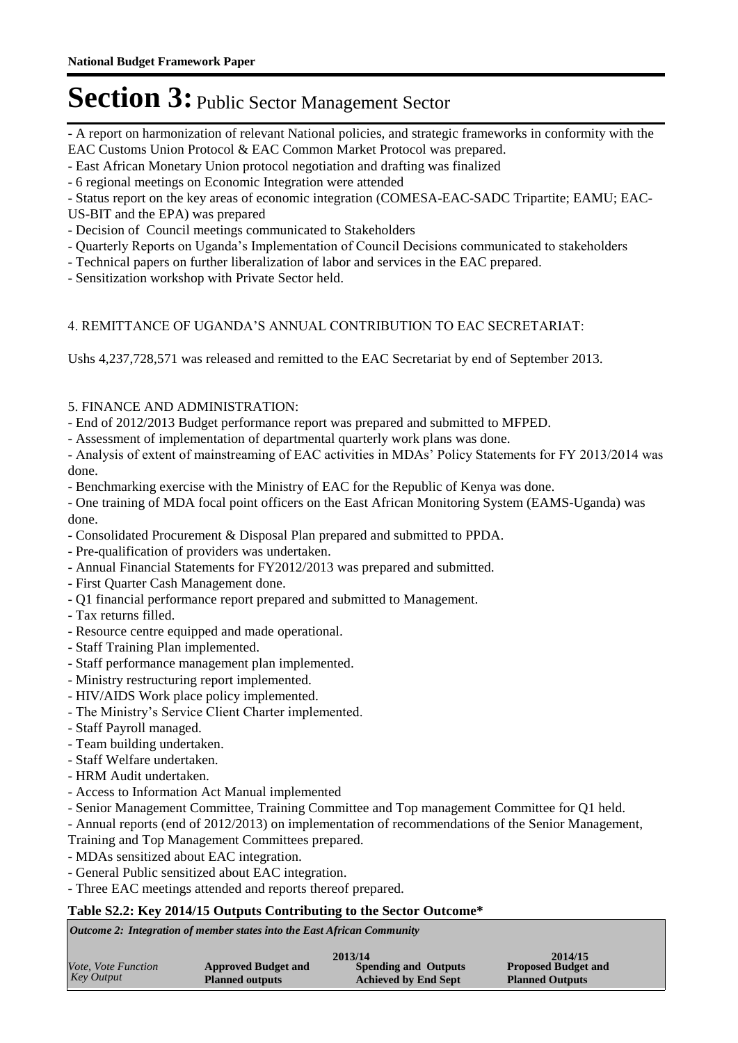- A report on harmonization of relevant National policies, and strategic frameworks in conformity with the EAC Customs Union Protocol & EAC Common Market Protocol was prepared.

- East African Monetary Union protocol negotiation and drafting was finalized

- 6 regional meetings on Economic Integration were attended

- Status report on the key areas of economic integration (COMESA-EAC-SADC Tripartite; EAMU; EAC-

US-BIT and the EPA) was prepared

- Decision of Council meetings communicated to Stakeholders

- Quarterly Reports on Uganda's Implementation of Council Decisions communicated to stakeholders

- Technical papers on further liberalization of labor and services in the EAC prepared.

- Sensitization workshop with Private Sector held.

### 4. REMITTANCE OF UGANDA'S ANNUAL CONTRIBUTION TO EAC SECRETARIAT:

Ushs 4,237,728,571 was released and remitted to the EAC Secretariat by end of September 2013.

### 5. FINANCE AND ADMINISTRATION:

- End of 2012/2013 Budget performance report was prepared and submitted to MFPED.

- Assessment of implementation of departmental quarterly work plans was done.

- Analysis of extent of mainstreaming of EAC activities in MDAs' Policy Statements for FY 2013/2014 was done.

- Benchmarking exercise with the Ministry of EAC for the Republic of Kenya was done.

- One training of MDA focal point officers on the East African Monitoring System (EAMS-Uganda) was done.

- Consolidated Procurement & Disposal Plan prepared and submitted to PPDA.
- Pre-qualification of providers was undertaken.
- Annual Financial Statements for FY2012/2013 was prepared and submitted.
- First Quarter Cash Management done.
- Q1 financial performance report prepared and submitted to Management.
- Tax returns filled.
- Resource centre equipped and made operational.
- Staff Training Plan implemented.
- Staff performance management plan implemented.
- Ministry restructuring report implemented.
- HIV/AIDS Work place policy implemented.
- The Ministry's Service Client Charter implemented.
- Staff Payroll managed.
- Team building undertaken.
- Staff Welfare undertaken.
- HRM Audit undertaken.
- Access to Information Act Manual implemented
- Senior Management Committee, Training Committee and Top management Committee for Q1 held.

- Annual reports (end of 2012/2013) on implementation of recommendations of the Senior Management,

- Training and Top Management Committees prepared.
- MDAs sensitized about EAC integration.
- General Public sensitized about EAC integration.
- Three EAC meetings attended and reports thereof prepared.

#### **Table S2.2: Key 2014/15 Outputs Contributing to the Sector Outcome\***

*Outcome 2: Integration of member states into the East African Community*

| Vote, Vote Function<br><b>Spending and Outputs</b><br><b>Approved Budget and</b> | 2014/15                                              |  |
|----------------------------------------------------------------------------------|------------------------------------------------------|--|
| Key Output<br><b>Achieved by End Sept</b><br><b>Planned outputs</b>              | <b>Proposed Budget and</b><br><b>Planned Outputs</b> |  |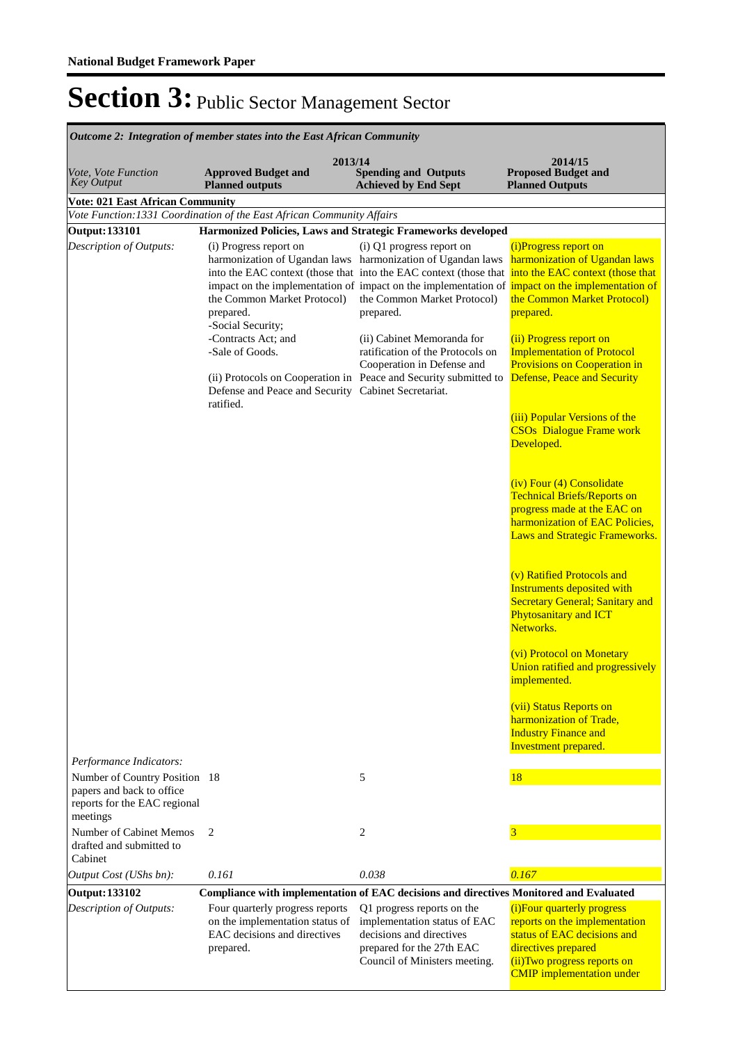| <b>Outcome 2: Integration of member states into the East African Community</b>                         |                                                                                                                 |                                                                                                                                                                                                                                                                                                            |                                                                                                                                                                                                      |
|--------------------------------------------------------------------------------------------------------|-----------------------------------------------------------------------------------------------------------------|------------------------------------------------------------------------------------------------------------------------------------------------------------------------------------------------------------------------------------------------------------------------------------------------------------|------------------------------------------------------------------------------------------------------------------------------------------------------------------------------------------------------|
| Vote, Vote Function<br><b>Key Output</b>                                                               | 2013/14<br><b>Approved Budget and</b><br><b>Planned outputs</b>                                                 | <b>Spending and Outputs</b><br><b>Achieved by End Sept</b>                                                                                                                                                                                                                                                 | 2014/15<br><b>Proposed Budget and</b><br><b>Planned Outputs</b>                                                                                                                                      |
| <b>Vote: 021 East African Community</b>                                                                |                                                                                                                 |                                                                                                                                                                                                                                                                                                            |                                                                                                                                                                                                      |
|                                                                                                        | Vote Function: 1331 Coordination of the East African Community Affairs                                          |                                                                                                                                                                                                                                                                                                            |                                                                                                                                                                                                      |
| <b>Output: 133101</b>                                                                                  | Harmonized Policies, Laws and Strategic Frameworks developed                                                    |                                                                                                                                                                                                                                                                                                            |                                                                                                                                                                                                      |
| Description of Outputs:                                                                                | (i) Progress report on<br>the Common Market Protocol)<br>prepared.<br>-Social Security;<br>-Contracts Act; and  | (i) Q1 progress report on<br>harmonization of Ugandan laws harmonization of Ugandan laws<br>into the EAC context (those that into the EAC context (those that<br>impact on the implementation of impact on the implementation of<br>the Common Market Protocol)<br>prepared.<br>(ii) Cabinet Memoranda for | (i)Progress report on<br>harmonization of Ugandan laws<br>into the EAC context (those that<br>impact on the implementation of<br>the Common Market Protocol)<br>prepared.<br>(ii) Progress report on |
|                                                                                                        | -Sale of Goods.<br>Defense and Peace and Security Cabinet Secretariat.<br>ratified.                             | ratification of the Protocols on<br>Cooperation in Defense and<br>(ii) Protocols on Cooperation in Peace and Security submitted to                                                                                                                                                                         | <b>Implementation of Protocol</b><br><b>Provisions on Cooperation in</b><br>Defense, Peace and Security                                                                                              |
|                                                                                                        |                                                                                                                 |                                                                                                                                                                                                                                                                                                            | (iii) Popular Versions of the<br><b>CSOs</b> Dialogue Frame work<br>Developed.                                                                                                                       |
|                                                                                                        |                                                                                                                 |                                                                                                                                                                                                                                                                                                            | (iv) Four (4) Consolidate<br><b>Technical Briefs/Reports on</b><br>progress made at the EAC on<br>harmonization of EAC Policies,<br>Laws and Strategic Frameworks.                                   |
|                                                                                                        |                                                                                                                 |                                                                                                                                                                                                                                                                                                            | (v) Ratified Protocols and<br><b>Instruments deposited with</b><br><b>Secretary General; Sanitary and</b><br><b>Phytosanitary and ICT</b><br>Networks.                                               |
|                                                                                                        |                                                                                                                 |                                                                                                                                                                                                                                                                                                            | (vi) Protocol on Monetary<br>Union ratified and progressively<br>implemented.                                                                                                                        |
|                                                                                                        |                                                                                                                 |                                                                                                                                                                                                                                                                                                            | (vii) Status Reports on<br>harmonization of Trade,<br><b>Industry Finance and</b><br>Investment prepared.                                                                                            |
| Performance Indicators:                                                                                |                                                                                                                 |                                                                                                                                                                                                                                                                                                            |                                                                                                                                                                                                      |
| Number of Country Position 18<br>papers and back to office<br>reports for the EAC regional<br>meetings |                                                                                                                 | 5                                                                                                                                                                                                                                                                                                          | 18                                                                                                                                                                                                   |
| Number of Cabinet Memos<br>drafted and submitted to<br>Cabinet                                         | 2                                                                                                               | 2                                                                                                                                                                                                                                                                                                          | 3                                                                                                                                                                                                    |
| Output Cost (UShs bn):                                                                                 | 0.161                                                                                                           | 0.038                                                                                                                                                                                                                                                                                                      | 0.167                                                                                                                                                                                                |
| <b>Output: 133102</b>                                                                                  | Compliance with implementation of EAC decisions and directives Monitored and Evaluated                          |                                                                                                                                                                                                                                                                                                            |                                                                                                                                                                                                      |
| Description of Outputs:                                                                                | Four quarterly progress reports<br>on the implementation status of<br>EAC decisions and directives<br>prepared. | Q1 progress reports on the<br>implementation status of EAC<br>decisions and directives<br>prepared for the 27th EAC<br>Council of Ministers meeting.                                                                                                                                                       | (i) Four quarterly progress<br>reports on the implementation<br>status of EAC decisions and<br>directives prepared<br>(ii) Two progress reports on<br><b>CMIP</b> implementation under               |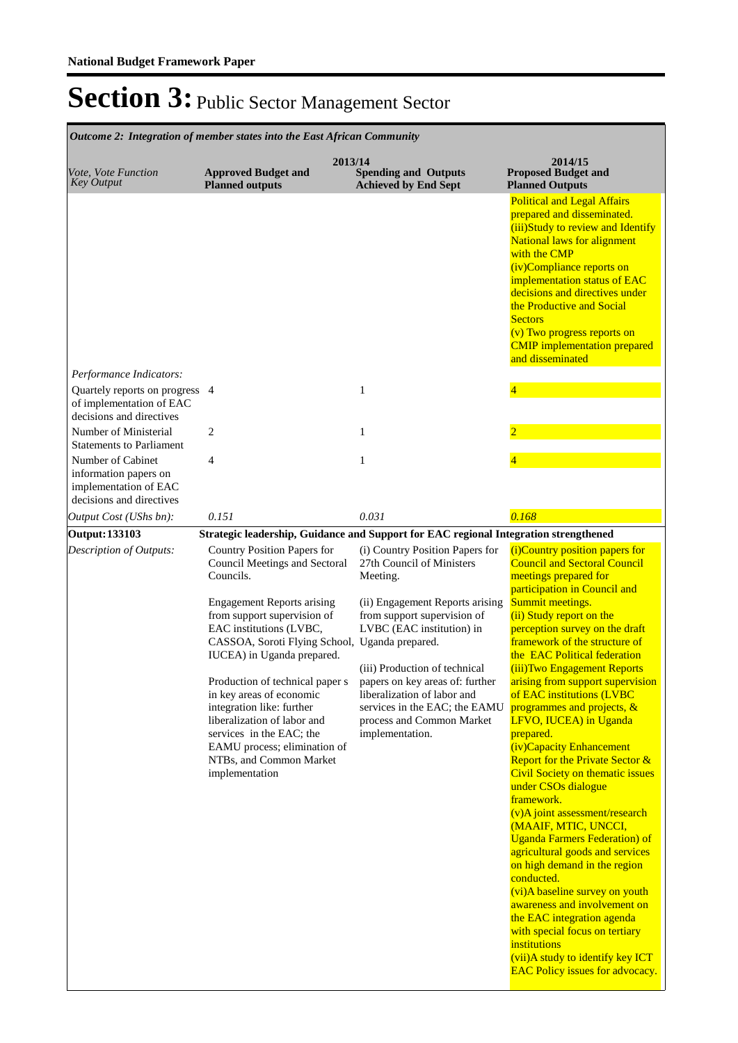| <b>Outcome 2: Integration of member states into the East African Community</b>                  |                                                                                                                                                                                                                                                                                                                                                                                                                                                                                              |                                                                                                                                                                                                                                                                                                                                                             |                                                                                                                                                                                                                                                                                                                                                                                                                                                                                                                                                                                                                                                                                                                                                                                                                                                                                                                                                                                                                                         |
|-------------------------------------------------------------------------------------------------|----------------------------------------------------------------------------------------------------------------------------------------------------------------------------------------------------------------------------------------------------------------------------------------------------------------------------------------------------------------------------------------------------------------------------------------------------------------------------------------------|-------------------------------------------------------------------------------------------------------------------------------------------------------------------------------------------------------------------------------------------------------------------------------------------------------------------------------------------------------------|-----------------------------------------------------------------------------------------------------------------------------------------------------------------------------------------------------------------------------------------------------------------------------------------------------------------------------------------------------------------------------------------------------------------------------------------------------------------------------------------------------------------------------------------------------------------------------------------------------------------------------------------------------------------------------------------------------------------------------------------------------------------------------------------------------------------------------------------------------------------------------------------------------------------------------------------------------------------------------------------------------------------------------------------|
| <i>Vote, Vote Function</i><br><b>Key Output</b>                                                 | 2013/14<br><b>Approved Budget and</b><br><b>Planned outputs</b>                                                                                                                                                                                                                                                                                                                                                                                                                              | <b>Spending and Outputs</b><br><b>Achieved by End Sept</b>                                                                                                                                                                                                                                                                                                  | 2014/15<br><b>Proposed Budget and</b><br><b>Planned Outputs</b>                                                                                                                                                                                                                                                                                                                                                                                                                                                                                                                                                                                                                                                                                                                                                                                                                                                                                                                                                                         |
| Performance Indicators:                                                                         |                                                                                                                                                                                                                                                                                                                                                                                                                                                                                              |                                                                                                                                                                                                                                                                                                                                                             | <b>Political and Legal Affairs</b><br>prepared and disseminated.<br>(iii) Study to review and Identify<br><b>National laws for alignment</b><br>with the CMP<br>(iv)Compliance reports on<br>implementation status of EAC<br>decisions and directives under<br>the Productive and Social<br><b>Sectors</b><br>(v) Two progress reports on<br><b>CMIP</b> implementation prepared<br>and disseminated                                                                                                                                                                                                                                                                                                                                                                                                                                                                                                                                                                                                                                    |
| Quartely reports on progress 4<br>of implementation of EAC<br>decisions and directives          |                                                                                                                                                                                                                                                                                                                                                                                                                                                                                              | 1                                                                                                                                                                                                                                                                                                                                                           |                                                                                                                                                                                                                                                                                                                                                                                                                                                                                                                                                                                                                                                                                                                                                                                                                                                                                                                                                                                                                                         |
| Number of Ministerial<br><b>Statements to Parliament</b>                                        | 2                                                                                                                                                                                                                                                                                                                                                                                                                                                                                            | 1                                                                                                                                                                                                                                                                                                                                                           |                                                                                                                                                                                                                                                                                                                                                                                                                                                                                                                                                                                                                                                                                                                                                                                                                                                                                                                                                                                                                                         |
| Number of Cabinet<br>information papers on<br>implementation of EAC<br>decisions and directives | 4                                                                                                                                                                                                                                                                                                                                                                                                                                                                                            | 1                                                                                                                                                                                                                                                                                                                                                           |                                                                                                                                                                                                                                                                                                                                                                                                                                                                                                                                                                                                                                                                                                                                                                                                                                                                                                                                                                                                                                         |
| Output Cost (UShs bn):                                                                          | 0.151                                                                                                                                                                                                                                                                                                                                                                                                                                                                                        | 0.031                                                                                                                                                                                                                                                                                                                                                       | 0.168                                                                                                                                                                                                                                                                                                                                                                                                                                                                                                                                                                                                                                                                                                                                                                                                                                                                                                                                                                                                                                   |
| <b>Output: 133103</b>                                                                           | Strategic leadership, Guidance and Support for EAC regional Integration strengthened                                                                                                                                                                                                                                                                                                                                                                                                         |                                                                                                                                                                                                                                                                                                                                                             |                                                                                                                                                                                                                                                                                                                                                                                                                                                                                                                                                                                                                                                                                                                                                                                                                                                                                                                                                                                                                                         |
| Description of Outputs:                                                                         | Country Position Papers for<br>Council Meetings and Sectoral<br>Councils.<br><b>Engagement Reports arising</b><br>from support supervision of<br>EAC institutions (LVBC,<br>CASSOA, Soroti Flying School, Uganda prepared.<br>IUCEA) in Uganda prepared.<br>Production of technical paper s<br>in key areas of economic<br>integration like: further<br>liberalization of labor and<br>services in the EAC; the<br>EAMU process; elimination of<br>NTBs, and Common Market<br>implementation | (i) Country Position Papers for<br>27th Council of Ministers<br>Meeting.<br>(ii) Engagement Reports arising<br>from support supervision of<br>LVBC (EAC institution) in<br>(iii) Production of technical<br>papers on key areas of: further<br>liberalization of labor and<br>services in the EAC; the EAMU<br>process and Common Market<br>implementation. | (i)Country position papers for<br><b>Council and Sectoral Council</b><br>meetings prepared for<br>participation in Council and<br>Summit meetings.<br>(ii) Study report on the<br>perception survey on the draft<br>framework of the structure of<br>the EAC Political federation<br>(iii) Two Engagement Reports<br>arising from support supervision<br>of EAC institutions (LVBC<br>programmes and projects, $&$<br>LFVO, IUCEA) in Uganda<br>prepared.<br>(iv)Capacity Enhancement<br><b>Report for the Private Sector &amp;</b><br><b>Civil Society on thematic issues</b><br>under CSOs dialogue<br>framework.<br>(v)A joint assessment/research<br>(MAAIF, MTIC, UNCCI,<br><b>Uganda Farmers Federation) of</b><br>agricultural goods and services<br>on high demand in the region<br>conducted.<br>(vi)A baseline survey on youth<br>awareness and involvement on<br>the EAC integration agenda<br>with special focus on tertiary<br>institutions<br>(vii) A study to identify key ICT<br><b>EAC Policy issues for advocacy.</b> |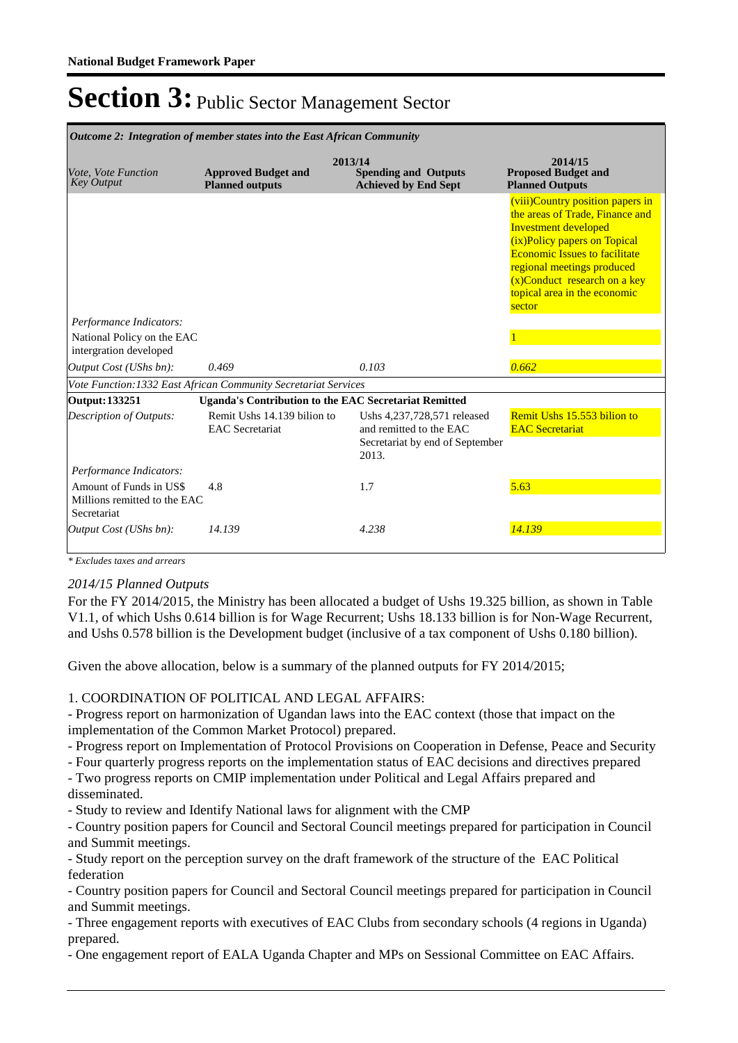| <b>Outcome 2: Integration of member states into the East African Community</b> |                                                       |                                                                                                    |                                                                                                                                                                                                                                                                                       |
|--------------------------------------------------------------------------------|-------------------------------------------------------|----------------------------------------------------------------------------------------------------|---------------------------------------------------------------------------------------------------------------------------------------------------------------------------------------------------------------------------------------------------------------------------------------|
| Vote, Vote Function<br><b>Key Output</b>                                       | <b>Approved Budget and</b><br><b>Planned outputs</b>  | 2013/14<br><b>Spending and Outputs</b><br><b>Achieved by End Sept</b>                              | 2014/15<br><b>Proposed Budget and</b><br><b>Planned Outputs</b>                                                                                                                                                                                                                       |
|                                                                                |                                                       |                                                                                                    | (viii)Country position papers in<br>the areas of Trade, Finance and<br><b>Investment developed</b><br>(ix)Policy papers on Topical<br><b>Economic Issues to facilitate</b><br>regional meetings produced<br>$(x)$ Conduct research on a key<br>topical area in the economic<br>sector |
| Performance Indicators:                                                        |                                                       |                                                                                                    |                                                                                                                                                                                                                                                                                       |
| National Policy on the EAC<br>intergration developed                           |                                                       |                                                                                                    |                                                                                                                                                                                                                                                                                       |
| Output Cost (UShs bn):                                                         | 0.469                                                 | 0.103                                                                                              | 0.662                                                                                                                                                                                                                                                                                 |
| Vote Function: 1332 East African Community Secretariat Services                |                                                       |                                                                                                    |                                                                                                                                                                                                                                                                                       |
| Output: 133251                                                                 |                                                       | <b>Uganda's Contribution to the EAC Secretariat Remitted</b>                                       |                                                                                                                                                                                                                                                                                       |
| Description of Outputs:                                                        | Remit Ushs 14.139 bilion to<br><b>EAC</b> Secretariat | Ushs 4,237,728,571 released<br>and remitted to the EAC<br>Secretariat by end of September<br>2013. | Remit Ushs 15.553 bilion to<br><b>EAC</b> Secretariat                                                                                                                                                                                                                                 |
| Performance Indicators:                                                        |                                                       |                                                                                                    |                                                                                                                                                                                                                                                                                       |
| Amount of Funds in US\$<br>Millions remitted to the EAC<br>Secretariat         | 4.8                                                   | 1.7                                                                                                | 5.63                                                                                                                                                                                                                                                                                  |
| Output Cost (UShs bn):                                                         | 14.139                                                | 4.238                                                                                              | 14.139                                                                                                                                                                                                                                                                                |

*\* Excludes taxes and arrears*

#### *2014/15 Planned Outputs*

For the FY 2014/2015, the Ministry has been allocated a budget of Ushs 19.325 billion, as shown in Table V1.1, of which Ushs 0.614 billion is for Wage Recurrent; Ushs 18.133 billion is for Non-Wage Recurrent, and Ushs 0.578 billion is the Development budget (inclusive of a tax component of Ushs 0.180 billion).

Given the above allocation, below is a summary of the planned outputs for FY 2014/2015;

### 1. COORDINATION OF POLITICAL AND LEGAL AFFAIRS:

- Progress report on harmonization of Ugandan laws into the EAC context (those that impact on the implementation of the Common Market Protocol) prepared.

- Progress report on Implementation of Protocol Provisions on Cooperation in Defense, Peace and Security

- Four quarterly progress reports on the implementation status of EAC decisions and directives prepared

- Two progress reports on CMIP implementation under Political and Legal Affairs prepared and disseminated.

- Study to review and Identify National laws for alignment with the CMP

- Country position papers for Council and Sectoral Council meetings prepared for participation in Council and Summit meetings.

- Study report on the perception survey on the draft framework of the structure of the EAC Political federation

- Country position papers for Council and Sectoral Council meetings prepared for participation in Council and Summit meetings.

- Three engagement reports with executives of EAC Clubs from secondary schools (4 regions in Uganda) prepared.

- One engagement report of EALA Uganda Chapter and MPs on Sessional Committee on EAC Affairs.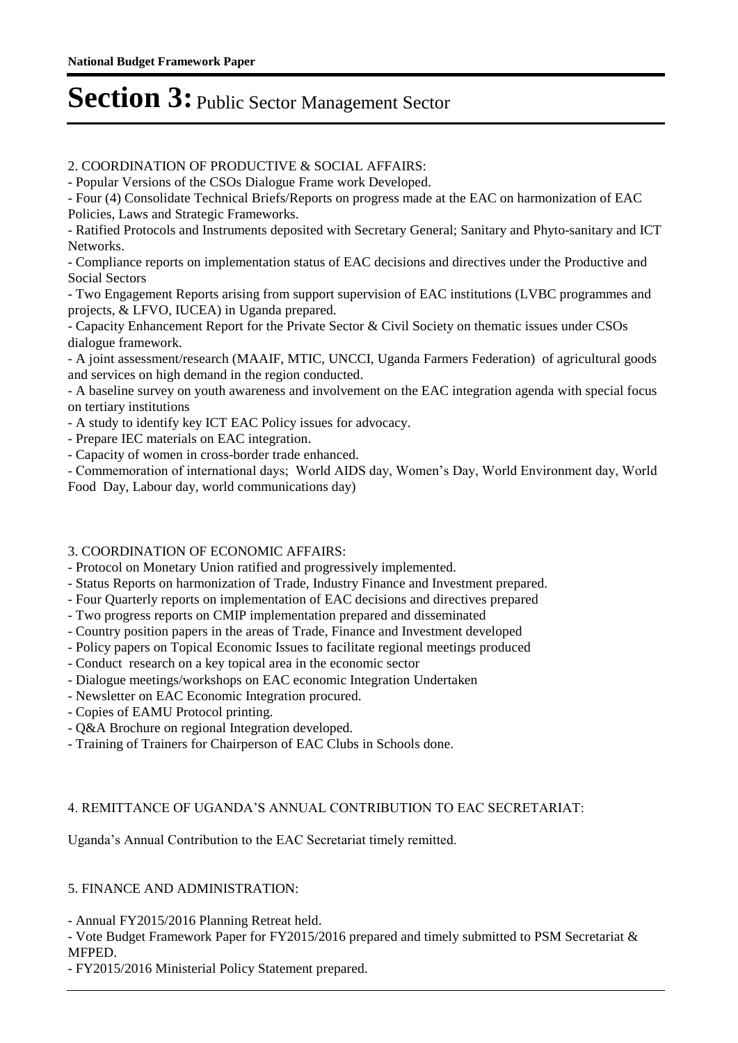### 2. COORDINATION OF PRODUCTIVE & SOCIAL AFFAIRS:

- Popular Versions of the CSOs Dialogue Frame work Developed.

- Four (4) Consolidate Technical Briefs/Reports on progress made at the EAC on harmonization of EAC Policies, Laws and Strategic Frameworks.

- Ratified Protocols and Instruments deposited with Secretary General; Sanitary and Phyto-sanitary and ICT Networks.

- Compliance reports on implementation status of EAC decisions and directives under the Productive and Social Sectors

- Two Engagement Reports arising from support supervision of EAC institutions (LVBC programmes and projects, & LFVO, IUCEA) in Uganda prepared.

- Capacity Enhancement Report for the Private Sector & Civil Society on thematic issues under CSOs dialogue framework.

- A joint assessment/research (MAAIF, MTIC, UNCCI, Uganda Farmers Federation) of agricultural goods and services on high demand in the region conducted.

- A baseline survey on youth awareness and involvement on the EAC integration agenda with special focus on tertiary institutions

- A study to identify key ICT EAC Policy issues for advocacy.
- Prepare IEC materials on EAC integration.
- Capacity of women in cross-border trade enhanced.

- Commemoration of international days; World AIDS day, Women's Day, World Environment day, World Food Day, Labour day, world communications day)

### 3. COORDINATION OF ECONOMIC AFFAIRS:

- Protocol on Monetary Union ratified and progressively implemented.

- Status Reports on harmonization of Trade, Industry Finance and Investment prepared.
- Four Quarterly reports on implementation of EAC decisions and directives prepared
- Two progress reports on CMIP implementation prepared and disseminated
- Country position papers in the areas of Trade, Finance and Investment developed
- Policy papers on Topical Economic Issues to facilitate regional meetings produced
- Conduct research on a key topical area in the economic sector
- Dialogue meetings/workshops on EAC economic Integration Undertaken
- Newsletter on EAC Economic Integration procured.
- Copies of EAMU Protocol printing.
- Q&A Brochure on regional Integration developed.
- Training of Trainers for Chairperson of EAC Clubs in Schools done.

### 4. REMITTANCE OF UGANDA'S ANNUAL CONTRIBUTION TO EAC SECRETARIAT:

Uganda's Annual Contribution to the EAC Secretariat timely remitted.

### 5. FINANCE AND ADMINISTRATION:

- Annual FY2015/2016 Planning Retreat held.

- Vote Budget Framework Paper for FY2015/2016 prepared and timely submitted to PSM Secretariat & MFPED.

- FY2015/2016 Ministerial Policy Statement prepared.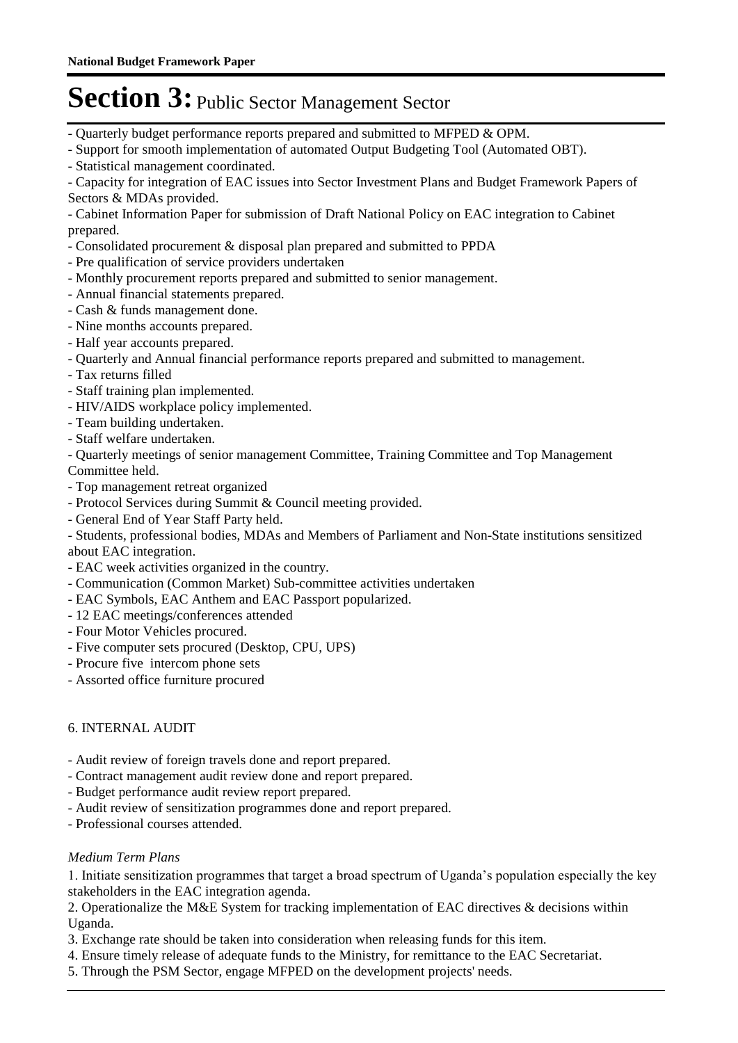- Quarterly budget performance reports prepared and submitted to MFPED & OPM.
- Support for smooth implementation of automated Output Budgeting Tool (Automated OBT).
- Statistical management coordinated.

- Capacity for integration of EAC issues into Sector Investment Plans and Budget Framework Papers of Sectors & MDAs provided.

- Cabinet Information Paper for submission of Draft National Policy on EAC integration to Cabinet prepared.

- Consolidated procurement & disposal plan prepared and submitted to PPDA
- Pre qualification of service providers undertaken
- Monthly procurement reports prepared and submitted to senior management.
- Annual financial statements prepared.
- Cash & funds management done.
- Nine months accounts prepared.
- Half year accounts prepared.
- Quarterly and Annual financial performance reports prepared and submitted to management.
- Tax returns filled
- Staff training plan implemented.
- HIV/AIDS workplace policy implemented.
- Team building undertaken.
- Staff welfare undertaken.

- Quarterly meetings of senior management Committee, Training Committee and Top Management Committee held.

- Top management retreat organized
- Protocol Services during Summit & Council meeting provided.
- General End of Year Staff Party held.

- Students, professional bodies, MDAs and Members of Parliament and Non-State institutions sensitized about EAC integration.

- EAC week activities organized in the country.
- Communication (Common Market) Sub-committee activities undertaken
- EAC Symbols, EAC Anthem and EAC Passport popularized.
- 12 EAC meetings/conferences attended
- Four Motor Vehicles procured.
- Five computer sets procured (Desktop, CPU, UPS)
- Procure five intercom phone sets
- Assorted office furniture procured

### 6. INTERNAL AUDIT

- Audit review of foreign travels done and report prepared.
- Contract management audit review done and report prepared.
- Budget performance audit review report prepared.
- Audit review of sensitization programmes done and report prepared.
- Professional courses attended.

#### *Medium Term Plans*

1. Initiate sensitization programmes that target a broad spectrum of Uganda's population especially the key stakeholders in the EAC integration agenda.

2. Operationalize the M&E System for tracking implementation of EAC directives & decisions within Uganda.

- 3. Exchange rate should be taken into consideration when releasing funds for this item.
- 4. Ensure timely release of adequate funds to the Ministry, for remittance to the EAC Secretariat.
- 5. Through the PSM Sector, engage MFPED on the development projects' needs.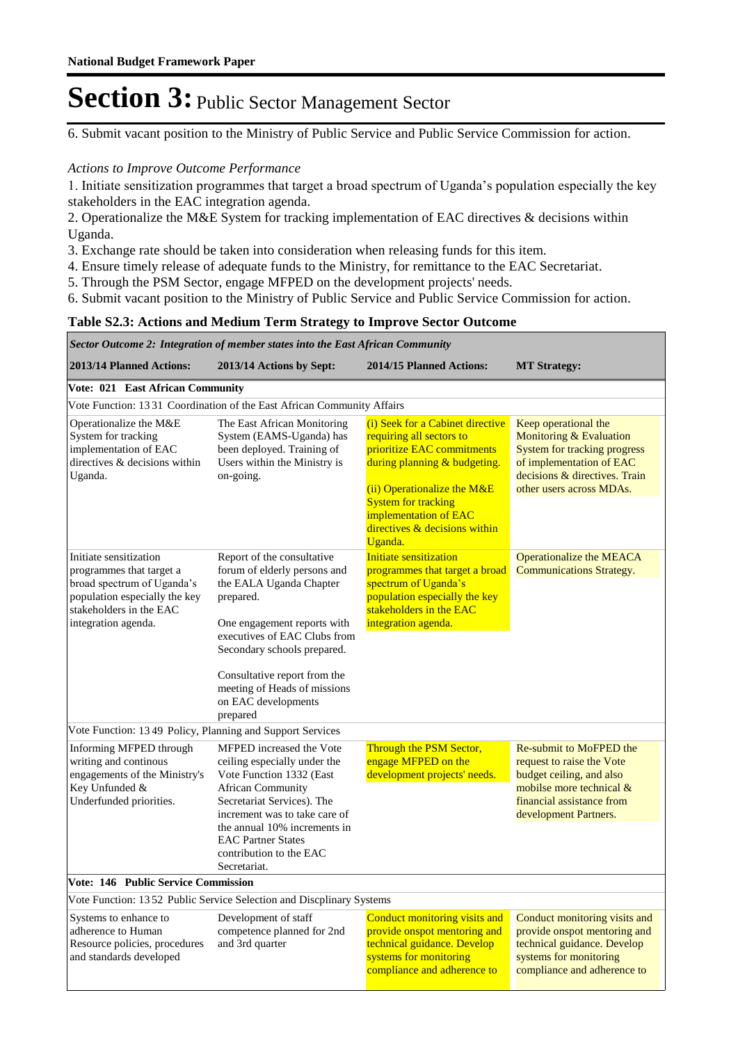6. Submit vacant position to the Ministry of Public Service and Public Service Commission for action.

#### *Actions to Improve Outcome Performance*

1. Initiate sensitization programmes that target a broad spectrum of Uganda's population especially the key stakeholders in the EAC integration agenda.

2. Operationalize the M&E System for tracking implementation of EAC directives & decisions within Uganda.

3. Exchange rate should be taken into consideration when releasing funds for this item.

- 4. Ensure timely release of adequate funds to the Ministry, for remittance to the EAC Secretariat.
- 5. Through the PSM Sector, engage MFPED on the development projects' needs.
- 6. Submit vacant position to the Ministry of Public Service and Public Service Commission for action.

### **Table S2.3: Actions and Medium Term Strategy to Improve Sector Outcome**

#### *Sector Outcome 2: Integration of member states into the East African Community*

| 2013/14 Planned Actions:                                                                                                                                            | 2013/14 Actions by Sept:                                                                                                                                                                                                                                                                            | 2014/15 Planned Actions:                                                                                                                                                                                                                                       | <b>MT Strategy:</b>                                                                                                                                                             |
|---------------------------------------------------------------------------------------------------------------------------------------------------------------------|-----------------------------------------------------------------------------------------------------------------------------------------------------------------------------------------------------------------------------------------------------------------------------------------------------|----------------------------------------------------------------------------------------------------------------------------------------------------------------------------------------------------------------------------------------------------------------|---------------------------------------------------------------------------------------------------------------------------------------------------------------------------------|
| Vote: 021 East African Community                                                                                                                                    |                                                                                                                                                                                                                                                                                                     |                                                                                                                                                                                                                                                                |                                                                                                                                                                                 |
|                                                                                                                                                                     | Vote Function: 13 31 Coordination of the East African Community Affairs                                                                                                                                                                                                                             |                                                                                                                                                                                                                                                                |                                                                                                                                                                                 |
| Operationalize the M&E<br>System for tracking<br>implementation of EAC<br>directives & decisions within<br>Uganda.                                                  | The East African Monitoring<br>System (EAMS-Uganda) has<br>been deployed. Training of<br>Users within the Ministry is<br>on-going.                                                                                                                                                                  | (i) Seek for a Cabinet directive<br>requiring all sectors to<br>prioritize EAC commitments<br>during planning & budgeting.<br>(ii) Operationalize the M&E<br><b>System for tracking</b><br>implementation of EAC<br>directives $&$ decisions within<br>Uganda. | Keep operational the<br>Monitoring & Evaluation<br><b>System for tracking progress</b><br>of implementation of EAC<br>decisions & directives. Train<br>other users across MDAs. |
| Initiate sensitization<br>programmes that target a<br>broad spectrum of Uganda's<br>population especially the key<br>stakeholders in the EAC<br>integration agenda. | Report of the consultative<br>forum of elderly persons and<br>the EALA Uganda Chapter<br>prepared.<br>One engagement reports with<br>executives of EAC Clubs from<br>Secondary schools prepared.<br>Consultative report from the<br>meeting of Heads of missions<br>on EAC developments<br>prepared | Initiate sensitization<br>programmes that target a broad<br>spectrum of Uganda's<br>population especially the key<br>stakeholders in the EAC<br>integration agenda.                                                                                            | Operationalize the MEACA<br><b>Communications Strategy.</b>                                                                                                                     |
| Vote Function: 13 49 Policy, Planning and Support Services                                                                                                          |                                                                                                                                                                                                                                                                                                     |                                                                                                                                                                                                                                                                |                                                                                                                                                                                 |
| Informing MFPED through<br>writing and continous<br>engagements of the Ministry's<br>Key Unfunded &<br>Underfunded priorities.                                      | MFPED increased the Vote<br>ceiling especially under the<br>Vote Function 1332 (East<br><b>African Community</b><br>Secretariat Services). The<br>increment was to take care of<br>the annual 10% increments in<br><b>EAC Partner States</b><br>contribution to the EAC<br>Secretariat.             | Through the PSM Sector,<br>engage MFPED on the<br>development projects' needs.                                                                                                                                                                                 | Re-submit to MoFPED the<br>request to raise the Vote<br>budget ceiling, and also<br>mobilse more technical &<br>financial assistance from<br>development Partners.              |
| <b>Vote: 146 Public Service Commission</b>                                                                                                                          |                                                                                                                                                                                                                                                                                                     |                                                                                                                                                                                                                                                                |                                                                                                                                                                                 |
|                                                                                                                                                                     | Vote Function: 1352 Public Service Selection and Discplinary Systems                                                                                                                                                                                                                                |                                                                                                                                                                                                                                                                |                                                                                                                                                                                 |
| Systems to enhance to<br>adherence to Human<br>Resource policies, procedures<br>and standards developed                                                             | Development of staff<br>competence planned for 2nd<br>and 3rd quarter                                                                                                                                                                                                                               | Conduct monitoring visits and<br>provide onspot mentoring and<br>technical guidance. Develop<br>systems for monitoring<br>compliance and adherence to                                                                                                          | Conduct monitoring visits and<br>provide onspot mentoring and<br>technical guidance. Develop<br>systems for monitoring<br>compliance and adherence to                           |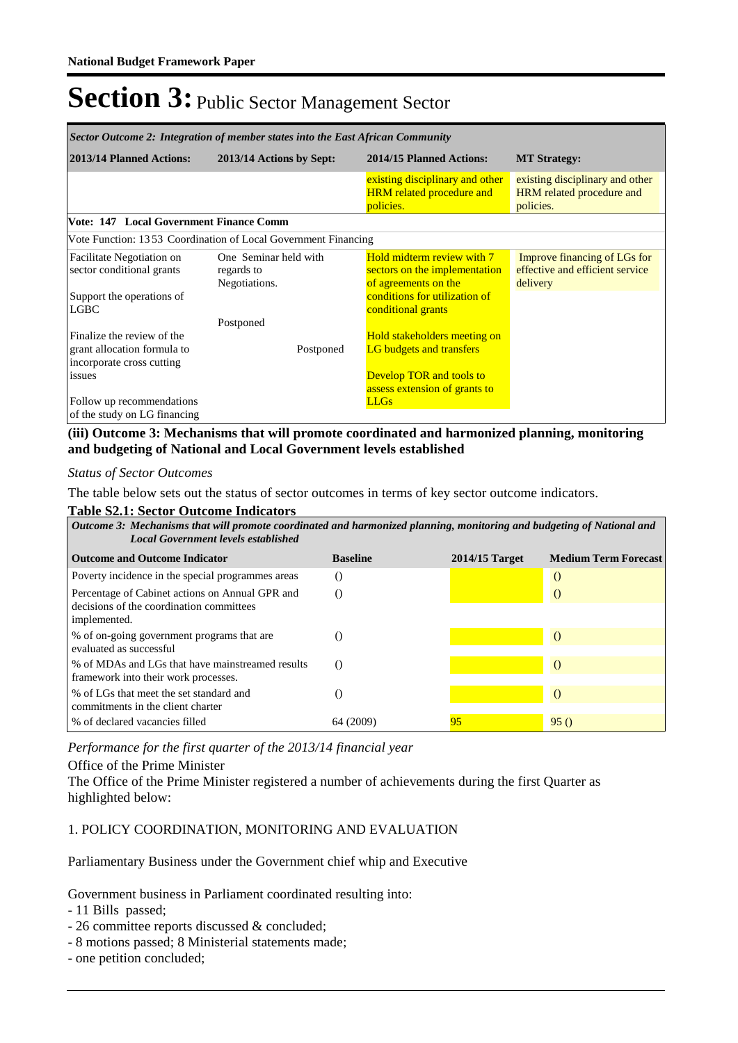| Sector Outcome 2: Integration of member states into the East African Community         |                                                                |                                                                                     |                                                                             |  |
|----------------------------------------------------------------------------------------|----------------------------------------------------------------|-------------------------------------------------------------------------------------|-----------------------------------------------------------------------------|--|
| 2013/14 Planned Actions:                                                               | 2013/14 Actions by Sept:                                       | 2014/15 Planned Actions:                                                            | <b>MT</b> Strategy:                                                         |  |
|                                                                                        |                                                                | existing disciplinary and other<br><b>HRM</b> related procedure and<br>policies.    | existing disciplinary and other<br>HRM related procedure and<br>policies.   |  |
| Vote: 147 Local Government Finance Comm                                                |                                                                |                                                                                     |                                                                             |  |
|                                                                                        | Vote Function: 1353 Coordination of Local Government Financing |                                                                                     |                                                                             |  |
| <b>Facilitate Negotiation on</b><br>sector conditional grants                          | One Seminar held with<br>regards to<br>Negotiations.           | Hold midterm review with 7<br>sectors on the implementation<br>of agreements on the | Improve financing of LGs for<br>effective and efficient service<br>delivery |  |
| Support the operations of<br><b>LGBC</b>                                               |                                                                | conditions for utilization of<br>conditional grants                                 |                                                                             |  |
|                                                                                        | Postponed                                                      |                                                                                     |                                                                             |  |
| Finalize the review of the<br>grant allocation formula to<br>incorporate cross cutting | Postponed                                                      | Hold stakeholders meeting on<br>LG budgets and transfers                            |                                                                             |  |
| issues                                                                                 |                                                                | <b>Develop TOR and tools to</b><br>assess extension of grants to                    |                                                                             |  |
| Follow up recommendations<br>of the study on LG financing                              |                                                                | <b>LLGs</b>                                                                         |                                                                             |  |

### **(iii) Outcome 3: Mechanisms that will promote coordinated and harmonized planning, monitoring and budgeting of National and Local Government levels established**

#### *Status of Sector Outcomes*

The table below sets out the status of sector outcomes in terms of key sector outcome indicators.

#### **Table S2.1: Sector Outcome Indicators**

*Mechanisms that will promote coordinated and harmonized planning, monitoring and budgeting of National and Outcome 3: Local Government levels established*

| <b>Outcome and Outcome Indicator</b>                                                                        | <b>Baseline</b> | $2014/15$ Target | <b>Medium Term Forecast</b> |
|-------------------------------------------------------------------------------------------------------------|-----------------|------------------|-----------------------------|
| Poverty incidence in the special programmes areas                                                           |                 |                  | $\left($                    |
| Percentage of Cabinet actions on Annual GPR and<br>decisions of the coordination committees<br>implemented. |                 |                  |                             |
| % of on-going government programs that are<br>evaluated as successful                                       |                 |                  | $\left( \right)$            |
| % of MDAs and LGs that have mainstreamed results<br>framework into their work processes.                    |                 |                  |                             |
| % of LGs that meet the set standard and<br>commitments in the client charter                                |                 |                  |                             |
| % of declared vacancies filled                                                                              | 64 (2009)       | 95               | 95()                        |

*Performance for the first quarter of the 2013/14 financial year*

#### Office of the Prime Minister

The Office of the Prime Minister registered a number of achievements during the first Quarter as highlighted below:

#### 1. POLICY COORDINATION, MONITORING AND EVALUATION

Parliamentary Business under the Government chief whip and Executive

Government business in Parliament coordinated resulting into:

- 11 Bills passed;
- 26 committee reports discussed & concluded;
- 8 motions passed; 8 Ministerial statements made;
- one petition concluded;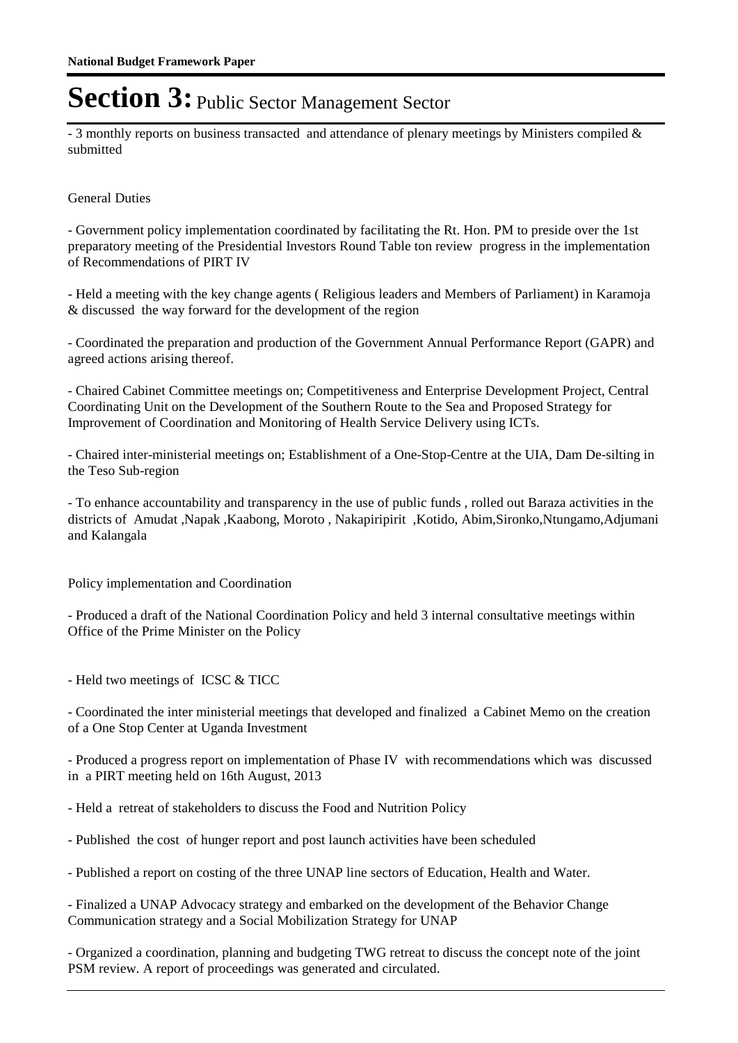- 3 monthly reports on business transacted and attendance of plenary meetings by Ministers compiled & submitted

### General Duties

- Government policy implementation coordinated by facilitating the Rt. Hon. PM to preside over the 1st preparatory meeting of the Presidential Investors Round Table ton review progress in the implementation of Recommendations of PIRT IV

- Held a meeting with the key change agents ( Religious leaders and Members of Parliament) in Karamoja & discussed the way forward for the development of the region

- Coordinated the preparation and production of the Government Annual Performance Report (GAPR) and agreed actions arising thereof.

- Chaired Cabinet Committee meetings on; Competitiveness and Enterprise Development Project, Central Coordinating Unit on the Development of the Southern Route to the Sea and Proposed Strategy for Improvement of Coordination and Monitoring of Health Service Delivery using ICTs.

- Chaired inter-ministerial meetings on; Establishment of a One-Stop-Centre at the UIA, Dam De-silting in the Teso Sub-region

- To enhance accountability and transparency in the use of public funds , rolled out Baraza activities in the districts of Amudat ,Napak ,Kaabong, Moroto , Nakapiripirit ,Kotido, Abim,Sironko,Ntungamo,Adjumani and Kalangala

Policy implementation and Coordination

- Produced a draft of the National Coordination Policy and held 3 internal consultative meetings within Office of the Prime Minister on the Policy

- Held two meetings of ICSC & TICC

- Coordinated the inter ministerial meetings that developed and finalized a Cabinet Memo on the creation of a One Stop Center at Uganda Investment

- Produced a progress report on implementation of Phase IV with recommendations which was discussed in a PIRT meeting held on 16th August, 2013

- Held a retreat of stakeholders to discuss the Food and Nutrition Policy

- Published the cost of hunger report and post launch activities have been scheduled
- Published a report on costing of the three UNAP line sectors of Education, Health and Water.

- Finalized a UNAP Advocacy strategy and embarked on the development of the Behavior Change Communication strategy and a Social Mobilization Strategy for UNAP

- Organized a coordination, planning and budgeting TWG retreat to discuss the concept note of the joint PSM review. A report of proceedings was generated and circulated.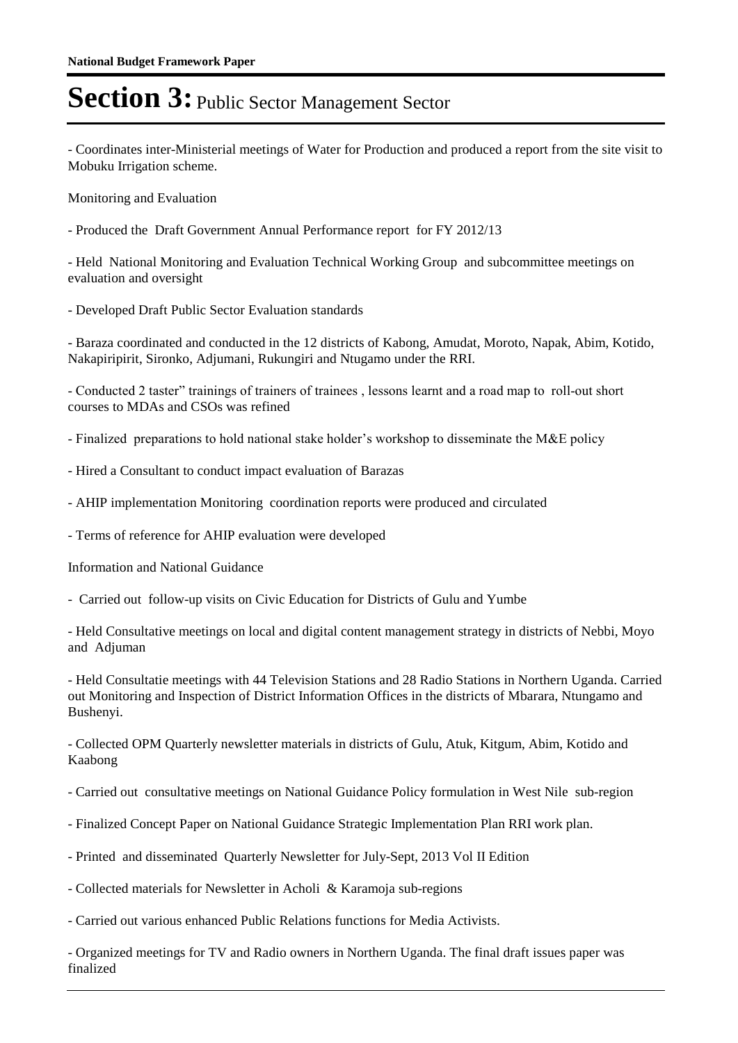- Coordinates inter-Ministerial meetings of Water for Production and produced a report from the site visit to Mobuku Irrigation scheme.

Monitoring and Evaluation

- Produced the Draft Government Annual Performance report for FY 2012/13

- Held National Monitoring and Evaluation Technical Working Group and subcommittee meetings on evaluation and oversight

- Developed Draft Public Sector Evaluation standards

- Baraza coordinated and conducted in the 12 districts of Kabong, Amudat, Moroto, Napak, Abim, Kotido, Nakapiripirit, Sironko, Adjumani, Rukungiri and Ntugamo under the RRI.

- Conducted 2 taster" trainings of trainers of trainees , lessons learnt and a road map to roll-out short courses to MDAs and CSOs was refined

- Finalized preparations to hold national stake holder's workshop to disseminate the M&E policy

- Hired a Consultant to conduct impact evaluation of Barazas
- AHIP implementation Monitoring coordination reports were produced and circulated
- Terms of reference for AHIP evaluation were developed

Information and National Guidance

- Carried out follow-up visits on Civic Education for Districts of Gulu and Yumbe

- Held Consultative meetings on local and digital content management strategy in districts of Nebbi, Moyo and Adjuman

- Held Consultatie meetings with 44 Television Stations and 28 Radio Stations in Northern Uganda. Carried out Monitoring and Inspection of District Information Offices in the districts of Mbarara, Ntungamo and Bushenyi.

- Collected OPM Quarterly newsletter materials in districts of Gulu, Atuk, Kitgum, Abim, Kotido and Kaabong

- Carried out consultative meetings on National Guidance Policy formulation in West Nile sub-region

- Finalized Concept Paper on National Guidance Strategic Implementation Plan RRI work plan.
- Printed and disseminated Quarterly Newsletter for July-Sept, 2013 Vol II Edition
- Collected materials for Newsletter in Acholi & Karamoja sub-regions
- Carried out various enhanced Public Relations functions for Media Activists.

- Organized meetings for TV and Radio owners in Northern Uganda. The final draft issues paper was finalized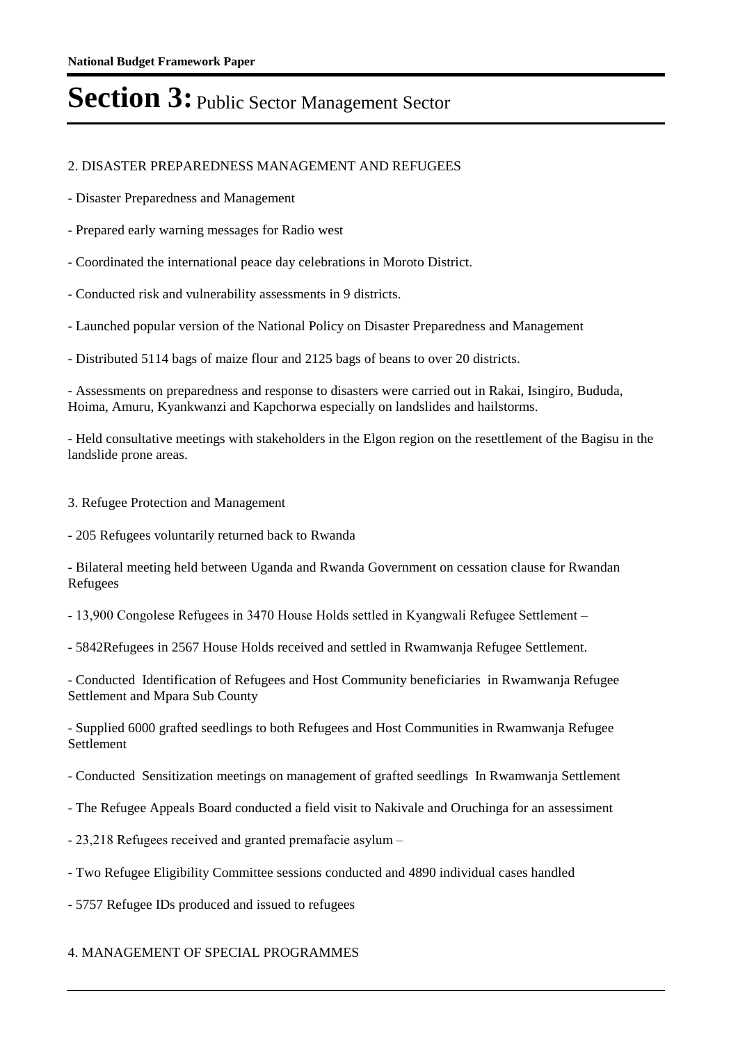### 2. DISASTER PREPAREDNESS MANAGEMENT AND REFUGEES

- Disaster Preparedness and Management

- Prepared early warning messages for Radio west

- Coordinated the international peace day celebrations in Moroto District.

- Conducted risk and vulnerability assessments in 9 districts.

- Launched popular version of the National Policy on Disaster Preparedness and Management

- Distributed 5114 bags of maize flour and 2125 bags of beans to over 20 districts.

- Assessments on preparedness and response to disasters were carried out in Rakai, Isingiro, Bududa, Hoima, Amuru, Kyankwanzi and Kapchorwa especially on landslides and hailstorms.

- Held consultative meetings with stakeholders in the Elgon region on the resettlement of the Bagisu in the landslide prone areas.

3. Refugee Protection and Management

- 205 Refugees voluntarily returned back to Rwanda

- Bilateral meeting held between Uganda and Rwanda Government on cessation clause for Rwandan Refugees

- 13,900 Congolese Refugees in 3470 House Holds settled in Kyangwali Refugee Settlement –

- 5842Refugees in 2567 House Holds received and settled in Rwamwanja Refugee Settlement.

- Conducted Identification of Refugees and Host Community beneficiaries in Rwamwanja Refugee Settlement and Mpara Sub County

- Supplied 6000 grafted seedlings to both Refugees and Host Communities in Rwamwanja Refugee Settlement

- Conducted Sensitization meetings on management of grafted seedlings In Rwamwanja Settlement

- The Refugee Appeals Board conducted a field visit to Nakivale and Oruchinga for an assessiment

- 23,218 Refugees received and granted premafacie asylum –

- Two Refugee Eligibility Committee sessions conducted and 4890 individual cases handled

- 5757 Refugee IDs produced and issued to refugees

### 4. MANAGEMENT OF SPECIAL PROGRAMMES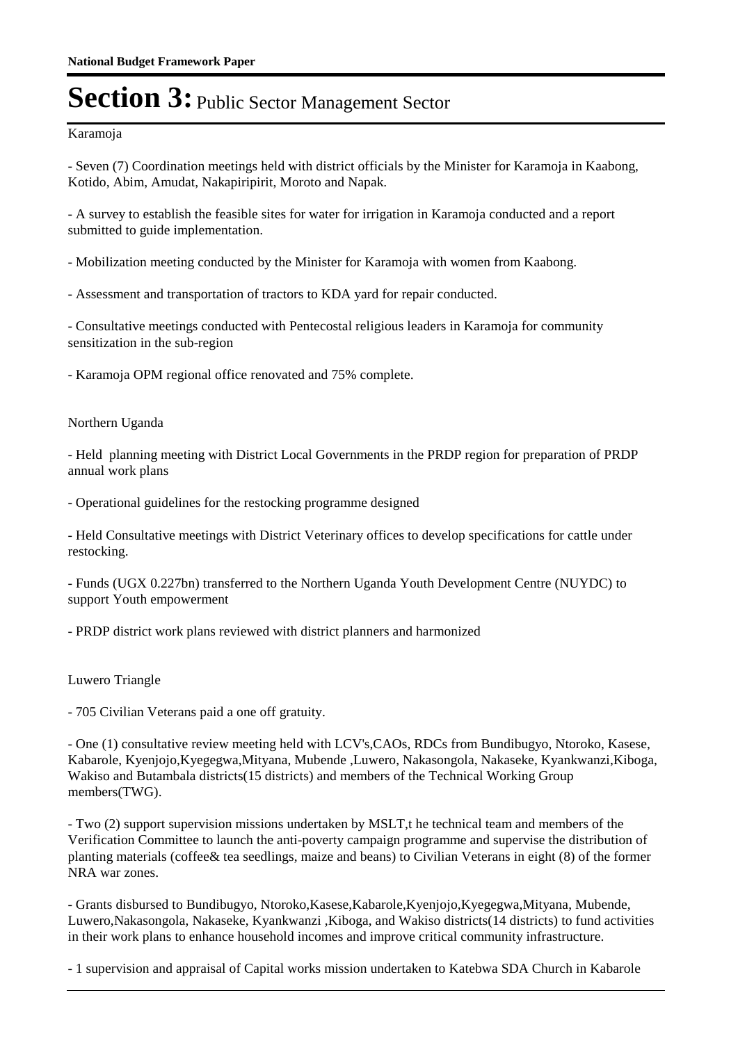#### Karamoja

- Seven (7) Coordination meetings held with district officials by the Minister for Karamoja in Kaabong, Kotido, Abim, Amudat, Nakapiripirit, Moroto and Napak.

- A survey to establish the feasible sites for water for irrigation in Karamoja conducted and a report submitted to guide implementation.

- Mobilization meeting conducted by the Minister for Karamoja with women from Kaabong.

- Assessment and transportation of tractors to KDA yard for repair conducted.

- Consultative meetings conducted with Pentecostal religious leaders in Karamoja for community sensitization in the sub-region

- Karamoja OPM regional office renovated and 75% complete.

#### Northern Uganda

- Held planning meeting with District Local Governments in the PRDP region for preparation of PRDP annual work plans

- Operational guidelines for the restocking programme designed

- Held Consultative meetings with District Veterinary offices to develop specifications for cattle under restocking.

- Funds (UGX 0.227bn) transferred to the Northern Uganda Youth Development Centre (NUYDC) to support Youth empowerment

- PRDP district work plans reviewed with district planners and harmonized

#### Luwero Triangle

- 705 Civilian Veterans paid a one off gratuity.

- One (1) consultative review meeting held with LCV's,CAOs, RDCs from Bundibugyo, Ntoroko, Kasese, Kabarole, Kyenjojo,Kyegegwa,Mityana, Mubende ,Luwero, Nakasongola, Nakaseke, Kyankwanzi,Kiboga, Wakiso and Butambala districts(15 districts) and members of the Technical Working Group members(TWG).

- Two (2) support supervision missions undertaken by MSLT,t he technical team and members of the Verification Committee to launch the anti-poverty campaign programme and supervise the distribution of planting materials (coffee& tea seedlings, maize and beans) to Civilian Veterans in eight (8) of the former NRA war zones.

- Grants disbursed to Bundibugyo, Ntoroko,Kasese,Kabarole,Kyenjojo,Kyegegwa,Mityana, Mubende, Luwero,Nakasongola, Nakaseke, Kyankwanzi ,Kiboga, and Wakiso districts(14 districts) to fund activities in their work plans to enhance household incomes and improve critical community infrastructure.

- 1 supervision and appraisal of Capital works mission undertaken to Katebwa SDA Church in Kabarole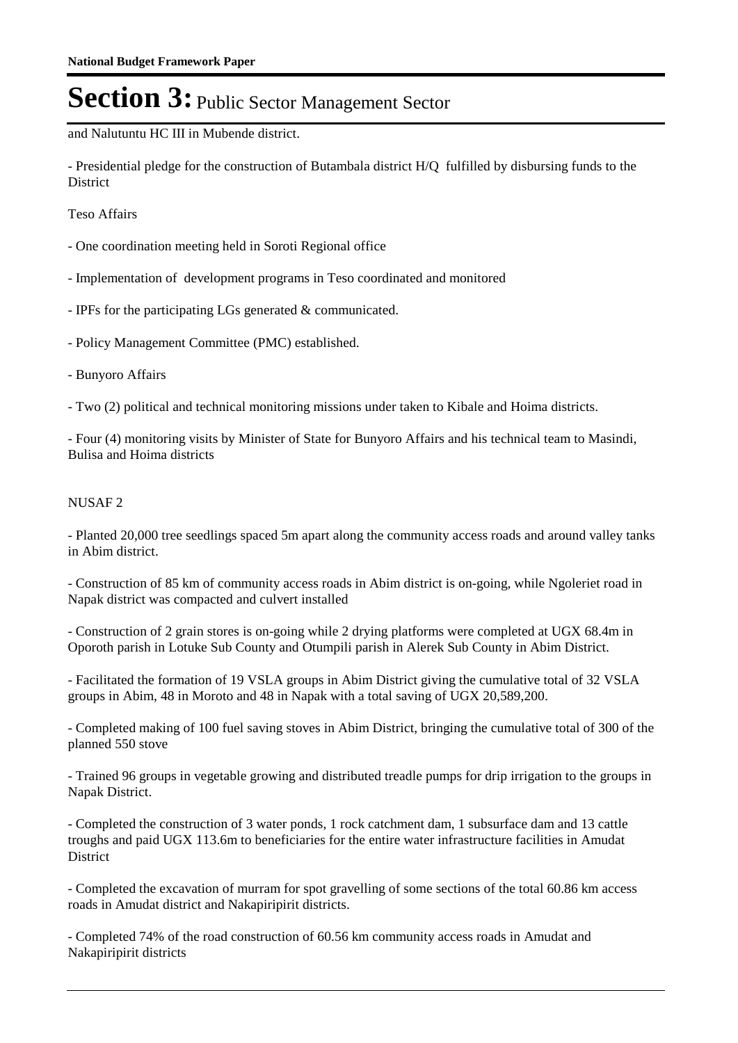and Nalutuntu HC III in Mubende district.

- Presidential pledge for the construction of Butambala district H/Q fulfilled by disbursing funds to the **District** 

Teso Affairs

- One coordination meeting held in Soroti Regional office
- Implementation of development programs in Teso coordinated and monitored
- IPFs for the participating LGs generated & communicated.
- Policy Management Committee (PMC) established.
- Bunyoro Affairs
- Two (2) political and technical monitoring missions under taken to Kibale and Hoima districts.

- Four (4) monitoring visits by Minister of State for Bunyoro Affairs and his technical team to Masindi, Bulisa and Hoima districts

### NUSAF 2

- Planted 20,000 tree seedlings spaced 5m apart along the community access roads and around valley tanks in Abim district.

- Construction of 85 km of community access roads in Abim district is on-going, while Ngoleriet road in Napak district was compacted and culvert installed

- Construction of 2 grain stores is on-going while 2 drying platforms were completed at UGX 68.4m in Oporoth parish in Lotuke Sub County and Otumpili parish in Alerek Sub County in Abim District.

- Facilitated the formation of 19 VSLA groups in Abim District giving the cumulative total of 32 VSLA groups in Abim, 48 in Moroto and 48 in Napak with a total saving of UGX 20,589,200.

- Completed making of 100 fuel saving stoves in Abim District, bringing the cumulative total of 300 of the planned 550 stove

- Trained 96 groups in vegetable growing and distributed treadle pumps for drip irrigation to the groups in Napak District.

- Completed the construction of 3 water ponds, 1 rock catchment dam, 1 subsurface dam and 13 cattle troughs and paid UGX 113.6m to beneficiaries for the entire water infrastructure facilities in Amudat **District** 

- Completed the excavation of murram for spot gravelling of some sections of the total 60.86 km access roads in Amudat district and Nakapiripirit districts.

- Completed 74% of the road construction of 60.56 km community access roads in Amudat and Nakapiripirit districts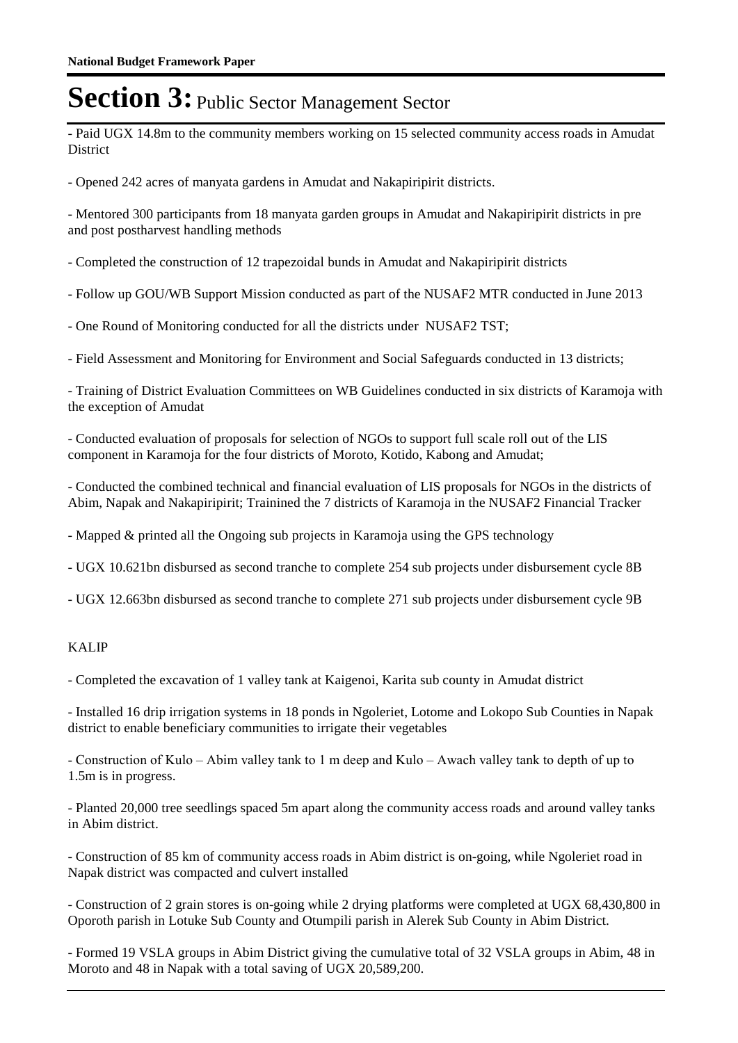- Paid UGX 14.8m to the community members working on 15 selected community access roads in Amudat District

- Opened 242 acres of manyata gardens in Amudat and Nakapiripirit districts.

- Mentored 300 participants from 18 manyata garden groups in Amudat and Nakapiripirit districts in pre and post postharvest handling methods

- Completed the construction of 12 trapezoidal bunds in Amudat and Nakapiripirit districts

- Follow up GOU/WB Support Mission conducted as part of the NUSAF2 MTR conducted in June 2013

- One Round of Monitoring conducted for all the districts under NUSAF2 TST;

- Field Assessment and Monitoring for Environment and Social Safeguards conducted in 13 districts;

- Training of District Evaluation Committees on WB Guidelines conducted in six districts of Karamoja with the exception of Amudat

- Conducted evaluation of proposals for selection of NGOs to support full scale roll out of the LIS component in Karamoja for the four districts of Moroto, Kotido, Kabong and Amudat;

- Conducted the combined technical and financial evaluation of LIS proposals for NGOs in the districts of Abim, Napak and Nakapiripirit; Trainined the 7 districts of Karamoja in the NUSAF2 Financial Tracker

- Mapped & printed all the Ongoing sub projects in Karamoja using the GPS technology

- UGX 10.621bn disbursed as second tranche to complete 254 sub projects under disbursement cycle 8B

- UGX 12.663bn disbursed as second tranche to complete 271 sub projects under disbursement cycle 9B

### KALIP

- Completed the excavation of 1 valley tank at Kaigenoi, Karita sub county in Amudat district

- Installed 16 drip irrigation systems in 18 ponds in Ngoleriet, Lotome and Lokopo Sub Counties in Napak district to enable beneficiary communities to irrigate their vegetables

- Construction of Kulo – Abim valley tank to 1 m deep and Kulo – Awach valley tank to depth of up to 1.5m is in progress.

- Planted 20,000 tree seedlings spaced 5m apart along the community access roads and around valley tanks in Abim district.

- Construction of 85 km of community access roads in Abim district is on-going, while Ngoleriet road in Napak district was compacted and culvert installed

- Construction of 2 grain stores is on-going while 2 drying platforms were completed at UGX 68,430,800 in Oporoth parish in Lotuke Sub County and Otumpili parish in Alerek Sub County in Abim District.

- Formed 19 VSLA groups in Abim District giving the cumulative total of 32 VSLA groups in Abim, 48 in Moroto and 48 in Napak with a total saving of UGX 20,589,200.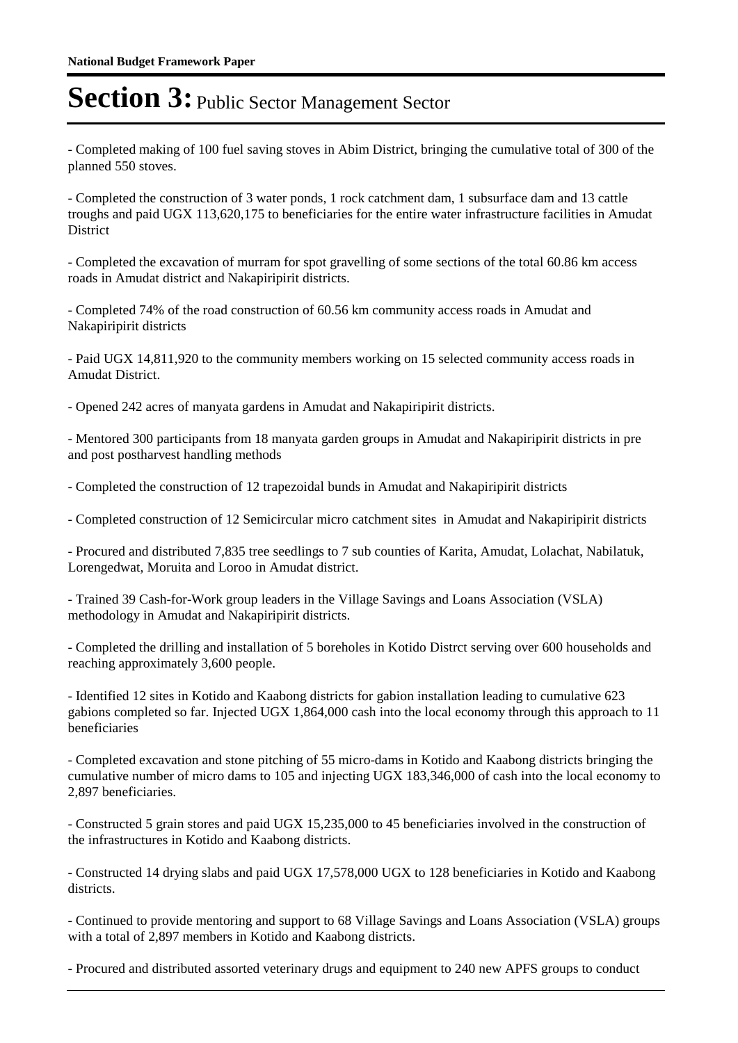- Completed making of 100 fuel saving stoves in Abim District, bringing the cumulative total of 300 of the planned 550 stoves.

- Completed the construction of 3 water ponds, 1 rock catchment dam, 1 subsurface dam and 13 cattle troughs and paid UGX 113,620,175 to beneficiaries for the entire water infrastructure facilities in Amudat **District** 

- Completed the excavation of murram for spot gravelling of some sections of the total 60.86 km access roads in Amudat district and Nakapiripirit districts.

- Completed 74% of the road construction of 60.56 km community access roads in Amudat and Nakapiripirit districts

- Paid UGX 14,811,920 to the community members working on 15 selected community access roads in Amudat District.

- Opened 242 acres of manyata gardens in Amudat and Nakapiripirit districts.

- Mentored 300 participants from 18 manyata garden groups in Amudat and Nakapiripirit districts in pre and post postharvest handling methods

- Completed the construction of 12 trapezoidal bunds in Amudat and Nakapiripirit districts

- Completed construction of 12 Semicircular micro catchment sites in Amudat and Nakapiripirit districts

- Procured and distributed 7,835 tree seedlings to 7 sub counties of Karita, Amudat, Lolachat, Nabilatuk, Lorengedwat, Moruita and Loroo in Amudat district.

- Trained 39 Cash-for-Work group leaders in the Village Savings and Loans Association (VSLA) methodology in Amudat and Nakapiripirit districts.

- Completed the drilling and installation of 5 boreholes in Kotido Distrct serving over 600 households and reaching approximately 3,600 people.

- Identified 12 sites in Kotido and Kaabong districts for gabion installation leading to cumulative 623 gabions completed so far. Injected UGX 1,864,000 cash into the local economy through this approach to 11 beneficiaries

- Completed excavation and stone pitching of 55 micro-dams in Kotido and Kaabong districts bringing the cumulative number of micro dams to 105 and injecting UGX 183,346,000 of cash into the local economy to 2,897 beneficiaries.

- Constructed 5 grain stores and paid UGX 15,235,000 to 45 beneficiaries involved in the construction of the infrastructures in Kotido and Kaabong districts.

- Constructed 14 drying slabs and paid UGX 17,578,000 UGX to 128 beneficiaries in Kotido and Kaabong districts.

- Continued to provide mentoring and support to 68 Village Savings and Loans Association (VSLA) groups with a total of 2,897 members in Kotido and Kaabong districts.

- Procured and distributed assorted veterinary drugs and equipment to 240 new APFS groups to conduct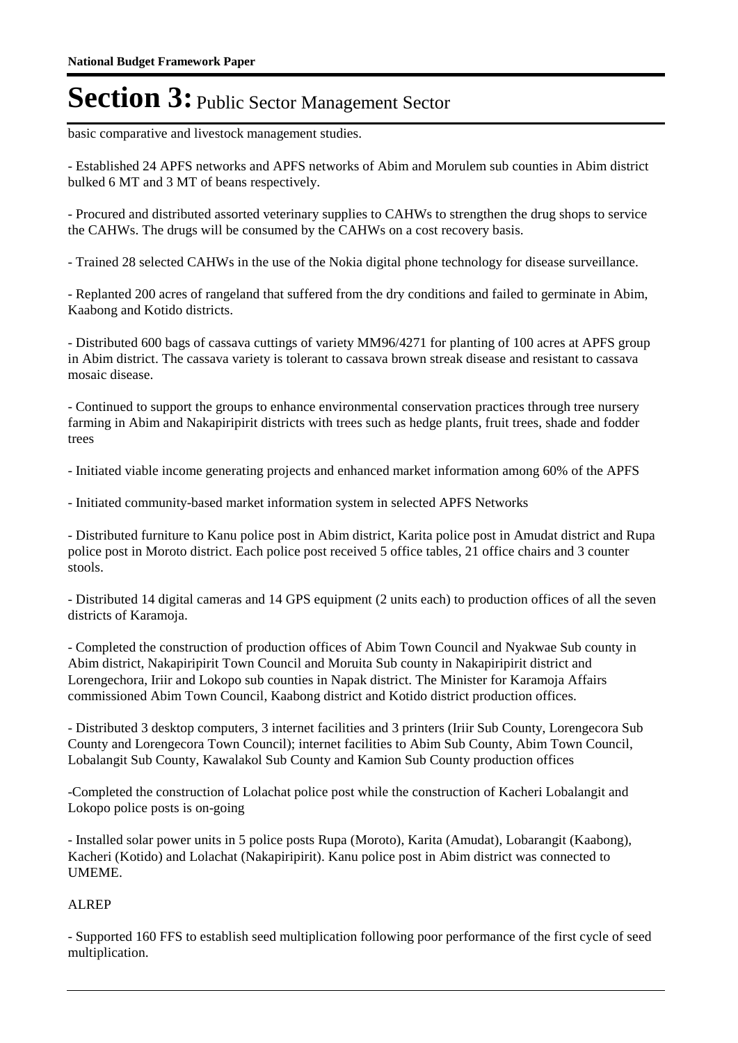basic comparative and livestock management studies.

- Established 24 APFS networks and APFS networks of Abim and Morulem sub counties in Abim district bulked 6 MT and 3 MT of beans respectively.

- Procured and distributed assorted veterinary supplies to CAHWs to strengthen the drug shops to service the CAHWs. The drugs will be consumed by the CAHWs on a cost recovery basis.

- Trained 28 selected CAHWs in the use of the Nokia digital phone technology for disease surveillance.

- Replanted 200 acres of rangeland that suffered from the dry conditions and failed to germinate in Abim, Kaabong and Kotido districts.

- Distributed 600 bags of cassava cuttings of variety MM96/4271 for planting of 100 acres at APFS group in Abim district. The cassava variety is tolerant to cassava brown streak disease and resistant to cassava mosaic disease.

- Continued to support the groups to enhance environmental conservation practices through tree nursery farming in Abim and Nakapiripirit districts with trees such as hedge plants, fruit trees, shade and fodder trees

- Initiated viable income generating projects and enhanced market information among 60% of the APFS

- Initiated community-based market information system in selected APFS Networks

- Distributed furniture to Kanu police post in Abim district, Karita police post in Amudat district and Rupa police post in Moroto district. Each police post received 5 office tables, 21 office chairs and 3 counter stools.

- Distributed 14 digital cameras and 14 GPS equipment (2 units each) to production offices of all the seven districts of Karamoja.

- Completed the construction of production offices of Abim Town Council and Nyakwae Sub county in Abim district, Nakapiripirit Town Council and Moruita Sub county in Nakapiripirit district and Lorengechora, Iriir and Lokopo sub counties in Napak district. The Minister for Karamoja Affairs commissioned Abim Town Council, Kaabong district and Kotido district production offices.

- Distributed 3 desktop computers, 3 internet facilities and 3 printers (Iriir Sub County, Lorengecora Sub County and Lorengecora Town Council); internet facilities to Abim Sub County, Abim Town Council, Lobalangit Sub County, Kawalakol Sub County and Kamion Sub County production offices

-Completed the construction of Lolachat police post while the construction of Kacheri Lobalangit and Lokopo police posts is on-going

- Installed solar power units in 5 police posts Rupa (Moroto), Karita (Amudat), Lobarangit (Kaabong), Kacheri (Kotido) and Lolachat (Nakapiripirit). Kanu police post in Abim district was connected to UMEME.

### ALREP

- Supported 160 FFS to establish seed multiplication following poor performance of the first cycle of seed multiplication.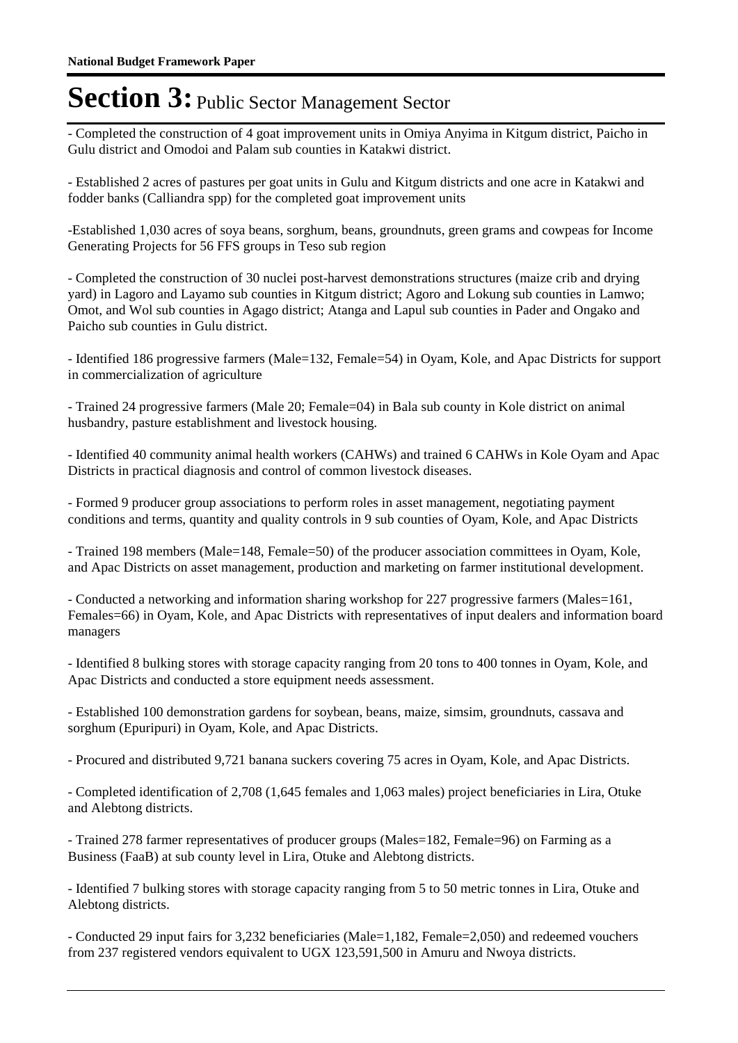- Completed the construction of 4 goat improvement units in Omiya Anyima in Kitgum district, Paicho in Gulu district and Omodoi and Palam sub counties in Katakwi district.

- Established 2 acres of pastures per goat units in Gulu and Kitgum districts and one acre in Katakwi and fodder banks (Calliandra spp) for the completed goat improvement units

-Established 1,030 acres of soya beans, sorghum, beans, groundnuts, green grams and cowpeas for Income Generating Projects for 56 FFS groups in Teso sub region

- Completed the construction of 30 nuclei post-harvest demonstrations structures (maize crib and drying yard) in Lagoro and Layamo sub counties in Kitgum district; Agoro and Lokung sub counties in Lamwo; Omot, and Wol sub counties in Agago district; Atanga and Lapul sub counties in Pader and Ongako and Paicho sub counties in Gulu district.

- Identified 186 progressive farmers (Male=132, Female=54) in Oyam, Kole, and Apac Districts for support in commercialization of agriculture

- Trained 24 progressive farmers (Male 20; Female=04) in Bala sub county in Kole district on animal husbandry, pasture establishment and livestock housing.

- Identified 40 community animal health workers (CAHWs) and trained 6 CAHWs in Kole Oyam and Apac Districts in practical diagnosis and control of common livestock diseases.

- Formed 9 producer group associations to perform roles in asset management, negotiating payment conditions and terms, quantity and quality controls in 9 sub counties of Oyam, Kole, and Apac Districts

- Trained 198 members (Male=148, Female=50) of the producer association committees in Oyam, Kole, and Apac Districts on asset management, production and marketing on farmer institutional development.

- Conducted a networking and information sharing workshop for 227 progressive farmers (Males=161, Females=66) in Oyam, Kole, and Apac Districts with representatives of input dealers and information board managers

- Identified 8 bulking stores with storage capacity ranging from 20 tons to 400 tonnes in Oyam, Kole, and Apac Districts and conducted a store equipment needs assessment.

- Established 100 demonstration gardens for soybean, beans, maize, simsim, groundnuts, cassava and sorghum (Epuripuri) in Oyam, Kole, and Apac Districts.

- Procured and distributed 9,721 banana suckers covering 75 acres in Oyam, Kole, and Apac Districts.

- Completed identification of 2,708 (1,645 females and 1,063 males) project beneficiaries in Lira, Otuke and Alebtong districts.

- Trained 278 farmer representatives of producer groups (Males=182, Female=96) on Farming as a Business (FaaB) at sub county level in Lira, Otuke and Alebtong districts.

- Identified 7 bulking stores with storage capacity ranging from 5 to 50 metric tonnes in Lira, Otuke and Alebtong districts.

- Conducted 29 input fairs for 3,232 beneficiaries (Male=1,182, Female=2,050) and redeemed vouchers from 237 registered vendors equivalent to UGX 123,591,500 in Amuru and Nwoya districts.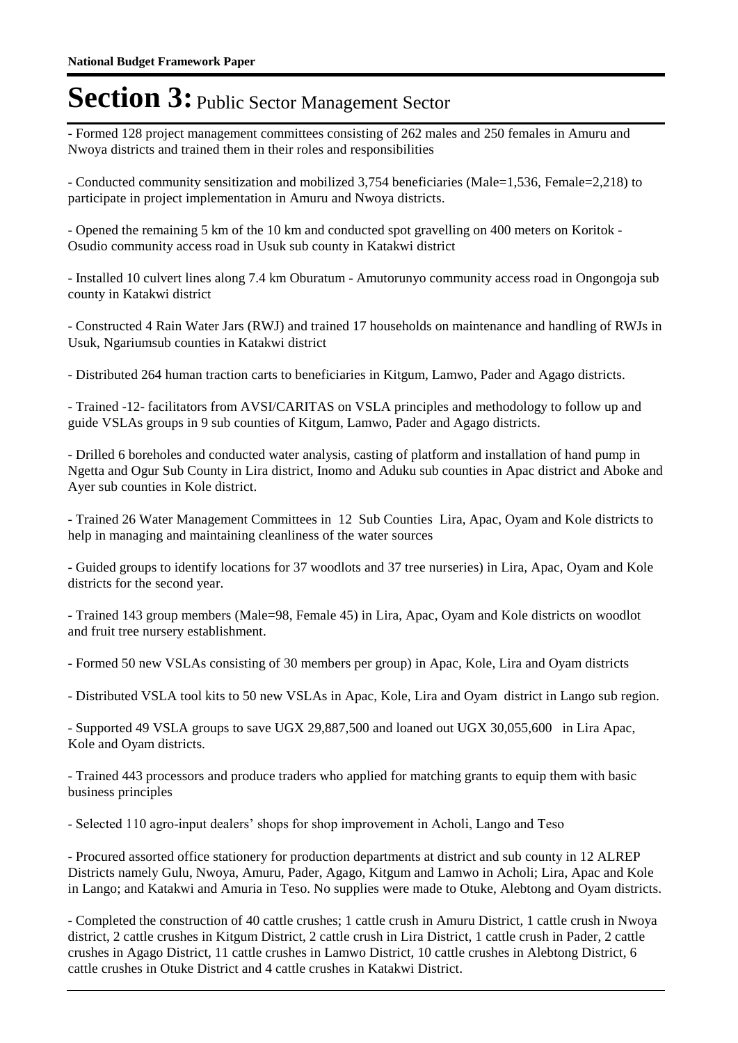- Formed 128 project management committees consisting of 262 males and 250 females in Amuru and Nwoya districts and trained them in their roles and responsibilities

- Conducted community sensitization and mobilized 3,754 beneficiaries (Male=1,536, Female=2,218) to participate in project implementation in Amuru and Nwoya districts.

- Opened the remaining 5 km of the 10 km and conducted spot gravelling on 400 meters on Koritok - Osudio community access road in Usuk sub county in Katakwi district

- Installed 10 culvert lines along 7.4 km Oburatum - Amutorunyo community access road in Ongongoja sub county in Katakwi district

- Constructed 4 Rain Water Jars (RWJ) and trained 17 households on maintenance and handling of RWJs in Usuk, Ngariumsub counties in Katakwi district

- Distributed 264 human traction carts to beneficiaries in Kitgum, Lamwo, Pader and Agago districts.

- Trained -12- facilitators from AVSI/CARITAS on VSLA principles and methodology to follow up and guide VSLAs groups in 9 sub counties of Kitgum, Lamwo, Pader and Agago districts.

- Drilled 6 boreholes and conducted water analysis, casting of platform and installation of hand pump in Ngetta and Ogur Sub County in Lira district, Inomo and Aduku sub counties in Apac district and Aboke and Ayer sub counties in Kole district.

- Trained 26 Water Management Committees in 12 Sub Counties Lira, Apac, Oyam and Kole districts to help in managing and maintaining cleanliness of the water sources

- Guided groups to identify locations for 37 woodlots and 37 tree nurseries) in Lira, Apac, Oyam and Kole districts for the second year.

- Trained 143 group members (Male=98, Female 45) in Lira, Apac, Oyam and Kole districts on woodlot and fruit tree nursery establishment.

- Formed 50 new VSLAs consisting of 30 members per group) in Apac, Kole, Lira and Oyam districts

- Distributed VSLA tool kits to 50 new VSLAs in Apac, Kole, Lira and Oyam district in Lango sub region.

- Supported 49 VSLA groups to save UGX 29,887,500 and loaned out UGX 30,055,600 in Lira Apac, Kole and Oyam districts.

- Trained 443 processors and produce traders who applied for matching grants to equip them with basic business principles

- Selected 110 agro-input dealers' shops for shop improvement in Acholi, Lango and Teso

- Procured assorted office stationery for production departments at district and sub county in 12 ALREP Districts namely Gulu, Nwoya, Amuru, Pader, Agago, Kitgum and Lamwo in Acholi; Lira, Apac and Kole in Lango; and Katakwi and Amuria in Teso. No supplies were made to Otuke, Alebtong and Oyam districts.

- Completed the construction of 40 cattle crushes; 1 cattle crush in Amuru District, 1 cattle crush in Nwoya district, 2 cattle crushes in Kitgum District, 2 cattle crush in Lira District, 1 cattle crush in Pader, 2 cattle crushes in Agago District, 11 cattle crushes in Lamwo District, 10 cattle crushes in Alebtong District, 6 cattle crushes in Otuke District and 4 cattle crushes in Katakwi District.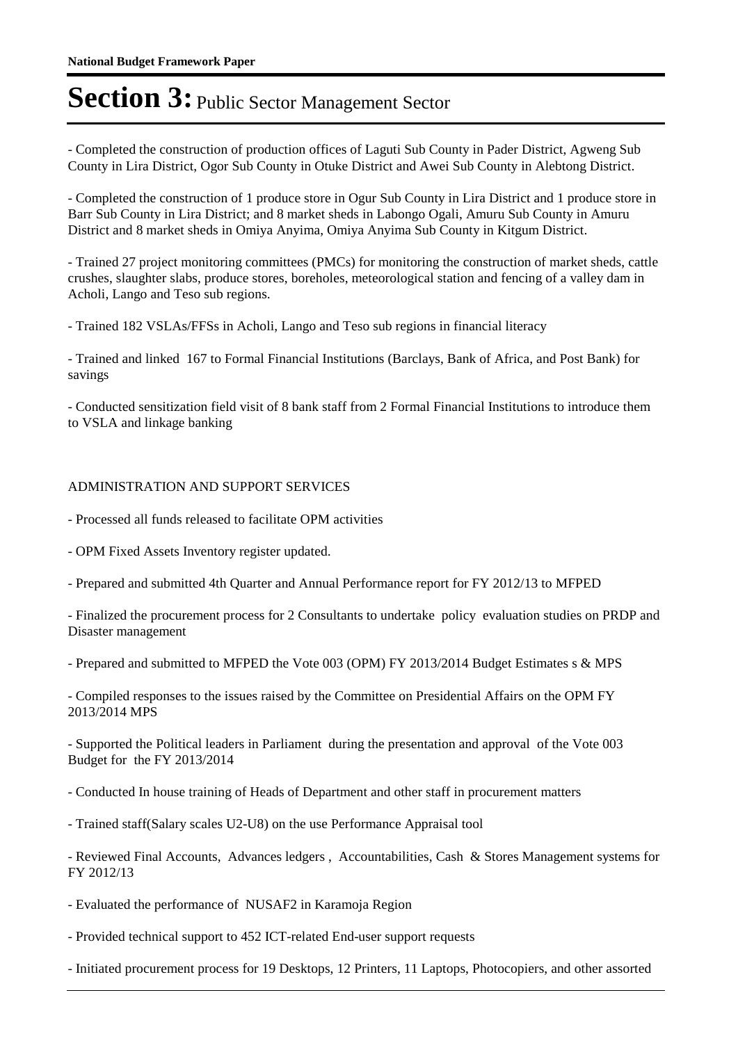- Completed the construction of production offices of Laguti Sub County in Pader District, Agweng Sub County in Lira District, Ogor Sub County in Otuke District and Awei Sub County in Alebtong District.

- Completed the construction of 1 produce store in Ogur Sub County in Lira District and 1 produce store in Barr Sub County in Lira District; and 8 market sheds in Labongo Ogali, Amuru Sub County in Amuru District and 8 market sheds in Omiya Anyima, Omiya Anyima Sub County in Kitgum District.

- Trained 27 project monitoring committees (PMCs) for monitoring the construction of market sheds, cattle crushes, slaughter slabs, produce stores, boreholes, meteorological station and fencing of a valley dam in Acholi, Lango and Teso sub regions.

- Trained 182 VSLAs/FFSs in Acholi, Lango and Teso sub regions in financial literacy

- Trained and linked 167 to Formal Financial Institutions (Barclays, Bank of Africa, and Post Bank) for savings

- Conducted sensitization field visit of 8 bank staff from 2 Formal Financial Institutions to introduce them to VSLA and linkage banking

### ADMINISTRATION AND SUPPORT SERVICES

- Processed all funds released to facilitate OPM activities
- OPM Fixed Assets Inventory register updated.
- Prepared and submitted 4th Quarter and Annual Performance report for FY 2012/13 to MFPED

- Finalized the procurement process for 2 Consultants to undertake policy evaluation studies on PRDP and Disaster management

- Prepared and submitted to MFPED the Vote 003 (OPM) FY 2013/2014 Budget Estimates s & MPS

- Compiled responses to the issues raised by the Committee on Presidential Affairs on the OPM FY 2013/2014 MPS

- Supported the Political leaders in Parliament during the presentation and approval of the Vote 003 Budget for the FY 2013/2014

- Conducted In house training of Heads of Department and other staff in procurement matters
- Trained staff(Salary scales U2-U8) on the use Performance Appraisal tool

- Reviewed Final Accounts, Advances ledgers , Accountabilities, Cash & Stores Management systems for FY 2012/13

- Evaluated the performance of NUSAF2 in Karamoja Region
- Provided technical support to 452 ICT-related End-user support requests
- Initiated procurement process for 19 Desktops, 12 Printers, 11 Laptops, Photocopiers, and other assorted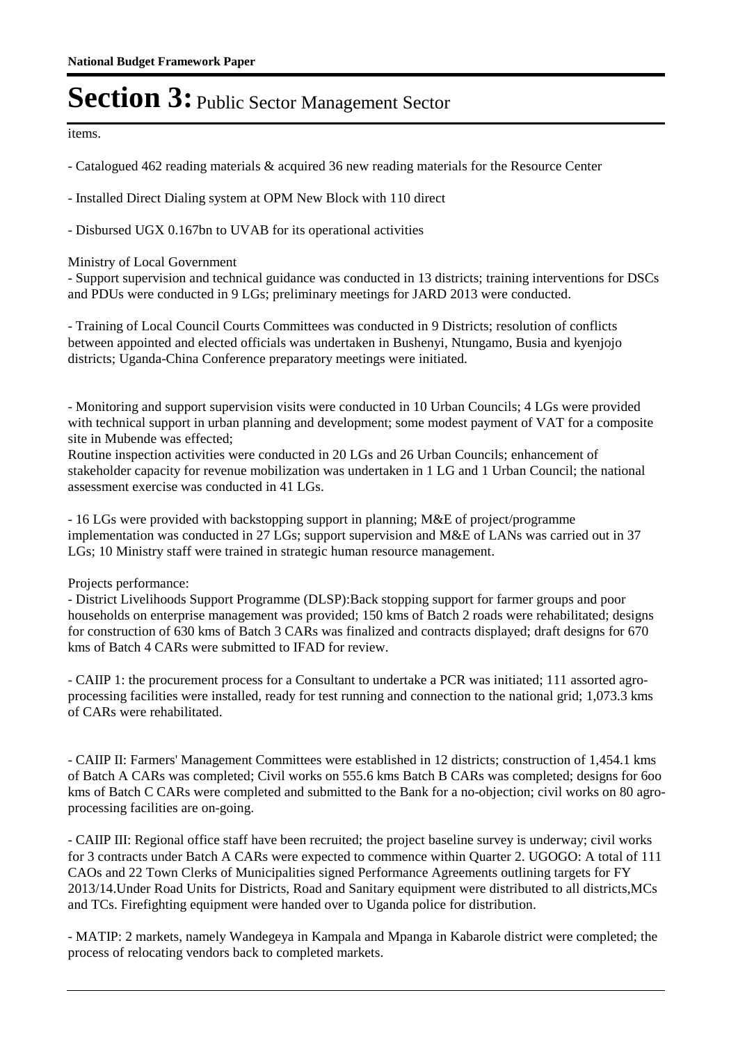items.

- Catalogued 462 reading materials & acquired 36 new reading materials for the Resource Center

- Installed Direct Dialing system at OPM New Block with 110 direct

- Disbursed UGX 0.167bn to UVAB for its operational activities

### Ministry of Local Government

- Support supervision and technical guidance was conducted in 13 districts; training interventions for DSCs and PDUs were conducted in 9 LGs; preliminary meetings for JARD 2013 were conducted.

- Training of Local Council Courts Committees was conducted in 9 Districts; resolution of conflicts between appointed and elected officials was undertaken in Bushenyi, Ntungamo, Busia and kyenjojo districts; Uganda-China Conference preparatory meetings were initiated.

- Monitoring and support supervision visits were conducted in 10 Urban Councils; 4 LGs were provided with technical support in urban planning and development; some modest payment of VAT for a composite site in Mubende was effected;

Routine inspection activities were conducted in 20 LGs and 26 Urban Councils; enhancement of stakeholder capacity for revenue mobilization was undertaken in 1 LG and 1 Urban Council; the national assessment exercise was conducted in 41 LGs.

- 16 LGs were provided with backstopping support in planning; M&E of project/programme implementation was conducted in 27 LGs; support supervision and M&E of LANs was carried out in 37 LGs; 10 Ministry staff were trained in strategic human resource management.

#### Projects performance:

- District Livelihoods Support Programme (DLSP):Back stopping support for farmer groups and poor households on enterprise management was provided; 150 kms of Batch 2 roads were rehabilitated; designs for construction of 630 kms of Batch 3 CARs was finalized and contracts displayed; draft designs for 670 kms of Batch 4 CARs were submitted to IFAD for review.

- CAIIP 1: the procurement process for a Consultant to undertake a PCR was initiated; 111 assorted agroprocessing facilities were installed, ready for test running and connection to the national grid; 1,073.3 kms of CARs were rehabilitated.

- CAIIP II: Farmers' Management Committees were established in 12 districts; construction of 1,454.1 kms of Batch A CARs was completed; Civil works on 555.6 kms Batch B CARs was completed; designs for 6oo kms of Batch C CARs were completed and submitted to the Bank for a no-objection; civil works on 80 agroprocessing facilities are on-going.

- CAIIP III: Regional office staff have been recruited; the project baseline survey is underway; civil works for 3 contracts under Batch A CARs were expected to commence within Quarter 2. UGOGO: A total of 111 CAOs and 22 Town Clerks of Municipalities signed Performance Agreements outlining targets for FY 2013/14.Under Road Units for Districts, Road and Sanitary equipment were distributed to all districts,MCs and TCs. Firefighting equipment were handed over to Uganda police for distribution.

- MATIP: 2 markets, namely Wandegeya in Kampala and Mpanga in Kabarole district were completed; the process of relocating vendors back to completed markets.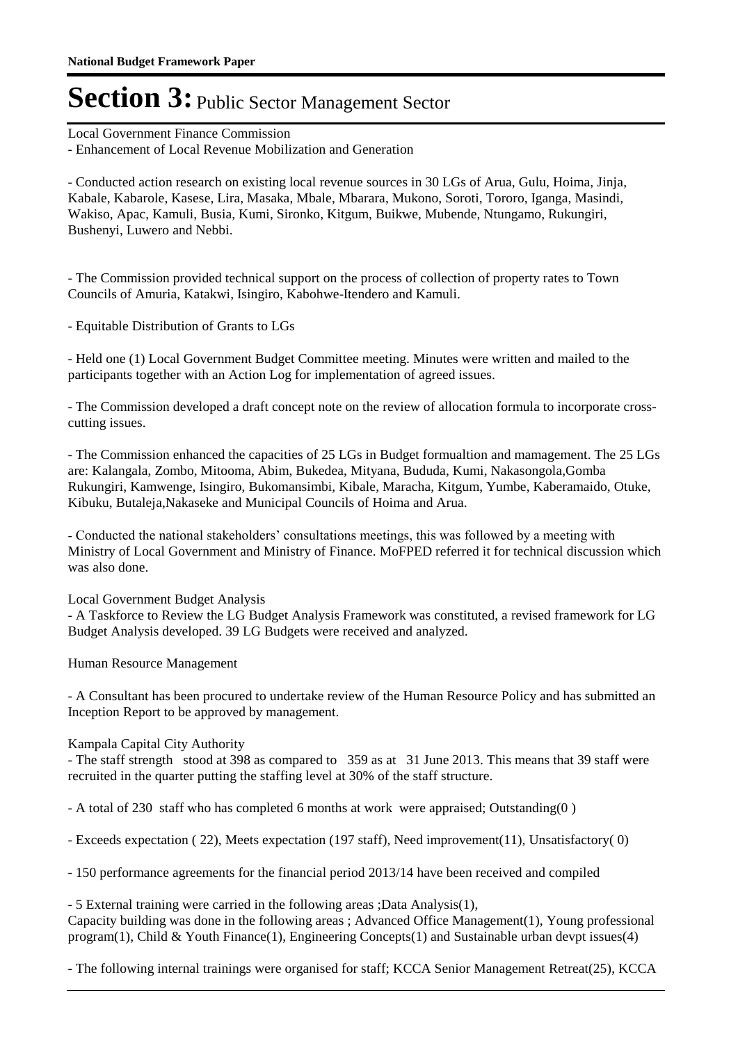Local Government Finance Commission

- Enhancement of Local Revenue Mobilization and Generation

- Conducted action research on existing local revenue sources in 30 LGs of Arua, Gulu, Hoima, Jinja, Kabale, Kabarole, Kasese, Lira, Masaka, Mbale, Mbarara, Mukono, Soroti, Tororo, Iganga, Masindi, Wakiso, Apac, Kamuli, Busia, Kumi, Sironko, Kitgum, Buikwe, Mubende, Ntungamo, Rukungiri, Bushenyi, Luwero and Nebbi.

- The Commission provided technical support on the process of collection of property rates to Town Councils of Amuria, Katakwi, Isingiro, Kabohwe-Itendero and Kamuli.

- Equitable Distribution of Grants to LGs

- Held one (1) Local Government Budget Committee meeting. Minutes were written and mailed to the participants together with an Action Log for implementation of agreed issues.

- The Commission developed a draft concept note on the review of allocation formula to incorporate crosscutting issues.

- The Commission enhanced the capacities of 25 LGs in Budget formualtion and mamagement. The 25 LGs are: Kalangala, Zombo, Mitooma, Abim, Bukedea, Mityana, Bududa, Kumi, Nakasongola,Gomba Rukungiri, Kamwenge, Isingiro, Bukomansimbi, Kibale, Maracha, Kitgum, Yumbe, Kaberamaido, Otuke, Kibuku, Butaleja,Nakaseke and Municipal Councils of Hoima and Arua.

- Conducted the national stakeholders' consultations meetings, this was followed by a meeting with Ministry of Local Government and Ministry of Finance. MoFPED referred it for technical discussion which was also done.

Local Government Budget Analysis

- A Taskforce to Review the LG Budget Analysis Framework was constituted, a revised framework for LG Budget Analysis developed. 39 LG Budgets were received and analyzed.

Human Resource Management

- A Consultant has been procured to undertake review of the Human Resource Policy and has submitted an Inception Report to be approved by management.

#### Kampala Capital City Authority

- The staff strength stood at 398 as compared to 359 as at 31 June 2013. This means that 39 staff were recruited in the quarter putting the staffing level at 30% of the staff structure.

- A total of 230 staff who has completed 6 months at work were appraised; Outstanding(0 )

- Exceeds expectation ( 22), Meets expectation (197 staff), Need improvement(11), Unsatisfactory( 0)

- 150 performance agreements for the financial period 2013/14 have been received and compiled

- 5 External training were carried in the following areas ;Data Analysis(1), Capacity building was done in the following areas ; Advanced Office Management(1), Young professional program(1), Child & Youth Finance(1), Engineering Concepts(1) and Sustainable urban devpt issues(4)

- The following internal trainings were organised for staff; KCCA Senior Management Retreat(25), KCCA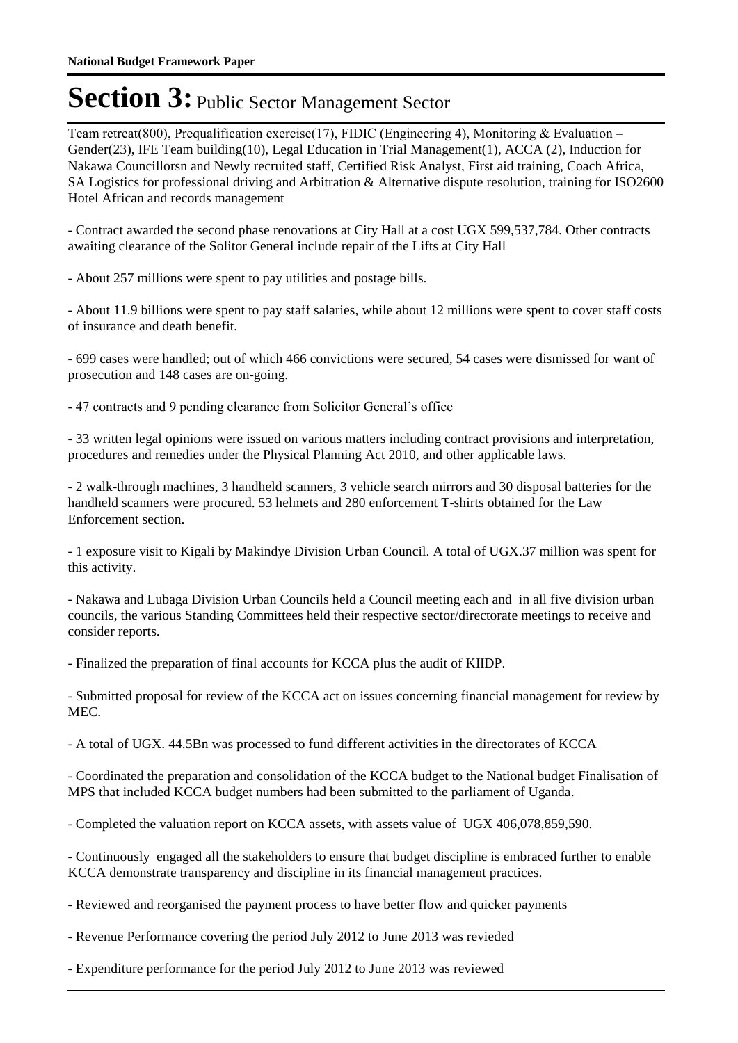Team retreat(800), Prequalification exercise(17), FIDIC (Engineering 4), Monitoring & Evaluation – Gender(23), IFE Team building(10), Legal Education in Trial Management(1), ACCA (2), Induction for Nakawa Councillorsn and Newly recruited staff, Certified Risk Analyst, First aid training, Coach Africa, SA Logistics for professional driving and Arbitration & Alternative dispute resolution, training for ISO2600 Hotel African and records management

- Contract awarded the second phase renovations at City Hall at a cost UGX 599,537,784. Other contracts awaiting clearance of the Solitor General include repair of the Lifts at City Hall

- About 257 millions were spent to pay utilities and postage bills.

- About 11.9 billions were spent to pay staff salaries, while about 12 millions were spent to cover staff costs of insurance and death benefit.

- 699 cases were handled; out of which 466 convictions were secured, 54 cases were dismissed for want of prosecution and 148 cases are on-going.

- 47 contracts and 9 pending clearance from Solicitor General's office

- 33 written legal opinions were issued on various matters including contract provisions and interpretation, procedures and remedies under the Physical Planning Act 2010, and other applicable laws.

- 2 walk-through machines, 3 handheld scanners, 3 vehicle search mirrors and 30 disposal batteries for the handheld scanners were procured. 53 helmets and 280 enforcement T-shirts obtained for the Law Enforcement section.

- 1 exposure visit to Kigali by Makindye Division Urban Council. A total of UGX.37 million was spent for this activity.

- Nakawa and Lubaga Division Urban Councils held a Council meeting each and in all five division urban councils, the various Standing Committees held their respective sector/directorate meetings to receive and consider reports.

- Finalized the preparation of final accounts for KCCA plus the audit of KIIDP.

- Submitted proposal for review of the KCCA act on issues concerning financial management for review by MEC.

- A total of UGX. 44.5Bn was processed to fund different activities in the directorates of KCCA

- Coordinated the preparation and consolidation of the KCCA budget to the National budget Finalisation of MPS that included KCCA budget numbers had been submitted to the parliament of Uganda.

- Completed the valuation report on KCCA assets, with assets value of UGX 406,078,859,590.

- Continuously engaged all the stakeholders to ensure that budget discipline is embraced further to enable KCCA demonstrate transparency and discipline in its financial management practices.

- Reviewed and reorganised the payment process to have better flow and quicker payments

- Revenue Performance covering the period July 2012 to June 2013 was revieded

- Expenditure performance for the period July 2012 to June 2013 was reviewed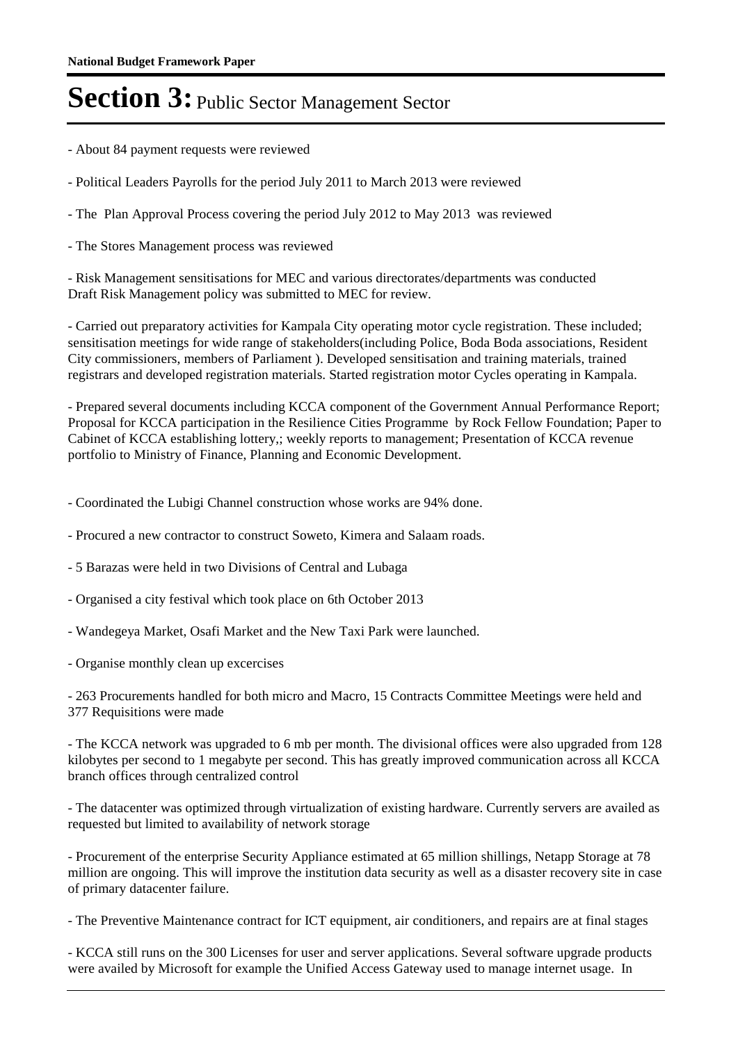- About 84 payment requests were reviewed
- Political Leaders Payrolls for the period July 2011 to March 2013 were reviewed
- The Plan Approval Process covering the period July 2012 to May 2013 was reviewed
- The Stores Management process was reviewed

- Risk Management sensitisations for MEC and various directorates/departments was conducted Draft Risk Management policy was submitted to MEC for review.

- Carried out preparatory activities for Kampala City operating motor cycle registration. These included; sensitisation meetings for wide range of stakeholders(including Police, Boda Boda associations, Resident City commissioners, members of Parliament ). Developed sensitisation and training materials, trained registrars and developed registration materials. Started registration motor Cycles operating in Kampala.

- Prepared several documents including KCCA component of the Government Annual Performance Report; Proposal for KCCA participation in the Resilience Cities Programme by Rock Fellow Foundation; Paper to Cabinet of KCCA establishing lottery,; weekly reports to management; Presentation of KCCA revenue portfolio to Ministry of Finance, Planning and Economic Development.

- Coordinated the Lubigi Channel construction whose works are 94% done.

- Procured a new contractor to construct Soweto, Kimera and Salaam roads.
- 5 Barazas were held in two Divisions of Central and Lubaga
- Organised a city festival which took place on 6th October 2013
- Wandegeya Market, Osafi Market and the New Taxi Park were launched.
- Organise monthly clean up excercises

- 263 Procurements handled for both micro and Macro, 15 Contracts Committee Meetings were held and 377 Requisitions were made

- The KCCA network was upgraded to 6 mb per month. The divisional offices were also upgraded from 128 kilobytes per second to 1 megabyte per second. This has greatly improved communication across all KCCA branch offices through centralized control

- The datacenter was optimized through virtualization of existing hardware. Currently servers are availed as requested but limited to availability of network storage

- Procurement of the enterprise Security Appliance estimated at 65 million shillings, Netapp Storage at 78 million are ongoing. This will improve the institution data security as well as a disaster recovery site in case of primary datacenter failure.

- The Preventive Maintenance contract for ICT equipment, air conditioners, and repairs are at final stages

- KCCA still runs on the 300 Licenses for user and server applications. Several software upgrade products were availed by Microsoft for example the Unified Access Gateway used to manage internet usage. In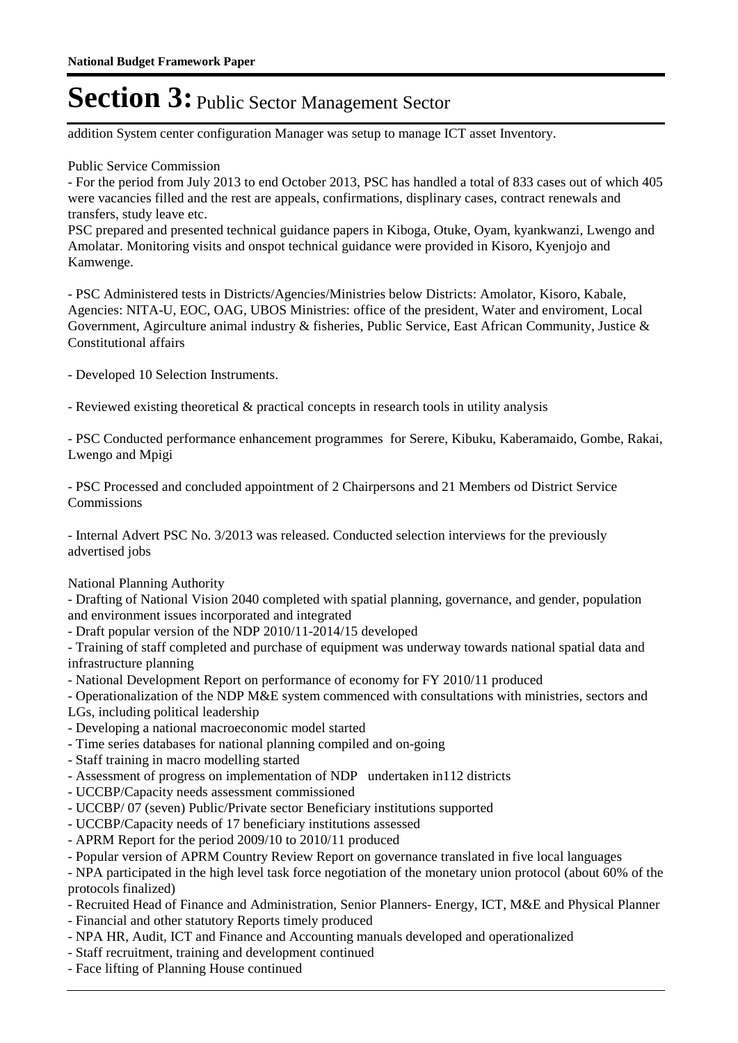addition System center configuration Manager was setup to manage ICT asset Inventory.

Public Service Commission

- For the period from July 2013 to end October 2013, PSC has handled a total of 833 cases out of which 405 were vacancies filled and the rest are appeals, confirmations, displinary cases, contract renewals and transfers, study leave etc.

PSC prepared and presented technical guidance papers in Kiboga, Otuke, Oyam, kyankwanzi, Lwengo and Amolatar. Monitoring visits and onspot technical guidance were provided in Kisoro, Kyenjojo and Kamwenge.

- PSC Administered tests in Districts/Agencies/Ministries below Districts: Amolator, Kisoro, Kabale, Agencies: NITA-U, EOC, OAG, UBOS Ministries: office of the president, Water and enviroment, Local Government, Agirculture animal industry & fisheries, Public Service, East African Community, Justice & Constitutional affairs

- Developed 10 Selection Instruments.

- Reviewed existing theoretical & practical concepts in research tools in utility analysis

- PSC Conducted performance enhancement programmes for Serere, Kibuku, Kaberamaido, Gombe, Rakai, Lwengo and Mpigi

- PSC Processed and concluded appointment of 2 Chairpersons and 21 Members od District Service Commissions

- Internal Advert PSC No. 3/2013 was released. Conducted selection interviews for the previously advertised jobs

National Planning Authority

- Drafting of National Vision 2040 completed with spatial planning, governance, and gender, population and environment issues incorporated and integrated

- Draft popular version of the NDP 2010/11-2014/15 developed

- Training of staff completed and purchase of equipment was underway towards national spatial data and infrastructure planning

- National Development Report on performance of economy for FY 2010/11 produced
- Operationalization of the NDP M&E system commenced with consultations with ministries, sectors and
- LGs, including political leadership
- Developing a national macroeconomic model started
- Time series databases for national planning compiled and on-going
- Staff training in macro modelling started
- Assessment of progress on implementation of NDP undertaken in112 districts
- UCCBP/Capacity needs assessment commissioned
- UCCBP/ 07 (seven) Public/Private sector Beneficiary institutions supported
- UCCBP/Capacity needs of 17 beneficiary institutions assessed
- APRM Report for the period 2009/10 to 2010/11 produced
- Popular version of APRM Country Review Report on governance translated in five local languages

- NPA participated in the high level task force negotiation of the monetary union protocol (about 60% of the protocols finalized)

- Recruited Head of Finance and Administration, Senior Planners- Energy, ICT, M&E and Physical Planner
- Financial and other statutory Reports timely produced
- NPA HR, Audit, ICT and Finance and Accounting manuals developed and operationalized
- Staff recruitment, training and development continued
- Face lifting of Planning House continued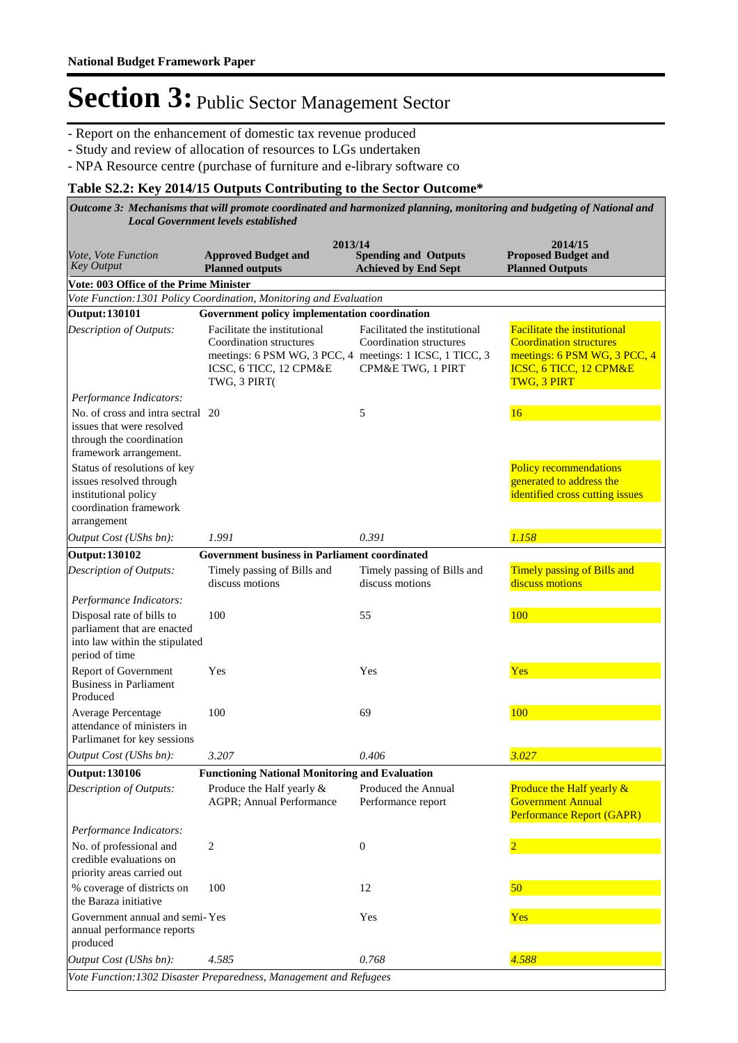- Report on the enhancement of domestic tax revenue produced
- Study and review of allocation of resources to LGs undertaken
- NPA Resource centre (purchase of furniture and e-library software co

### **Table S2.2: Key 2014/15 Outputs Contributing to the Sector Outcome\***

| Vote, Vote Function<br><b>Key Output</b>                                                                                                                                                                                                         | 2013/14<br><b>Approved Budget and</b><br><b>Planned outputs</b>                                                                                                                                                | <b>Spending and Outputs</b><br><b>Achieved by End Sept</b>                    | 2014/15<br><b>Proposed Budget and</b><br><b>Planned Outputs</b>                                                                                       |
|--------------------------------------------------------------------------------------------------------------------------------------------------------------------------------------------------------------------------------------------------|----------------------------------------------------------------------------------------------------------------------------------------------------------------------------------------------------------------|-------------------------------------------------------------------------------|-------------------------------------------------------------------------------------------------------------------------------------------------------|
| Vote: 003 Office of the Prime Minister                                                                                                                                                                                                           |                                                                                                                                                                                                                |                                                                               |                                                                                                                                                       |
|                                                                                                                                                                                                                                                  | Vote Function: 1301 Policy Coordination, Monitoring and Evaluation                                                                                                                                             |                                                                               |                                                                                                                                                       |
| <b>Output: 130101</b><br>Description of Outputs:                                                                                                                                                                                                 | Government policy implementation coordination<br>Facilitate the institutional<br>Coordination structures<br>meetings: 6 PSM WG, 3 PCC, 4 meetings: 1 ICSC, 1 TICC, 3<br>ICSC, 6 TICC, 12 CPM&E<br>TWG, 3 PIRT( | Facilitated the institutional<br>Coordination structures<br>CPM&E TWG, 1 PIRT | <b>Facilitate the institutional</b><br><b>Coordination structures</b><br>meetings: 6 PSM WG, 3 PCC, 4<br>ICSC, 6 TICC, 12 CPM&E<br><b>TWG, 3 PIRT</b> |
| Performance Indicators:                                                                                                                                                                                                                          |                                                                                                                                                                                                                |                                                                               |                                                                                                                                                       |
| No. of cross and intra sectral 20<br>issues that were resolved<br>through the coordination<br>framework arrangement.<br>Status of resolutions of key<br>issues resolved through<br>institutional policy<br>coordination framework<br>arrangement |                                                                                                                                                                                                                | 5                                                                             | 16<br><b>Policy recommendations</b><br>generated to address the<br>identified cross cutting issues                                                    |
| Output Cost (UShs bn):                                                                                                                                                                                                                           | 1.991                                                                                                                                                                                                          | 0.391                                                                         | 1.158                                                                                                                                                 |
| <b>Output: 130102</b>                                                                                                                                                                                                                            | <b>Government business in Parliament coordinated</b>                                                                                                                                                           |                                                                               |                                                                                                                                                       |
| Description of Outputs:                                                                                                                                                                                                                          | Timely passing of Bills and<br>discuss motions                                                                                                                                                                 | Timely passing of Bills and<br>discuss motions                                | <b>Timely passing of Bills and</b><br>discuss motions                                                                                                 |
| Performance Indicators:<br>Disposal rate of bills to<br>parliament that are enacted<br>into law within the stipulated<br>period of time                                                                                                          | 100                                                                                                                                                                                                            | 55                                                                            | 100                                                                                                                                                   |
| Report of Government<br><b>Business in Parliament</b><br>Produced                                                                                                                                                                                | Yes                                                                                                                                                                                                            | Yes                                                                           | Yes                                                                                                                                                   |
| <b>Average Percentage</b><br>attendance of ministers in<br>Parlimanet for key sessions                                                                                                                                                           | 100                                                                                                                                                                                                            | 69                                                                            | 100                                                                                                                                                   |
| Output Cost (UShs bn):                                                                                                                                                                                                                           | 3.207                                                                                                                                                                                                          | 0.406                                                                         | 3.027                                                                                                                                                 |
| <b>Output: 130106</b>                                                                                                                                                                                                                            | <b>Functioning National Monitoring and Evaluation</b>                                                                                                                                                          |                                                                               |                                                                                                                                                       |
| Description of Outputs:<br>Performance Indicators:                                                                                                                                                                                               | Produce the Half yearly &<br>AGPR; Annual Performance                                                                                                                                                          | Produced the Annual<br>Performance report                                     | Produce the Half yearly &<br><b>Government Annual</b><br>Performance Report (GAPR)                                                                    |
| No. of professional and<br>credible evaluations on<br>priority areas carried out                                                                                                                                                                 | 2                                                                                                                                                                                                              | $\mathbf{0}$                                                                  |                                                                                                                                                       |
| % coverage of districts on<br>the Baraza initiative                                                                                                                                                                                              | 100                                                                                                                                                                                                            | 12                                                                            | 50                                                                                                                                                    |
| Government annual and semi-Yes<br>annual performance reports<br>produced                                                                                                                                                                         |                                                                                                                                                                                                                | Yes                                                                           | Yes                                                                                                                                                   |
| Output Cost (UShs bn):                                                                                                                                                                                                                           | 4.585                                                                                                                                                                                                          | 0.768                                                                         | 4.588                                                                                                                                                 |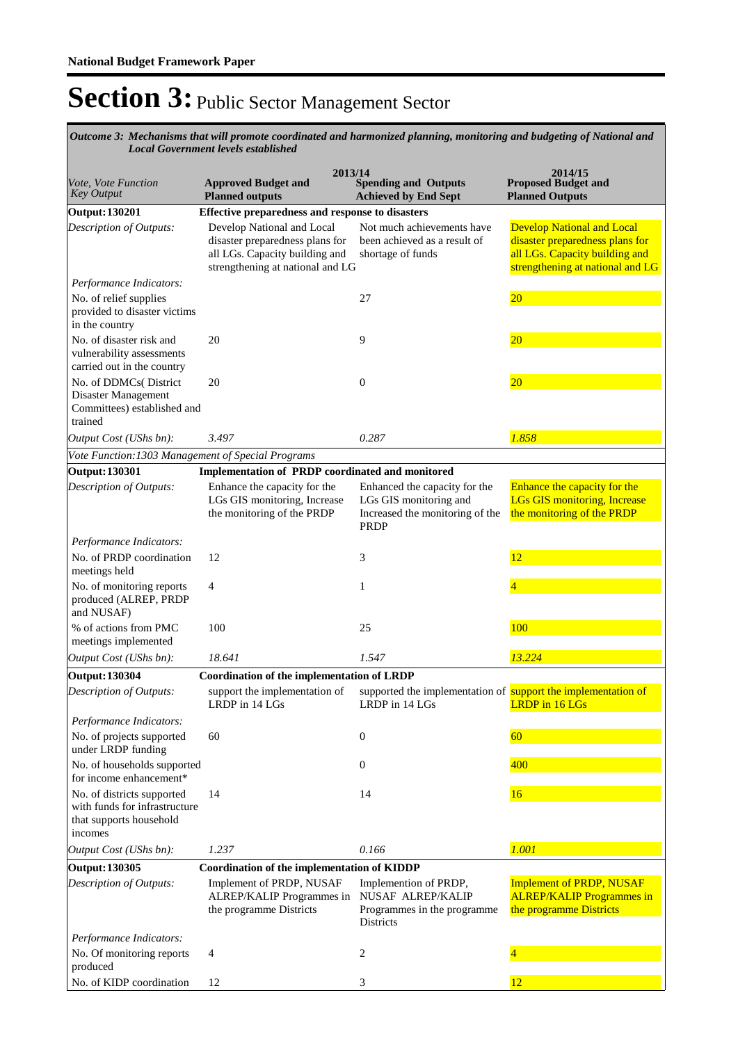*Mechanisms that will promote coordinated and harmonized planning, monitoring and budgeting of National and Outcome 3: Local Government levels established*

| Vote, Vote Function<br><b>Key Output</b>                                                            | <b>Approved Budget and</b><br><b>Planned outputs</b>                                                                                | 2013/14<br><b>Spending and Outputs</b><br><b>Achieved by End Sept</b>                                     | 2014/15<br><b>Proposed Budget and</b><br><b>Planned Outputs</b>                                                                            |
|-----------------------------------------------------------------------------------------------------|-------------------------------------------------------------------------------------------------------------------------------------|-----------------------------------------------------------------------------------------------------------|--------------------------------------------------------------------------------------------------------------------------------------------|
| <b>Output: 130201</b>                                                                               | Effective preparedness and response to disasters                                                                                    |                                                                                                           |                                                                                                                                            |
| Description of Outputs:                                                                             | Develop National and Local<br>disaster preparedness plans for<br>all LGs. Capacity building and<br>strengthening at national and LG | Not much achievements have<br>been achieved as a result of<br>shortage of funds                           | <b>Develop National and Local</b><br>disaster preparedness plans for<br>all LGs. Capacity building and<br>strengthening at national and LG |
| Performance Indicators:<br>No. of relief supplies<br>provided to disaster victims<br>in the country |                                                                                                                                     | 27                                                                                                        | 20 <sub>2</sub>                                                                                                                            |
| No. of disaster risk and<br>vulnerability assessments<br>carried out in the country                 | 20                                                                                                                                  | 9                                                                                                         | $\overline{20}$                                                                                                                            |
| No. of DDMCs(District<br>Disaster Management<br>Committees) established and<br>trained              | 20                                                                                                                                  | $\theta$                                                                                                  | 20                                                                                                                                         |
| Output Cost (UShs bn):                                                                              | 3.497                                                                                                                               | 0.287                                                                                                     | 1.858                                                                                                                                      |
| Vote Function: 1303 Management of Special Programs                                                  |                                                                                                                                     |                                                                                                           |                                                                                                                                            |
| <b>Output: 130301</b>                                                                               | Implementation of PRDP coordinated and monitored                                                                                    |                                                                                                           |                                                                                                                                            |
| Description of Outputs:                                                                             | Enhance the capacity for the<br>LGs GIS monitoring, Increase<br>the monitoring of the PRDP                                          | Enhanced the capacity for the<br>LGs GIS monitoring and<br>Increased the monitoring of the<br><b>PRDP</b> | Enhance the capacity for the<br><b>LGs GIS monitoring, Increase</b><br>the monitoring of the PRDP                                          |
| Performance Indicators:                                                                             |                                                                                                                                     |                                                                                                           |                                                                                                                                            |
| No. of PRDP coordination<br>meetings held                                                           | 12                                                                                                                                  | 3                                                                                                         | 12                                                                                                                                         |
| No. of monitoring reports<br>produced (ALREP, PRDP<br>and NUSAF)                                    | 4                                                                                                                                   | 1                                                                                                         |                                                                                                                                            |
| % of actions from PMC<br>meetings implemented                                                       | 100                                                                                                                                 | 25                                                                                                        | 100                                                                                                                                        |
| Output Cost (UShs bn):                                                                              | 18.641                                                                                                                              | 1.547                                                                                                     | 13.224                                                                                                                                     |
| <b>Output: 130304</b>                                                                               | Coordination of the implementation of LRDP                                                                                          |                                                                                                           |                                                                                                                                            |
| Description of Outputs:                                                                             | support the implementation of<br>LRDP in 14 LGs                                                                                     | supported the implementation of support the implementation of<br>LRDP in 14 LGs                           | <b>LRDP</b> in 16 LGs                                                                                                                      |
| Performance Indicators:                                                                             |                                                                                                                                     |                                                                                                           |                                                                                                                                            |
| No. of projects supported<br>under LRDP funding                                                     | 60                                                                                                                                  | $\theta$                                                                                                  | 60                                                                                                                                         |
| No. of households supported<br>for income enhancement*                                              |                                                                                                                                     | $\overline{0}$                                                                                            | 400                                                                                                                                        |
| No. of districts supported<br>with funds for infrastructure<br>that supports household<br>incomes   | 14                                                                                                                                  | 14                                                                                                        | 16                                                                                                                                         |
| Output Cost (UShs bn):                                                                              | 1.237                                                                                                                               | 0.166                                                                                                     | 1.001                                                                                                                                      |
| <b>Output: 130305</b>                                                                               | Coordination of the implementation of KIDDP                                                                                         |                                                                                                           |                                                                                                                                            |
| Description of Outputs:                                                                             | Implement of PRDP, NUSAF<br>ALREP/KALIP Programmes in<br>the programme Districts                                                    | Implemention of PRDP,<br>NUSAF ALREP/KALIP<br>Programmes in the programme<br>Districts                    | <b>Implement of PRDP, NUSAF</b><br><b>ALREP/KALIP Programmes in</b><br>the programme Districts                                             |
| Performance Indicators:                                                                             |                                                                                                                                     |                                                                                                           |                                                                                                                                            |
| No. Of monitoring reports<br>produced                                                               | 4                                                                                                                                   | 2                                                                                                         |                                                                                                                                            |
| No. of KIDP coordination                                                                            | 12                                                                                                                                  | 3                                                                                                         | 12                                                                                                                                         |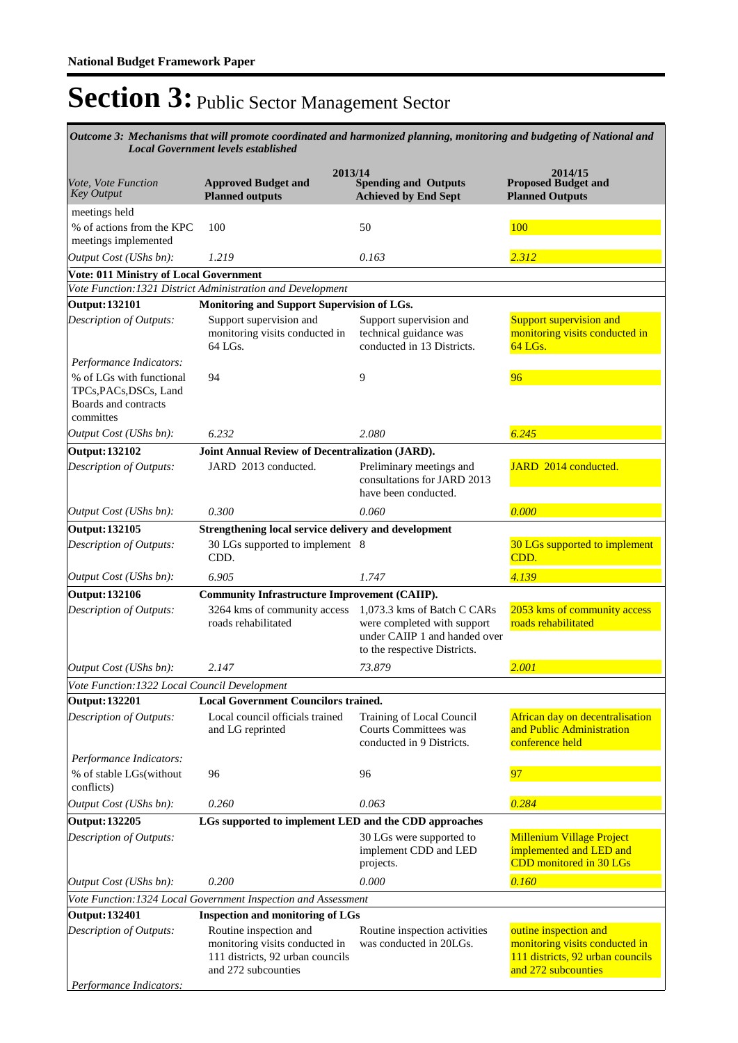*Mechanisms that will promote coordinated and harmonized planning, monitoring and budgeting of National and Outcome 3: Local Government levels established*

| 2013/14                                                                                 |                                                                                                                     |                                                                                                                             |                                                                                                                    |  |  |  |
|-----------------------------------------------------------------------------------------|---------------------------------------------------------------------------------------------------------------------|-----------------------------------------------------------------------------------------------------------------------------|--------------------------------------------------------------------------------------------------------------------|--|--|--|
| Vote, Vote Function<br><b>Key Output</b>                                                | <b>Approved Budget and</b><br><b>Planned outputs</b>                                                                | <b>Spending and Outputs</b><br><b>Achieved by End Sept</b>                                                                  | 2014/15<br><b>Proposed Budget and</b><br><b>Planned Outputs</b>                                                    |  |  |  |
| meetings held                                                                           |                                                                                                                     |                                                                                                                             |                                                                                                                    |  |  |  |
| % of actions from the KPC<br>meetings implemented                                       | 100                                                                                                                 | 50                                                                                                                          | 100                                                                                                                |  |  |  |
| Output Cost (UShs bn):                                                                  | 1.219                                                                                                               | 0.163                                                                                                                       | 2.312                                                                                                              |  |  |  |
| <b>Vote: 011 Ministry of Local Government</b>                                           |                                                                                                                     |                                                                                                                             |                                                                                                                    |  |  |  |
| Vote Function: 1321 District Administration and Development                             |                                                                                                                     |                                                                                                                             |                                                                                                                    |  |  |  |
| <b>Output: 132101</b>                                                                   | Monitoring and Support Supervision of LGs.                                                                          |                                                                                                                             |                                                                                                                    |  |  |  |
| Description of Outputs:                                                                 | Support supervision and<br>monitoring visits conducted in<br>64 LGs.                                                | Support supervision and<br>technical guidance was<br>conducted in 13 Districts.                                             | <b>Support supervision and</b><br>monitoring visits conducted in<br>64 LGs.                                        |  |  |  |
| Performance Indicators:                                                                 |                                                                                                                     |                                                                                                                             |                                                                                                                    |  |  |  |
| % of LGs with functional<br>TPCs, PACs, DSCs, Land<br>Boards and contracts<br>committes | 94                                                                                                                  | 9                                                                                                                           | 96                                                                                                                 |  |  |  |
| Output Cost (UShs bn):                                                                  | 6.232                                                                                                               | 2.080                                                                                                                       | 6.245                                                                                                              |  |  |  |
| <b>Output: 132102</b>                                                                   | Joint Annual Review of Decentralization (JARD).                                                                     |                                                                                                                             |                                                                                                                    |  |  |  |
| <b>Description of Outputs:</b>                                                          | JARD 2013 conducted.                                                                                                | Preliminary meetings and<br>consultations for JARD 2013<br>have been conducted.                                             | JARD 2014 conducted.                                                                                               |  |  |  |
| Output Cost (UShs bn):                                                                  | 0.300                                                                                                               | 0.060                                                                                                                       | 0.000                                                                                                              |  |  |  |
| Output: 132105                                                                          | Strengthening local service delivery and development                                                                |                                                                                                                             |                                                                                                                    |  |  |  |
| Description of Outputs:                                                                 | 30 LGs supported to implement 8<br>CDD.                                                                             |                                                                                                                             | 30 LGs supported to implement<br>CDD.                                                                              |  |  |  |
| Output Cost (UShs bn):                                                                  | 6.905                                                                                                               | 1.747                                                                                                                       | 4.139                                                                                                              |  |  |  |
| <b>Output: 132106</b>                                                                   | <b>Community Infrastructure Improvement (CAIIP).</b>                                                                |                                                                                                                             |                                                                                                                    |  |  |  |
| Description of Outputs:                                                                 | 3264 kms of community access<br>roads rehabilitated                                                                 | 1,073.3 kms of Batch C CARs<br>were completed with support<br>under CAIIP 1 and handed over<br>to the respective Districts. | 2053 kms of community access<br>roads rehabilitated                                                                |  |  |  |
| Output Cost (UShs bn):                                                                  | 2.147                                                                                                               | 73.879                                                                                                                      | 2.001                                                                                                              |  |  |  |
| Vote Function: 1322 Local Council Development                                           |                                                                                                                     |                                                                                                                             |                                                                                                                    |  |  |  |
| <b>Output: 132201</b>                                                                   | <b>Local Government Councilors trained.</b>                                                                         |                                                                                                                             |                                                                                                                    |  |  |  |
| Description of Outputs:                                                                 | Local council officials trained<br>and LG reprinted                                                                 | Training of Local Council<br><b>Courts Committees was</b><br>conducted in 9 Districts.                                      | African day on decentralisation<br>and Public Administration<br>conference held                                    |  |  |  |
| Performance Indicators:                                                                 |                                                                                                                     |                                                                                                                             |                                                                                                                    |  |  |  |
| % of stable LGs(without<br>conflicts)                                                   | 96                                                                                                                  | 96                                                                                                                          | 97                                                                                                                 |  |  |  |
| Output Cost (UShs bn):                                                                  | 0.260                                                                                                               | 0.063                                                                                                                       | 0.284                                                                                                              |  |  |  |
| <b>Output: 132205</b>                                                                   | LGs supported to implement LED and the CDD approaches                                                               |                                                                                                                             |                                                                                                                    |  |  |  |
| Description of Outputs:                                                                 |                                                                                                                     | 30 LGs were supported to<br>implement CDD and LED<br>projects.                                                              | <b>Millenium Village Project</b><br>implemented and LED and<br>CDD monitored in 30 LGs                             |  |  |  |
| Output Cost (UShs bn):                                                                  | 0.200                                                                                                               | 0.000                                                                                                                       | 0.160                                                                                                              |  |  |  |
|                                                                                         | Vote Function: 1324 Local Government Inspection and Assessment                                                      |                                                                                                                             |                                                                                                                    |  |  |  |
| Output: 132401                                                                          | <b>Inspection and monitoring of LGs</b>                                                                             |                                                                                                                             |                                                                                                                    |  |  |  |
| Description of Outputs:                                                                 | Routine inspection and<br>monitoring visits conducted in<br>111 districts, 92 urban councils<br>and 272 subcounties | Routine inspection activities<br>was conducted in 20LGs.                                                                    | outine inspection and<br>monitoring visits conducted in<br>111 districts, 92 urban councils<br>and 272 subcounties |  |  |  |
| Performance Indicators:                                                                 |                                                                                                                     |                                                                                                                             |                                                                                                                    |  |  |  |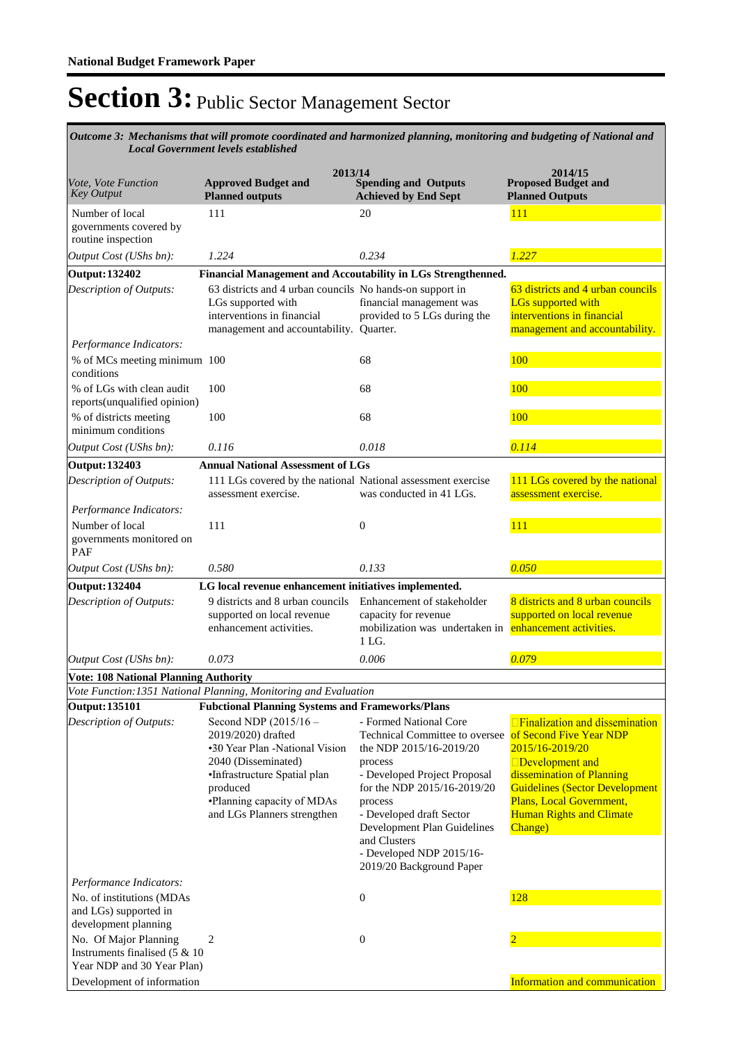*Mechanisms that will promote coordinated and harmonized planning, monitoring and budgeting of National and Outcome 3: Local Government levels established*

| 2013/14                                                                                                                |                                                                                                                                                                                                               |                                                                                                                                                                                                                                                                                                             |                                                                                                                                                                                                                                                    |  |  |  |
|------------------------------------------------------------------------------------------------------------------------|---------------------------------------------------------------------------------------------------------------------------------------------------------------------------------------------------------------|-------------------------------------------------------------------------------------------------------------------------------------------------------------------------------------------------------------------------------------------------------------------------------------------------------------|----------------------------------------------------------------------------------------------------------------------------------------------------------------------------------------------------------------------------------------------------|--|--|--|
| Vote, Vote Function<br><b>Key Output</b>                                                                               | <b>Approved Budget and</b><br><b>Planned outputs</b>                                                                                                                                                          | <b>Spending and Outputs</b><br><b>Achieved by End Sept</b>                                                                                                                                                                                                                                                  | 2014/15<br><b>Proposed Budget and</b><br><b>Planned Outputs</b>                                                                                                                                                                                    |  |  |  |
| Number of local<br>governments covered by<br>routine inspection                                                        | 111                                                                                                                                                                                                           | 20                                                                                                                                                                                                                                                                                                          | <b>111</b>                                                                                                                                                                                                                                         |  |  |  |
| Output Cost (UShs bn):                                                                                                 | 1.224                                                                                                                                                                                                         | 0.234                                                                                                                                                                                                                                                                                                       | 1.227                                                                                                                                                                                                                                              |  |  |  |
| <b>Output: 132402</b>                                                                                                  |                                                                                                                                                                                                               | Financial Management and Accoutability in LGs Strengthenned.                                                                                                                                                                                                                                                |                                                                                                                                                                                                                                                    |  |  |  |
| Description of Outputs:<br>Performance Indicators:                                                                     | 63 districts and 4 urban councils No hands-on support in<br>LGs supported with<br>interventions in financial<br>management and accountability. Quarter.                                                       | financial management was<br>provided to 5 LGs during the                                                                                                                                                                                                                                                    | 63 districts and 4 urban councils<br><b>LGs</b> supported with<br>interventions in financial<br>management and accountability.                                                                                                                     |  |  |  |
| % of MCs meeting minimum 100<br>conditions                                                                             |                                                                                                                                                                                                               | 68                                                                                                                                                                                                                                                                                                          | 100                                                                                                                                                                                                                                                |  |  |  |
| % of LGs with clean audit<br>reports(unqualified opinion)                                                              | 100                                                                                                                                                                                                           | 68                                                                                                                                                                                                                                                                                                          | 100                                                                                                                                                                                                                                                |  |  |  |
| % of districts meeting<br>minimum conditions                                                                           | 100                                                                                                                                                                                                           | 68                                                                                                                                                                                                                                                                                                          | 100                                                                                                                                                                                                                                                |  |  |  |
| Output Cost (UShs bn):                                                                                                 | 0.116                                                                                                                                                                                                         | 0.018                                                                                                                                                                                                                                                                                                       | 0.114                                                                                                                                                                                                                                              |  |  |  |
| Output: 132403                                                                                                         | <b>Annual National Assessment of LGs</b>                                                                                                                                                                      |                                                                                                                                                                                                                                                                                                             |                                                                                                                                                                                                                                                    |  |  |  |
| Description of Outputs:                                                                                                | 111 LGs covered by the national National assessment exercise<br>assessment exercise.                                                                                                                          | was conducted in 41 LGs.                                                                                                                                                                                                                                                                                    | 111 LGs covered by the national<br>assessment exercise.                                                                                                                                                                                            |  |  |  |
| Performance Indicators:<br>Number of local<br>governments monitored on<br>PAF                                          | 111                                                                                                                                                                                                           | $\overline{0}$                                                                                                                                                                                                                                                                                              | 111                                                                                                                                                                                                                                                |  |  |  |
| Output Cost (UShs bn):                                                                                                 | 0.580                                                                                                                                                                                                         | 0.133                                                                                                                                                                                                                                                                                                       | 0.050                                                                                                                                                                                                                                              |  |  |  |
| <b>Output: 132404</b>                                                                                                  | LG local revenue enhancement initiatives implemented.                                                                                                                                                         |                                                                                                                                                                                                                                                                                                             |                                                                                                                                                                                                                                                    |  |  |  |
| Description of Outputs:                                                                                                | 9 districts and 8 urban councils<br>supported on local revenue<br>enhancement activities.                                                                                                                     | Enhancement of stakeholder<br>capacity for revenue<br>mobilization was undertaken in enhancement activities.<br>1 LG.                                                                                                                                                                                       | 8 districts and 8 urban councils<br>supported on local revenue                                                                                                                                                                                     |  |  |  |
| Output Cost (UShs bn):                                                                                                 | 0.073                                                                                                                                                                                                         | 0.006                                                                                                                                                                                                                                                                                                       | 0.079                                                                                                                                                                                                                                              |  |  |  |
| <b>Vote: 108 National Planning Authority</b>                                                                           |                                                                                                                                                                                                               |                                                                                                                                                                                                                                                                                                             |                                                                                                                                                                                                                                                    |  |  |  |
|                                                                                                                        | Vote Function: 1351 National Planning, Monitoring and Evaluation                                                                                                                                              |                                                                                                                                                                                                                                                                                                             |                                                                                                                                                                                                                                                    |  |  |  |
| Output: 135101                                                                                                         | <b>Fubctional Planning Systems and Frameworks/Plans</b>                                                                                                                                                       |                                                                                                                                                                                                                                                                                                             |                                                                                                                                                                                                                                                    |  |  |  |
| Description of Outputs:                                                                                                | Second NDP (2015/16 -<br>2019/2020) drafted<br>•30 Year Plan -National Vision<br>2040 (Disseminated)<br>·Infrastructure Spatial plan<br>produced<br>•Planning capacity of MDAs<br>and LGs Planners strengthen | - Formed National Core<br>Technical Committee to oversee<br>the NDP 2015/16-2019/20<br>process<br>- Developed Project Proposal<br>for the NDP 2015/16-2019/20<br>process<br>- Developed draft Sector<br>Development Plan Guidelines<br>and Clusters<br>- Developed NDP 2015/16-<br>2019/20 Background Paper | □ Finalization and dissemination<br>of Second Five Year NDP<br>2015/16-2019/20<br>□Development and<br>dissemination of Planning<br><b>Guidelines (Sector Development</b><br>Plans, Local Government,<br><b>Human Rights and Climate</b><br>Change) |  |  |  |
| Performance Indicators:<br>No. of institutions (MDAs<br>and LGs) supported in<br>development planning                  |                                                                                                                                                                                                               | $\boldsymbol{0}$                                                                                                                                                                                                                                                                                            | 128                                                                                                                                                                                                                                                |  |  |  |
| No. Of Major Planning<br>Instruments finalised $(5 \& 10)$<br>Year NDP and 30 Year Plan)<br>Development of information | 2                                                                                                                                                                                                             | $\mathbf{0}$                                                                                                                                                                                                                                                                                                | Information and communication                                                                                                                                                                                                                      |  |  |  |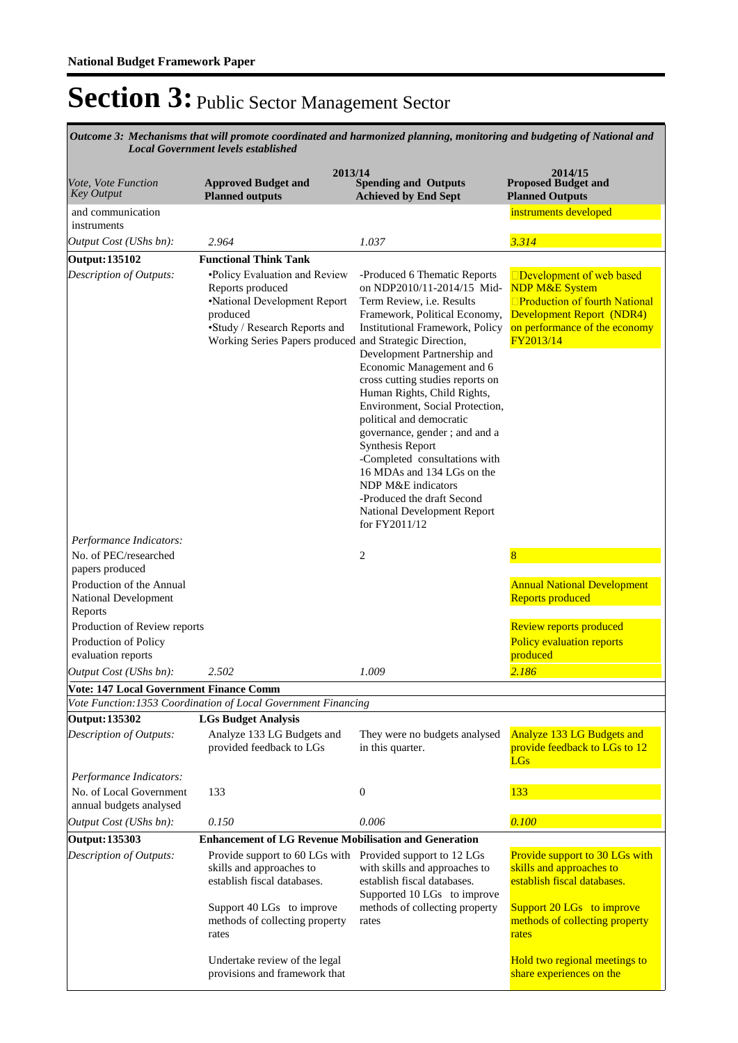*Mechanisms that will promote coordinated and harmonized planning, monitoring and budgeting of National and Local Government levels established Outcome 3:* 

| <i>Ouvernment tevets establish</i>                          |                                                                                                                                                                                                                               |                                                                                                                                                                                                                                                                                                                                                                                                                                                                                                                                                                                   |                                                                                                                                                                                                    |  |  |
|-------------------------------------------------------------|-------------------------------------------------------------------------------------------------------------------------------------------------------------------------------------------------------------------------------|-----------------------------------------------------------------------------------------------------------------------------------------------------------------------------------------------------------------------------------------------------------------------------------------------------------------------------------------------------------------------------------------------------------------------------------------------------------------------------------------------------------------------------------------------------------------------------------|----------------------------------------------------------------------------------------------------------------------------------------------------------------------------------------------------|--|--|
| Vote, Vote Function<br>Key Output                           | 2013/14<br><b>Approved Budget and</b><br><b>Planned outputs</b>                                                                                                                                                               | <b>Spending and Outputs</b><br><b>Achieved by End Sept</b>                                                                                                                                                                                                                                                                                                                                                                                                                                                                                                                        | 2014/15<br><b>Proposed Budget and</b><br><b>Planned Outputs</b>                                                                                                                                    |  |  |
| and communication<br>instruments                            |                                                                                                                                                                                                                               |                                                                                                                                                                                                                                                                                                                                                                                                                                                                                                                                                                                   | instruments developed                                                                                                                                                                              |  |  |
| Output Cost (UShs bn):                                      | 2.964                                                                                                                                                                                                                         | 1.037                                                                                                                                                                                                                                                                                                                                                                                                                                                                                                                                                                             | 3.314                                                                                                                                                                                              |  |  |
| Output: 135102                                              | <b>Functional Think Tank</b>                                                                                                                                                                                                  |                                                                                                                                                                                                                                                                                                                                                                                                                                                                                                                                                                                   |                                                                                                                                                                                                    |  |  |
| Description of Outputs:                                     | •Policy Evaluation and Review<br>Reports produced<br>•National Development Report<br>produced<br>•Study / Research Reports and<br>Working Series Papers produced and Strategic Direction,                                     | -Produced 6 Thematic Reports<br>on NDP2010/11-2014/15 Mid-<br>Term Review, i.e. Results<br>Framework, Political Economy,<br>Institutional Framework, Policy<br>Development Partnership and<br>Economic Management and 6<br>cross cutting studies reports on<br>Human Rights, Child Rights,<br>Environment, Social Protection,<br>political and democratic<br>governance, gender; and and a<br>Synthesis Report<br>-Completed consultations with<br>16 MDAs and 134 LGs on the<br>NDP M&E indicators<br>-Produced the draft Second<br>National Development Report<br>for FY2011/12 | □Development of web based<br><b>NDP M&amp;E System</b><br>□Production of fourth National<br><b>Development Report (NDR4)</b><br>on performance of the economy<br>FY2013/14                         |  |  |
| Performance Indicators:                                     |                                                                                                                                                                                                                               |                                                                                                                                                                                                                                                                                                                                                                                                                                                                                                                                                                                   |                                                                                                                                                                                                    |  |  |
| No. of PEC/researched<br>papers produced                    |                                                                                                                                                                                                                               | $\overline{c}$                                                                                                                                                                                                                                                                                                                                                                                                                                                                                                                                                                    | 8                                                                                                                                                                                                  |  |  |
| Production of the Annual<br>National Development<br>Reports |                                                                                                                                                                                                                               |                                                                                                                                                                                                                                                                                                                                                                                                                                                                                                                                                                                   | <b>Annual National Development</b><br><b>Reports produced</b>                                                                                                                                      |  |  |
| Production of Review reports                                |                                                                                                                                                                                                                               |                                                                                                                                                                                                                                                                                                                                                                                                                                                                                                                                                                                   | <b>Review reports produced</b>                                                                                                                                                                     |  |  |
| Production of Policy<br>evaluation reports                  |                                                                                                                                                                                                                               |                                                                                                                                                                                                                                                                                                                                                                                                                                                                                                                                                                                   | <b>Policy evaluation reports</b><br>produced                                                                                                                                                       |  |  |
| Output Cost (UShs bn):                                      | 2.502                                                                                                                                                                                                                         | 1.009                                                                                                                                                                                                                                                                                                                                                                                                                                                                                                                                                                             | 2.186                                                                                                                                                                                              |  |  |
| <b>Vote: 147 Local Government Finance Comm</b>              |                                                                                                                                                                                                                               |                                                                                                                                                                                                                                                                                                                                                                                                                                                                                                                                                                                   |                                                                                                                                                                                                    |  |  |
|                                                             | Vote Function: 1353 Coordination of Local Government Financing                                                                                                                                                                |                                                                                                                                                                                                                                                                                                                                                                                                                                                                                                                                                                                   |                                                                                                                                                                                                    |  |  |
| Output: 135302<br>Description of Outputs:                   | <b>LGs Budget Analysis</b><br>Analyze 133 LG Budgets and<br>provided feedback to LGs                                                                                                                                          | They were no budgets analysed<br>in this quarter.                                                                                                                                                                                                                                                                                                                                                                                                                                                                                                                                 | <b>Analyze 133 LG Budgets and</b><br>provide feedback to LGs to 12<br><b>LGs</b>                                                                                                                   |  |  |
| Performance Indicators:                                     |                                                                                                                                                                                                                               |                                                                                                                                                                                                                                                                                                                                                                                                                                                                                                                                                                                   |                                                                                                                                                                                                    |  |  |
| No. of Local Government<br>annual budgets analysed          | 133                                                                                                                                                                                                                           | $\boldsymbol{0}$                                                                                                                                                                                                                                                                                                                                                                                                                                                                                                                                                                  | 133                                                                                                                                                                                                |  |  |
| Output Cost (UShs bn):                                      | 0.150                                                                                                                                                                                                                         | 0.006                                                                                                                                                                                                                                                                                                                                                                                                                                                                                                                                                                             | 0.100                                                                                                                                                                                              |  |  |
| Output: 135303                                              | <b>Enhancement of LG Revenue Mobilisation and Generation</b>                                                                                                                                                                  |                                                                                                                                                                                                                                                                                                                                                                                                                                                                                                                                                                                   |                                                                                                                                                                                                    |  |  |
| Description of Outputs:                                     | Provide support to 60 LGs with Provided support to 12 LGs<br>skills and approaches to<br>establish fiscal databases.<br>Support 40 LGs to improve<br>methods of collecting property<br>rates<br>Undertake review of the legal | with skills and approaches to<br>establish fiscal databases.<br>Supported 10 LGs to improve<br>methods of collecting property<br>rates                                                                                                                                                                                                                                                                                                                                                                                                                                            | Provide support to 30 LGs with<br>skills and approaches to<br>establish fiscal databases.<br>Support 20 LGs to improve<br>methods of collecting property<br>rates<br>Hold two regional meetings to |  |  |
|                                                             | provisions and framework that                                                                                                                                                                                                 |                                                                                                                                                                                                                                                                                                                                                                                                                                                                                                                                                                                   | share experiences on the                                                                                                                                                                           |  |  |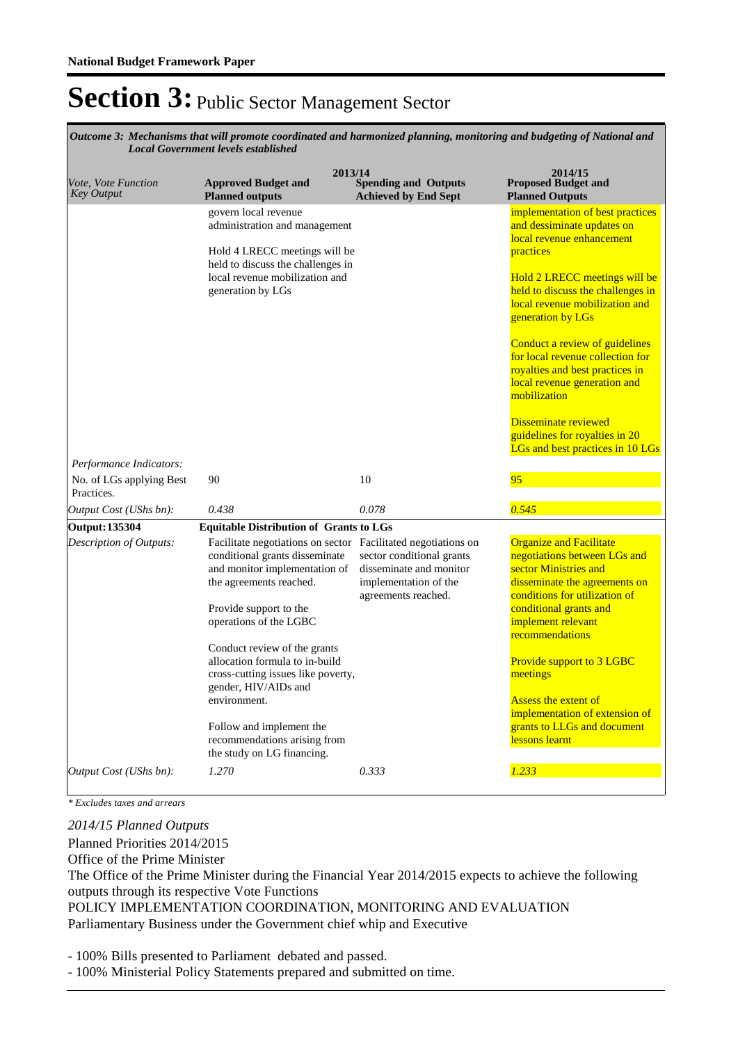*Mechanisms that will promote coordinated and harmonized planning, monitoring and budgeting of National and Outcome 3: Local Government levels established*

| Vote, Vote Function<br><b>Key Output</b> | 2013/14<br><b>Approved Budget and</b><br><b>Planned outputs</b>                                                                                                                                                                                                                                                                                                                                                                                           | <b>Spending and Outputs</b><br><b>Achieved by End Sept</b>                                           | 2014/15<br><b>Proposed Budget and</b><br><b>Planned Outputs</b>                                                                                                                                                                                                                                                                                                                                                                                                                                     |
|------------------------------------------|-----------------------------------------------------------------------------------------------------------------------------------------------------------------------------------------------------------------------------------------------------------------------------------------------------------------------------------------------------------------------------------------------------------------------------------------------------------|------------------------------------------------------------------------------------------------------|-----------------------------------------------------------------------------------------------------------------------------------------------------------------------------------------------------------------------------------------------------------------------------------------------------------------------------------------------------------------------------------------------------------------------------------------------------------------------------------------------------|
|                                          | govern local revenue<br>administration and management<br>Hold 4 LRECC meetings will be<br>held to discuss the challenges in<br>local revenue mobilization and<br>generation by LGs                                                                                                                                                                                                                                                                        |                                                                                                      | implementation of best practices<br>and dessiminate updates on<br>local revenue enhancement<br>practices<br>Hold 2 LRECC meetings will be<br>held to discuss the challenges in<br>local revenue mobilization and<br>generation by LGs<br>Conduct a review of guidelines<br>for local revenue collection for<br>royalties and best practices in<br>local revenue generation and<br>mobilization<br><b>Disseminate reviewed</b><br>guidelines for royalties in 20<br>LGs and best practices in 10 LGs |
| Performance Indicators:                  |                                                                                                                                                                                                                                                                                                                                                                                                                                                           |                                                                                                      |                                                                                                                                                                                                                                                                                                                                                                                                                                                                                                     |
| No. of LGs applying Best<br>Practices.   | 90                                                                                                                                                                                                                                                                                                                                                                                                                                                        | 10                                                                                                   | 95                                                                                                                                                                                                                                                                                                                                                                                                                                                                                                  |
| Output Cost (UShs bn):                   | 0.438                                                                                                                                                                                                                                                                                                                                                                                                                                                     | 0.078                                                                                                | 0.545                                                                                                                                                                                                                                                                                                                                                                                                                                                                                               |
| <b>Output: 135304</b>                    | <b>Equitable Distribution of Grants to LGs</b>                                                                                                                                                                                                                                                                                                                                                                                                            |                                                                                                      |                                                                                                                                                                                                                                                                                                                                                                                                                                                                                                     |
| Description of Outputs:                  | Facilitate negotiations on sector Facilitated negotiations on<br>conditional grants disseminate<br>and monitor implementation of<br>the agreements reached.<br>Provide support to the<br>operations of the LGBC<br>Conduct review of the grants<br>allocation formula to in-build<br>cross-cutting issues like poverty,<br>gender, HIV/AIDs and<br>environment.<br>Follow and implement the<br>recommendations arising from<br>the study on LG financing. | sector conditional grants<br>disseminate and monitor<br>implementation of the<br>agreements reached. | <b>Organize and Facilitate</b><br>negotiations between LGs and<br>sector Ministries and<br>disseminate the agreements on<br>conditions for utilization of<br>conditional grants and<br>implement relevant<br>recommendations<br>Provide support to 3 LGBC<br>meetings<br><b>Assess the extent of</b><br>implementation of extension of<br>grants to LLGs and document<br>lessons learnt                                                                                                             |
| Output Cost (UShs bn):                   | 1.270                                                                                                                                                                                                                                                                                                                                                                                                                                                     | 0.333                                                                                                | 1.233                                                                                                                                                                                                                                                                                                                                                                                                                                                                                               |

*\* Excludes taxes and arrears*

Planned Priorities 2014/2015 Office of the Prime Minister The Office of the Prime Minister during the Financial Year 2014/2015 expects to achieve the following outputs through its respective Vote Functions *2014/15 Planned Outputs*

POLICY IMPLEMENTATION COORDINATION, MONITORING AND EVALUATION Parliamentary Business under the Government chief whip and Executive

- 100% Bills presented to Parliament debated and passed.

- 100% Ministerial Policy Statements prepared and submitted on time.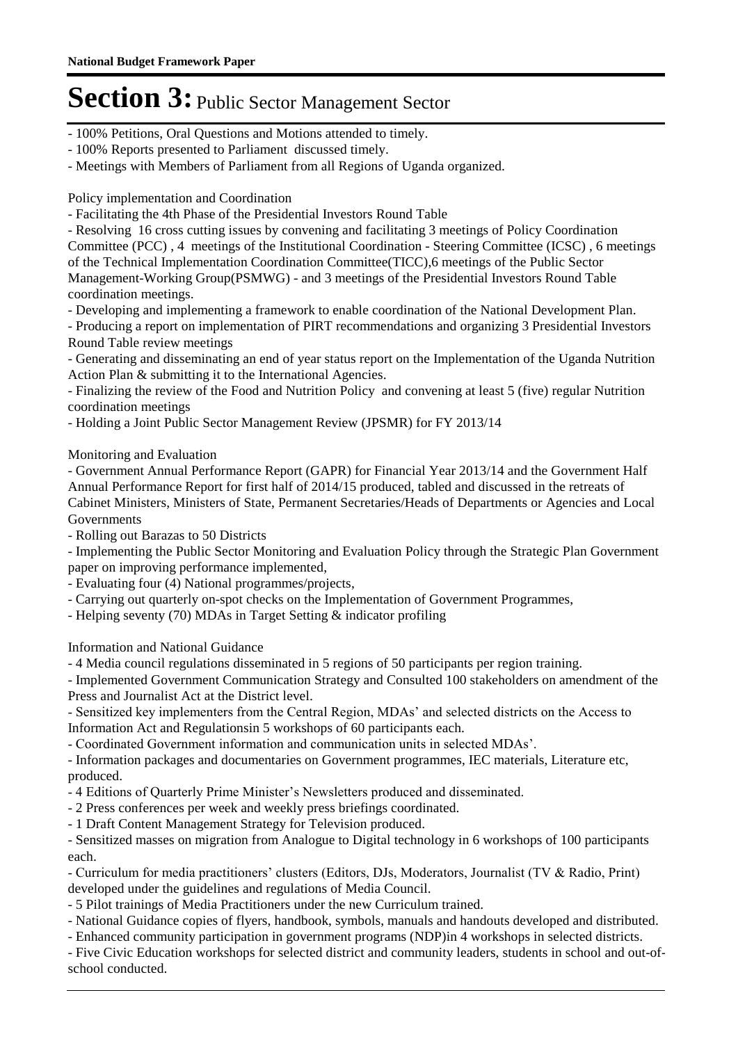- 100% Petitions, Oral Questions and Motions attended to timely.
- 100% Reports presented to Parliament discussed timely.
- Meetings with Members of Parliament from all Regions of Uganda organized.

Policy implementation and Coordination

- Facilitating the 4th Phase of the Presidential Investors Round Table

- Resolving 16 cross cutting issues by convening and facilitating 3 meetings of Policy Coordination Committee (PCC) , 4 meetings of the Institutional Coordination - Steering Committee (ICSC) , 6 meetings of the Technical Implementation Coordination Committee(TICC),6 meetings of the Public Sector Management-Working Group(PSMWG) - and 3 meetings of the Presidential Investors Round Table coordination meetings.

- Developing and implementing a framework to enable coordination of the National Development Plan.

- Producing a report on implementation of PIRT recommendations and organizing 3 Presidential Investors Round Table review meetings

- Generating and disseminating an end of year status report on the Implementation of the Uganda Nutrition Action Plan & submitting it to the International Agencies.

- Finalizing the review of the Food and Nutrition Policy and convening at least 5 (five) regular Nutrition coordination meetings

- Holding a Joint Public Sector Management Review (JPSMR) for FY 2013/14

Monitoring and Evaluation

- Government Annual Performance Report (GAPR) for Financial Year 2013/14 and the Government Half Annual Performance Report for first half of 2014/15 produced, tabled and discussed in the retreats of Cabinet Ministers, Ministers of State, Permanent Secretaries/Heads of Departments or Agencies and Local Governments

- Rolling out Barazas to 50 Districts

- Implementing the Public Sector Monitoring and Evaluation Policy through the Strategic Plan Government paper on improving performance implemented,

- Evaluating four (4) National programmes/projects,

- Carrying out quarterly on-spot checks on the Implementation of Government Programmes,
- Helping seventy (70) MDAs in Target Setting & indicator profiling

Information and National Guidance

- 4 Media council regulations disseminated in 5 regions of 50 participants per region training.

- Implemented Government Communication Strategy and Consulted 100 stakeholders on amendment of the Press and Journalist Act at the District level.

- Sensitized key implementers from the Central Region, MDAs' and selected districts on the Access to Information Act and Regulationsin 5 workshops of 60 participants each.

- Coordinated Government information and communication units in selected MDAs'.

- Information packages and documentaries on Government programmes, IEC materials, Literature etc, produced.

- 4 Editions of Quarterly Prime Minister's Newsletters produced and disseminated.

- 2 Press conferences per week and weekly press briefings coordinated.

- 1 Draft Content Management Strategy for Television produced.

- Sensitized masses on migration from Analogue to Digital technology in 6 workshops of 100 participants each.

- Curriculum for media practitioners' clusters (Editors, DJs, Moderators, Journalist (TV & Radio, Print) developed under the guidelines and regulations of Media Council.

- 5 Pilot trainings of Media Practitioners under the new Curriculum trained.

- National Guidance copies of flyers, handbook, symbols, manuals and handouts developed and distributed.

- Enhanced community participation in government programs (NDP)in 4 workshops in selected districts.

- Five Civic Education workshops for selected district and community leaders, students in school and out-ofschool conducted.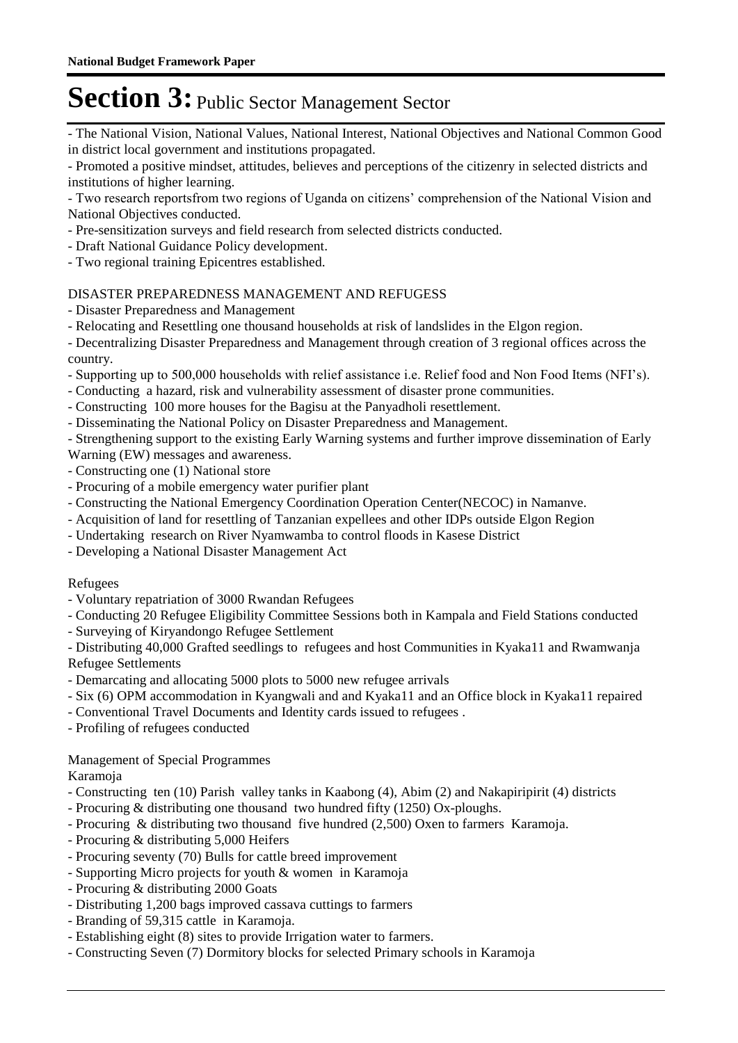- The National Vision, National Values, National Interest, National Objectives and National Common Good in district local government and institutions propagated.

- Promoted a positive mindset, attitudes, believes and perceptions of the citizenry in selected districts and institutions of higher learning.

- Two research reportsfrom two regions of Uganda on citizens' comprehension of the National Vision and National Objectives conducted.

- Pre-sensitization surveys and field research from selected districts conducted.
- Draft National Guidance Policy development.
- Two regional training Epicentres established.

### DISASTER PREPAREDNESS MANAGEMENT AND REFUGESS

- Disaster Preparedness and Management
- Relocating and Resettling one thousand households at risk of landslides in the Elgon region.

- Decentralizing Disaster Preparedness and Management through creation of 3 regional offices across the country.

- Supporting up to 500,000 households with relief assistance i.e. Relief food and Non Food Items (NFI's).
- Conducting a hazard, risk and vulnerability assessment of disaster prone communities.
- Constructing 100 more houses for the Bagisu at the Panyadholi resettlement.
- Disseminating the National Policy on Disaster Preparedness and Management.

- Strengthening support to the existing Early Warning systems and further improve dissemination of Early

- Warning (EW) messages and awareness.
- Constructing one (1) National store
- Procuring of a mobile emergency water purifier plant
- Constructing the National Emergency Coordination Operation Center(NECOC) in Namanve.
- Acquisition of land for resettling of Tanzanian expellees and other IDPs outside Elgon Region
- Undertaking research on River Nyamwamba to control floods in Kasese District
- Developing a National Disaster Management Act

### Refugees

- Voluntary repatriation of 3000 Rwandan Refugees
- Conducting 20 Refugee Eligibility Committee Sessions both in Kampala and Field Stations conducted
- Surveying of Kiryandongo Refugee Settlement

- Distributing 40,000 Grafted seedlings to refugees and host Communities in Kyaka11 and Rwamwanja Refugee Settlements

- Demarcating and allocating 5000 plots to 5000 new refugee arrivals
- Six (6) OPM accommodation in Kyangwali and and Kyaka11 and an Office block in Kyaka11 repaired
- Conventional Travel Documents and Identity cards issued to refugees .
- Profiling of refugees conducted

### Management of Special Programmes

Karamoja

- Constructing ten (10) Parish valley tanks in Kaabong (4), Abim (2) and Nakapiripirit (4) districts
- Procuring & distributing one thousand two hundred fifty (1250) Ox-ploughs.
- Procuring & distributing two thousand five hundred (2,500) Oxen to farmers Karamoja.
- Procuring & distributing 5,000 Heifers
- Procuring seventy (70) Bulls for cattle breed improvement
- Supporting Micro projects for youth & women in Karamoja
- Procuring & distributing 2000 Goats
- Distributing 1,200 bags improved cassava cuttings to farmers
- Branding of 59,315 cattle in Karamoja.
- Establishing eight (8) sites to provide Irrigation water to farmers.
- Constructing Seven (7) Dormitory blocks for selected Primary schools in Karamoja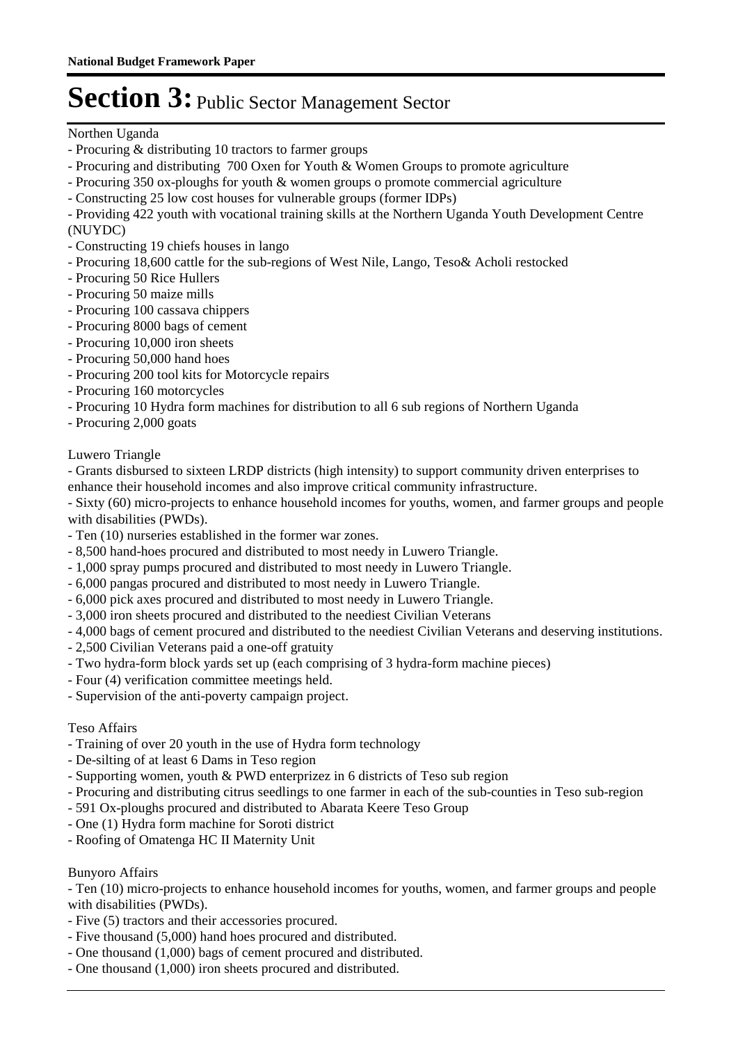Northen Uganda

- Procuring & distributing 10 tractors to farmer groups
- Procuring and distributing 700 Oxen for Youth & Women Groups to promote agriculture
- Procuring 350 ox-ploughs for youth & women groups o promote commercial agriculture
- Constructing 25 low cost houses for vulnerable groups (former IDPs)

- Providing 422 youth with vocational training skills at the Northern Uganda Youth Development Centre (NUYDC)

- Constructing 19 chiefs houses in lango
- Procuring 18,600 cattle for the sub-regions of West Nile, Lango, Teso& Acholi restocked
- Procuring 50 Rice Hullers
- Procuring 50 maize mills
- Procuring 100 cassava chippers
- Procuring 8000 bags of cement
- Procuring 10,000 iron sheets
- Procuring 50,000 hand hoes
- Procuring 200 tool kits for Motorcycle repairs
- Procuring 160 motorcycles
- Procuring 10 Hydra form machines for distribution to all 6 sub regions of Northern Uganda
- Procuring 2,000 goats

Luwero Triangle

- Grants disbursed to sixteen LRDP districts (high intensity) to support community driven enterprises to enhance their household incomes and also improve critical community infrastructure.

- Sixty (60) micro-projects to enhance household incomes for youths, women, and farmer groups and people with disabilities (PWDs).

- Ten (10) nurseries established in the former war zones.
- 8,500 hand-hoes procured and distributed to most needy in Luwero Triangle.
- 1,000 spray pumps procured and distributed to most needy in Luwero Triangle.
- 6,000 pangas procured and distributed to most needy in Luwero Triangle.
- 6,000 pick axes procured and distributed to most needy in Luwero Triangle.
- 3,000 iron sheets procured and distributed to the neediest Civilian Veterans
- 4,000 bags of cement procured and distributed to the neediest Civilian Veterans and deserving institutions.
- 2,500 Civilian Veterans paid a one-off gratuity
- Two hydra-form block yards set up (each comprising of 3 hydra-form machine pieces)
- Four (4) verification committee meetings held.
- Supervision of the anti-poverty campaign project.

### Teso Affairs

- Training of over 20 youth in the use of Hydra form technology
- De-silting of at least 6 Dams in Teso region
- Supporting women, youth & PWD enterprizez in 6 districts of Teso sub region
- Procuring and distributing citrus seedlings to one farmer in each of the sub-counties in Teso sub-region
- 591 Ox-ploughs procured and distributed to Abarata Keere Teso Group
- One (1) Hydra form machine for Soroti district
- Roofing of Omatenga HC II Maternity Unit

### Bunyoro Affairs

- Ten (10) micro-projects to enhance household incomes for youths, women, and farmer groups and people with disabilities (PWDs).

- Five (5) tractors and their accessories procured.
- Five thousand (5,000) hand hoes procured and distributed.
- One thousand (1,000) bags of cement procured and distributed.
- One thousand (1,000) iron sheets procured and distributed.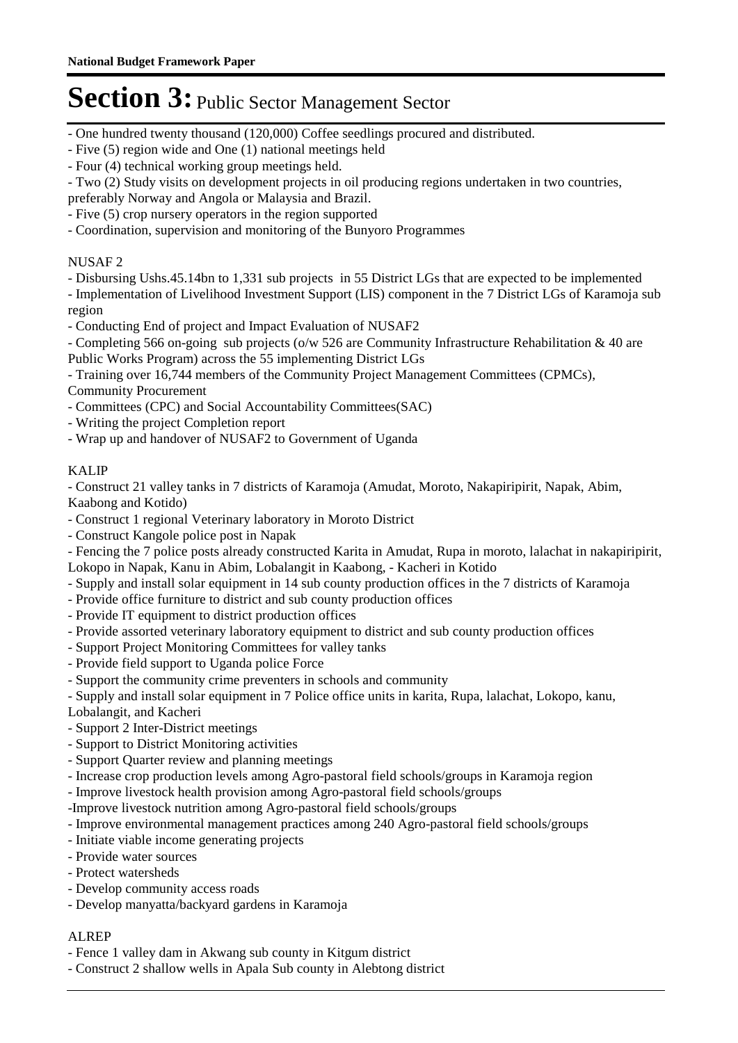- One hundred twenty thousand (120,000) Coffee seedlings procured and distributed.
- Five (5) region wide and One (1) national meetings held
- Four (4) technical working group meetings held.
- Two (2) Study visits on development projects in oil producing regions undertaken in two countries,
- preferably Norway and Angola or Malaysia and Brazil.
- Five (5) crop nursery operators in the region supported
- Coordination, supervision and monitoring of the Bunyoro Programmes

### NUSAF 2

- Disbursing Ushs.45.14bn to 1,331 sub projects in 55 District LGs that are expected to be implemented
- Implementation of Livelihood Investment Support (LIS) component in the 7 District LGs of Karamoja sub region
- Conducting End of project and Impact Evaluation of NUSAF2
- Completing 566 on-going sub projects (o/w 526 are Community Infrastructure Rehabilitation & 40 are Public Works Program) across the 55 implementing District LGs

- Training over 16,744 members of the Community Project Management Committees (CPMCs), Community Procurement

- Committees (CPC) and Social Accountability Committees(SAC)
- Writing the project Completion report
- Wrap up and handover of NUSAF2 to Government of Uganda

### KALIP

- Construct 21 valley tanks in 7 districts of Karamoja (Amudat, Moroto, Nakapiripirit, Napak, Abim, Kaabong and Kotido)

- Construct 1 regional Veterinary laboratory in Moroto District
- Construct Kangole police post in Napak

- Fencing the 7 police posts already constructed Karita in Amudat, Rupa in moroto, lalachat in nakapiripirit, Lokopo in Napak, Kanu in Abim, Lobalangit in Kaabong, - Kacheri in Kotido

- Supply and install solar equipment in 14 sub county production offices in the 7 districts of Karamoja
- Provide office furniture to district and sub county production offices
- Provide IT equipment to district production offices
- Provide assorted veterinary laboratory equipment to district and sub county production offices
- Support Project Monitoring Committees for valley tanks
- Provide field support to Uganda police Force
- Support the community crime preventers in schools and community
- Supply and install solar equipment in 7 Police office units in karita, Rupa, lalachat, Lokopo, kanu,
- Lobalangit, and Kacheri
- Support 2 Inter-District meetings
- Support to District Monitoring activities
- Support Quarter review and planning meetings
- Increase crop production levels among Agro-pastoral field schools/groups in Karamoja region
- Improve livestock health provision among Agro-pastoral field schools/groups
- -Improve livestock nutrition among Agro-pastoral field schools/groups
- Improve environmental management practices among 240 Agro-pastoral field schools/groups
- Initiate viable income generating projects
- Provide water sources
- Protect watersheds
- Develop community access roads
- Develop manyatta/backyard gardens in Karamoja

### ALREP

- Fence 1 valley dam in Akwang sub county in Kitgum district
- Construct 2 shallow wells in Apala Sub county in Alebtong district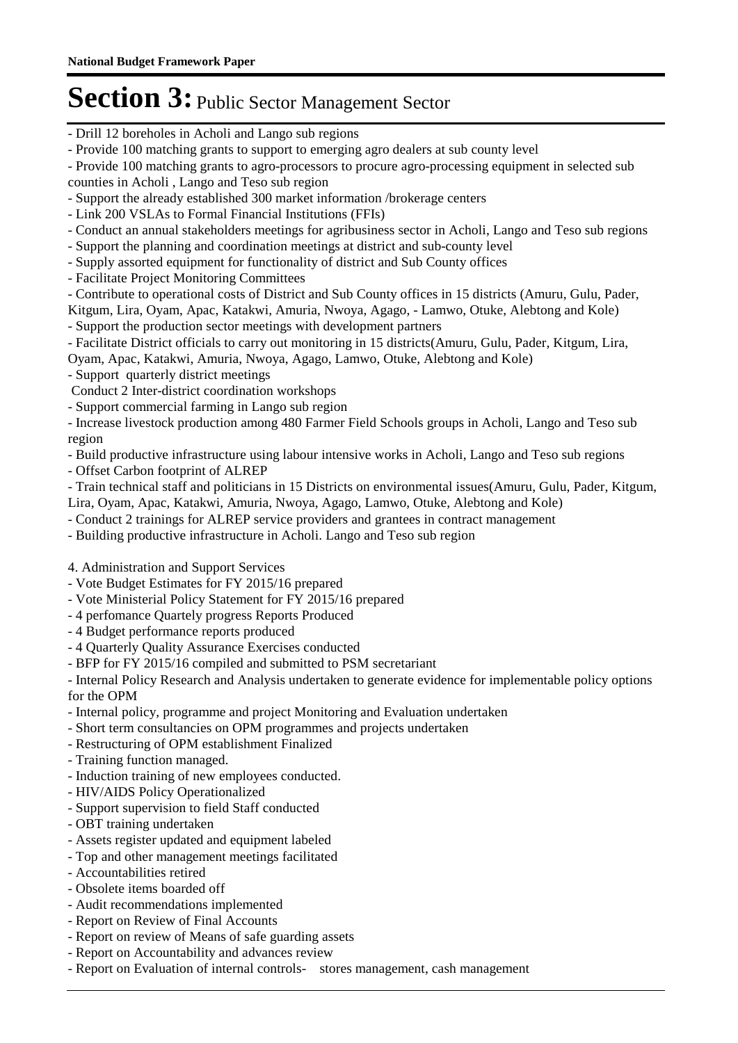- Drill 12 boreholes in Acholi and Lango sub regions
- Provide 100 matching grants to support to emerging agro dealers at sub county level
- Provide 100 matching grants to agro-processors to procure agro-processing equipment in selected sub counties in Acholi , Lango and Teso sub region
- Support the already established 300 market information /brokerage centers
- Link 200 VSLAs to Formal Financial Institutions (FFIs)
- Conduct an annual stakeholders meetings for agribusiness sector in Acholi, Lango and Teso sub regions
- Support the planning and coordination meetings at district and sub-county level
- Supply assorted equipment for functionality of district and Sub County offices
- Facilitate Project Monitoring Committees
- Contribute to operational costs of District and Sub County offices in 15 districts (Amuru, Gulu, Pader,

Kitgum, Lira, Oyam, Apac, Katakwi, Amuria, Nwoya, Agago, - Lamwo, Otuke, Alebtong and Kole) - Support the production sector meetings with development partners

- Facilitate District officials to carry out monitoring in 15 districts(Amuru, Gulu, Pader, Kitgum, Lira,
- Oyam, Apac, Katakwi, Amuria, Nwoya, Agago, Lamwo, Otuke, Alebtong and Kole)
- Support quarterly district meetings
- Conduct 2 Inter-district coordination workshops
- Support commercial farming in Lango sub region
- Increase livestock production among 480 Farmer Field Schools groups in Acholi, Lango and Teso sub region
- Build productive infrastructure using labour intensive works in Acholi, Lango and Teso sub regions
- Offset Carbon footprint of ALREP
- Train technical staff and politicians in 15 Districts on environmental issues(Amuru, Gulu, Pader, Kitgum,
- Lira, Oyam, Apac, Katakwi, Amuria, Nwoya, Agago, Lamwo, Otuke, Alebtong and Kole)
- Conduct 2 trainings for ALREP service providers and grantees in contract management
- Building productive infrastructure in Acholi. Lango and Teso sub region
- 4. Administration and Support Services
- Vote Budget Estimates for FY 2015/16 prepared
- Vote Ministerial Policy Statement for FY 2015/16 prepared
- 4 perfomance Quartely progress Reports Produced
- 4 Budget performance reports produced
- 4 Quarterly Quality Assurance Exercises conducted
- BFP for FY 2015/16 compiled and submitted to PSM secretariant

- Internal Policy Research and Analysis undertaken to generate evidence for implementable policy options for the OPM

- Internal policy, programme and project Monitoring and Evaluation undertaken
- Short term consultancies on OPM programmes and projects undertaken
- Restructuring of OPM establishment Finalized
- Training function managed.
- Induction training of new employees conducted.
- HIV/AIDS Policy Operationalized
- Support supervision to field Staff conducted
- OBT training undertaken
- Assets register updated and equipment labeled
- Top and other management meetings facilitated
- Accountabilities retired
- Obsolete items boarded off
- Audit recommendations implemented
- Report on Review of Final Accounts
- Report on review of Means of safe guarding assets
- Report on Accountability and advances review
- Report on Evaluation of internal controls- stores management, cash management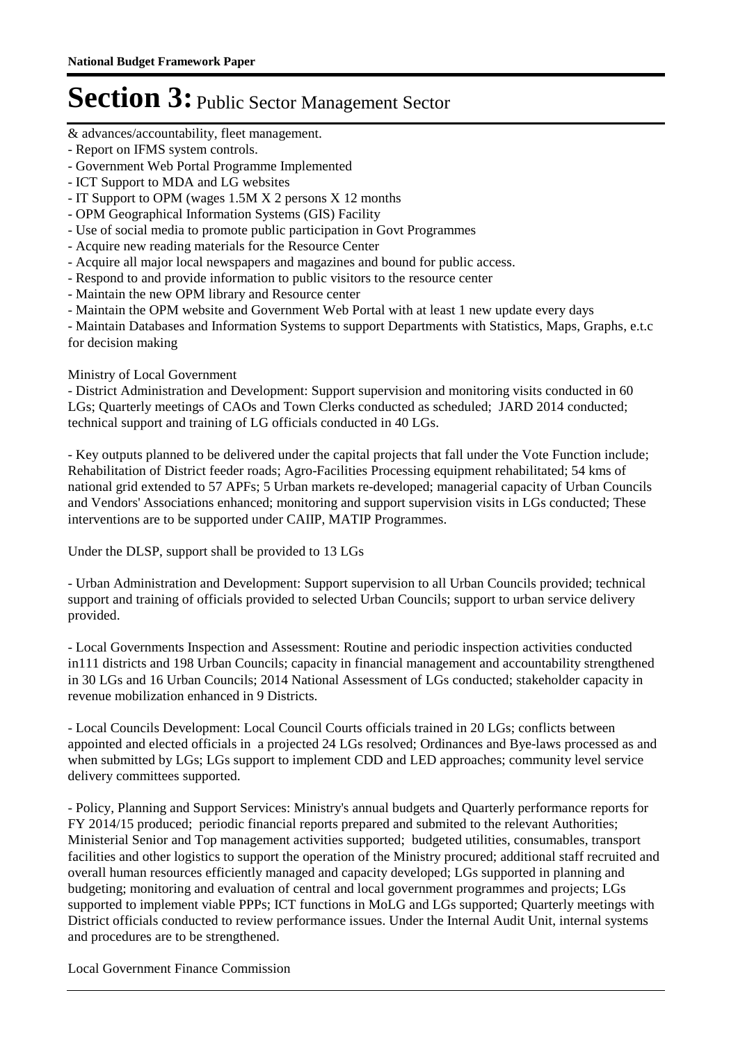& advances/accountability, fleet management.

- Report on IFMS system controls.
- Government Web Portal Programme Implemented
- ICT Support to MDA and LG websites
- IT Support to OPM (wages 1.5M X 2 persons X 12 months
- OPM Geographical Information Systems (GIS) Facility
- Use of social media to promote public participation in Govt Programmes
- Acquire new reading materials for the Resource Center
- Acquire all major local newspapers and magazines and bound for public access.
- Respond to and provide information to public visitors to the resource center
- Maintain the new OPM library and Resource center
- Maintain the OPM website and Government Web Portal with at least 1 new update every days

- Maintain Databases and Information Systems to support Departments with Statistics, Maps, Graphs, e.t.c for decision making

### Ministry of Local Government

- District Administration and Development: Support supervision and monitoring visits conducted in 60 LGs; Quarterly meetings of CAOs and Town Clerks conducted as scheduled; JARD 2014 conducted; technical support and training of LG officials conducted in 40 LGs.

- Key outputs planned to be delivered under the capital projects that fall under the Vote Function include; Rehabilitation of District feeder roads; Agro-Facilities Processing equipment rehabilitated; 54 kms of national grid extended to 57 APFs; 5 Urban markets re-developed; managerial capacity of Urban Councils and Vendors' Associations enhanced; monitoring and support supervision visits in LGs conducted; These interventions are to be supported under CAIIP, MATIP Programmes.

Under the DLSP, support shall be provided to 13 LGs

- Urban Administration and Development: Support supervision to all Urban Councils provided; technical support and training of officials provided to selected Urban Councils; support to urban service delivery provided.

- Local Governments Inspection and Assessment: Routine and periodic inspection activities conducted in111 districts and 198 Urban Councils; capacity in financial management and accountability strengthened in 30 LGs and 16 Urban Councils; 2014 National Assessment of LGs conducted; stakeholder capacity in revenue mobilization enhanced in 9 Districts.

- Local Councils Development: Local Council Courts officials trained in 20 LGs; conflicts between appointed and elected officials in a projected 24 LGs resolved; Ordinances and Bye-laws processed as and when submitted by LGs; LGs support to implement CDD and LED approaches; community level service delivery committees supported.

- Policy, Planning and Support Services: Ministry's annual budgets and Quarterly performance reports for FY 2014/15 produced; periodic financial reports prepared and submited to the relevant Authorities; Ministerial Senior and Top management activities supported; budgeted utilities, consumables, transport facilities and other logistics to support the operation of the Ministry procured; additional staff recruited and overall human resources efficiently managed and capacity developed; LGs supported in planning and budgeting; monitoring and evaluation of central and local government programmes and projects; LGs supported to implement viable PPPs; ICT functions in MoLG and LGs supported; Quarterly meetings with District officials conducted to review performance issues. Under the Internal Audit Unit, internal systems and procedures are to be strengthened.

Local Government Finance Commission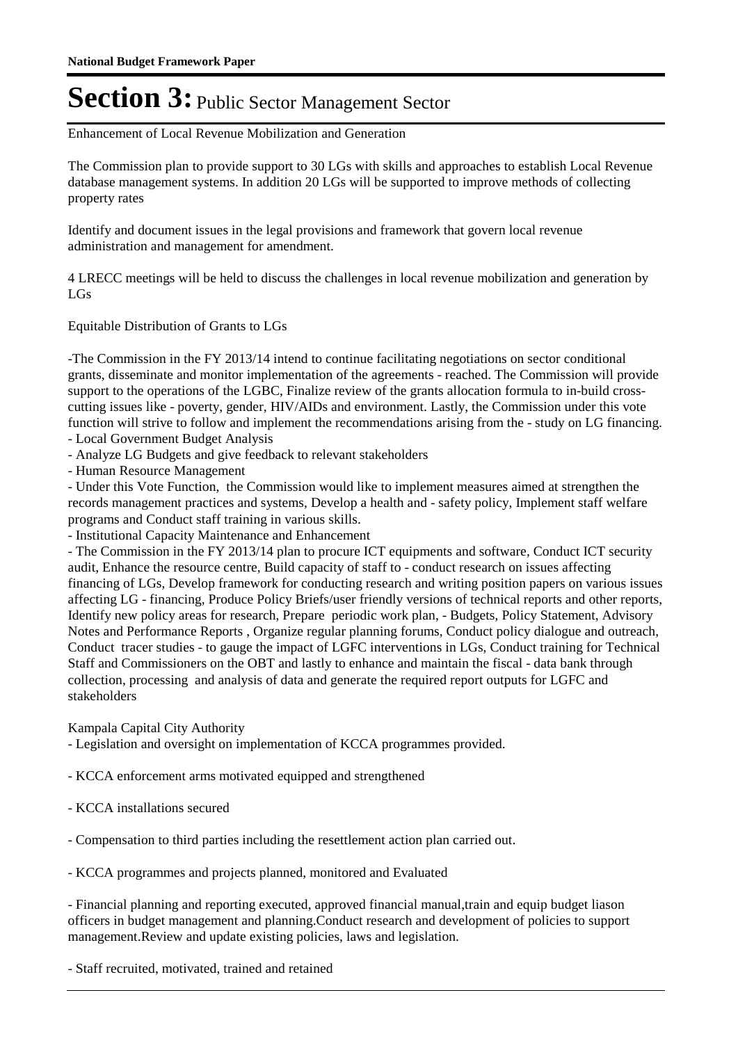Enhancement of Local Revenue Mobilization and Generation

The Commission plan to provide support to 30 LGs with skills and approaches to establish Local Revenue database management systems. In addition 20 LGs will be supported to improve methods of collecting property rates

Identify and document issues in the legal provisions and framework that govern local revenue administration and management for amendment.

4 LRECC meetings will be held to discuss the challenges in local revenue mobilization and generation by LGs

Equitable Distribution of Grants to LGs

-The Commission in the FY 2013/14 intend to continue facilitating negotiations on sector conditional grants, disseminate and monitor implementation of the agreements - reached. The Commission will provide support to the operations of the LGBC, Finalize review of the grants allocation formula to in-build crosscutting issues like - poverty, gender, HIV/AIDs and environment. Lastly, the Commission under this vote function will strive to follow and implement the recommendations arising from the - study on LG financing. - Local Government Budget Analysis

- Analyze LG Budgets and give feedback to relevant stakeholders

- Human Resource Management

- Under this Vote Function, the Commission would like to implement measures aimed at strengthen the records management practices and systems, Develop a health and - safety policy, Implement staff welfare programs and Conduct staff training in various skills.

- Institutional Capacity Maintenance and Enhancement

- The Commission in the FY 2013/14 plan to procure ICT equipments and software, Conduct ICT security audit, Enhance the resource centre, Build capacity of staff to - conduct research on issues affecting financing of LGs, Develop framework for conducting research and writing position papers on various issues affecting LG - financing, Produce Policy Briefs/user friendly versions of technical reports and other reports, Identify new policy areas for research, Prepare periodic work plan, - Budgets, Policy Statement, Advisory Notes and Performance Reports , Organize regular planning forums, Conduct policy dialogue and outreach, Conduct tracer studies - to gauge the impact of LGFC interventions in LGs, Conduct training for Technical Staff and Commissioners on the OBT and lastly to enhance and maintain the fiscal - data bank through collection, processing and analysis of data and generate the required report outputs for LGFC and stakeholders

Kampala Capital City Authority

- Legislation and oversight on implementation of KCCA programmes provided.

- KCCA enforcement arms motivated equipped and strengthened
- KCCA installations secured
- Compensation to third parties including the resettlement action plan carried out.

- KCCA programmes and projects planned, monitored and Evaluated

- Financial planning and reporting executed, approved financial manual,train and equip budget liason officers in budget management and planning.Conduct research and development of policies to support management.Review and update existing policies, laws and legislation.

- Staff recruited, motivated, trained and retained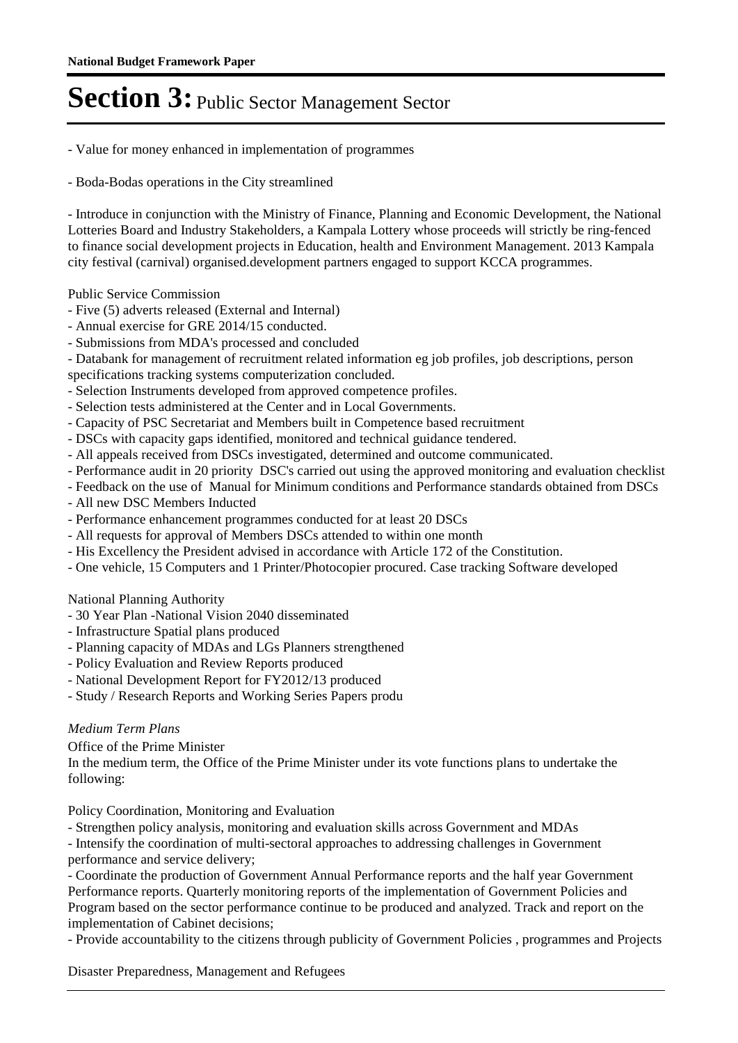- Value for money enhanced in implementation of programmes
- Boda-Bodas operations in the City streamlined

- Introduce in conjunction with the Ministry of Finance, Planning and Economic Development, the National Lotteries Board and Industry Stakeholders, a Kampala Lottery whose proceeds will strictly be ring-fenced to finance social development projects in Education, health and Environment Management. 2013 Kampala city festival (carnival) organised.development partners engaged to support KCCA programmes.

### Public Service Commission

- Five (5) adverts released (External and Internal)
- Annual exercise for GRE 2014/15 conducted.
- Submissions from MDA's processed and concluded
- Databank for management of recruitment related information eg job profiles, job descriptions, person specifications tracking systems computerization concluded.
- Selection Instruments developed from approved competence profiles.
- Selection tests administered at the Center and in Local Governments.
- Capacity of PSC Secretariat and Members built in Competence based recruitment
- DSCs with capacity gaps identified, monitored and technical guidance tendered.
- All appeals received from DSCs investigated, determined and outcome communicated.
- Performance audit in 20 priority DSC's carried out using the approved monitoring and evaluation checklist
- Feedback on the use of Manual for Minimum conditions and Performance standards obtained from DSCs
- All new DSC Members Inducted
- Performance enhancement programmes conducted for at least 20 DSCs
- All requests for approval of Members DSCs attended to within one month
- His Excellency the President advised in accordance with Article 172 of the Constitution.
- One vehicle, 15 Computers and 1 Printer/Photocopier procured. Case tracking Software developed

### National Planning Authority

- 30 Year Plan -National Vision 2040 disseminated
- Infrastructure Spatial plans produced
- Planning capacity of MDAs and LGs Planners strengthened
- Policy Evaluation and Review Reports produced
- National Development Report for FY2012/13 produced
- Study / Research Reports and Working Series Papers produ

### *Medium Term Plans*

Office of the Prime Minister

In the medium term, the Office of the Prime Minister under its vote functions plans to undertake the following:

Policy Coordination, Monitoring and Evaluation

- Strengthen policy analysis, monitoring and evaluation skills across Government and MDAs

- Intensify the coordination of multi-sectoral approaches to addressing challenges in Government performance and service delivery;

- Coordinate the production of Government Annual Performance reports and the half year Government Performance reports. Quarterly monitoring reports of the implementation of Government Policies and Program based on the sector performance continue to be produced and analyzed. Track and report on the implementation of Cabinet decisions;

- Provide accountability to the citizens through publicity of Government Policies , programmes and Projects

Disaster Preparedness, Management and Refugees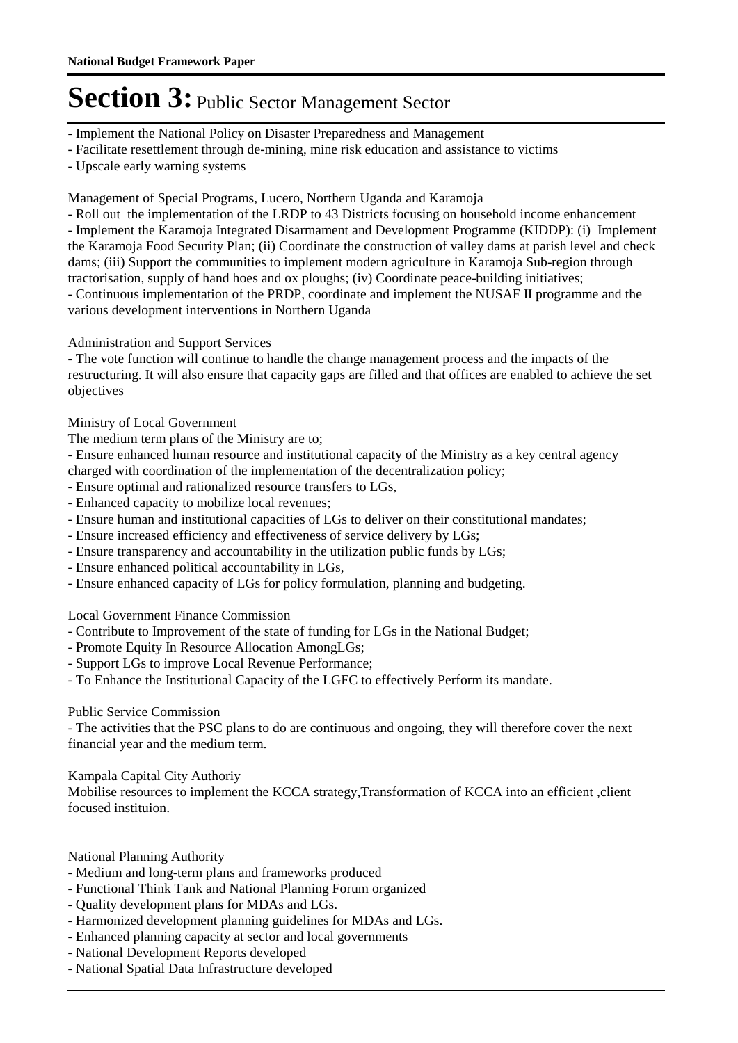- Implement the National Policy on Disaster Preparedness and Management
- Facilitate resettlement through de-mining, mine risk education and assistance to victims
- Upscale early warning systems

Management of Special Programs, Lucero, Northern Uganda and Karamoja

- Roll out the implementation of the LRDP to 43 Districts focusing on household income enhancement - Implement the Karamoja Integrated Disarmament and Development Programme (KIDDP): (i) Implement the Karamoja Food Security Plan; (ii) Coordinate the construction of valley dams at parish level and check dams; (iii) Support the communities to implement modern agriculture in Karamoja Sub-region through

tractorisation, supply of hand hoes and ox ploughs; (iv) Coordinate peace-building initiatives;

- Continuous implementation of the PRDP, coordinate and implement the NUSAF II programme and the various development interventions in Northern Uganda

### Administration and Support Services

- The vote function will continue to handle the change management process and the impacts of the restructuring. It will also ensure that capacity gaps are filled and that offices are enabled to achieve the set objectives

Ministry of Local Government

The medium term plans of the Ministry are to;

- Ensure enhanced human resource and institutional capacity of the Ministry as a key central agency charged with coordination of the implementation of the decentralization policy;

- Ensure optimal and rationalized resource transfers to LGs,
- Enhanced capacity to mobilize local revenues;
- Ensure human and institutional capacities of LGs to deliver on their constitutional mandates;
- Ensure increased efficiency and effectiveness of service delivery by LGs;
- Ensure transparency and accountability in the utilization public funds by LGs;
- Ensure enhanced political accountability in LGs,
- Ensure enhanced capacity of LGs for policy formulation, planning and budgeting.

Local Government Finance Commission

- Contribute to Improvement of the state of funding for LGs in the National Budget;
- Promote Equity In Resource Allocation AmongLGs;
- Support LGs to improve Local Revenue Performance;

- To Enhance the Institutional Capacity of the LGFC to effectively Perform its mandate.

### Public Service Commission

- The activities that the PSC plans to do are continuous and ongoing, they will therefore cover the next financial year and the medium term.

Kampala Capital City Authoriy

Mobilise resources to implement the KCCA strategy,Transformation of KCCA into an efficient ,client focused instituion.

National Planning Authority

- Medium and long-term plans and frameworks produced
- Functional Think Tank and National Planning Forum organized
- Quality development plans for MDAs and LGs.
- Harmonized development planning guidelines for MDAs and LGs.
- Enhanced planning capacity at sector and local governments
- National Development Reports developed
- National Spatial Data Infrastructure developed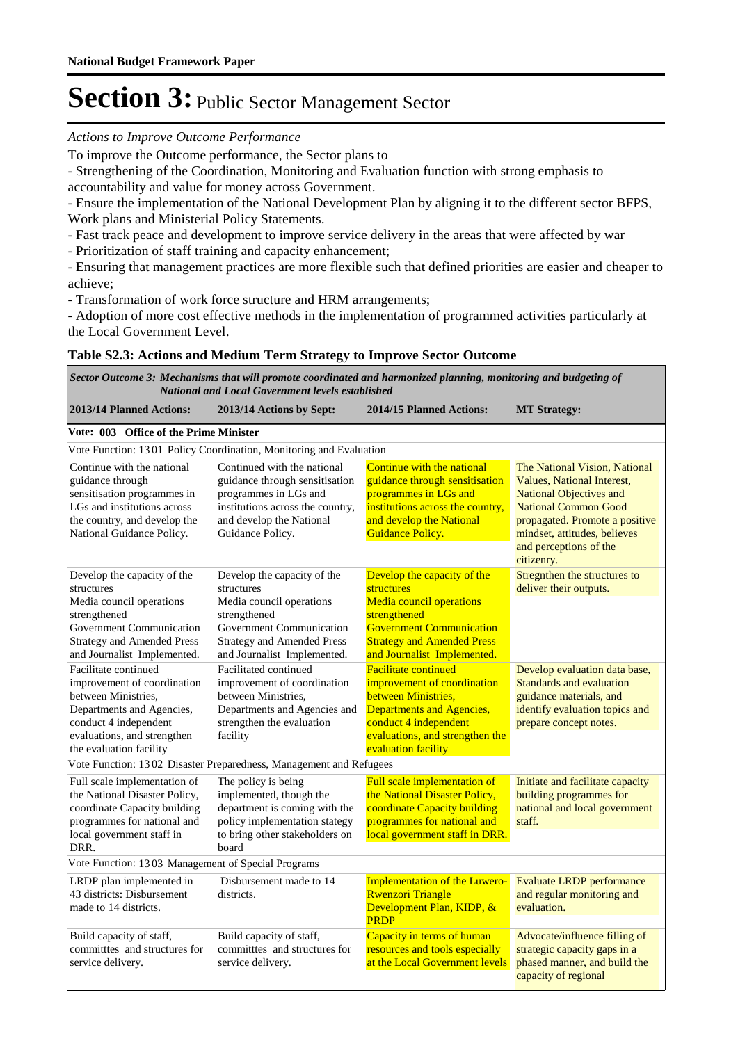#### *Actions to Improve Outcome Performance*

To improve the Outcome performance, the Sector plans to

- Strengthening of the Coordination, Monitoring and Evaluation function with strong emphasis to accountability and value for money across Government.

- Ensure the implementation of the National Development Plan by aligning it to the different sector BFPS, Work plans and Ministerial Policy Statements.

- Fast track peace and development to improve service delivery in the areas that were affected by war

- Prioritization of staff training and capacity enhancement;

- Ensuring that management practices are more flexible such that defined priorities are easier and cheaper to achieve;

- Transformation of work force structure and HRM arrangements;

- Adoption of more cost effective methods in the implementation of programmed activities particularly at the Local Government Level.

### **Table S2.3: Actions and Medium Term Strategy to Improve Sector Outcome**

*Mechanisms that will promote coordinated and harmonized planning, monitoring and budgeting of Sector Outcome 3: National and Local Government levels established*

| 2013/14 Planned Actions:                                                                                                                                                                                                                                                                                                                                                                                                                | 2013/14 Actions by Sept:                                                                                                                                                              | 2014/15 Planned Actions:                                                                                                                                                                            | <b>MT Strategy:</b>                                                                                                                                                                                                                    |  |  |
|-----------------------------------------------------------------------------------------------------------------------------------------------------------------------------------------------------------------------------------------------------------------------------------------------------------------------------------------------------------------------------------------------------------------------------------------|---------------------------------------------------------------------------------------------------------------------------------------------------------------------------------------|-----------------------------------------------------------------------------------------------------------------------------------------------------------------------------------------------------|----------------------------------------------------------------------------------------------------------------------------------------------------------------------------------------------------------------------------------------|--|--|
| Vote: 003 Office of the Prime Minister                                                                                                                                                                                                                                                                                                                                                                                                  |                                                                                                                                                                                       |                                                                                                                                                                                                     |                                                                                                                                                                                                                                        |  |  |
|                                                                                                                                                                                                                                                                                                                                                                                                                                         | Vote Function: 1301 Policy Coordination, Monitoring and Evaluation                                                                                                                    |                                                                                                                                                                                                     |                                                                                                                                                                                                                                        |  |  |
| Continue with the national<br>Continued with the national<br>guidance through<br>guidance through sensitisation<br>sensitisation programmes in<br>programmes in LGs and<br>programmes in LGs and<br>LGs and institutions across<br>institutions across the country,<br>and develop the National<br>the country, and develop the<br>and develop the National<br><b>Guidance Policy.</b><br>National Guidance Policy.<br>Guidance Policy. |                                                                                                                                                                                       | Continue with the national<br>guidance through sensitisation<br>institutions across the country,                                                                                                    | The National Vision, National<br>Values, National Interest,<br><b>National Objectives and</b><br><b>National Common Good</b><br>propagated. Promote a positive<br>mindset, attitudes, believes<br>and perceptions of the<br>citizenry. |  |  |
| Develop the capacity of the<br>structures<br>Media council operations<br>strengthened<br>Government Communication<br><b>Strategy and Amended Press</b><br>and Journalist Implemented.                                                                                                                                                                                                                                                   | Develop the capacity of the<br>structures<br>Media council operations<br>strengthened<br>Government Communication<br><b>Strategy and Amended Press</b><br>and Journalist Implemented. | Develop the capacity of the<br>structures<br><b>Media council operations</b><br>strengthened<br><b>Government Communication</b><br><b>Strategy and Amended Press</b><br>and Journalist Implemented. | Stregnthen the structures to<br>deliver their outputs.                                                                                                                                                                                 |  |  |
| Facilitate continued<br>improvement of coordination<br>between Ministries,<br>Departments and Agencies,<br>conduct 4 independent<br>evaluations, and strengthen<br>the evaluation facility                                                                                                                                                                                                                                              | Facilitated continued<br>improvement of coordination<br>between Ministries,<br>Departments and Agencies and<br>strengthen the evaluation<br>facility                                  | <b>Facilitate continued</b><br>improvement of coordination<br>between Ministries,<br>Departments and Agencies,<br>conduct 4 independent<br>evaluations, and strengthen the<br>evaluation facility   | Develop evaluation data base,<br>Standards and evaluation<br>guidance materials, and<br>identify evaluation topics and<br>prepare concept notes.                                                                                       |  |  |
|                                                                                                                                                                                                                                                                                                                                                                                                                                         |                                                                                                                                                                                       |                                                                                                                                                                                                     |                                                                                                                                                                                                                                        |  |  |
| Vote Function: 1302 Disaster Preparedness, Management and Refugees<br>The policy is being<br>Full scale implementation of<br>the National Disaster Policy,<br>implemented, though the<br>coordinate Capacity building<br>department is coming with the<br>programmes for national and<br>policy implementation stategy<br>to bring other stakeholders on<br>local government staff in<br>DRR.<br>board                                  |                                                                                                                                                                                       | Full scale implementation of<br>the National Disaster Policy,<br>coordinate Capacity building<br>programmes for national and<br>local government staff in DRR.                                      | Initiate and facilitate capacity<br>building programmes for<br>national and local government<br>staff.                                                                                                                                 |  |  |
| Vote Function: 1303 Management of Special Programs                                                                                                                                                                                                                                                                                                                                                                                      |                                                                                                                                                                                       |                                                                                                                                                                                                     |                                                                                                                                                                                                                                        |  |  |
| LRDP plan implemented in<br>43 districts: Disbursement<br>made to 14 districts.                                                                                                                                                                                                                                                                                                                                                         | Disbursement made to 14<br>districts.                                                                                                                                                 | <b>Implementation of the Luwero-</b><br><b>Rwenzori Triangle</b><br>Development Plan, KIDP, &<br><b>PRDP</b>                                                                                        | <b>Evaluate LRDP</b> performance<br>and regular monitoring and<br>evaluation.                                                                                                                                                          |  |  |
| Build capacity of staff,<br>committes and structures for<br>service delivery.                                                                                                                                                                                                                                                                                                                                                           | Build capacity of staff,<br>committes and structures for<br>service delivery.                                                                                                         | Capacity in terms of human<br>resources and tools especially<br>at the Local Government levels                                                                                                      | Advocate/influence filling of<br>strategic capacity gaps in a<br>phased manner, and build the<br>capacity of regional                                                                                                                  |  |  |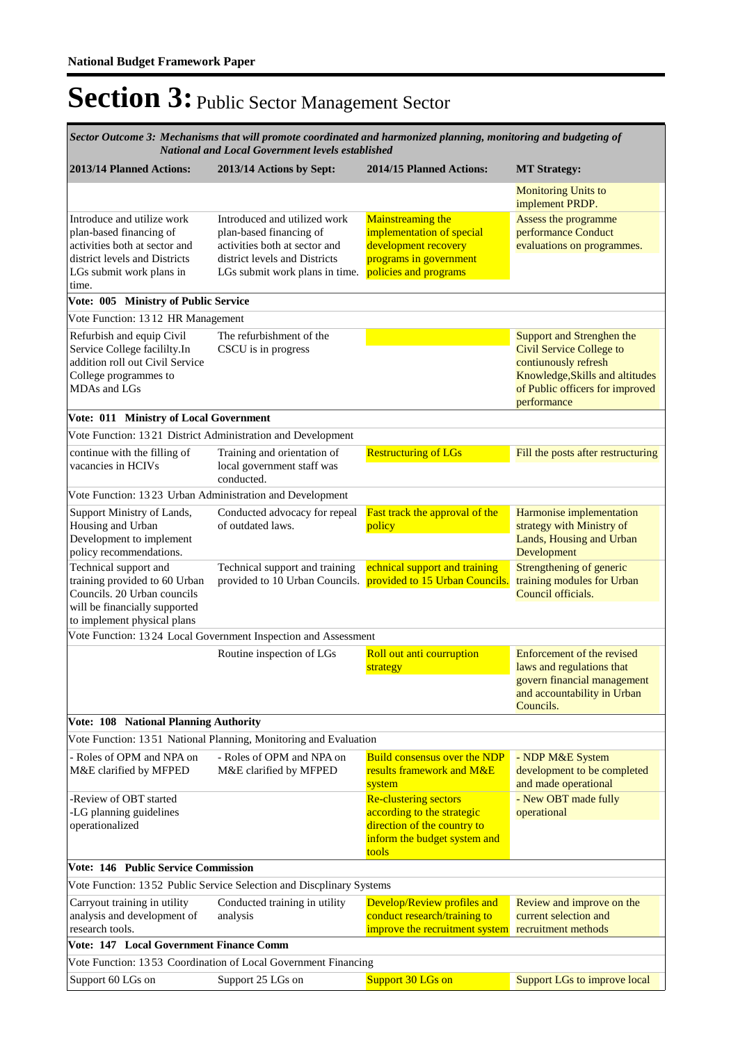*Mechanisms that will promote coordinated and harmonized planning, monitoring and budgeting of National and Local Government levels established Sector Outcome 3:*

| 2013/14 Planned Actions:                                                                                                                                                                             | 2013/14 Actions by Sept:                                                                                                                                    | 2014/15 Planned Actions:                                                                                                         | <b>MT Strategy:</b>                                                                                                                                                       |
|------------------------------------------------------------------------------------------------------------------------------------------------------------------------------------------------------|-------------------------------------------------------------------------------------------------------------------------------------------------------------|----------------------------------------------------------------------------------------------------------------------------------|---------------------------------------------------------------------------------------------------------------------------------------------------------------------------|
|                                                                                                                                                                                                      |                                                                                                                                                             |                                                                                                                                  | <b>Monitoring Units to</b><br>implement PRDP.                                                                                                                             |
| Introduce and utilize work<br>plan-based financing of<br>activities both at sector and<br>district levels and Districts<br>LGs submit work plans in<br>time.<br>Vote: 005 Ministry of Public Service | Introduced and utilized work<br>plan-based financing of<br>activities both at sector and<br>district levels and Districts<br>LGs submit work plans in time. | <b>Mainstreaming the</b><br>implementation of special<br>development recovery<br>programs in government<br>policies and programs | Assess the programme<br>performance Conduct<br>evaluations on programmes.                                                                                                 |
| Vote Function: 1312 HR Management                                                                                                                                                                    |                                                                                                                                                             |                                                                                                                                  |                                                                                                                                                                           |
| Refurbish and equip Civil<br>Service College facililty.In<br>addition roll out Civil Service<br>College programmes to<br>MDAs and LGs                                                                | The refurbishment of the<br>CSCU is in progress                                                                                                             |                                                                                                                                  | Support and Strenghen the<br><b>Civil Service College to</b><br>contiunously refresh<br>Knowledge, Skills and altitudes<br>of Public officers for improved<br>performance |
| Vote: 011 Ministry of Local Government                                                                                                                                                               |                                                                                                                                                             |                                                                                                                                  |                                                                                                                                                                           |
| Vote Function: 1321 District Administration and Development                                                                                                                                          |                                                                                                                                                             |                                                                                                                                  |                                                                                                                                                                           |
| continue with the filling of<br>vacancies in HCIVs                                                                                                                                                   | Training and orientation of<br>local government staff was<br>conducted.                                                                                     | <b>Restructuring of LGs</b>                                                                                                      | Fill the posts after restructuring                                                                                                                                        |
| Vote Function: 13 23 Urban Administration and Development                                                                                                                                            |                                                                                                                                                             |                                                                                                                                  |                                                                                                                                                                           |
| Support Ministry of Lands,<br>Housing and Urban<br>Development to implement<br>policy recommendations.                                                                                               | Conducted advocacy for repeal<br>of outdated laws.                                                                                                          | Fast track the approval of the<br>policy                                                                                         | Harmonise implementation<br>strategy with Ministry of<br>Lands, Housing and Urban<br>Development                                                                          |
| Technical support and<br>training provided to 60 Urban<br>Councils. 20 Urban councils<br>will be financially supported                                                                               | Technical support and training                                                                                                                              | echnical support and training<br>provided to 10 Urban Councils. provided to 15 Urban Councils.                                   | Strengthening of generic<br>training modules for Urban<br>Council officials.                                                                                              |
| to implement physical plans                                                                                                                                                                          |                                                                                                                                                             |                                                                                                                                  |                                                                                                                                                                           |
|                                                                                                                                                                                                      | Vote Function: 13 24 Local Government Inspection and Assessment                                                                                             |                                                                                                                                  |                                                                                                                                                                           |
|                                                                                                                                                                                                      | Routine inspection of LGs                                                                                                                                   | Roll out anti courruption<br>strategy                                                                                            | Enforcement of the revised<br>laws and regulations that<br>govern financial management<br>and accountability in Urban<br>Councils.                                        |
| Vote: 108 National Planning Authority                                                                                                                                                                |                                                                                                                                                             |                                                                                                                                  |                                                                                                                                                                           |
|                                                                                                                                                                                                      | Vote Function: 1351 National Planning, Monitoring and Evaluation                                                                                            |                                                                                                                                  |                                                                                                                                                                           |
| - Roles of OPM and NPA on<br>M&E clarified by MFPED                                                                                                                                                  | - Roles of OPM and NPA on<br>M&E clarified by MFPED                                                                                                         | <b>Build consensus over the NDP</b><br>results framework and M&E<br>system                                                       | - NDP M&E System<br>development to be completed<br>and made operational                                                                                                   |
| -Review of OBT started<br>-LG planning guidelines                                                                                                                                                    |                                                                                                                                                             | <b>Re-clustering sectors</b><br>according to the strategic                                                                       | - New OBT made fully<br>operational                                                                                                                                       |
| operationalized                                                                                                                                                                                      |                                                                                                                                                             | direction of the country to<br>inform the budget system and<br>tools                                                             |                                                                                                                                                                           |
| Vote: 146 Public Service Commission                                                                                                                                                                  |                                                                                                                                                             |                                                                                                                                  |                                                                                                                                                                           |
|                                                                                                                                                                                                      | Vote Function: 1352 Public Service Selection and Discplinary Systems                                                                                        |                                                                                                                                  |                                                                                                                                                                           |
| Carryout training in utility<br>analysis and development of<br>research tools.                                                                                                                       | Conducted training in utility<br>analysis                                                                                                                   | Develop/Review profiles and<br>conduct research/training to<br>improve the recruitment system                                    | Review and improve on the<br>current selection and<br>recruitment methods                                                                                                 |
| Vote: 147 Local Government Finance Comm                                                                                                                                                              |                                                                                                                                                             |                                                                                                                                  |                                                                                                                                                                           |
|                                                                                                                                                                                                      | Vote Function: 13 53 Coordination of Local Government Financing                                                                                             |                                                                                                                                  |                                                                                                                                                                           |
| Support 60 LGs on                                                                                                                                                                                    | Support 25 LGs on                                                                                                                                           | Support 30 LGs on                                                                                                                | <b>Support LGs to improve local</b>                                                                                                                                       |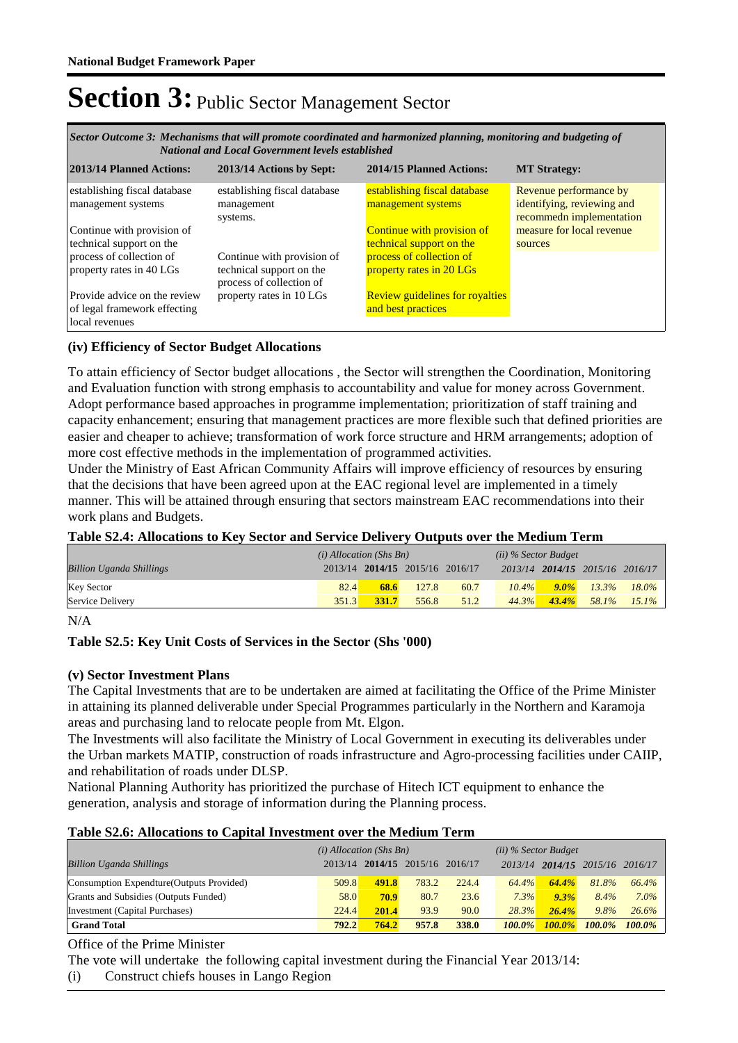*Mechanisms that will promote coordinated and harmonized planning, monitoring and budgeting of Sector Outcome 3: National and Local Government levels established*

| 2013/14 Planned Actions:                                                       | 2013/14 Actions by Sept:                                                           | 2014/15 Planned Actions:                                      | <b>MT Strategy:</b>                                                              |
|--------------------------------------------------------------------------------|------------------------------------------------------------------------------------|---------------------------------------------------------------|----------------------------------------------------------------------------------|
| establishing fiscal database<br>management systems                             | establishing fiscal database<br>management<br>systems.                             | establishing fiscal database<br>management systems            | Revenue performance by<br>identifying, reviewing and<br>recommedn implementation |
| Continue with provision of<br>technical support on the                         |                                                                                    | <b>Continue with provision of</b><br>technical support on the | measure for local revenue<br>sources                                             |
| process of collection of<br>property rates in 40 LGs                           | Continue with provision of<br>technical support on the<br>process of collection of | process of collection of<br>property rates in 20 LGs          |                                                                                  |
| Provide advice on the review<br>of legal framework effecting<br>local revenues | property rates in 10 LGs                                                           | <b>Review guidelines for royalties</b><br>and best practices  |                                                                                  |

### **(iv) Efficiency of Sector Budget Allocations**

To attain efficiency of Sector budget allocations , the Sector will strengthen the Coordination, Monitoring and Evaluation function with strong emphasis to accountability and value for money across Government. Adopt performance based approaches in programme implementation; prioritization of staff training and capacity enhancement; ensuring that management practices are more flexible such that defined priorities are easier and cheaper to achieve; transformation of work force structure and HRM arrangements; adoption of more cost effective methods in the implementation of programmed activities.

Under the Ministry of East African Community Affairs will improve efficiency of resources by ensuring that the decisions that have been agreed upon at the EAC regional level are implemented in a timely manner. This will be attained through ensuring that sectors mainstream EAC recommendations into their work plans and Budgets.

### **Table S2.4: Allocations to Key Sector and Service Delivery Outputs over the Medium Term**

|                                 | $(i)$ Allocation (Shs Bn) |       |                                 | $(ii)$ % Sector Budget |          |          |                                 |          |
|---------------------------------|---------------------------|-------|---------------------------------|------------------------|----------|----------|---------------------------------|----------|
| <b>Billion Uganda Shillings</b> |                           |       | 2013/14 2014/15 2015/16 2016/17 |                        |          |          | 2013/14 2014/15 2015/16 2016/17 |          |
| <b>Key Sector</b>               | 82.4                      | 68.6  | 127.8                           | 60.7                   | $10.4\%$ | $9.0\%$  | $13.3\%$                        | $18.0\%$ |
| Service Delivery                | 351.3                     | 331.7 | 556.8                           | 51.2                   | 44.3%    | $43.4\%$ | 58.1%                           | $15.1\%$ |

N/A

### **Table S2.5: Key Unit Costs of Services in the Sector (Shs '000)**

### **(v) Sector Investment Plans**

The Capital Investments that are to be undertaken are aimed at facilitating the Office of the Prime Minister in attaining its planned deliverable under Special Programmes particularly in the Northern and Karamoja areas and purchasing land to relocate people from Mt. Elgon.

The Investments will also facilitate the Ministry of Local Government in executing its deliverables under the Urban markets MATIP, construction of roads infrastructure and Agro-processing facilities under CAIIP, and rehabilitation of roads under DLSP.

National Planning Authority has prioritized the purchase of Hitech ICT equipment to enhance the generation, analysis and storage of information during the Planning process.

### **Table S2.6: Allocations to Capital Investment over the Medium Term**

|                                           | $(i)$ Allocation (Shs Bn) |       |                         | $(ii)$ % Sector Budget |           |               |                                 |           |
|-------------------------------------------|---------------------------|-------|-------------------------|------------------------|-----------|---------------|---------------------------------|-----------|
| <b>Billion Uganda Shillings</b>           | 2013/14                   |       | 2014/15 2015/16 2016/17 |                        |           |               | 2013/14 2014/15 2015/16 2016/17 |           |
| Consumption Expendture (Outputs Provided) | 509.8                     | 491.8 | 783.2                   | 224.4                  | 64.4%     | 64.4%         | 81.8%                           | 66.4%     |
| Grants and Subsidies (Outputs Funded)     | 58.0                      | 70.9  | 80.7                    | 23.6                   | 7.3%      | 9.3%          | 8.4%                            | $7.0\%$   |
| Investment (Capital Purchases)            | 224.4                     | 201.4 | 93.9                    | 90.0                   | 28.3%     | $26.4\%$      | 9.8%                            | 26.6%     |
| <b>Grand Total</b>                        | 792.2                     | 764.2 | 957.8                   | 338.0                  | $100.0\%$ | <b>100.0%</b> | $100.0\%$                       | $100.0\%$ |

### Office of the Prime Minister

The vote will undertake the following capital investment during the Financial Year 2013/14:

(i) Construct chiefs houses in Lango Region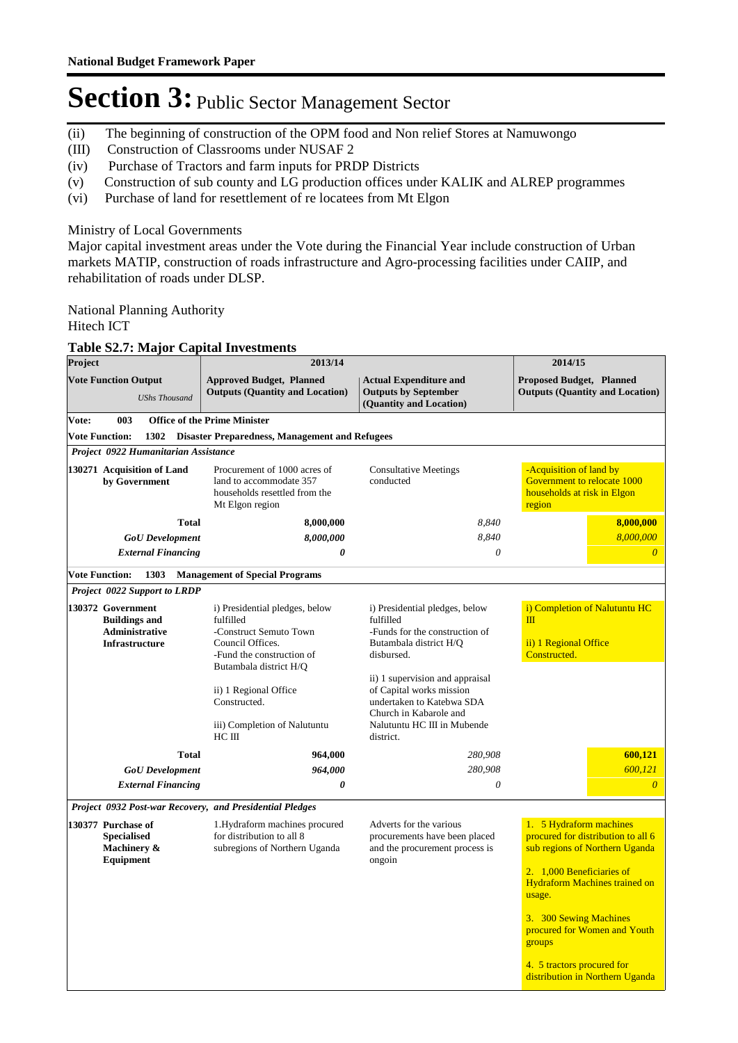- (ii) The beginning of construction of the OPM food and Non relief Stores at Namuwongo
- (III) Construction of Classrooms under NUSAF 2
- (iv) Purchase of Tractors and farm inputs for PRDP Districts
- (v) Construction of sub county and LG production offices under KALIK and ALREP programmes
- (vi) Purchase of land for resettlement of re locatees from Mt Elgon

### Ministry of Local Governments

Major capital investment areas under the Vote during the Financial Year include construction of Urban markets MATIP, construction of roads infrastructure and Agro-processing facilities under CAIIP, and rehabilitation of roads under DLSP.

National Planning Authority

Hitech ICT

#### **Table S2.7: Major Capital Investments**

| Project |                                                                                             | 2013/14                                                                                                                |                                                                                                                                                                | 2014/15                                                                                                                                                                                                                                            |  |  |
|---------|---------------------------------------------------------------------------------------------|------------------------------------------------------------------------------------------------------------------------|----------------------------------------------------------------------------------------------------------------------------------------------------------------|----------------------------------------------------------------------------------------------------------------------------------------------------------------------------------------------------------------------------------------------------|--|--|
|         | <b>Vote Function Output</b><br><b>UShs Thousand</b>                                         | <b>Approved Budget, Planned</b><br><b>Outputs (Quantity and Location)</b>                                              | <b>Actual Expenditure and</b><br><b>Outputs by September</b><br>(Quantity and Location)                                                                        | <b>Proposed Budget, Planned</b><br><b>Outputs (Quantity and Location)</b>                                                                                                                                                                          |  |  |
| Vote:   | 003                                                                                         | <b>Office of the Prime Minister</b>                                                                                    |                                                                                                                                                                |                                                                                                                                                                                                                                                    |  |  |
|         | <b>Vote Function:</b><br>1302                                                               | <b>Disaster Preparedness, Management and Refugees</b>                                                                  |                                                                                                                                                                |                                                                                                                                                                                                                                                    |  |  |
|         | Project 0922 Humanitarian Assistance                                                        |                                                                                                                        |                                                                                                                                                                |                                                                                                                                                                                                                                                    |  |  |
|         | 130271 Acquisition of Land<br>by Government                                                 | Procurement of 1000 acres of<br>land to accommodate 357<br>households resettled from the<br>Mt Elgon region            | <b>Consultative Meetings</b><br>conducted                                                                                                                      | -Acquisition of land by<br>Government to relocate 1000<br>households at risk in Elgon<br>region                                                                                                                                                    |  |  |
|         | <b>Total</b>                                                                                | 8,000,000                                                                                                              | 8.840                                                                                                                                                          | 8,000,000                                                                                                                                                                                                                                          |  |  |
|         | <b>GoU</b> Development                                                                      | 8,000,000                                                                                                              | 8,840                                                                                                                                                          | 8,000,000                                                                                                                                                                                                                                          |  |  |
|         | <b>External Financing</b>                                                                   | $\boldsymbol{\theta}$                                                                                                  | $\theta$                                                                                                                                                       | $\overline{0}$                                                                                                                                                                                                                                     |  |  |
|         | <b>Vote Function:</b><br>1303                                                               | <b>Management of Special Programs</b>                                                                                  |                                                                                                                                                                |                                                                                                                                                                                                                                                    |  |  |
|         | Project 0022 Support to LRDP                                                                |                                                                                                                        |                                                                                                                                                                |                                                                                                                                                                                                                                                    |  |  |
|         | 130372 Government<br><b>Buildings and</b><br><b>Administrative</b><br><b>Infrastructure</b> | i) Presidential pledges, below<br>fulfilled<br>-Construct Semuto Town<br>Council Offices.<br>-Fund the construction of | i) Presidential pledges, below<br>fulfilled<br>-Funds for the construction of<br>Butambala district H/Q<br>disbursed.                                          | i) Completion of Nalutuntu HC<br>$\mathbf{m}$<br>ii) 1 Regional Office<br>Constructed.                                                                                                                                                             |  |  |
|         |                                                                                             | Butambala district H/Q<br>ii) 1 Regional Office<br>Constructed.<br>iii) Completion of Nalutuntu<br>$HC$ III            | ii) 1 supervision and appraisal<br>of Capital works mission<br>undertaken to Katebwa SDA<br>Church in Kabarole and<br>Nalutuntu HC III in Mubende<br>district. |                                                                                                                                                                                                                                                    |  |  |
|         | <b>Total</b>                                                                                | 964,000                                                                                                                | 280,908                                                                                                                                                        | 600,121                                                                                                                                                                                                                                            |  |  |
|         | <b>GoU</b> Development                                                                      | 964,000                                                                                                                | 280,908                                                                                                                                                        | 600,121                                                                                                                                                                                                                                            |  |  |
|         | <b>External Financing</b>                                                                   | 0                                                                                                                      | $\theta$                                                                                                                                                       | $\overline{\theta}$                                                                                                                                                                                                                                |  |  |
|         |                                                                                             | Project 0932 Post-war Recovery, and Presidential Pledges                                                               |                                                                                                                                                                |                                                                                                                                                                                                                                                    |  |  |
|         | 130377 Purchase of<br><b>Specialised</b><br>Machinery &<br>Equipment                        | 1. Hydraform machines procured<br>for distribution to all 8<br>subregions of Northern Uganda                           | Adverts for the various<br>procurements have been placed<br>and the procurement process is<br>ongoin                                                           | 1. 5 Hydraform machines<br>procured for distribution to all 6<br>sub regions of Northern Uganda<br>2. 1,000 Beneficiaries of<br><b>Hydraform Machines trained on</b><br>usage.<br>3. 300 Sewing Machines<br>procured for Women and Youth<br>groups |  |  |
|         |                                                                                             |                                                                                                                        |                                                                                                                                                                | 4. 5 tractors procured for<br>distribution in Northern Uganda                                                                                                                                                                                      |  |  |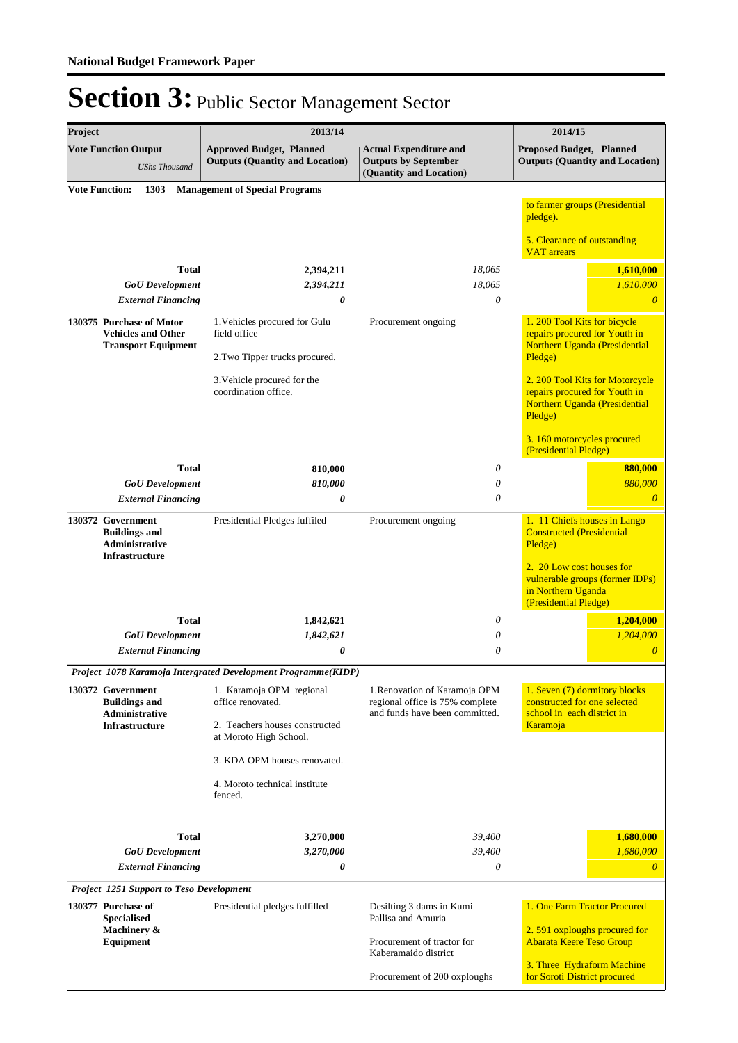| Project |                                                                                     | 2013/14                                                                                   |                                                                                         | 2014/15                                                                                                      |
|---------|-------------------------------------------------------------------------------------|-------------------------------------------------------------------------------------------|-----------------------------------------------------------------------------------------|--------------------------------------------------------------------------------------------------------------|
|         | <b>Vote Function Output</b><br><b>UShs Thousand</b>                                 | <b>Approved Budget, Planned</b><br><b>Outputs (Quantity and Location)</b>                 | <b>Actual Expenditure and</b><br><b>Outputs by September</b><br>(Quantity and Location) | <b>Proposed Budget, Planned</b><br><b>Outputs (Quantity and Location)</b>                                    |
|         | <b>Vote Function:</b><br>1303                                                       | <b>Management of Special Programs</b>                                                     |                                                                                         | to farmer groups (Presidential<br>pledge).                                                                   |
|         |                                                                                     |                                                                                           |                                                                                         | 5. Clearance of outstanding<br><b>VAT</b> arrears                                                            |
|         | <b>Total</b><br><b>GoU</b> Development<br><b>External Financing</b>                 | 2,394,211<br>2,394,211<br>0                                                               | 18,065<br>18,065<br>0                                                                   | 1,610,000<br>1,610,000<br>$\overline{\theta}$                                                                |
|         | 130375 Purchase of Motor<br><b>Vehicles and Other</b><br><b>Transport Equipment</b> | 1. Vehicles procured for Gulu<br>field office<br>2. Two Tipper trucks procured.           | Procurement ongoing                                                                     | 1.200 Tool Kits for bicycle<br>repairs procured for Youth in<br>Northern Uganda (Presidential<br>Pledge)     |
|         |                                                                                     | 3. Vehicle procured for the<br>coordination office.                                       |                                                                                         | 2. 200 Tool Kits for Motorcycle<br>repairs procured for Youth in<br>Northern Uganda (Presidential<br>Pledge) |
|         |                                                                                     |                                                                                           |                                                                                         | 3.160 motorcycles procured<br>(Presidential Pledge)                                                          |
|         | <b>Total</b>                                                                        | 810,000                                                                                   | 0                                                                                       | 880,000                                                                                                      |
|         | <b>GoU</b> Development<br><b>External Financing</b>                                 | 810,000<br>0                                                                              | 0<br>0                                                                                  | 880,000<br>$\theta$                                                                                          |
|         | 130372 Government<br><b>Buildings and</b><br><b>Administrative</b>                  | Presidential Pledges fuffiled                                                             | Procurement ongoing                                                                     | 1. 11 Chiefs houses in Lango<br><b>Constructed (Presidential</b><br>Pledge)                                  |
|         | Infrastructure                                                                      |                                                                                           |                                                                                         | 2. 20 Low cost houses for<br>vulnerable groups (former IDPs)<br>in Northern Uganda<br>(Presidential Pledge)  |
|         | <b>Total</b>                                                                        | 1,842,621                                                                                 | 0                                                                                       | 1,204,000                                                                                                    |
|         | <b>GoU</b> Development<br><b>External Financing</b>                                 | 1,842,621<br>0                                                                            | 0<br>0                                                                                  | 1,204,000<br>$\overline{0}$                                                                                  |
|         |                                                                                     |                                                                                           |                                                                                         |                                                                                                              |
|         |                                                                                     | Project 1078 Karamoja Intergrated Development Programme(KIDP)<br>1. Karamoja OPM regional | 1. Renovation of Karamoja OPM                                                           | 1. Seven (7) dormitory blocks                                                                                |
|         | 130372 Government<br><b>Buildings and</b><br><b>Administrative</b>                  | office renovated.                                                                         | regional office is 75% complete<br>and funds have been committed.                       | constructed for one selected<br>school in each district in                                                   |
|         | <b>Infrastructure</b>                                                               | 2. Teachers houses constructed<br>at Moroto High School.                                  |                                                                                         | Karamoja                                                                                                     |
|         |                                                                                     | 3. KDA OPM houses renovated.                                                              |                                                                                         |                                                                                                              |
|         |                                                                                     | 4. Moroto technical institute<br>fenced.                                                  |                                                                                         |                                                                                                              |
|         | <b>Total</b>                                                                        | 3,270,000                                                                                 | 39,400                                                                                  | 1,680,000                                                                                                    |
|         | <b>GoU</b> Development                                                              | 3,270,000                                                                                 | 39,400                                                                                  | 1,680,000                                                                                                    |
|         | <b>External Financing</b>                                                           | 0                                                                                         | 0                                                                                       | $\boldsymbol{\theta}$                                                                                        |
|         | Project 1251 Support to Teso Development                                            |                                                                                           |                                                                                         |                                                                                                              |
|         | 130377 Purchase of<br><b>Specialised</b>                                            | Presidential pledges fulfilled                                                            | Desilting 3 dams in Kumi<br>Pallisa and Amuria                                          | 1. One Farm Tractor Procured                                                                                 |
|         | Machinery &<br>Equipment                                                            |                                                                                           | Procurement of tractor for<br>Kaberamaido district                                      | 2.591 oxploughs procured for<br><b>Abarata Keere Teso Group</b>                                              |
|         |                                                                                     |                                                                                           | Procurement of 200 oxploughs                                                            | 3. Three Hydraform Machine<br>for Soroti District procured                                                   |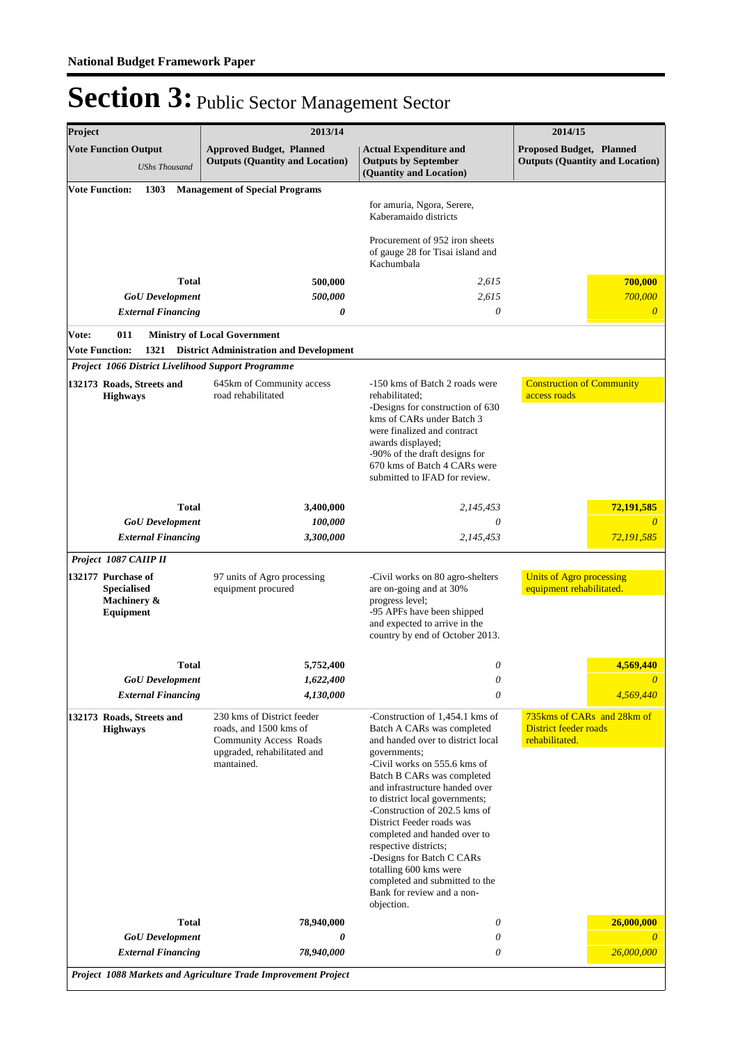| <b>Vote Function Output</b>                                          |                                                    |                                                                                                                                    |                                                                                                                                                                                                                                                                                                                                                                                                                                                                                                                  | 2014/15                                                                      |
|----------------------------------------------------------------------|----------------------------------------------------|------------------------------------------------------------------------------------------------------------------------------------|------------------------------------------------------------------------------------------------------------------------------------------------------------------------------------------------------------------------------------------------------------------------------------------------------------------------------------------------------------------------------------------------------------------------------------------------------------------------------------------------------------------|------------------------------------------------------------------------------|
|                                                                      | <b>UShs Thousand</b>                               | <b>Approved Budget, Planned</b><br><b>Outputs (Quantity and Location)</b>                                                          | <b>Actual Expenditure and</b><br><b>Outputs by September</b><br>(Quantity and Location)                                                                                                                                                                                                                                                                                                                                                                                                                          | <b>Proposed Budget, Planned</b><br><b>Outputs (Quantity and Location)</b>    |
| <b>Vote Function:</b>                                                | 1303                                               | <b>Management of Special Programs</b>                                                                                              | for amuria, Ngora, Serere,<br>Kaberamaido districts                                                                                                                                                                                                                                                                                                                                                                                                                                                              |                                                                              |
|                                                                      |                                                    |                                                                                                                                    | Procurement of 952 iron sheets<br>of gauge 28 for Tisai island and<br>Kachumbala                                                                                                                                                                                                                                                                                                                                                                                                                                 |                                                                              |
|                                                                      | <b>Total</b>                                       | 500,000                                                                                                                            | 2,615                                                                                                                                                                                                                                                                                                                                                                                                                                                                                                            | 700,000                                                                      |
|                                                                      | <b>GoU</b> Development                             | 500,000                                                                                                                            | 2,615                                                                                                                                                                                                                                                                                                                                                                                                                                                                                                            | 700,000                                                                      |
|                                                                      | <b>External Financing</b>                          | 0                                                                                                                                  | 0                                                                                                                                                                                                                                                                                                                                                                                                                                                                                                                | $\theta$                                                                     |
| Vote:                                                                | 011                                                | <b>Ministry of Local Government</b>                                                                                                |                                                                                                                                                                                                                                                                                                                                                                                                                                                                                                                  |                                                                              |
| <b>Vote Function:</b>                                                | Project 1066 District Livelihood Support Programme | 1321 District Administration and Development                                                                                       |                                                                                                                                                                                                                                                                                                                                                                                                                                                                                                                  |                                                                              |
|                                                                      | 132173 Roads, Streets and                          | 645km of Community access                                                                                                          | -150 kms of Batch 2 roads were                                                                                                                                                                                                                                                                                                                                                                                                                                                                                   | <b>Construction of Community</b>                                             |
|                                                                      | <b>Highways</b>                                    | road rehabilitated                                                                                                                 | rehabilitated:<br>-Designs for construction of 630<br>kms of CARs under Batch 3<br>were finalized and contract<br>awards displayed;<br>-90% of the draft designs for<br>670 kms of Batch 4 CARs were<br>submitted to IFAD for review.                                                                                                                                                                                                                                                                            | access roads                                                                 |
|                                                                      | <b>Total</b>                                       | 3,400,000                                                                                                                          | 2,145,453                                                                                                                                                                                                                                                                                                                                                                                                                                                                                                        | 72,191,585                                                                   |
|                                                                      | <b>GoU</b> Development                             | 100,000                                                                                                                            | 0                                                                                                                                                                                                                                                                                                                                                                                                                                                                                                                | $\theta$                                                                     |
|                                                                      | <b>External Financing</b>                          | 3,300,000                                                                                                                          | 2,145,453                                                                                                                                                                                                                                                                                                                                                                                                                                                                                                        | 72,191,585                                                                   |
|                                                                      | Project 1087 CAIIP II                              |                                                                                                                                    |                                                                                                                                                                                                                                                                                                                                                                                                                                                                                                                  |                                                                              |
| 132177 Purchase of<br><b>Specialised</b><br>Machinery &<br>Equipment |                                                    | 97 units of Agro processing<br>equipment procured                                                                                  | -Civil works on 80 agro-shelters<br>are on-going and at 30%<br>progress level;<br>-95 APFs have been shipped<br>and expected to arrive in the<br>country by end of October 2013.                                                                                                                                                                                                                                                                                                                                 | <b>Units of Agro processing</b><br>equipment rehabilitated.                  |
|                                                                      | <b>Total</b>                                       | 5,752,400                                                                                                                          | 0                                                                                                                                                                                                                                                                                                                                                                                                                                                                                                                | 4,569,440                                                                    |
|                                                                      | <b>GoU</b> Development                             | 1,622,400                                                                                                                          | 0                                                                                                                                                                                                                                                                                                                                                                                                                                                                                                                | $\theta$                                                                     |
|                                                                      | <b>External Financing</b>                          | 4,130,000                                                                                                                          | 0                                                                                                                                                                                                                                                                                                                                                                                                                                                                                                                | 4,569,440                                                                    |
| 132173 Roads, Streets and<br><b>Highways</b>                         |                                                    | 230 kms of District feeder<br>roads, and 1500 kms of<br><b>Community Access Roads</b><br>upgraded, rehabilitated and<br>mantained. | -Construction of 1,454.1 kms of<br>Batch A CARs was completed<br>and handed over to district local<br>governments;<br>-Civil works on 555.6 kms of<br>Batch B CARs was completed<br>and infrastructure handed over<br>to district local governments;<br>-Construction of 202.5 kms of<br>District Feeder roads was<br>completed and handed over to<br>respective districts;<br>-Designs for Batch C CARs<br>totalling 600 kms were<br>completed and submitted to the<br>Bank for review and a non-<br>objection. | 735kms of CARs and 28km of<br><b>District feeder roads</b><br>rehabilitated. |
|                                                                      | Total<br><b>GoU</b> Development                    | 78,940,000<br>0                                                                                                                    | 0<br>0                                                                                                                                                                                                                                                                                                                                                                                                                                                                                                           | 26,000,000<br>0                                                              |
|                                                                      |                                                    |                                                                                                                                    |                                                                                                                                                                                                                                                                                                                                                                                                                                                                                                                  |                                                                              |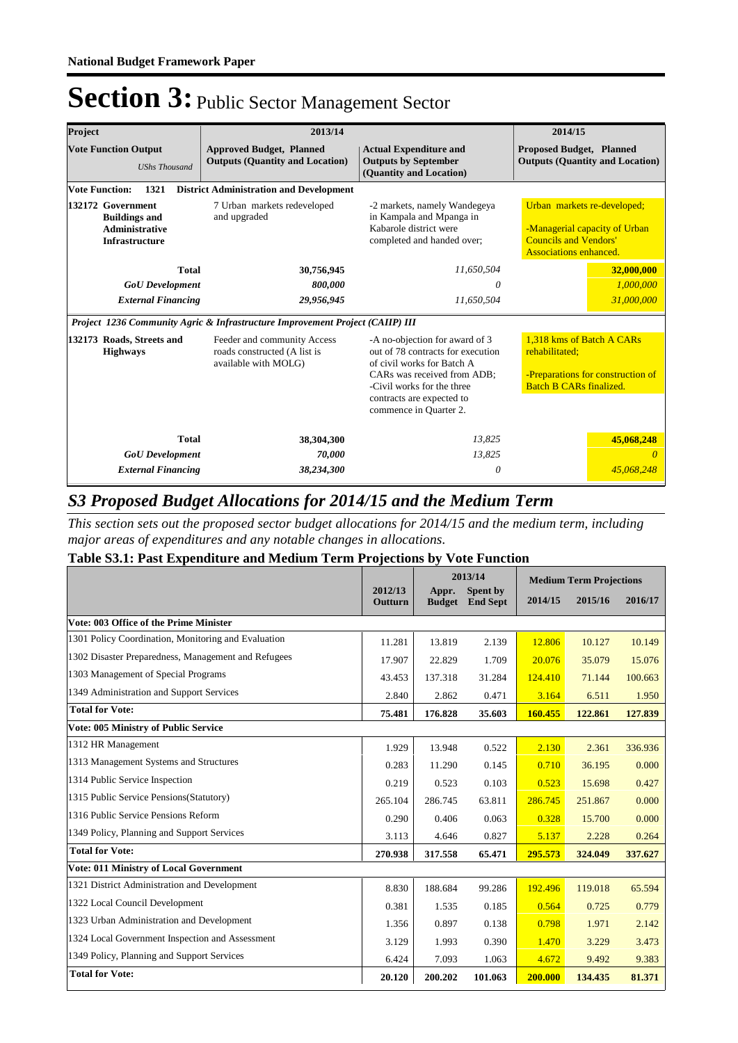| Project                                                                                     | 2013/14                                                                             |                                                                                                                                                                                                                       | 2014/15                                                                                                                       |            |  |
|---------------------------------------------------------------------------------------------|-------------------------------------------------------------------------------------|-----------------------------------------------------------------------------------------------------------------------------------------------------------------------------------------------------------------------|-------------------------------------------------------------------------------------------------------------------------------|------------|--|
| <b>Vote Function Output</b><br><b>UShs Thousand</b>                                         | <b>Approved Budget, Planned</b><br><b>Outputs (Quantity and Location)</b>           | <b>Actual Expenditure and</b><br><b>Outputs by September</b><br>(Quantity and Location)                                                                                                                               | <b>Proposed Budget, Planned</b><br><b>Outputs (Quantity and Location)</b>                                                     |            |  |
| <b>Vote Function:</b><br>1321                                                               | <b>District Administration and Development</b>                                      |                                                                                                                                                                                                                       |                                                                                                                               |            |  |
| 132172 Government<br><b>Buildings and</b><br><b>Administrative</b><br><b>Infrastructure</b> | 7 Urban markets redeveloped<br>and upgraded                                         | -2 markets, namely Wandegeya<br>in Kampala and Mpanga in<br>Kabarole district were<br>completed and handed over;                                                                                                      | Urban markets re-developed;<br>-Managerial capacity of Urban<br><b>Councils and Vendors'</b><br><b>Associations enhanced.</b> |            |  |
| <b>Total</b>                                                                                | 30,756,945                                                                          | 11,650,504                                                                                                                                                                                                            |                                                                                                                               | 32,000,000 |  |
| <b>GoU</b> Development                                                                      | 800,000                                                                             | 0                                                                                                                                                                                                                     | 1,000,000                                                                                                                     |            |  |
| <b>External Financing</b>                                                                   | 29,956,945                                                                          | 11,650,504                                                                                                                                                                                                            | 31,000,000                                                                                                                    |            |  |
|                                                                                             | Project 1236 Community Agric & Infrastructure Improvement Project (CAIIP) III       |                                                                                                                                                                                                                       |                                                                                                                               |            |  |
| 132173 Roads, Streets and<br><b>Highways</b>                                                | Feeder and community Access<br>roads constructed (A list is<br>available with MOLG) | -A no-objection for award of 3<br>out of 78 contracts for execution<br>of civil works for Batch A<br>CARs was received from ADB;<br>-Civil works for the three<br>contracts are expected to<br>commence in Quarter 2. | 1.318 kms of Batch A CARs<br>rehabilitated:<br>-Preparations for construction of<br><b>Batch B CARs finalized.</b>            |            |  |
| <b>Total</b>                                                                                | 38,304,300                                                                          | 13,825                                                                                                                                                                                                                |                                                                                                                               | 45,068,248 |  |
| <b>GoU</b> Development                                                                      | 70,000                                                                              | 13,825                                                                                                                                                                                                                |                                                                                                                               |            |  |
| <b>External Financing</b>                                                                   | 38,234,300                                                                          | 0                                                                                                                                                                                                                     |                                                                                                                               | 45.068.248 |  |

### *S3 Proposed Budget Allocations for 2014/15 and the Medium Term*

*This section sets out the proposed sector budget allocations for 2014/15 and the medium term, including major areas of expenditures and any notable changes in allocations.* 

### **Table S3.1: Past Expenditure and Medium Term Projections by Vote Function**

|                                                     |                    |                        | 2013/14                     | <b>Medium Term Projections</b> |         |         |
|-----------------------------------------------------|--------------------|------------------------|-----------------------------|--------------------------------|---------|---------|
|                                                     | 2012/13<br>Outturn | Appr.<br><b>Budget</b> | Spent by<br><b>End Sept</b> | 2014/15                        | 2015/16 | 2016/17 |
| Vote: 003 Office of the Prime Minister              |                    |                        |                             |                                |         |         |
| 1301 Policy Coordination, Monitoring and Evaluation | 11.281             | 13.819                 | 2.139                       | 12.806                         | 10.127  | 10.149  |
| 1302 Disaster Preparedness, Management and Refugees | 17.907             | 22.829                 | 1.709                       | 20.076                         | 35.079  | 15.076  |
| 1303 Management of Special Programs                 | 43.453             | 137.318                | 31.284                      | 124.410                        | 71.144  | 100.663 |
| 1349 Administration and Support Services            | 2.840              | 2.862                  | 0.471                       | 3.164                          | 6.511   | 1.950   |
| <b>Total for Vote:</b>                              | 75.481             | 176.828                | 35.603                      | 160.455                        | 122.861 | 127.839 |
| <b>Vote: 005 Ministry of Public Service</b>         |                    |                        |                             |                                |         |         |
| 1312 HR Management                                  | 1.929              | 13.948                 | 0.522                       | 2.130                          | 2.361   | 336.936 |
| 1313 Management Systems and Structures              | 0.283              | 11.290                 | 0.145                       | 0.710                          | 36.195  | 0.000   |
| 1314 Public Service Inspection                      | 0.219              | 0.523                  | 0.103                       | 0.523                          | 15.698  | 0.427   |
| 1315 Public Service Pensions (Statutory)            | 265.104            | 286.745                | 63.811                      | 286.745                        | 251.867 | 0.000   |
| 1316 Public Service Pensions Reform                 | 0.290              | 0.406                  | 0.063                       | 0.328                          | 15.700  | 0.000   |
| 1349 Policy, Planning and Support Services          | 3.113              | 4.646                  | 0.827                       | 5.137                          | 2.228   | 0.264   |
| <b>Total for Vote:</b>                              | 270.938            | 317.558                | 65.471                      | 295.573                        | 324.049 | 337.627 |
| <b>Vote: 011 Ministry of Local Government</b>       |                    |                        |                             |                                |         |         |
| 1321 District Administration and Development        | 8.830              | 188.684                | 99.286                      | 192.496                        | 119.018 | 65.594  |
| 1322 Local Council Development                      | 0.381              | 1.535                  | 0.185                       | 0.564                          | 0.725   | 0.779   |
| 1323 Urban Administration and Development           | 1.356              | 0.897                  | 0.138                       | 0.798                          | 1.971   | 2.142   |
| 1324 Local Government Inspection and Assessment     | 3.129              | 1.993                  | 0.390                       | 1.470                          | 3.229   | 3.473   |
| 1349 Policy, Planning and Support Services          | 6.424              | 7.093                  | 1.063                       | 4.672                          | 9.492   | 9.383   |
| <b>Total for Vote:</b>                              | 20.120             | 200.202                | 101.063                     | 200.000                        | 134.435 | 81.371  |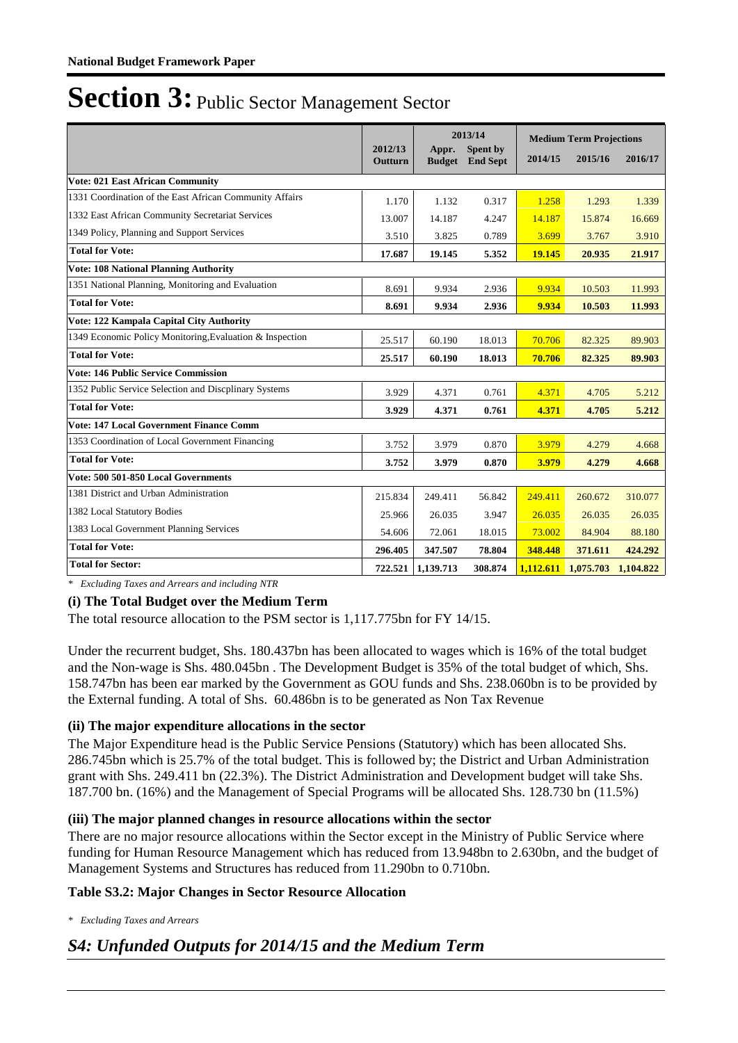|                                                          |                    |                        | 2013/14                     |         | <b>Medium Term Projections</b> |           |
|----------------------------------------------------------|--------------------|------------------------|-----------------------------|---------|--------------------------------|-----------|
|                                                          | 2012/13<br>Outturn | Appr.<br><b>Budget</b> | Spent by<br><b>End Sept</b> | 2014/15 | 2015/16                        | 2016/17   |
| <b>Vote: 021 East African Community</b>                  |                    |                        |                             |         |                                |           |
| 1331 Coordination of the East African Community Affairs  | 1.170              | 1.132                  | 0.317                       | 1.258   | 1.293                          | 1.339     |
| 1332 East African Community Secretariat Services         | 13.007             | 14.187                 | 4.247                       | 14.187  | 15.874                         | 16.669    |
| 1349 Policy, Planning and Support Services               | 3.510              | 3.825                  | 0.789                       | 3.699   | 3.767                          | 3.910     |
| <b>Total for Vote:</b>                                   | 17.687             | 19.145                 | 5.352                       | 19.145  | 20.935                         | 21.917    |
| <b>Vote: 108 National Planning Authority</b>             |                    |                        |                             |         |                                |           |
| 1351 National Planning, Monitoring and Evaluation        | 8.691              | 9.934                  | 2.936                       | 9.934   | 10.503                         | 11.993    |
| <b>Total for Vote:</b>                                   | 8.691              | 9.934                  | 2.936                       | 9.934   | 10.503                         | 11.993    |
| Vote: 122 Kampala Capital City Authority                 |                    |                        |                             |         |                                |           |
| 1349 Economic Policy Monitoring, Evaluation & Inspection | 25.517             | 60.190                 | 18.013                      | 70.706  | 82.325                         | 89.903    |
| <b>Total for Vote:</b>                                   | 25.517             | 60.190                 | 18.013                      | 70.706  | 82.325                         | 89.903    |
| <b>Vote: 146 Public Service Commission</b>               |                    |                        |                             |         |                                |           |
| 1352 Public Service Selection and Discplinary Systems    | 3.929              | 4.371                  | 0.761                       | 4.371   | 4.705                          | 5.212     |
| <b>Total for Vote:</b>                                   | 3.929              | 4.371                  | 0.761                       | 4.371   | 4.705                          | 5.212     |
| <b>Vote: 147 Local Government Finance Comm</b>           |                    |                        |                             |         |                                |           |
| 1353 Coordination of Local Government Financing          | 3.752              | 3.979                  | 0.870                       | 3.979   | 4.279                          | 4.668     |
| <b>Total for Vote:</b>                                   | 3.752              | 3.979                  | 0.870                       | 3.979   | 4.279                          | 4.668     |
| Vote: 500 501-850 Local Governments                      |                    |                        |                             |         |                                |           |
| 1381 District and Urban Administration                   | 215.834            | 249.411                | 56.842                      | 249.411 | 260.672                        | 310.077   |
| 1382 Local Statutory Bodies                              | 25.966             | 26.035                 | 3.947                       | 26.035  | 26.035                         | 26.035    |
| 1383 Local Government Planning Services                  | 54.606             | 72.061                 | 18.015                      | 73.002  | 84.904                         | 88.180    |
| <b>Total for Vote:</b>                                   | 296.405            | 347.507                | 78.804                      | 348.448 | 371.611                        | 424.292   |
| <b>Total for Sector:</b>                                 | 722.521            | 1,139.713              | 308.874                     |         | 1,112.611 1,075.703            | 1,104.822 |

*\* Excluding Taxes and Arrears and including NTR*

### **(i) The Total Budget over the Medium Term**

The total resource allocation to the PSM sector is 1,117.775bn for FY 14/15.

Under the recurrent budget, Shs. 180.437bn has been allocated to wages which is 16% of the total budget and the Non-wage is Shs. 480.045bn . The Development Budget is 35% of the total budget of which, Shs. 158.747bn has been ear marked by the Government as GOU funds and Shs. 238.060bn is to be provided by the External funding. A total of Shs. 60.486bn is to be generated as Non Tax Revenue

### **(ii) The major expenditure allocations in the sector**

The Major Expenditure head is the Public Service Pensions (Statutory) which has been allocated Shs. 286.745bn which is 25.7% of the total budget. This is followed by; the District and Urban Administration grant with Shs. 249.411 bn (22.3%). The District Administration and Development budget will take Shs. 187.700 bn. (16%) and the Management of Special Programs will be allocated Shs. 128.730 bn (11.5%)

### **(iii) The major planned changes in resource allocations within the sector**

There are no major resource allocations within the Sector except in the Ministry of Public Service where funding for Human Resource Management which has reduced from 13.948bn to 2.630bn, and the budget of Management Systems and Structures has reduced from 11.290bn to 0.710bn.

### **Table S3.2: Major Changes in Sector Resource Allocation**

*\* Excluding Taxes and Arrears*

### *S4: Unfunded Outputs for 2014/15 and the Medium Term*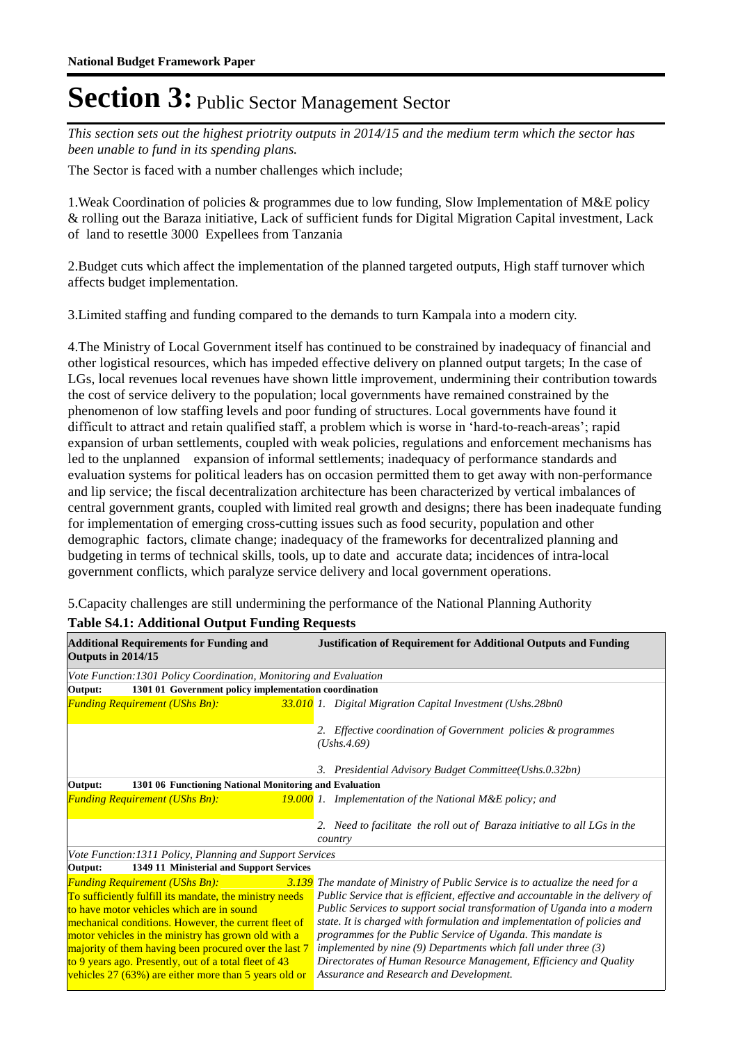*This section sets out the highest priotrity outputs in 2014/15 and the medium term which the sector has been unable to fund in its spending plans.*

The Sector is faced with a number challenges which include;

1. Weak Coordination of policies & programmes due to low funding, Slow Implementation of M&E policy & rolling out the Baraza initiative, Lack of sufficient funds for Digital Migration Capital investment, Lack of land to resettle 3000 Expellees from Tanzania

2. Budget cuts which affect the implementation of the planned targeted outputs, High staff turnover which affects budget implementation.

3. Limited staffing and funding compared to the demands to turn Kampala into a modern city.

4. The Ministry of Local Government itself has continued to be constrained by inadequacy of financial and other logistical resources, which has impeded effective delivery on planned output targets; In the case of LGs, local revenues local revenues have shown little improvement, undermining their contribution towards the cost of service delivery to the population; local governments have remained constrained by the phenomenon of low staffing levels and poor funding of structures. Local governments have found it difficult to attract and retain qualified staff, a problem which is worse in 'hard-to-reach-areas'; rapid expansion of urban settlements, coupled with weak policies, regulations and enforcement mechanisms has led to the unplanned expansion of informal settlements; inadequacy of performance standards and evaluation systems for political leaders has on occasion permitted them to get away with non-performance and lip service; the fiscal decentralization architecture has been characterized by vertical imbalances of central government grants, coupled with limited real growth and designs; there has been inadequate funding for implementation of emerging cross-cutting issues such as food security, population and other demographic factors, climate change; inadequacy of the frameworks for decentralized planning and budgeting in terms of technical skills, tools, up to date and accurate data; incidences of intra-local government conflicts, which paralyze service delivery and local government operations.

5. Capacity challenges are still undermining the performance of the National Planning Authority

### **Table S4.1: Additional Output Funding Requests**

| <b>Additional Requirements for Funding and</b><br>Outputs in 2014/15                                                                   | <b>Justification of Requirement for Additional Outputs and Funding</b>                |
|----------------------------------------------------------------------------------------------------------------------------------------|---------------------------------------------------------------------------------------|
| Vote Function: 1301 Policy Coordination, Monitoring and Evaluation<br>1301 01 Government policy implementation coordination<br>Output: |                                                                                       |
|                                                                                                                                        |                                                                                       |
| <b>Funding Requirement (UShs Bn):</b>                                                                                                  | 33.010 1. Digital Migration Capital Investment (Ushs.28bn0                            |
|                                                                                                                                        | 2. Effective coordination of Government policies & programmes                         |
|                                                                                                                                        | (Ushs.4.69)                                                                           |
|                                                                                                                                        | 3. Presidential Advisory Budget Committee(Ushs.0.32bn)                                |
| 1301 06 Functioning National Monitoring and Evaluation<br>Output:                                                                      |                                                                                       |
| <b>Funding Requirement (UShs Bn):</b>                                                                                                  | <b>19.000</b> 1. Implementation of the National M&E policy; and                       |
|                                                                                                                                        | 2. Need to facilitate the roll out of Baraza initiative to all LGs in the<br>country  |
| Vote Function: 1311 Policy, Planning and Support Services                                                                              |                                                                                       |
| 1349 11 Ministerial and Support Services<br>Output:                                                                                    |                                                                                       |
| <b>Funding Requirement (UShs Bn):</b>                                                                                                  | <b>3.139</b> The mandate of Ministry of Public Service is to actualize the need for a |
| To sufficiently fulfill its mandate, the ministry needs                                                                                | Public Service that is efficient, effective and accountable in the delivery of        |
| to have motor vehicles which are in sound                                                                                              | Public Services to support social transformation of Uganda into a modern              |
| mechanical conditions. However, the current fleet of                                                                                   | state. It is charged with formulation and implementation of policies and              |
| motor vehicles in the ministry has grown old with a                                                                                    | programmes for the Public Service of Uganda. This mandate is                          |
| majority of them having been procured over the last 7                                                                                  | implemented by nine (9) Departments which fall under three (3)                        |
| to 9 years ago. Presently, out of a total fleet of 43                                                                                  | Directorates of Human Resource Management, Efficiency and Quality                     |
| vehicles 27 (63%) are either more than 5 years old or                                                                                  | Assurance and Research and Development.                                               |